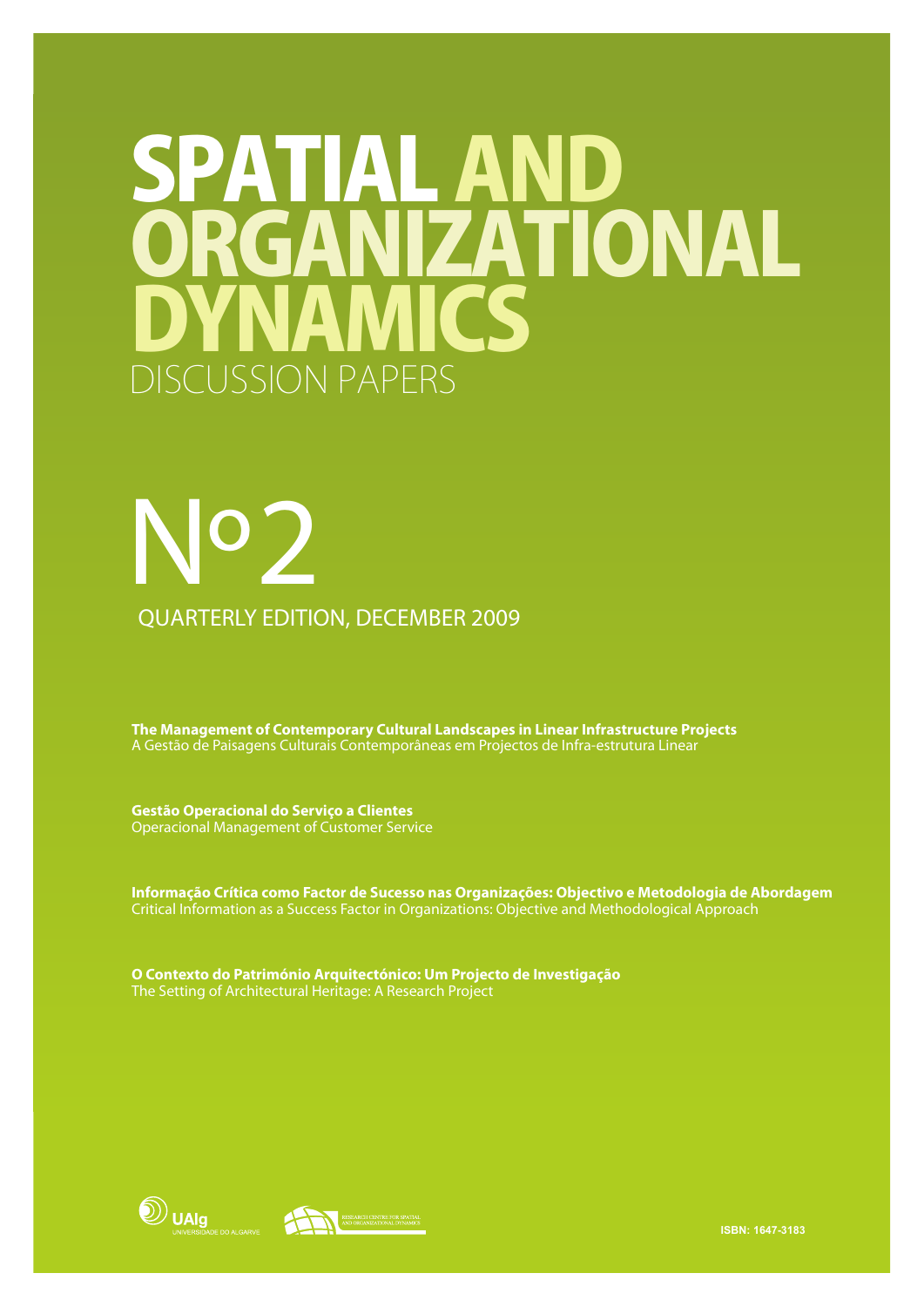# SPATIAL AND AICS ORGANIZATIONAL SCUSSION PAPERS

# Nº 2 QUARTERLY EDITION, DECEMBER 2009

**The Management of Contemporary Cultural Landscapes in Linear Infrastructure Projects** A Gestão de Paisagens Culturais Contemporâneas em Projectos de Infra-estrutura Linear

**Gestão Operacional do Serviço a Clientes** Operacional Management of Customer Service

**Informação Crítica como Factor de Sucesso nas Organizações: Objectivo e Metodologia de Abordagem** Critical Information as a Success Factor in Organizations: Objective and Methodological Approach

**O Contexto do Património Arquitectónico: Um Projecto de Investigação** The Setting of Architectural Heritage: A Research Project





**ISBN: 1647-3183**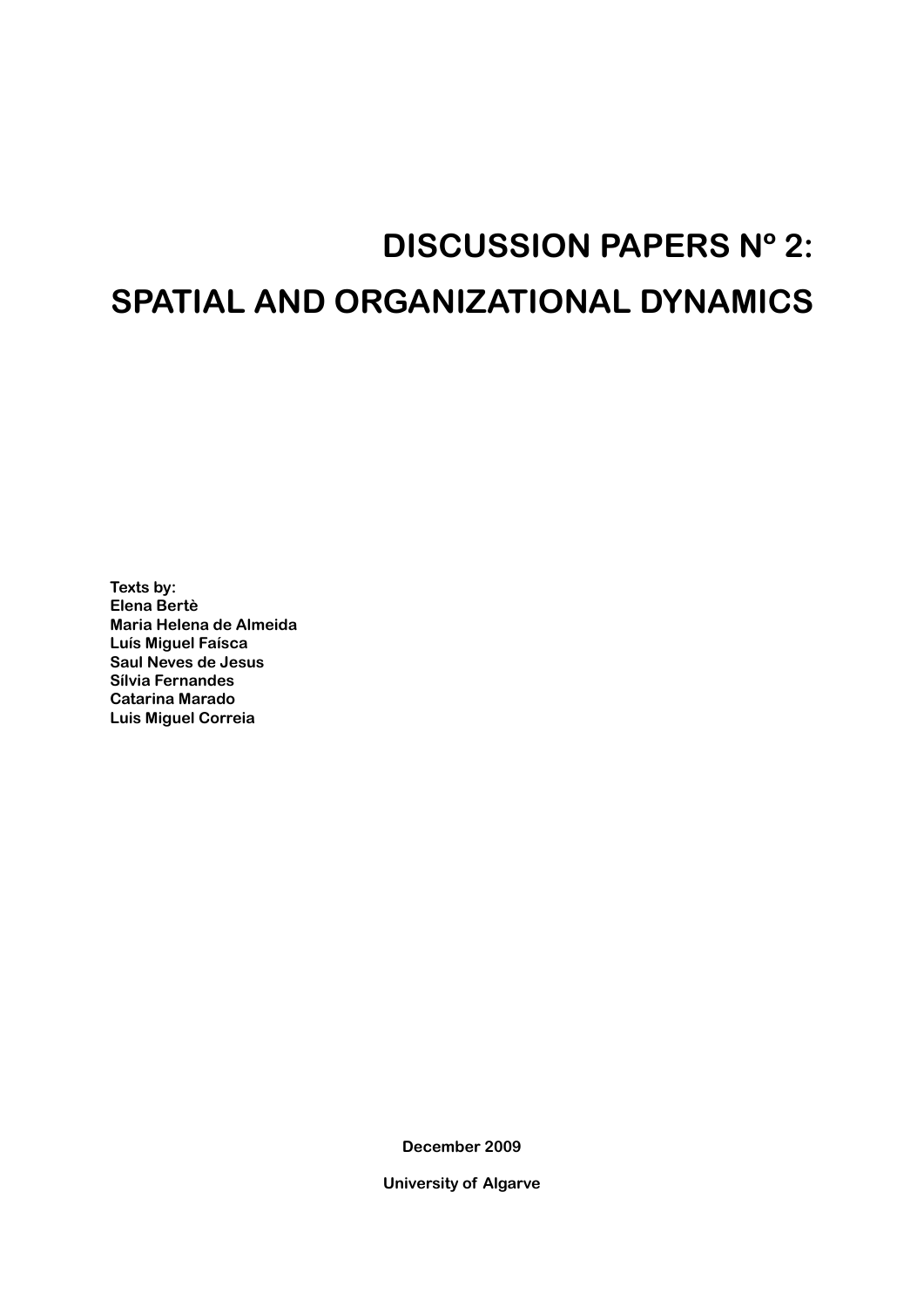# **DISCUSSION PAPERS Nº 2: SPATIAL AND ORGANIZATIONAL DYNAMICS**

**Texts by: Elena Bertè Maria Helena de Almeida Luís Miguel Faísca Saul Neves de Jesus Sílvia Fernandes Catarina Marado Luis Miguel Correia**

**December 2009**

**University of Algarve**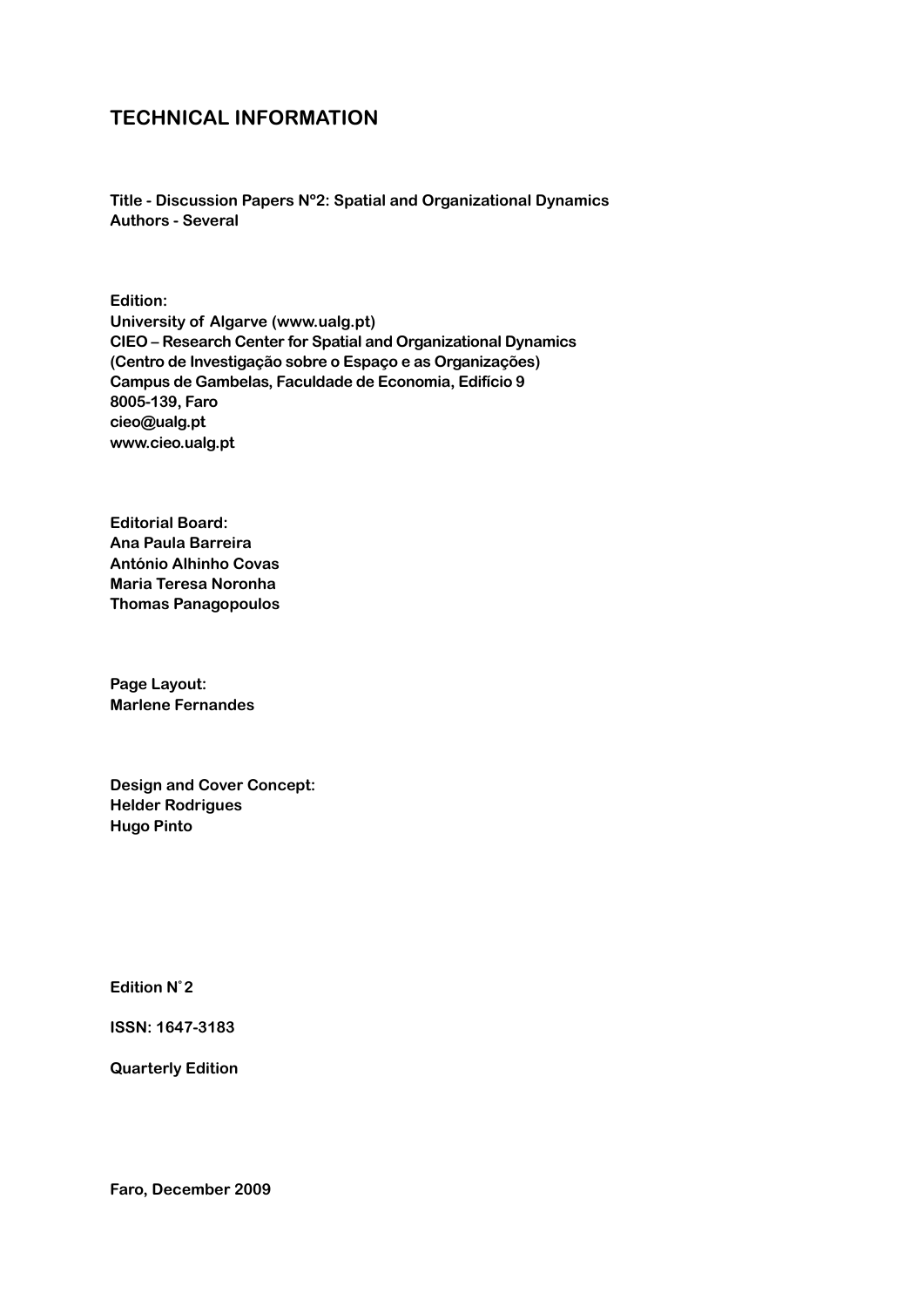# **Technical Information**

**Title - Discussion Papers Nº2: Spatial and Organizational Dynamics Authors - Several**

**Edition: University of Algarve (www.ualg.pt) CIEO – Research Center for Spatial and Organizational Dynamics (Centro de Investigação sobre o Espaço e as Organizações) Campus de Gambelas, Faculdade de Economia, Edifício 9 8005-139, Faro cieo@ualg.pt www.cieo.ualg.pt**

**Editorial Board: Ana Paula Barreira António Alhinho Covas Maria Teresa Noronha Thomas Panagopoulos**

**Page Layout: Marlene Fernandes**

**Design and Cover Concept: Helder Rodrigues Hugo Pinto**

**Edition Nº 2**

**ISSN: 1647-3183**

**Quarterly Edition**

**Faro, December 2009**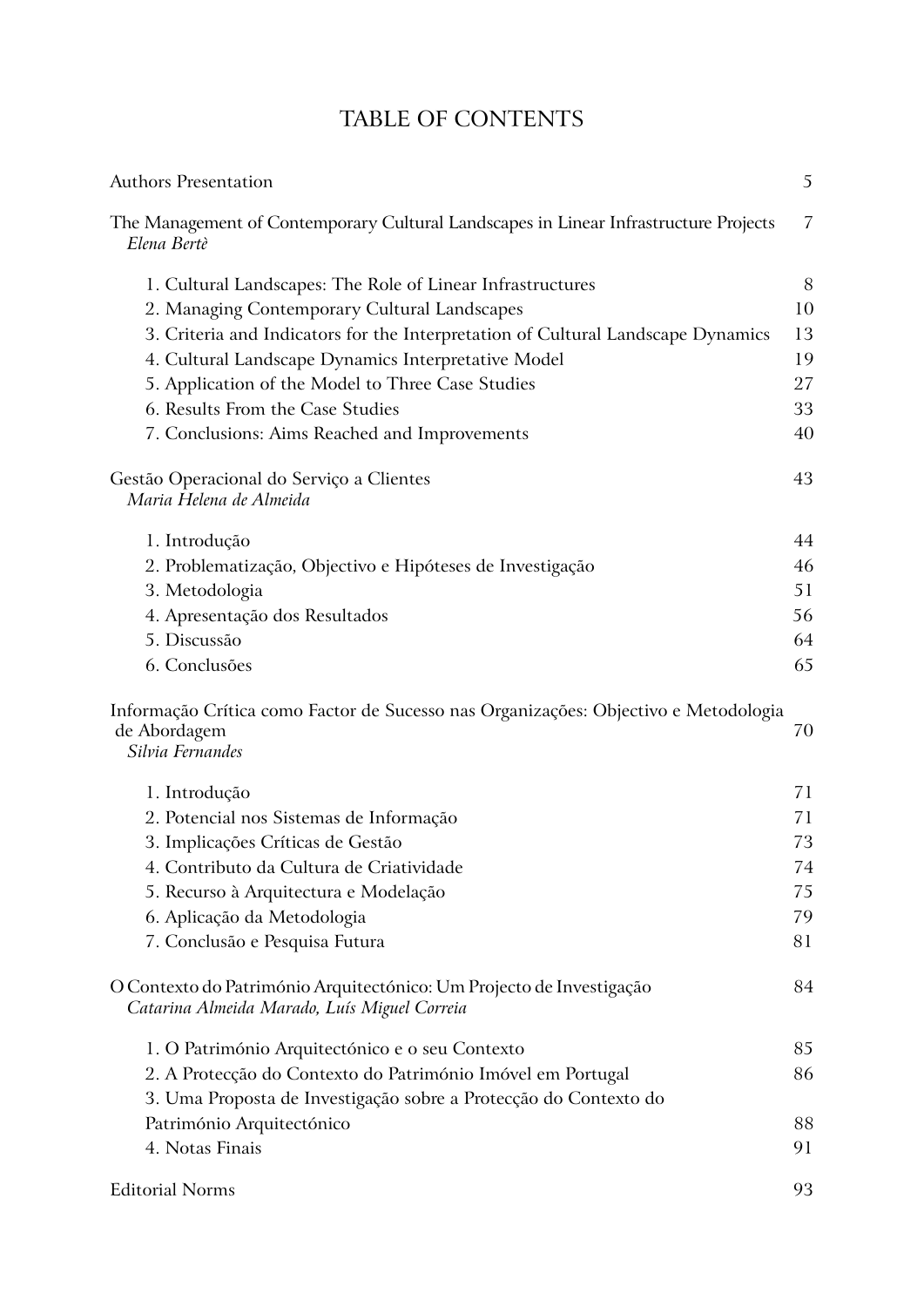# TABLE OF CONTENTS

| <b>Authors Presentation</b>                                                                                             | 5  |
|-------------------------------------------------------------------------------------------------------------------------|----|
| The Management of Contemporary Cultural Landscapes in Linear Infrastructure Projects<br>Elena Bertè                     | 7  |
| 1. Cultural Landscapes: The Role of Linear Infrastructures                                                              | 8  |
| 2. Managing Contemporary Cultural Landscapes                                                                            | 10 |
| 3. Criteria and Indicators for the Interpretation of Cultural Landscape Dynamics                                        | 13 |
| 4. Cultural Landscape Dynamics Interpretative Model                                                                     | 19 |
| 5. Application of the Model to Three Case Studies                                                                       | 27 |
| 6. Results From the Case Studies                                                                                        | 33 |
| 7. Conclusions: Aims Reached and Improvements                                                                           | 40 |
| Gestão Operacional do Serviço a Clientes<br>Maria Helena de Almeida                                                     | 43 |
| 1. Introdução                                                                                                           | 44 |
| 2. Problematização, Objectivo e Hipóteses de Investigação                                                               | 46 |
| 3. Metodologia                                                                                                          | 51 |
| 4. Apresentação dos Resultados                                                                                          | 56 |
| 5. Discussão                                                                                                            | 64 |
| 6. Conclusões                                                                                                           | 65 |
| Informação Crítica como Factor de Sucesso nas Organizações: Objectivo e Metodologia<br>de Abordagem<br>Silvia Fernandes | 70 |
| 1. Introdução                                                                                                           | 71 |
| 2. Potencial nos Sistemas de Informação                                                                                 | 71 |
| 3. Implicações Críticas de Gestão                                                                                       | 73 |
| 4. Contributo da Cultura de Criatividade                                                                                | 74 |
| 5. Recurso à Arquitectura e Modelação                                                                                   | 75 |
| 6. Aplicação da Metodologia                                                                                             | 79 |
| 7. Conclusão e Pesquisa Futura                                                                                          | 81 |
| O Contexto do Património Arquitectónico: Um Projecto de Investigação<br>Catarina Almeida Marado, Luís Miguel Correia    | 84 |
| 1. O Património Arquitectónico e o seu Contexto                                                                         | 85 |
| 2. A Protecção do Contexto do Património Imóvel em Portugal                                                             | 86 |
| 3. Uma Proposta de Investigação sobre a Protecção do Contexto do                                                        |    |
| Património Arquitectónico                                                                                               | 88 |
| 4. Notas Finais                                                                                                         | 91 |
| <b>Editorial Norms</b>                                                                                                  | 93 |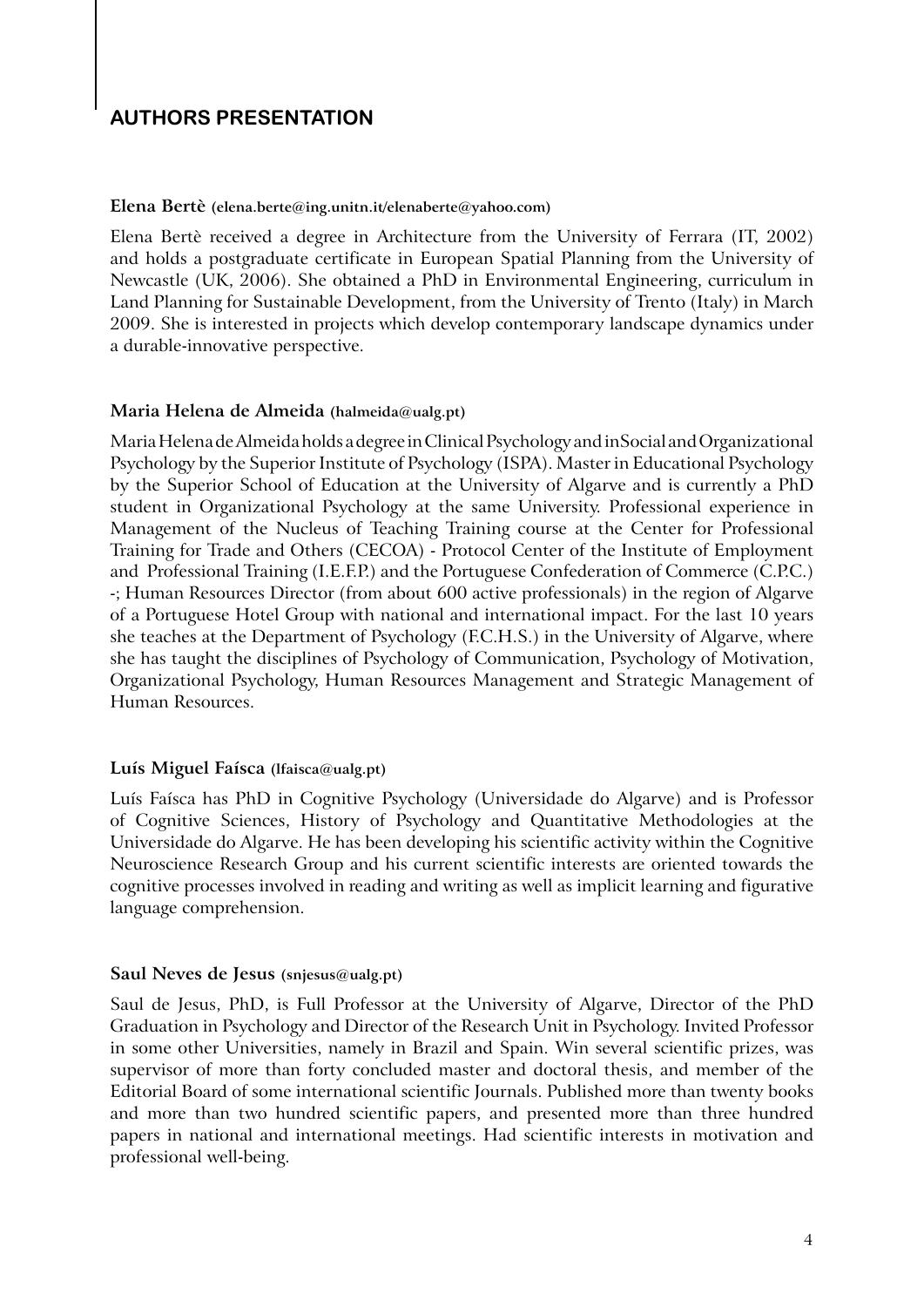# **AUTHORS PRESENTATION**

#### **Elena Bertè (elena.berte@ing.unitn.it/elenaberte@yahoo.com)**

Elena Bertè received a degree in Architecture from the University of Ferrara (IT, 2002) and holds a postgraduate certificate in European Spatial Planning from the University of Newcastle (UK, 2006). She obtained a PhD in Environmental Engineering, curriculum in Land Planning for Sustainable Development, from the University of Trento (Italy) in March 2009. She is interested in projects which develop contemporary landscape dynamics under a durable-innovative perspective.

# **Maria Helena de Almeida (halmeida@ualg.pt)**

Maria Helena de Almeida holds a degree in Clinical Psychology and inSocial and Organizational Psychology by the Superior Institute of Psychology (ISPA). Master in Educational Psychology by the Superior School of Education at the University of Algarve and is currently a PhD student in Organizational Psychology at the same University. Professional experience in Management of the Nucleus of Teaching Training course at the Center for Professional Training for Trade and Others (CECOA) - Protocol Center of the Institute of Employment and Professional Training (I.E.F.P.) and the Portuguese Confederation of Commerce (C.P.C.) -; Human Resources Director (from about 600 active professionals) in the region of Algarve of a Portuguese Hotel Group with national and international impact. For the last 10 years she teaches at the Department of Psychology (F.C.H.S.) in the University of Algarve, where she has taught the disciplines of Psychology of Communication, Psychology of Motivation, Organizational Psychology, Human Resources Management and Strategic Management of Human Resources.

#### **Luís Miguel Faísca (lfaisca@ualg.pt)**

Luís Faísca has PhD in Cognitive Psychology (Universidade do Algarve) and is Professor of Cognitive Sciences, History of Psychology and Quantitative Methodologies at the Universidade do Algarve. He has been developing his scientific activity within the Cognitive Neuroscience Research Group and his current scientific interests are oriented towards the cognitive processes involved in reading and writing as well as implicit learning and figurative language comprehension.

#### **Saul Neves de Jesus (snjesus@ualg.pt)**

Saul de Jesus, PhD, is Full Professor at the University of Algarve, Director of the PhD Graduation in Psychology and Director of the Research Unit in Psychology. Invited Professor in some other Universities, namely in Brazil and Spain. Win several scientific prizes, was supervisor of more than forty concluded master and doctoral thesis, and member of the Editorial Board of some international scientific Journals. Published more than twenty books and more than two hundred scientific papers, and presented more than three hundred papers in national and international meetings. Had scientific interests in motivation and professional well-being.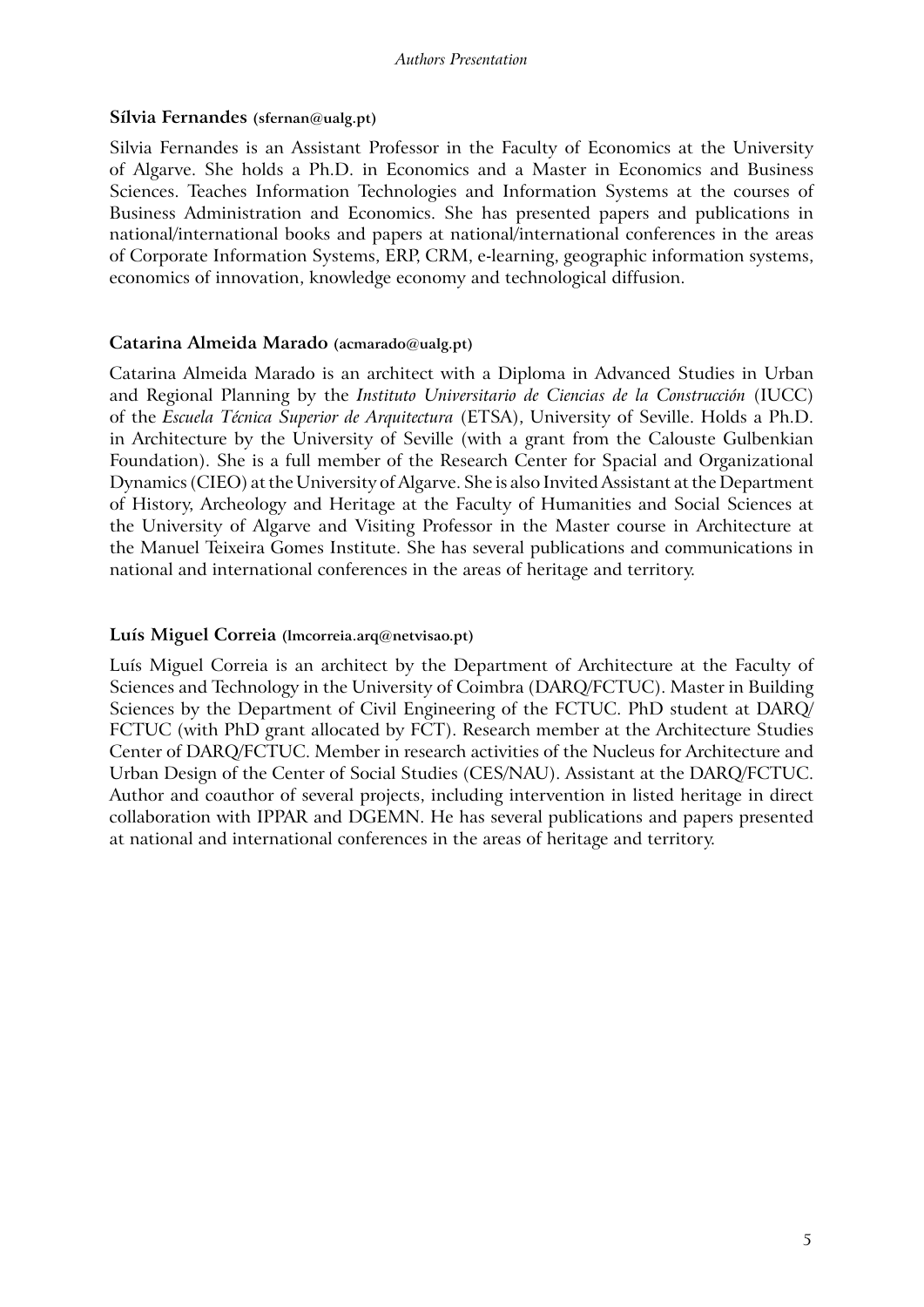#### *Authors Presentation*

#### **Sílvia Fernandes (sfernan@ualg.pt)**

Silvia Fernandes is an Assistant Professor in the Faculty of Economics at the University of Algarve. She holds a Ph.D. in Economics and a Master in Economics and Business Sciences. Teaches Information Technologies and Information Systems at the courses of Business Administration and Economics. She has presented papers and publications in national/international books and papers at national/international conferences in the areas of Corporate Information Systems, ERP, CRM, e-learning, geographic information systems, economics of innovation, knowledge economy and technological diffusion.

#### **Catarina Almeida Marado (acmarado@ualg.pt)**

Catarina Almeida Marado is an architect with a Diploma in Advanced Studies in Urban and Regional Planning by the *Instituto Universitario de Ciencias de la Construcción* (IUCC) of the *Escuela Técnica Superior de Arquitectura* (ETSA), University of Seville. Holds a Ph.D. in Architecture by the University of Seville (with a grant from the Calouste Gulbenkian Foundation). She is a full member of the Research Center for Spacial and Organizational Dynamics (CIEO) at the University of Algarve. She is also Invited Assistant at the Department of History, Archeology and Heritage at the Faculty of Humanities and Social Sciences at the University of Algarve and Visiting Professor in the Master course in Architecture at the Manuel Teixeira Gomes Institute. She has several publications and communications in national and international conferences in the areas of heritage and territory.

# **Luís Miguel Correia (lmcorreia.arq@netvisao.pt)**

Luís Miguel Correia is an architect by the Department of Architecture at the Faculty of Sciences and Technology in the University of Coimbra (DARQ/FCTUC). Master in Building Sciences by the Department of Civil Engineering of the FCTUC. PhD student at DARQ/ FCTUC (with PhD grant allocated by FCT). Research member at the Architecture Studies Center of DARQ/FCTUC. Member in research activities of the Nucleus for Architecture and Urban Design of the Center of Social Studies (CES/NAU). Assistant at the DARQ/FCTUC. Author and coauthor of several projects, including intervention in listed heritage in direct collaboration with IPPAR and DGEMN. He has several publications and papers presented at national and international conferences in the areas of heritage and territory.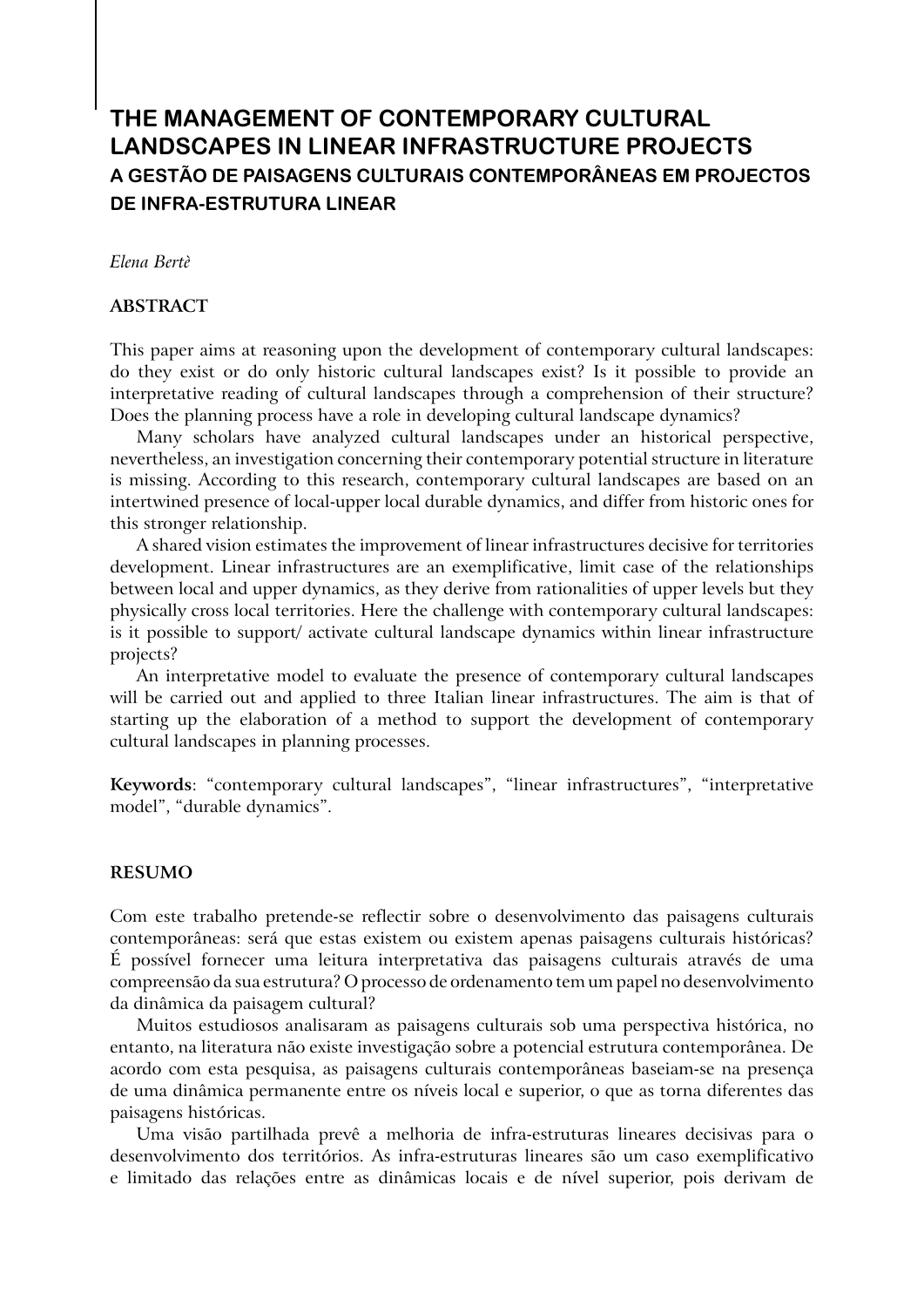# **The Management of Contemporary Cultural Landscapes in Linear Infrastructure Projects A GESTÃO DE PAISAGENS CULTURAIS CONTEMPORÂNEAS EM PROJECTOS DE INFRA-ESTRUTURA LINEAR**

*Elena Bertè*

#### **Abstract**

This paper aims at reasoning upon the development of contemporary cultural landscapes: do they exist or do only historic cultural landscapes exist? Is it possible to provide an interpretative reading of cultural landscapes through a comprehension of their structure? Does the planning process have a role in developing cultural landscape dynamics?

Many scholars have analyzed cultural landscapes under an historical perspective, nevertheless, an investigation concerning their contemporary potential structure in literature is missing. According to this research, contemporary cultural landscapes are based on an intertwined presence of local-upper local durable dynamics, and differ from historic ones for this stronger relationship.

A shared vision estimates the improvement of linear infrastructures decisive for territories development. Linear infrastructures are an exemplificative, limit case of the relationships between local and upper dynamics, as they derive from rationalities of upper levels but they physically cross local territories. Here the challenge with contemporary cultural landscapes: is it possible to support/ activate cultural landscape dynamics within linear infrastructure projects?

An interpretative model to evaluate the presence of contemporary cultural landscapes will be carried out and applied to three Italian linear infrastructures. The aim is that of starting up the elaboration of a method to support the development of contemporary cultural landscapes in planning processes.

**Keywords**: "contemporary cultural landscapes", "linear infrastructures", "interpretative model", "durable dynamics".

#### **RESUMO**

Com este trabalho pretende-se reflectir sobre o desenvolvimento das paisagens culturais contemporâneas: será que estas existem ou existem apenas paisagens culturais históricas? É possível fornecer uma leitura interpretativa das paisagens culturais através de uma compreensão da sua estrutura? O processo de ordenamento tem um papel no desenvolvimento da dinâmica da paisagem cultural?

Muitos estudiosos analisaram as paisagens culturais sob uma perspectiva histórica, no entanto, na literatura não existe investigação sobre a potencial estrutura contemporânea. De acordo com esta pesquisa, as paisagens culturais contemporâneas baseiam-se na presença de uma dinâmica permanente entre os níveis local e superior, o que as torna diferentes das paisagens históricas.

Uma visão partilhada prevê a melhoria de infra-estruturas lineares decisivas para o desenvolvimento dos territórios. As infra-estruturas lineares são um caso exemplificativo e limitado das relações entre as dinâmicas locais e de nível superior, pois derivam de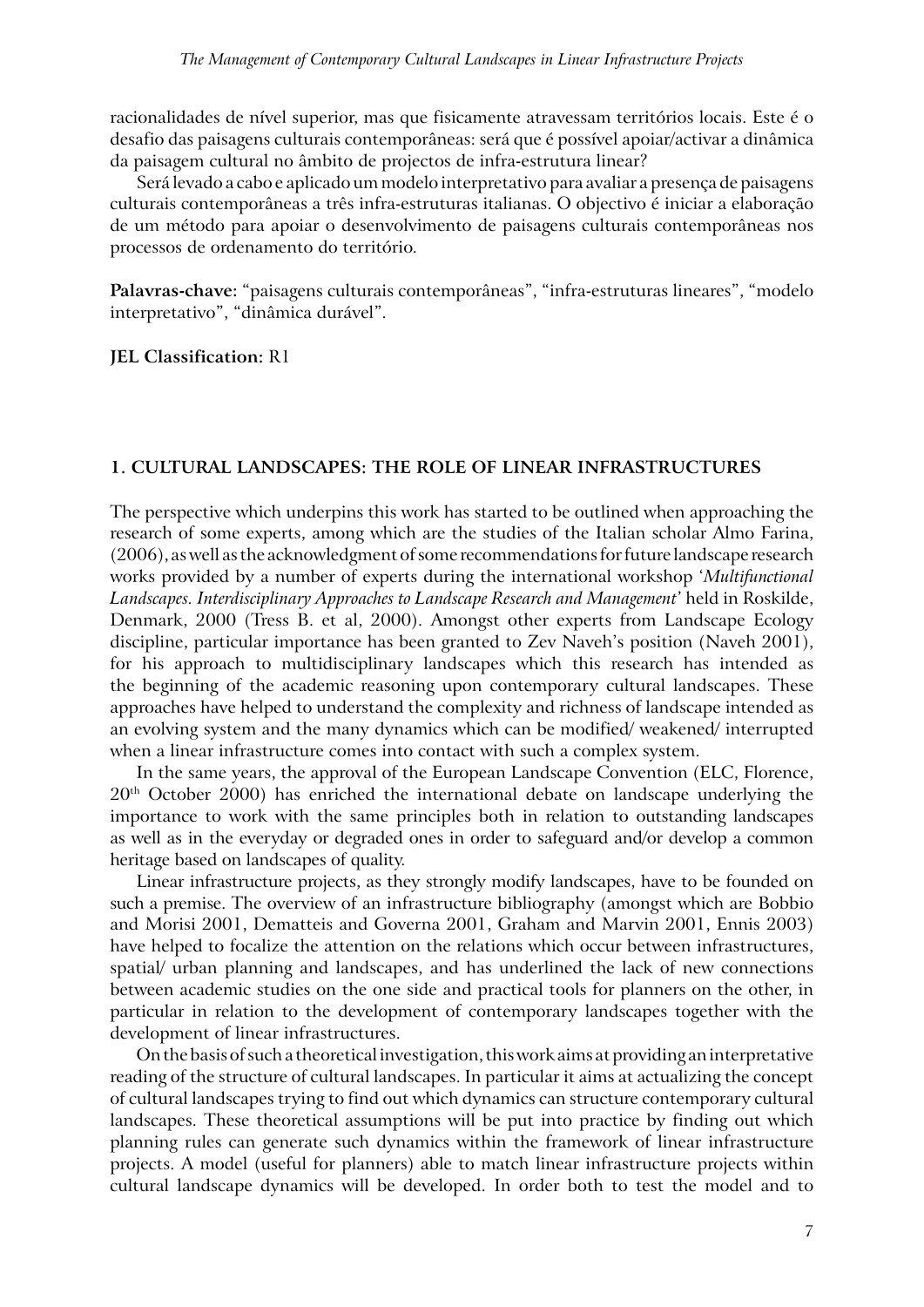racionalidades de nível superior, mas que fisicamente atravessam territórios locais. Este é o desafio das paisagens culturais contemporâneas: será que é possível apoiar/activar a dinâmica da paisagem cultural no âmbito de projectos de infra-estrutura linear?

Será levado a cabo e aplicado um modelo interpretativo para avaliar a presença de paisagens culturais contemporâneas a três infra-estruturas italianas. O objectivo é iniciar a elaboração de um método para apoiar o desenvolvimento de paisagens culturais contemporâneas nos processos de ordenamento do território.

**Palavras-chave:** "paisagens culturais contemporâneas", "infra-estruturas lineares", "modelo interpretativo", "dinâmica durável".

**JEL Classification:** R1

#### **1. Cultural landscapes: the role of linear infrastructures**

The perspective which underpins this work has started to be outlined when approaching the research of some experts, among which are the studies of the Italian scholar Almo Farina, (2006), as well as the acknowledgment of some recommendations for future landscape research works provided by a number of experts during the international workshop '*Multifunctional Landscapes. Interdisciplinary Approaches to Landscape Research and Management*' held in Roskilde, Denmark, 2000 (Tress B. et al, 2000). Amongst other experts from Landscape Ecology discipline, particular importance has been granted to Zev Naveh's position (Naveh 2001), for his approach to multidisciplinary landscapes which this research has intended as the beginning of the academic reasoning upon contemporary cultural landscapes. These approaches have helped to understand the complexity and richness of landscape intended as an evolving system and the many dynamics which can be modified/ weakened/ interrupted when a linear infrastructure comes into contact with such a complex system.

In the same years, the approval of the European Landscape Convention (ELC, Florence, 20th October 2000) has enriched the international debate on landscape underlying the importance to work with the same principles both in relation to outstanding landscapes as well as in the everyday or degraded ones in order to safeguard and/or develop a common heritage based on landscapes of quality.

Linear infrastructure projects, as they strongly modify landscapes, have to be founded on such a premise. The overview of an infrastructure bibliography (amongst which are Bobbio and Morisi 2001, Dematteis and Governa 2001, Graham and Marvin 2001, Ennis 2003) have helped to focalize the attention on the relations which occur between infrastructures, spatial/ urban planning and landscapes, and has underlined the lack of new connections between academic studies on the one side and practical tools for planners on the other, in particular in relation to the development of contemporary landscapes together with the development of linear infrastructures.

On the basis of such a theoretical investigation, this work aims at providing an interpretative reading of the structure of cultural landscapes. In particular it aims at actualizing the concept of cultural landscapes trying to find out which dynamics can structure contemporary cultural landscapes. These theoretical assumptions will be put into practice by finding out which planning rules can generate such dynamics within the framework of linear infrastructure projects. A model (useful for planners) able to match linear infrastructure projects within cultural landscape dynamics will be developed. In order both to test the model and to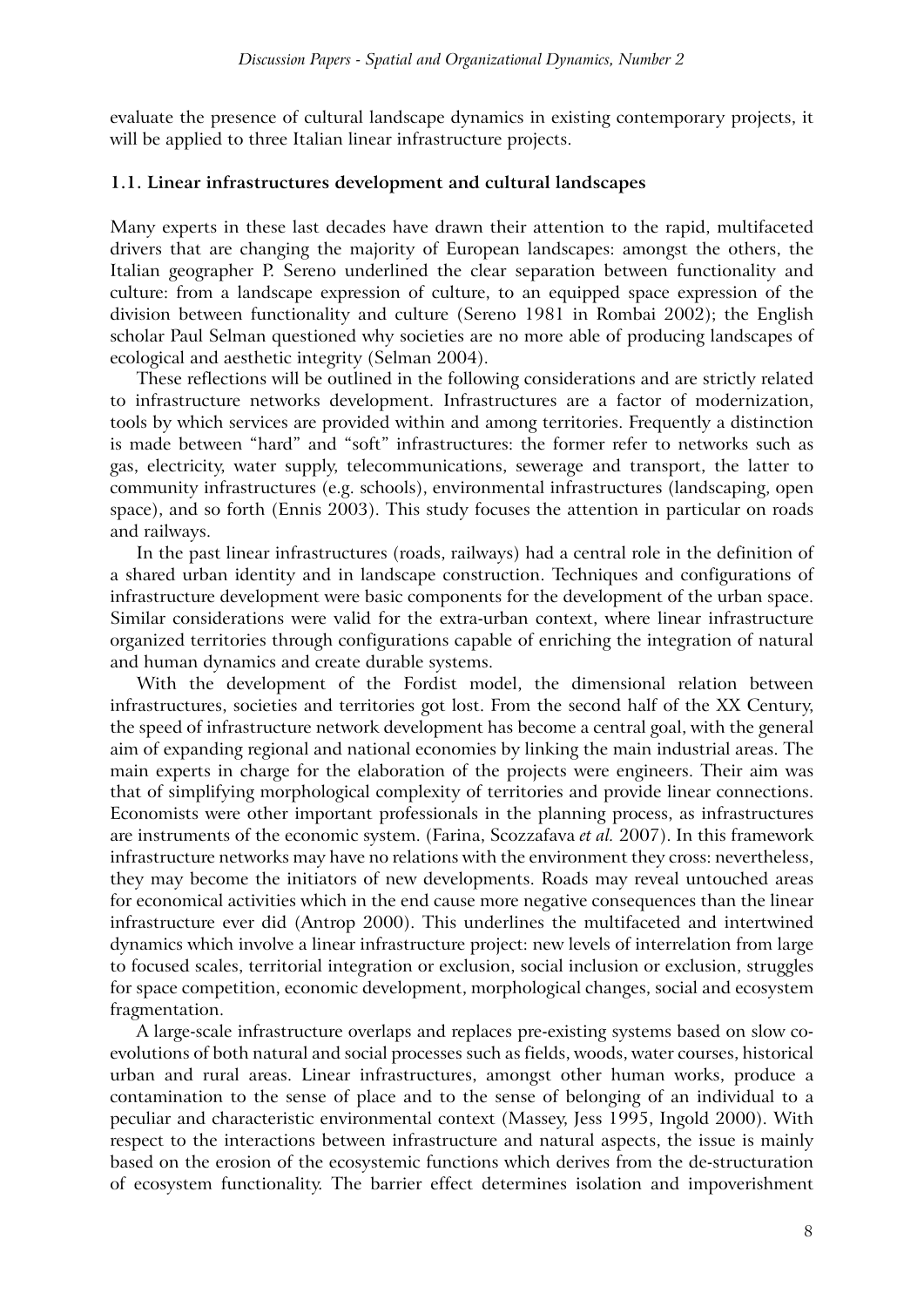evaluate the presence of cultural landscape dynamics in existing contemporary projects, it will be applied to three Italian linear infrastructure projects.

#### **1.1. Linear infrastructures development and cultural landscapes**

Many experts in these last decades have drawn their attention to the rapid, multifaceted drivers that are changing the majority of European landscapes: amongst the others, the Italian geographer P. Sereno underlined the clear separation between functionality and culture: from a landscape expression of culture, to an equipped space expression of the division between functionality and culture (Sereno 1981 in Rombai 2002); the English scholar Paul Selman questioned why societies are no more able of producing landscapes of ecological and aesthetic integrity (Selman 2004).

These reflections will be outlined in the following considerations and are strictly related to infrastructure networks development. Infrastructures are a factor of modernization, tools by which services are provided within and among territories. Frequently a distinction is made between "hard" and "soft" infrastructures: the former refer to networks such as gas, electricity, water supply, telecommunications, sewerage and transport, the latter to community infrastructures (e.g. schools), environmental infrastructures (landscaping, open space), and so forth (Ennis 2003). This study focuses the attention in particular on roads and railways.

In the past linear infrastructures (roads, railways) had a central role in the definition of a shared urban identity and in landscape construction. Techniques and configurations of infrastructure development were basic components for the development of the urban space. Similar considerations were valid for the extra-urban context, where linear infrastructure organized territories through configurations capable of enriching the integration of natural and human dynamics and create durable systems.

With the development of the Fordist model, the dimensional relation between infrastructures, societies and territories got lost. From the second half of the XX Century, the speed of infrastructure network development has become a central goal, with the general aim of expanding regional and national economies by linking the main industrial areas. The main experts in charge for the elaboration of the projects were engineers. Their aim was that of simplifying morphological complexity of territories and provide linear connections. Economists were other important professionals in the planning process, as infrastructures are instruments of the economic system. (Farina, Scozzafava *et al.* 2007). In this framework infrastructure networks may have no relations with the environment they cross: nevertheless, they may become the initiators of new developments. Roads may reveal untouched areas for economical activities which in the end cause more negative consequences than the linear infrastructure ever did (Antrop 2000). This underlines the multifaceted and intertwined dynamics which involve a linear infrastructure project: new levels of interrelation from large to focused scales, territorial integration or exclusion, social inclusion or exclusion, struggles for space competition, economic development, morphological changes, social and ecosystem fragmentation.

A large-scale infrastructure overlaps and replaces pre-existing systems based on slow coevolutions of both natural and social processes such as fields, woods, water courses, historical urban and rural areas. Linear infrastructures, amongst other human works, produce a contamination to the sense of place and to the sense of belonging of an individual to a peculiar and characteristic environmental context (Massey, Jess 1995, Ingold 2000). With respect to the interactions between infrastructure and natural aspects, the issue is mainly based on the erosion of the ecosystemic functions which derives from the de-structuration of ecosystem functionality. The barrier effect determines isolation and impoverishment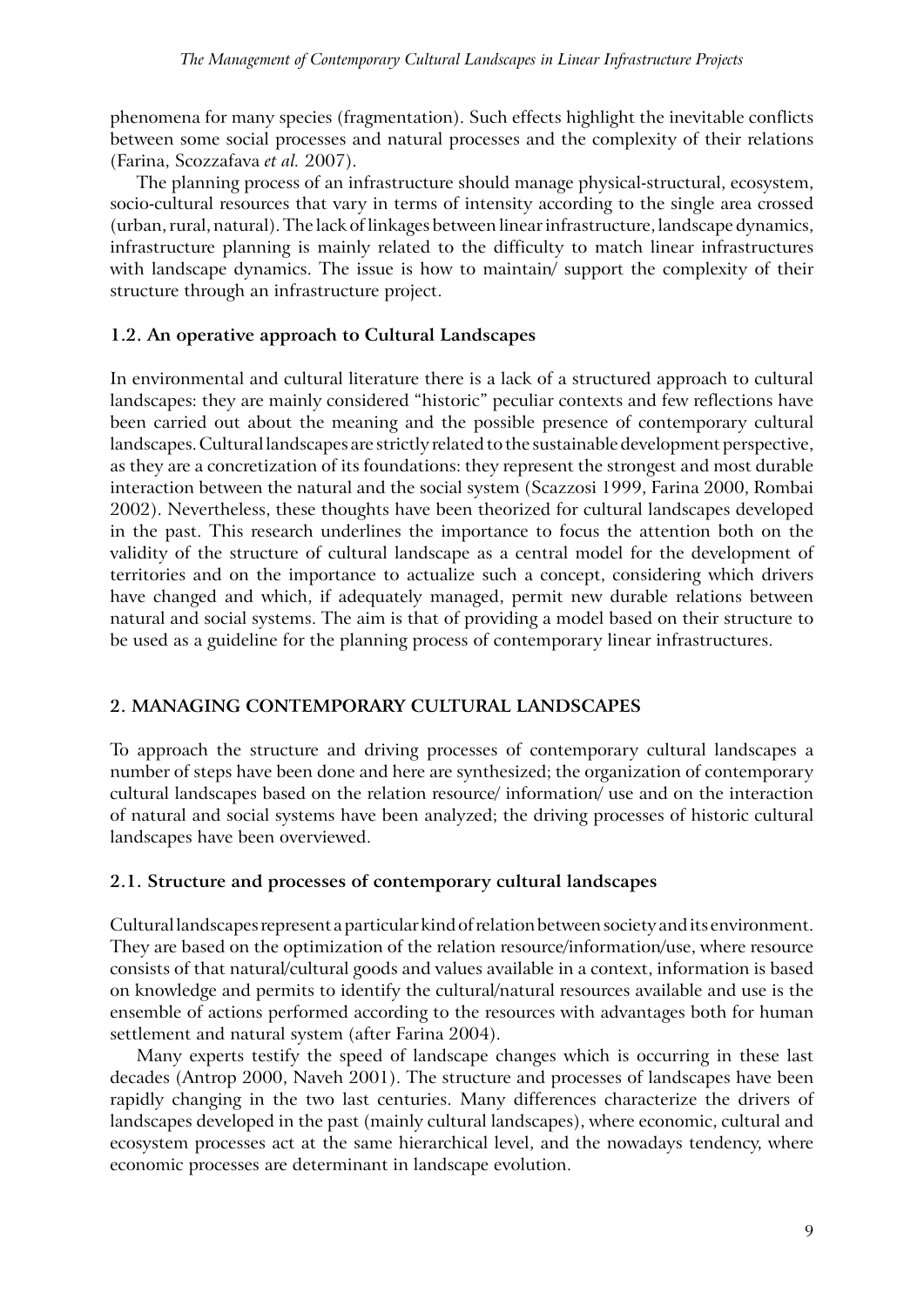phenomena for many species (fragmentation). Such effects highlight the inevitable conflicts between some social processes and natural processes and the complexity of their relations (Farina, Scozzafava *et al.* 2007).

The planning process of an infrastructure should manage physical-structural, ecosystem, socio-cultural resources that vary in terms of intensity according to the single area crossed (urban, rural, natural). The lack of linkages between linear infrastructure, landscape dynamics, infrastructure planning is mainly related to the difficulty to match linear infrastructures with landscape dynamics. The issue is how to maintain/ support the complexity of their structure through an infrastructure project.

# **1.2. An operative approach to Cultural Landscapes**

In environmental and cultural literature there is a lack of a structured approach to cultural landscapes: they are mainly considered "historic" peculiar contexts and few reflections have been carried out about the meaning and the possible presence of contemporary cultural landscapes. Cultural landscapes are strictly related to the sustainable development perspective, as they are a concretization of its foundations: they represent the strongest and most durable interaction between the natural and the social system (Scazzosi 1999, Farina 2000, Rombai 2002). Nevertheless, these thoughts have been theorized for cultural landscapes developed in the past. This research underlines the importance to focus the attention both on the validity of the structure of cultural landscape as a central model for the development of territories and on the importance to actualize such a concept, considering which drivers have changed and which, if adequately managed, permit new durable relations between natural and social systems. The aim is that of providing a model based on their structure to be used as a guideline for the planning process of contemporary linear infrastructures.

# **2. Managing Contemporary Cultural Landscapes**

To approach the structure and driving processes of contemporary cultural landscapes a number of steps have been done and here are synthesized; the organization of contemporary cultural landscapes based on the relation resource/ information/ use and on the interaction of natural and social systems have been analyzed; the driving processes of historic cultural landscapes have been overviewed.

# **2.1. Structure and processes of contemporary cultural landscapes**

Cultural landscapes represent a particular kind of relation between society and its environment. They are based on the optimization of the relation resource/information/use, where resource consists of that natural/cultural goods and values available in a context, information is based on knowledge and permits to identify the cultural/natural resources available and use is the ensemble of actions performed according to the resources with advantages both for human settlement and natural system (after Farina 2004).

Many experts testify the speed of landscape changes which is occurring in these last decades (Antrop 2000, Naveh 2001). The structure and processes of landscapes have been rapidly changing in the two last centuries. Many differences characterize the drivers of landscapes developed in the past (mainly cultural landscapes), where economic, cultural and ecosystem processes act at the same hierarchical level, and the nowadays tendency, where economic processes are determinant in landscape evolution.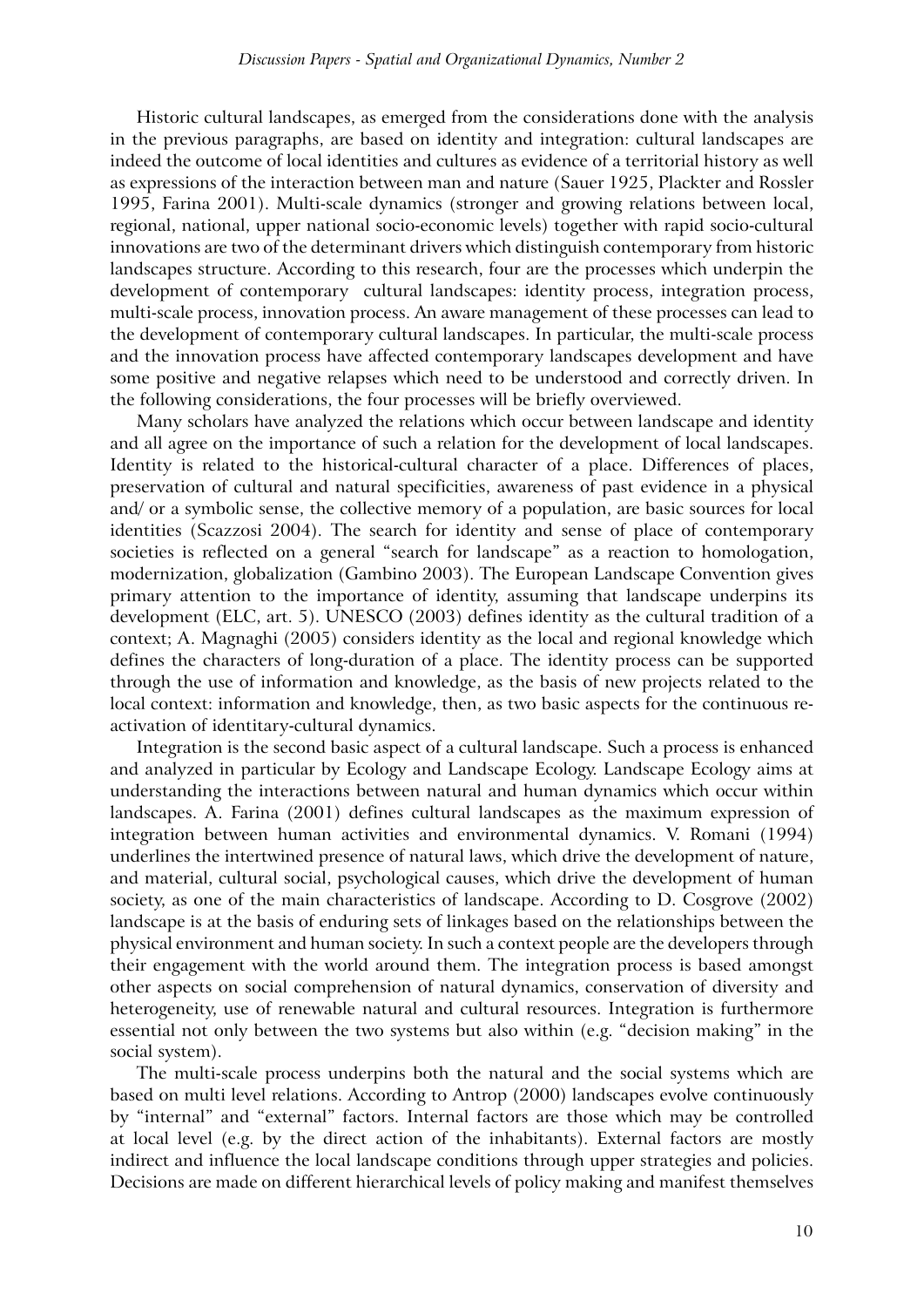Historic cultural landscapes, as emerged from the considerations done with the analysis in the previous paragraphs, are based on identity and integration: cultural landscapes are indeed the outcome of local identities and cultures as evidence of a territorial history as well as expressions of the interaction between man and nature (Sauer 1925, Plackter and Rossler 1995, Farina 2001). Multi-scale dynamics (stronger and growing relations between local, regional, national, upper national socio-economic levels) together with rapid socio-cultural innovations are two of the determinant drivers which distinguish contemporary from historic landscapes structure. According to this research, four are the processes which underpin the development of contemporary cultural landscapes: identity process, integration process, multi-scale process, innovation process. An aware management of these processes can lead to the development of contemporary cultural landscapes. In particular, the multi-scale process and the innovation process have affected contemporary landscapes development and have some positive and negative relapses which need to be understood and correctly driven. In the following considerations, the four processes will be briefly overviewed.

Many scholars have analyzed the relations which occur between landscape and identity and all agree on the importance of such a relation for the development of local landscapes. Identity is related to the historical-cultural character of a place. Differences of places, preservation of cultural and natural specificities, awareness of past evidence in a physical and/ or a symbolic sense, the collective memory of a population, are basic sources for local identities (Scazzosi 2004). The search for identity and sense of place of contemporary societies is reflected on a general "search for landscape" as a reaction to homologation, modernization, globalization (Gambino 2003). The European Landscape Convention gives primary attention to the importance of identity, assuming that landscape underpins its development (ELC, art. 5). UNESCO (2003) defines identity as the cultural tradition of a context; A. Magnaghi (2005) considers identity as the local and regional knowledge which defines the characters of long-duration of a place. The identity process can be supported through the use of information and knowledge, as the basis of new projects related to the local context: information and knowledge, then, as two basic aspects for the continuous reactivation of identitary-cultural dynamics.

Integration is the second basic aspect of a cultural landscape. Such a process is enhanced and analyzed in particular by Ecology and Landscape Ecology. Landscape Ecology aims at understanding the interactions between natural and human dynamics which occur within landscapes. A. Farina (2001) defines cultural landscapes as the maximum expression of integration between human activities and environmental dynamics. V. Romani (1994) underlines the intertwined presence of natural laws, which drive the development of nature, and material, cultural social, psychological causes, which drive the development of human society, as one of the main characteristics of landscape. According to D. Cosgrove (2002) landscape is at the basis of enduring sets of linkages based on the relationships between the physical environment and human society. In such a context people are the developers through their engagement with the world around them. The integration process is based amongst other aspects on social comprehension of natural dynamics, conservation of diversity and heterogeneity, use of renewable natural and cultural resources. Integration is furthermore essential not only between the two systems but also within (e.g. "decision making" in the social system).

The multi-scale process underpins both the natural and the social systems which are based on multi level relations. According to Antrop (2000) landscapes evolve continuously by "internal" and "external" factors. Internal factors are those which may be controlled at local level (e.g. by the direct action of the inhabitants). External factors are mostly indirect and influence the local landscape conditions through upper strategies and policies. Decisions are made on different hierarchical levels of policy making and manifest themselves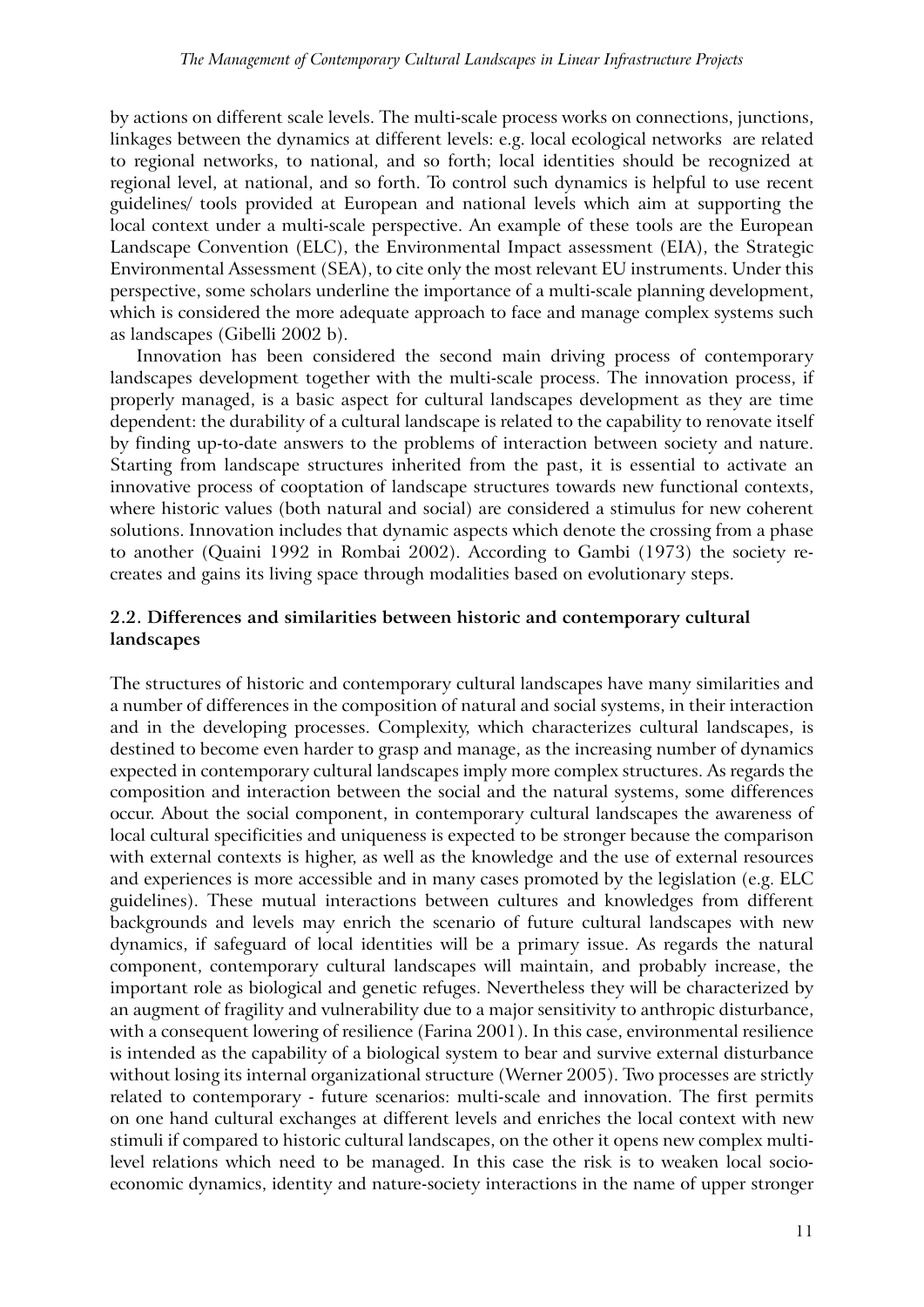by actions on different scale levels. The multi-scale process works on connections, junctions, linkages between the dynamics at different levels: e.g. local ecological networks are related to regional networks, to national, and so forth; local identities should be recognized at regional level, at national, and so forth. To control such dynamics is helpful to use recent guidelines/ tools provided at European and national levels which aim at supporting the local context under a multi-scale perspective. An example of these tools are the European Landscape Convention (ELC), the Environmental Impact assessment (EIA), the Strategic Environmental Assessment (SEA), to cite only the most relevant EU instruments. Under this perspective, some scholars underline the importance of a multi-scale planning development, which is considered the more adequate approach to face and manage complex systems such as landscapes (Gibelli 2002 b).

Innovation has been considered the second main driving process of contemporary landscapes development together with the multi-scale process. The innovation process, if properly managed, is a basic aspect for cultural landscapes development as they are time dependent: the durability of a cultural landscape is related to the capability to renovate itself by finding up-to-date answers to the problems of interaction between society and nature. Starting from landscape structures inherited from the past, it is essential to activate an innovative process of cooptation of landscape structures towards new functional contexts, where historic values (both natural and social) are considered a stimulus for new coherent solutions. Innovation includes that dynamic aspects which denote the crossing from a phase to another (Quaini 1992 in Rombai 2002). According to Gambi (1973) the society recreates and gains its living space through modalities based on evolutionary steps.

# **2.2. Differences and similarities between historic and contemporary cultural landscapes**

The structures of historic and contemporary cultural landscapes have many similarities and a number of differences in the composition of natural and social systems, in their interaction and in the developing processes. Complexity, which characterizes cultural landscapes, is destined to become even harder to grasp and manage, as the increasing number of dynamics expected in contemporary cultural landscapes imply more complex structures. As regards the composition and interaction between the social and the natural systems, some differences occur. About the social component, in contemporary cultural landscapes the awareness of local cultural specificities and uniqueness is expected to be stronger because the comparison with external contexts is higher, as well as the knowledge and the use of external resources and experiences is more accessible and in many cases promoted by the legislation (e.g. ELC guidelines). These mutual interactions between cultures and knowledges from different backgrounds and levels may enrich the scenario of future cultural landscapes with new dynamics, if safeguard of local identities will be a primary issue. As regards the natural component, contemporary cultural landscapes will maintain, and probably increase, the important role as biological and genetic refuges. Nevertheless they will be characterized by an augment of fragility and vulnerability due to a major sensitivity to anthropic disturbance, with a consequent lowering of resilience (Farina 2001). In this case, environmental resilience is intended as the capability of a biological system to bear and survive external disturbance without losing its internal organizational structure (Werner 2005). Two processes are strictly related to contemporary - future scenarios: multi-scale and innovation. The first permits on one hand cultural exchanges at different levels and enriches the local context with new stimuli if compared to historic cultural landscapes, on the other it opens new complex multilevel relations which need to be managed. In this case the risk is to weaken local socioeconomic dynamics, identity and nature-society interactions in the name of upper stronger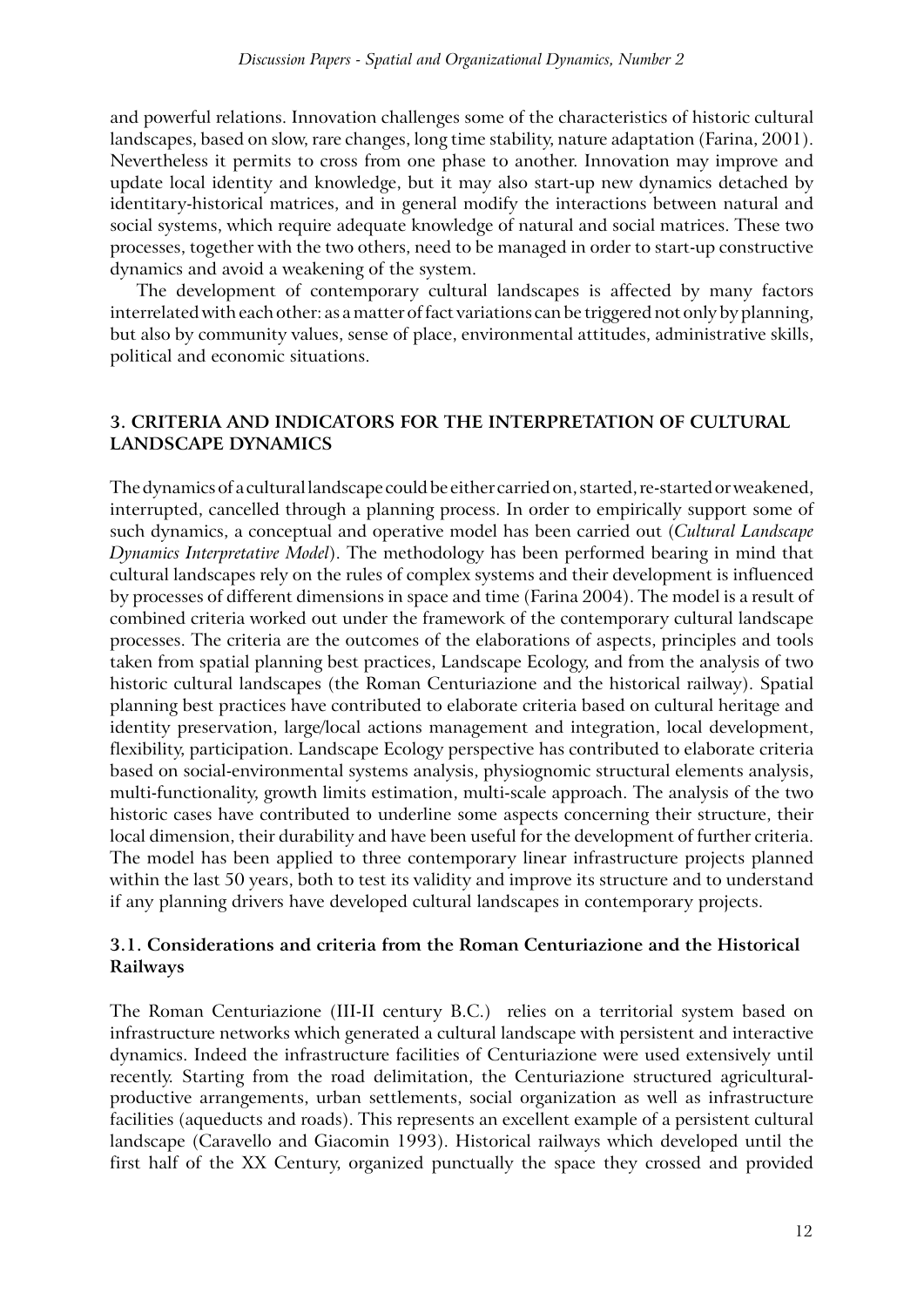and powerful relations. Innovation challenges some of the characteristics of historic cultural landscapes, based on slow, rare changes, long time stability, nature adaptation (Farina, 2001). Nevertheless it permits to cross from one phase to another. Innovation may improve and update local identity and knowledge, but it may also start-up new dynamics detached by identitary-historical matrices, and in general modify the interactions between natural and social systems, which require adequate knowledge of natural and social matrices. These two processes, together with the two others, need to be managed in order to start-up constructive dynamics and avoid a weakening of the system.

The development of contemporary cultural landscapes is affected by many factors interrelated with each other: as a matter of fact variations can be triggered not only by planning, but also by community values, sense of place, environmental attitudes, administrative skills, political and economic situations.

# **3. Criteria and indicators for the interpretation of cultural landscape dynamics**

The dynamics of a cultural landscape could be either carried on, started, re-started or weakened, interrupted, cancelled through a planning process. In order to empirically support some of such dynamics, a conceptual and operative model has been carried out (*Cultural Landscape Dynamics Interpretative Model*). The methodology has been performed bearing in mind that cultural landscapes rely on the rules of complex systems and their development is influenced by processes of different dimensions in space and time (Farina 2004). The model is a result of combined criteria worked out under the framework of the contemporary cultural landscape processes. The criteria are the outcomes of the elaborations of aspects, principles and tools taken from spatial planning best practices, Landscape Ecology, and from the analysis of two historic cultural landscapes (the Roman Centuriazione and the historical railway). Spatial planning best practices have contributed to elaborate criteria based on cultural heritage and identity preservation, large/local actions management and integration, local development, flexibility, participation. Landscape Ecology perspective has contributed to elaborate criteria based on social-environmental systems analysis, physiognomic structural elements analysis, multi-functionality, growth limits estimation, multi-scale approach. The analysis of the two historic cases have contributed to underline some aspects concerning their structure, their local dimension, their durability and have been useful for the development of further criteria. The model has been applied to three contemporary linear infrastructure projects planned within the last 50 years, both to test its validity and improve its structure and to understand if any planning drivers have developed cultural landscapes in contemporary projects.

# **3.1. Considerations and criteria from the Roman Centuriazione and the Historical Railways**

The Roman Centuriazione (III-II century B.C.) relies on a territorial system based on infrastructure networks which generated a cultural landscape with persistent and interactive dynamics. Indeed the infrastructure facilities of Centuriazione were used extensively until recently. Starting from the road delimitation, the Centuriazione structured agriculturalproductive arrangements, urban settlements, social organization as well as infrastructure facilities (aqueducts and roads). This represents an excellent example of a persistent cultural landscape (Caravello and Giacomin 1993). Historical railways which developed until the first half of the XX Century, organized punctually the space they crossed and provided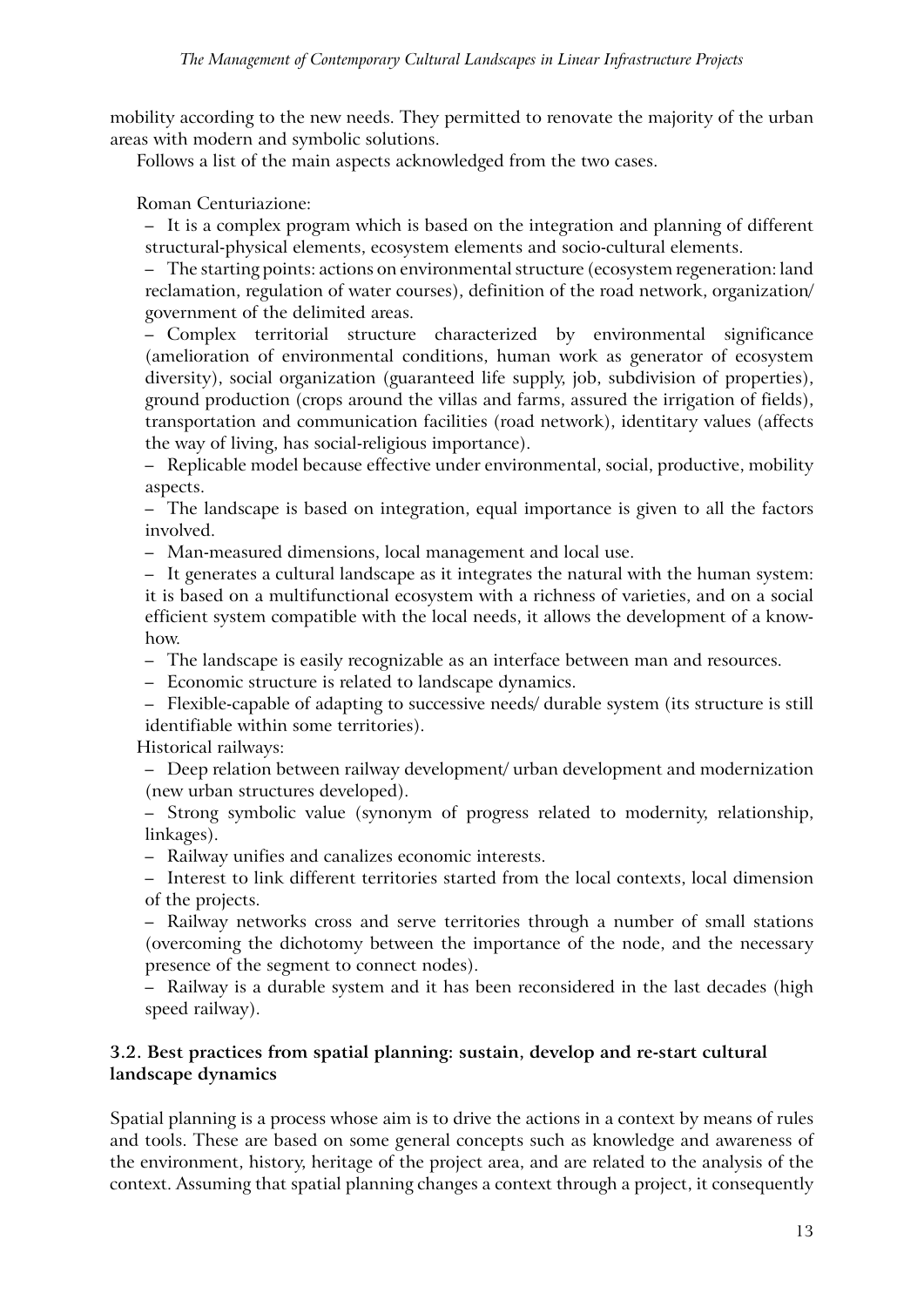mobility according to the new needs. They permitted to renovate the majority of the urban areas with modern and symbolic solutions.

Follows a list of the main aspects acknowledged from the two cases.

# Roman Centuriazione:

– It is a complex program which is based on the integration and planning of different structural-physical elements, ecosystem elements and socio-cultural elements.

– The starting points: actions on environmental structure (ecosystem regeneration: land reclamation, regulation of water courses), definition of the road network, organization/ government of the delimited areas.

– Complex territorial structure characterized by environmental significance (amelioration of environmental conditions, human work as generator of ecosystem diversity), social organization (guaranteed life supply, job, subdivision of properties), ground production (crops around the villas and farms, assured the irrigation of fields), transportation and communication facilities (road network), identitary values (affects the way of living, has social-religious importance).

– Replicable model because effective under environmental, social, productive, mobility aspects.

– The landscape is based on integration, equal importance is given to all the factors involved.

– Man-measured dimensions, local management and local use.

– It generates a cultural landscape as it integrates the natural with the human system: it is based on a multifunctional ecosystem with a richness of varieties, and on a social efficient system compatible with the local needs, it allows the development of a knowhow.

– The landscape is easily recognizable as an interface between man and resources.

– Economic structure is related to landscape dynamics.

– Flexible-capable of adapting to successive needs/ durable system (its structure is still identifiable within some territories).

Historical railways:

– Deep relation between railway development/ urban development and modernization (new urban structures developed).

– Strong symbolic value (synonym of progress related to modernity, relationship, linkages).

– Railway unifies and canalizes economic interests.

– Interest to link different territories started from the local contexts, local dimension of the projects.

– Railway networks cross and serve territories through a number of small stations (overcoming the dichotomy between the importance of the node, and the necessary presence of the segment to connect nodes).

– Railway is a durable system and it has been reconsidered in the last decades (high speed railway).

# **3.2. Best practices from spatial planning: sustain, develop and re-start cultural landscape dynamics**

Spatial planning is a process whose aim is to drive the actions in a context by means of rules and tools. These are based on some general concepts such as knowledge and awareness of the environment, history, heritage of the project area, and are related to the analysis of the context. Assuming that spatial planning changes a context through a project, it consequently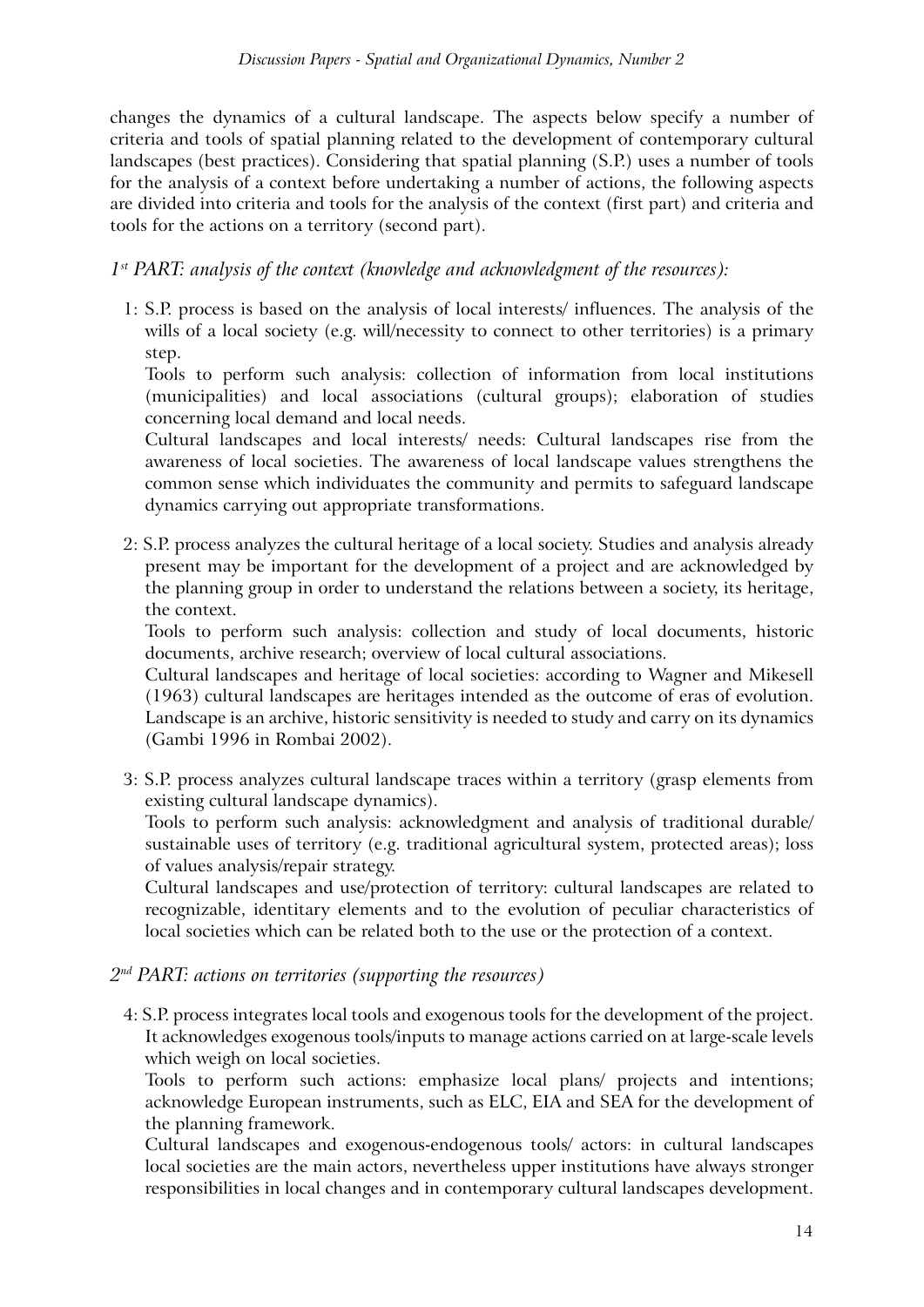changes the dynamics of a cultural landscape. The aspects below specify a number of criteria and tools of spatial planning related to the development of contemporary cultural landscapes (best practices). Considering that spatial planning (S.P.) uses a number of tools for the analysis of a context before undertaking a number of actions, the following aspects are divided into criteria and tools for the analysis of the context (first part) and criteria and tools for the actions on a territory (second part).

# *1st PART: analysis of the context (knowledge and acknowledgment of the resources):*

1: S.P. process is based on the analysis of local interests/ influences. The analysis of the wills of a local society (e.g. will/necessity to connect to other territories) is a primary step.

Tools to perform such analysis: collection of information from local institutions (municipalities) and local associations (cultural groups); elaboration of studies concerning local demand and local needs.

Cultural landscapes and local interests/ needs: Cultural landscapes rise from the awareness of local societies. The awareness of local landscape values strengthens the common sense which individuates the community and permits to safeguard landscape dynamics carrying out appropriate transformations.

2: S.P. process analyzes the cultural heritage of a local society. Studies and analysis already present may be important for the development of a project and are acknowledged by the planning group in order to understand the relations between a society, its heritage, the context.

Tools to perform such analysis: collection and study of local documents, historic documents, archive research; overview of local cultural associations.

Cultural landscapes and heritage of local societies: according to Wagner and Mikesell (1963) cultural landscapes are heritages intended as the outcome of eras of evolution. Landscape is an archive, historic sensitivity is needed to study and carry on its dynamics (Gambi 1996 in Rombai 2002).

3: S.P. process analyzes cultural landscape traces within a territory (grasp elements from existing cultural landscape dynamics).

Tools to perform such analysis: acknowledgment and analysis of traditional durable/ sustainable uses of territory (e.g. traditional agricultural system, protected areas); loss of values analysis/repair strategy.

Cultural landscapes and use/protection of territory: cultural landscapes are related to recognizable, identitary elements and to the evolution of peculiar characteristics of local societies which can be related both to the use or the protection of a context.

# *2nd PART: actions on territories (supporting the resources)*

4: S.P. process integrates local tools and exogenous tools for the development of the project. It acknowledges exogenous tools/inputs to manage actions carried on at large-scale levels which weigh on local societies.

Tools to perform such actions: emphasize local plans/ projects and intentions; acknowledge European instruments, such as ELC, EIA and SEA for the development of the planning framework.

Cultural landscapes and exogenous-endogenous tools/ actors: in cultural landscapes local societies are the main actors, nevertheless upper institutions have always stronger responsibilities in local changes and in contemporary cultural landscapes development.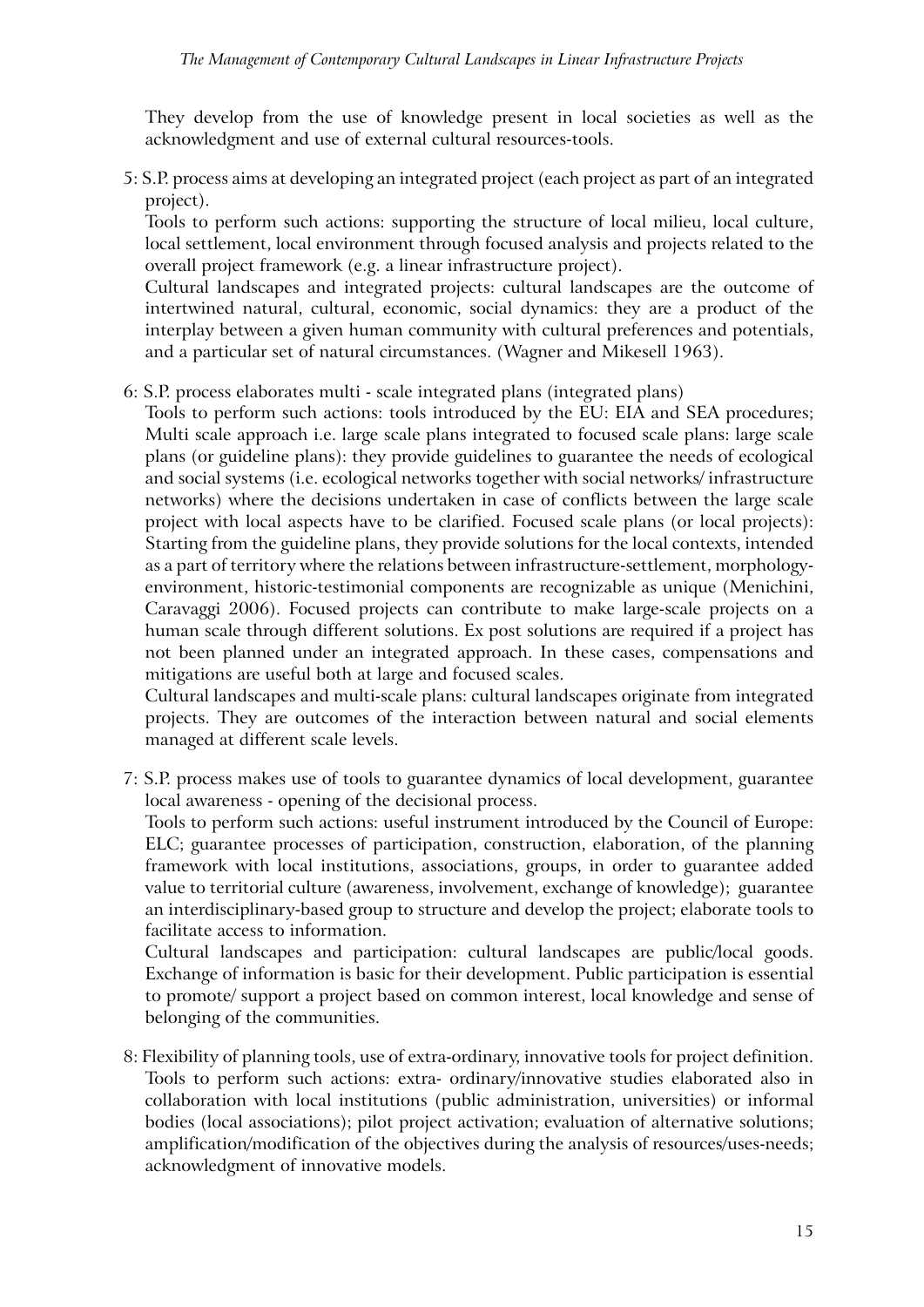They develop from the use of knowledge present in local societies as well as the acknowledgment and use of external cultural resources-tools.

5: S.P. process aims at developing an integrated project (each project as part of an integrated project).

Tools to perform such actions: supporting the structure of local milieu, local culture, local settlement, local environment through focused analysis and projects related to the overall project framework (e.g. a linear infrastructure project).

Cultural landscapes and integrated projects: cultural landscapes are the outcome of intertwined natural, cultural, economic, social dynamics: they are a product of the interplay between a given human community with cultural preferences and potentials, and a particular set of natural circumstances. (Wagner and Mikesell 1963).

6: S.P. process elaborates multi - scale integrated plans (integrated plans)

Tools to perform such actions: tools introduced by the EU: EIA and SEA procedures; Multi scale approach i.e. large scale plans integrated to focused scale plans: large scale plans (or guideline plans): they provide guidelines to guarantee the needs of ecological and social systems (i.e. ecological networks together with social networks/ infrastructure networks) where the decisions undertaken in case of conflicts between the large scale project with local aspects have to be clarified. Focused scale plans (or local projects): Starting from the guideline plans, they provide solutions for the local contexts, intended as a part of territory where the relations between infrastructure-settlement, morphologyenvironment, historic-testimonial components are recognizable as unique (Menichini, Caravaggi 2006). Focused projects can contribute to make large-scale projects on a human scale through different solutions. Ex post solutions are required if a project has not been planned under an integrated approach. In these cases, compensations and mitigations are useful both at large and focused scales.

Cultural landscapes and multi-scale plans: cultural landscapes originate from integrated projects. They are outcomes of the interaction between natural and social elements managed at different scale levels.

7: S.P. process makes use of tools to guarantee dynamics of local development, guarantee local awareness - opening of the decisional process.

Tools to perform such actions: useful instrument introduced by the Council of Europe: ELC; guarantee processes of participation, construction, elaboration, of the planning framework with local institutions, associations, groups, in order to guarantee added value to territorial culture (awareness, involvement, exchange of knowledge); guarantee an interdisciplinary-based group to structure and develop the project; elaborate tools to facilitate access to information.

Cultural landscapes and participation: cultural landscapes are public/local goods. Exchange of information is basic for their development. Public participation is essential to promote/ support a project based on common interest, local knowledge and sense of belonging of the communities.

8: Flexibility of planning tools, use of extra-ordinary, innovative tools for project definition. Tools to perform such actions: extra- ordinary/innovative studies elaborated also in collaboration with local institutions (public administration, universities) or informal bodies (local associations); pilot project activation; evaluation of alternative solutions; amplification/modification of the objectives during the analysis of resources/uses-needs; acknowledgment of innovative models.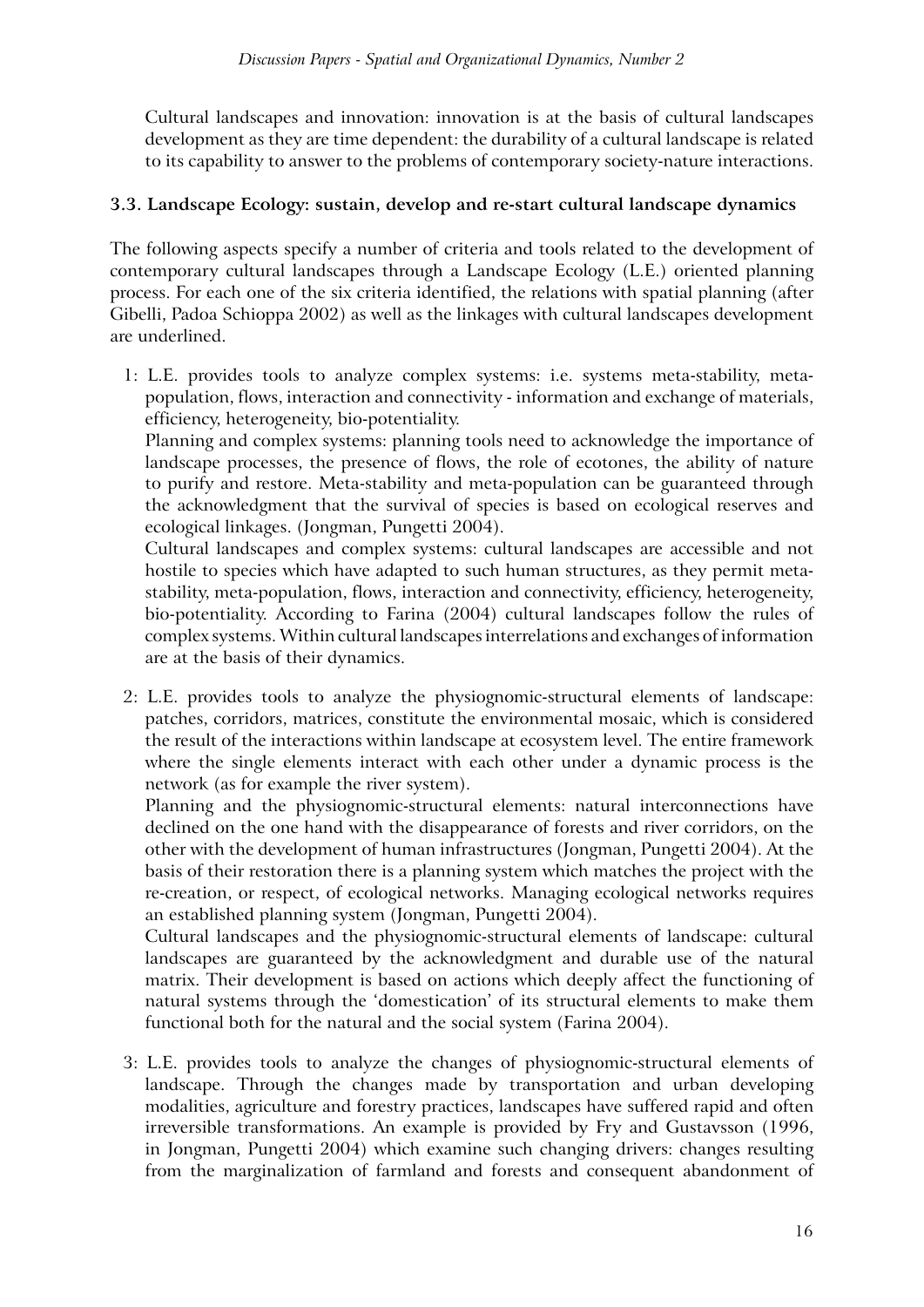Cultural landscapes and innovation: innovation is at the basis of cultural landscapes development as they are time dependent: the durability of a cultural landscape is related to its capability to answer to the problems of contemporary society-nature interactions.

# **3.3. Landscape Ecology: sustain, develop and re-start cultural landscape dynamics**

The following aspects specify a number of criteria and tools related to the development of contemporary cultural landscapes through a Landscape Ecology (L.E.) oriented planning process. For each one of the six criteria identified, the relations with spatial planning (after Gibelli, Padoa Schioppa 2002) as well as the linkages with cultural landscapes development are underlined.

1: L.E. provides tools to analyze complex systems: i.e. systems meta-stability, metapopulation, flows, interaction and connectivity - information and exchange of materials, efficiency, heterogeneity, bio-potentiality.

Planning and complex systems: planning tools need to acknowledge the importance of landscape processes, the presence of flows, the role of ecotones, the ability of nature to purify and restore. Meta-stability and meta-population can be guaranteed through the acknowledgment that the survival of species is based on ecological reserves and ecological linkages. (Jongman, Pungetti 2004).

Cultural landscapes and complex systems: cultural landscapes are accessible and not hostile to species which have adapted to such human structures, as they permit metastability, meta-population, flows, interaction and connectivity, efficiency, heterogeneity, bio-potentiality. According to Farina (2004) cultural landscapes follow the rules of complex systems. Within cultural landscapes interrelations and exchanges of information are at the basis of their dynamics.

2: L.E. provides tools to analyze the physiognomic-structural elements of landscape: patches, corridors, matrices, constitute the environmental mosaic, which is considered the result of the interactions within landscape at ecosystem level. The entire framework where the single elements interact with each other under a dynamic process is the network (as for example the river system).

Planning and the physiognomic-structural elements: natural interconnections have declined on the one hand with the disappearance of forests and river corridors, on the other with the development of human infrastructures (Jongman, Pungetti 2004). At the basis of their restoration there is a planning system which matches the project with the re-creation, or respect, of ecological networks. Managing ecological networks requires an established planning system (Jongman, Pungetti 2004).

Cultural landscapes and the physiognomic-structural elements of landscape: cultural landscapes are guaranteed by the acknowledgment and durable use of the natural matrix. Their development is based on actions which deeply affect the functioning of natural systems through the 'domestication' of its structural elements to make them functional both for the natural and the social system (Farina 2004).

3: L.E. provides tools to analyze the changes of physiognomic-structural elements of landscape. Through the changes made by transportation and urban developing modalities, agriculture and forestry practices, landscapes have suffered rapid and often irreversible transformations. An example is provided by Fry and Gustavsson (1996, in Jongman, Pungetti 2004) which examine such changing drivers: changes resulting from the marginalization of farmland and forests and consequent abandonment of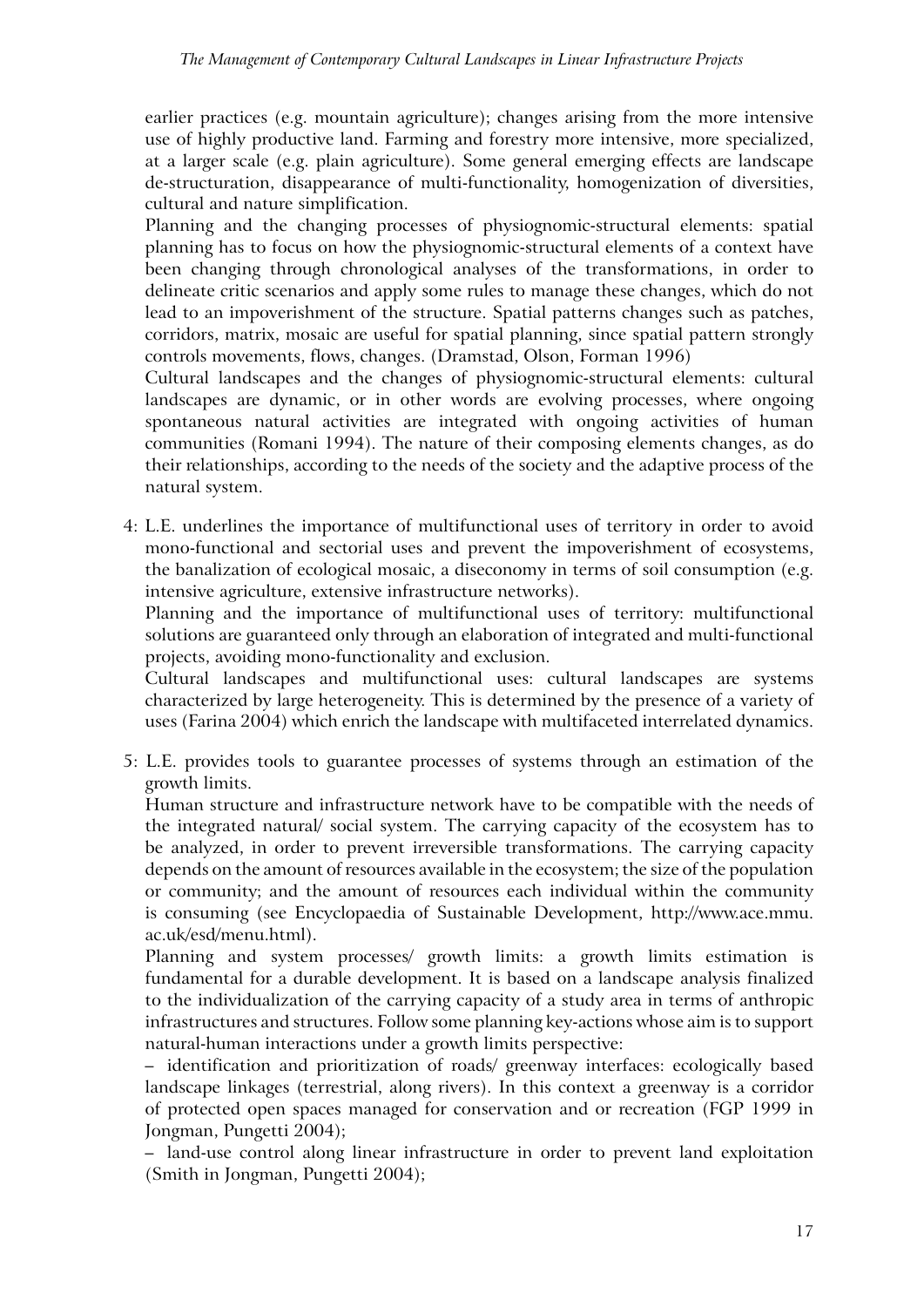earlier practices (e.g. mountain agriculture); changes arising from the more intensive use of highly productive land. Farming and forestry more intensive, more specialized, at a larger scale (e.g. plain agriculture). Some general emerging effects are landscape de-structuration, disappearance of multi-functionality, homogenization of diversities, cultural and nature simplification.

Planning and the changing processes of physiognomic-structural elements: spatial planning has to focus on how the physiognomic-structural elements of a context have been changing through chronological analyses of the transformations, in order to delineate critic scenarios and apply some rules to manage these changes, which do not lead to an impoverishment of the structure. Spatial patterns changes such as patches, corridors, matrix, mosaic are useful for spatial planning, since spatial pattern strongly controls movements, flows, changes. (Dramstad, Olson, Forman 1996)

Cultural landscapes and the changes of physiognomic-structural elements: cultural landscapes are dynamic, or in other words are evolving processes, where ongoing spontaneous natural activities are integrated with ongoing activities of human communities (Romani 1994). The nature of their composing elements changes, as do their relationships, according to the needs of the society and the adaptive process of the natural system.

4: L.E. underlines the importance of multifunctional uses of territory in order to avoid mono-functional and sectorial uses and prevent the impoverishment of ecosystems, the banalization of ecological mosaic, a diseconomy in terms of soil consumption (e.g. intensive agriculture, extensive infrastructure networks).

Planning and the importance of multifunctional uses of territory: multifunctional solutions are guaranteed only through an elaboration of integrated and multi-functional projects, avoiding mono-functionality and exclusion.

Cultural landscapes and multifunctional uses: cultural landscapes are systems characterized by large heterogeneity. This is determined by the presence of a variety of uses (Farina 2004) which enrich the landscape with multifaceted interrelated dynamics.

5: L.E. provides tools to guarantee processes of systems through an estimation of the growth limits.

Human structure and infrastructure network have to be compatible with the needs of the integrated natural/ social system. The carrying capacity of the ecosystem has to be analyzed, in order to prevent irreversible transformations. The carrying capacity depends on the amount of resources available in the ecosystem; the size of the population or community; and the amount of resources each individual within the community is consuming (see Encyclopaedia of Sustainable Development, http://www.ace.mmu. ac.uk/esd/menu.html).

Planning and system processes/ growth limits: a growth limits estimation is fundamental for a durable development. It is based on a landscape analysis finalized to the individualization of the carrying capacity of a study area in terms of anthropic infrastructures and structures. Follow some planning key-actions whose aim is to support natural-human interactions under a growth limits perspective:

– identification and prioritization of roads/ greenway interfaces: ecologically based landscape linkages (terrestrial, along rivers). In this context a greenway is a corridor of protected open spaces managed for conservation and or recreation (FGP 1999 in Jongman, Pungetti 2004);

– land-use control along linear infrastructure in order to prevent land exploitation (Smith in Jongman, Pungetti 2004);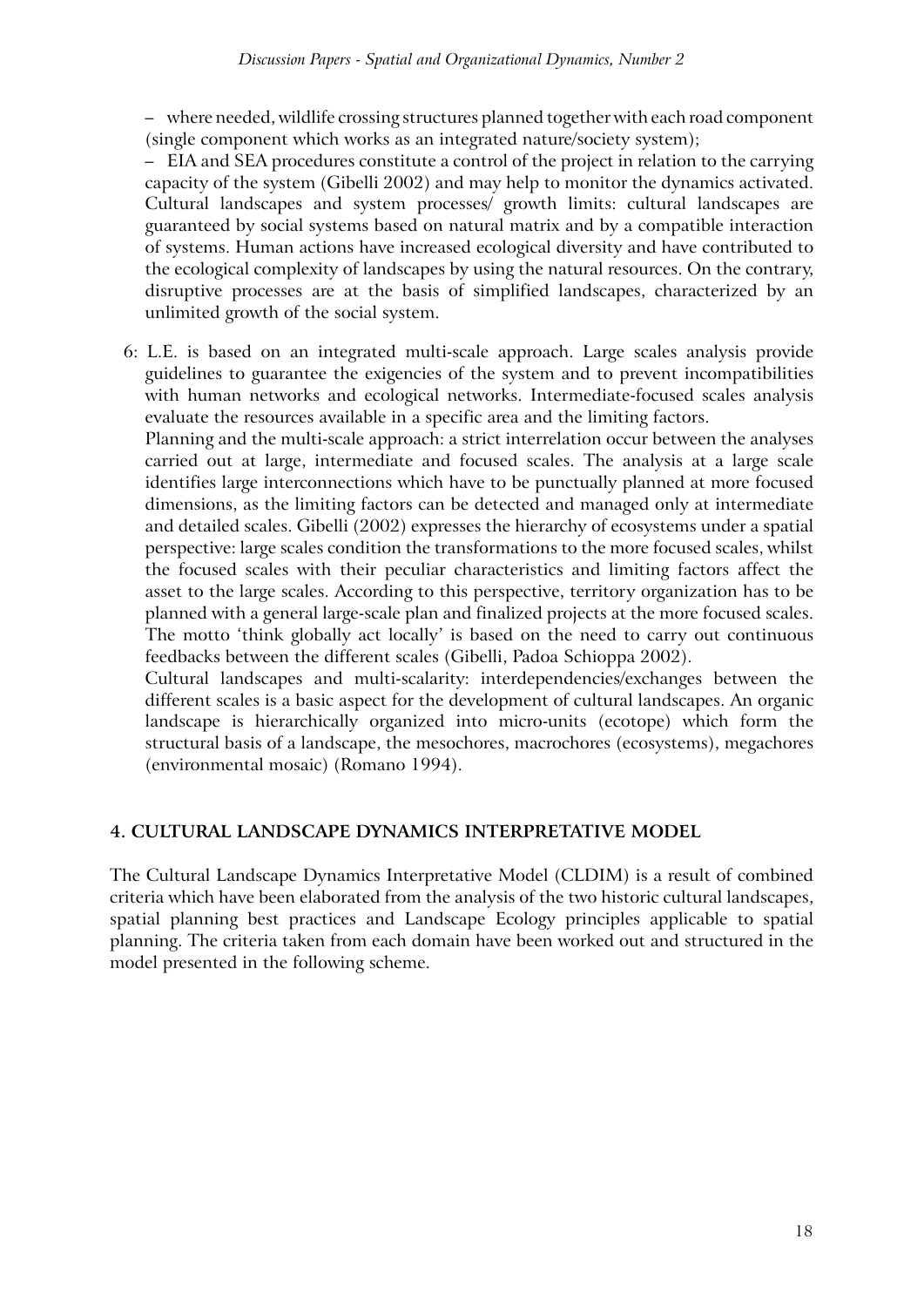– where needed, wildlife crossing structures planned together with each road component (single component which works as an integrated nature/society system);

– EIA and SEA procedures constitute a control of the project in relation to the carrying capacity of the system (Gibelli 2002) and may help to monitor the dynamics activated. Cultural landscapes and system processes/ growth limits: cultural landscapes are guaranteed by social systems based on natural matrix and by a compatible interaction of systems. Human actions have increased ecological diversity and have contributed to the ecological complexity of landscapes by using the natural resources. On the contrary, disruptive processes are at the basis of simplified landscapes, characterized by an unlimited growth of the social system.

6: L.E. is based on an integrated multi-scale approach. Large scales analysis provide guidelines to guarantee the exigencies of the system and to prevent incompatibilities with human networks and ecological networks. Intermediate-focused scales analysis evaluate the resources available in a specific area and the limiting factors.

Planning and the multi-scale approach: a strict interrelation occur between the analyses carried out at large, intermediate and focused scales. The analysis at a large scale identifies large interconnections which have to be punctually planned at more focused dimensions, as the limiting factors can be detected and managed only at intermediate and detailed scales. Gibelli (2002) expresses the hierarchy of ecosystems under a spatial perspective: large scales condition the transformations to the more focused scales, whilst the focused scales with their peculiar characteristics and limiting factors affect the asset to the large scales. According to this perspective, territory organization has to be planned with a general large-scale plan and finalized projects at the more focused scales. The motto 'think globally act locally' is based on the need to carry out continuous feedbacks between the different scales (Gibelli, Padoa Schioppa 2002).

Cultural landscapes and multi-scalarity: interdependencies/exchanges between the different scales is a basic aspect for the development of cultural landscapes. An organic landscape is hierarchically organized into micro-units (ecotope) which form the structural basis of a landscape, the mesochores, macrochores (ecosystems), megachores (environmental mosaic) (Romano 1994).

# **4. Cultural landscape dynamics interpretative model**

The Cultural Landscape Dynamics Interpretative Model (CLDIM) is a result of combined criteria which have been elaborated from the analysis of the two historic cultural landscapes, spatial planning best practices and Landscape Ecology principles applicable to spatial planning. The criteria taken from each domain have been worked out and structured in the model presented in the following scheme.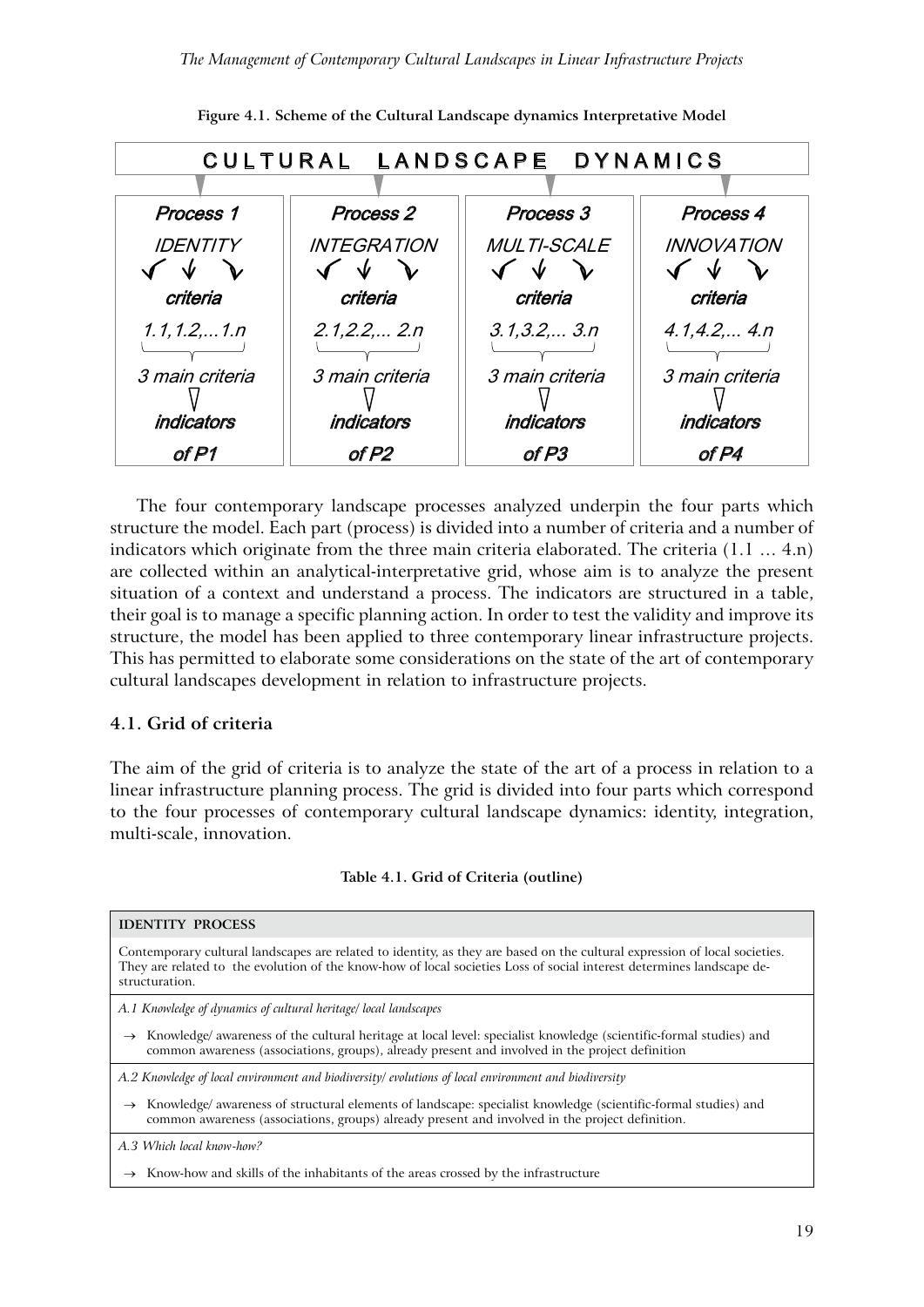

**Figure 4.1. Scheme of the Cultural Landscape dynamics Interpretative Model**

The four contemporary landscape processes analyzed underpin the four parts which structure the model. Each part (process) is divided into a number of criteria and a number of indicators which originate from the three main criteria elaborated. The criteria (1.1 ... 4.n) are collected within an analytical-interpretative grid, whose aim is to analyze the present situation of a context and understand a process. The indicators are structured in a table, their goal is to manage a specific planning action. In order to test the validity and improve its structure, the model has been applied to three contemporary linear infrastructure projects. This has permitted to elaborate some considerations on the state of the art of contemporary cultural landscapes development in relation to infrastructure projects.

#### **4.1. Grid of criteria**

The aim of the grid of criteria is to analyze the state of the art of a process in relation to a linear infrastructure planning process. The grid is divided into four parts which correspond to the four processes of contemporary cultural landscape dynamics: identity, integration, multi-scale, innovation.

| <b>IDENTITY PROCESS</b>                                                                                                                                                                                                                                               |
|-----------------------------------------------------------------------------------------------------------------------------------------------------------------------------------------------------------------------------------------------------------------------|
| Contemporary cultural landscapes are related to identity, as they are based on the cultural expression of local societies.<br>They are related to the evolution of the know-how of local societies Loss of social interest determines landscape de-<br>structuration. |
| A.1 Knowledge of dynamics of cultural heritage/local landscapes                                                                                                                                                                                                       |
| $\rightarrow$ Knowledge/ awareness of the cultural heritage at local level: specialist knowledge (scientific-formal studies) and<br>common awareness (associations, groups), already present and involved in the project definition                                   |
| A.2 Knowledge of local environment and biodiversity/ evolutions of local environment and biodiversity                                                                                                                                                                 |
| Knowledge/ awareness of structural elements of landscape: specialist knowledge (scientific-formal studies) and<br>$\rightarrow$<br>common awareness (associations, groups) already present and involved in the project definition.                                    |
| A.3 Which local know-how?                                                                                                                                                                                                                                             |
| $\rightarrow$ Know-how and skills of the inhabitants of the areas crossed by the infrastructure                                                                                                                                                                       |
|                                                                                                                                                                                                                                                                       |

#### **Table 4.1. Grid of Criteria (outline)**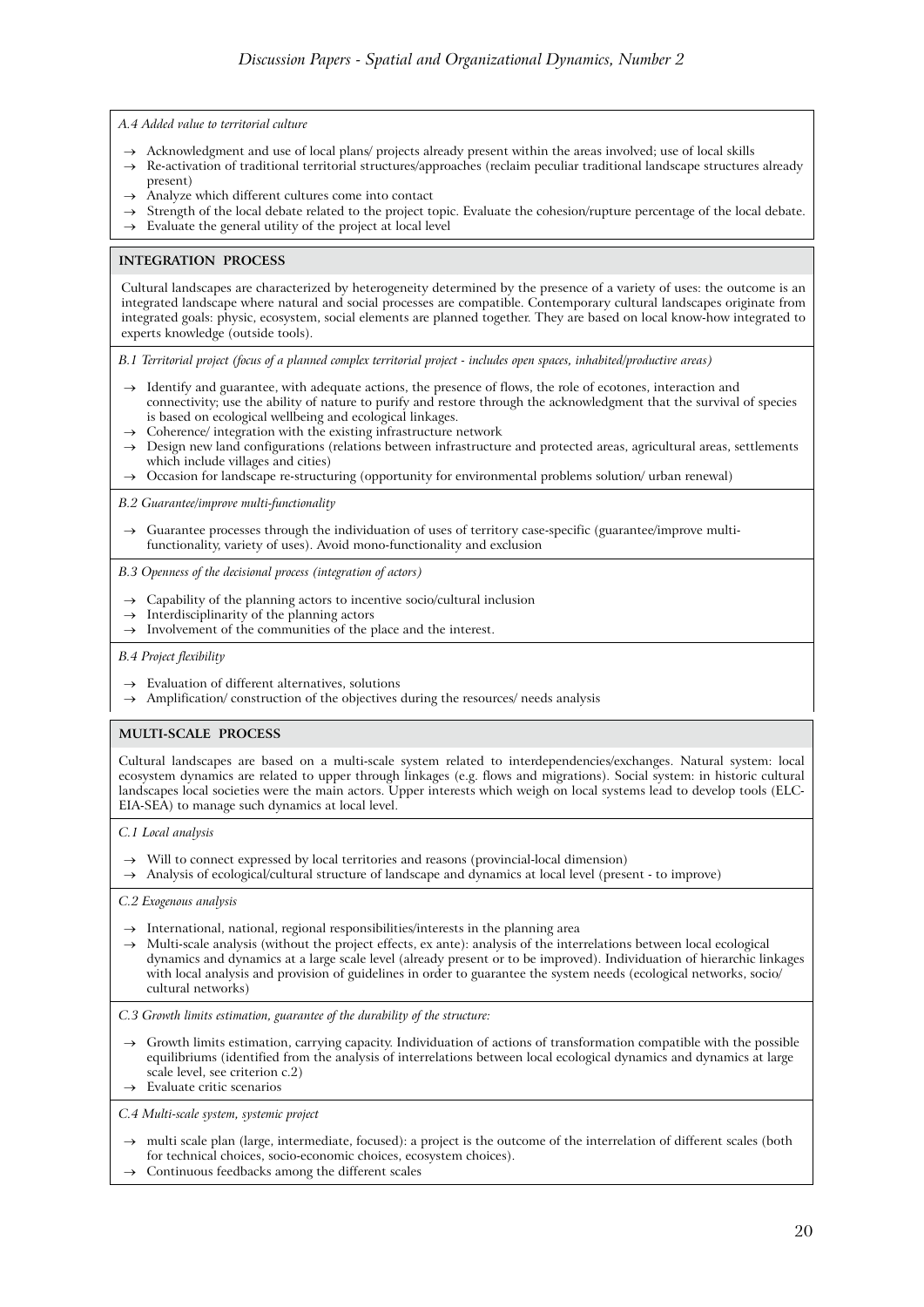*A.4 Added value to territorial culture*

- $\rightarrow$  Acknowledgment and use of local plans/ projects already present within the areas involved; use of local skills
- → Re-activation of traditional territorial structures/approaches (reclaim peculiar traditional landscape structures already present)
- Analyze which different cultures come into contact
- → Strength of the local debate related to the project topic. Evaluate the cohesion/rupture percentage of the local debate.
- $\rightarrow$  Evaluate the general utility of the project at local level

#### **INTEGRATION PROCESS**

Cultural landscapes are characterized by heterogeneity determined by the presence of a variety of uses: the outcome is an integrated landscape where natural and social processes are compatible. Contemporary cultural landscapes originate from integrated goals: physic, ecosystem, social elements are planned together. They are based on local know-how integrated to experts knowledge (outside tools).

*B.1 Territorial project (focus of a planned complex territorial project - includes open spaces, inhabited/productive areas)*

- → Identify and guarantee, with adequate actions, the presence of flows, the role of ecotones, interaction and connectivity; use the ability of nature to purify and restore through the acknowledgment that the survival of species is based on ecological wellbeing and ecological linkages.
- Coherence/ integration with the existing infrastructure network → Design new land configurations (relations between infrastructure and protected areas, agricultural areas, settlements which include villages and cities)
- → Occasion for landscape re-structuring (opportunity for environmental problems solution/ urban renewal)

*B.2 Guarantee/improve multi-functionality*

→ Guarantee processes through the individuation of uses of territory case-specific (guarantee/improve multifunctionality, variety of uses). Avoid mono-functionality and exclusion

*B.3 Openness of the decisional process (integration of actors)*

- → Capability of the planning actors to incentive socio/cultural inclusion
- $\rightarrow$  Interdisciplinarity of the planning actors
- $\rightarrow$  Involvement of the communities of the place and the interest.

*B.4 Project flexibility*

- $\rightarrow$  Evaluation of different alternatives, solutions
- $\rightarrow$  Amplification/ construction of the objectives during the resources/ needs analysis

#### **MULTI-SCALE PROCESS**

Cultural landscapes are based on a multi-scale system related to interdependencies/exchanges. Natural system: local ecosystem dynamics are related to upper through linkages (e.g. flows and migrations). Social system: in historic cultural landscapes local societies were the main actors. Upper interests which weigh on local systems lead to develop tools (ELC-EIA-SEA) to manage such dynamics at local level.

*C.1 Local analysis*

- → Will to connect expressed by local territories and reasons (provincial-local dimension)
- → Analysis of ecological/cultural structure of landscape and dynamics at local level (present to improve)

*C.2 Exogenous analysis*

- $\rightarrow$  International, national, regional responsibilities/interests in the planning area
- $\rightarrow$  Multi-scale analysis (without the project effects, ex ante): analysis of the interrelations between local ecological dynamics and dynamics at a large scale level (already present or to be improved). Individuation of hierarchic linkages with local analysis and provision of guidelines in order to guarantee the system needs (ecological networks, socio/ cultural networks)

*C.3 Growth limits estimation, guarantee of the durability of the structure:*

Growth limits estimation, carrying capacity. Individuation of actions of transformation compatible with the possible equilibriums (identified from the analysis of interrelations between local ecological dynamics and dynamics at large scale level, see criterion c.2)

 $\rightarrow$  Evaluate critic scenarios

*C.4 Multi-scale system, systemic project* 

- multi scale plan (large, intermediate, focused): a project is the outcome of the interrelation of different scales (both for technical choices, socio-economic choices, ecosystem choices).
- Continuous feedbacks among the different scales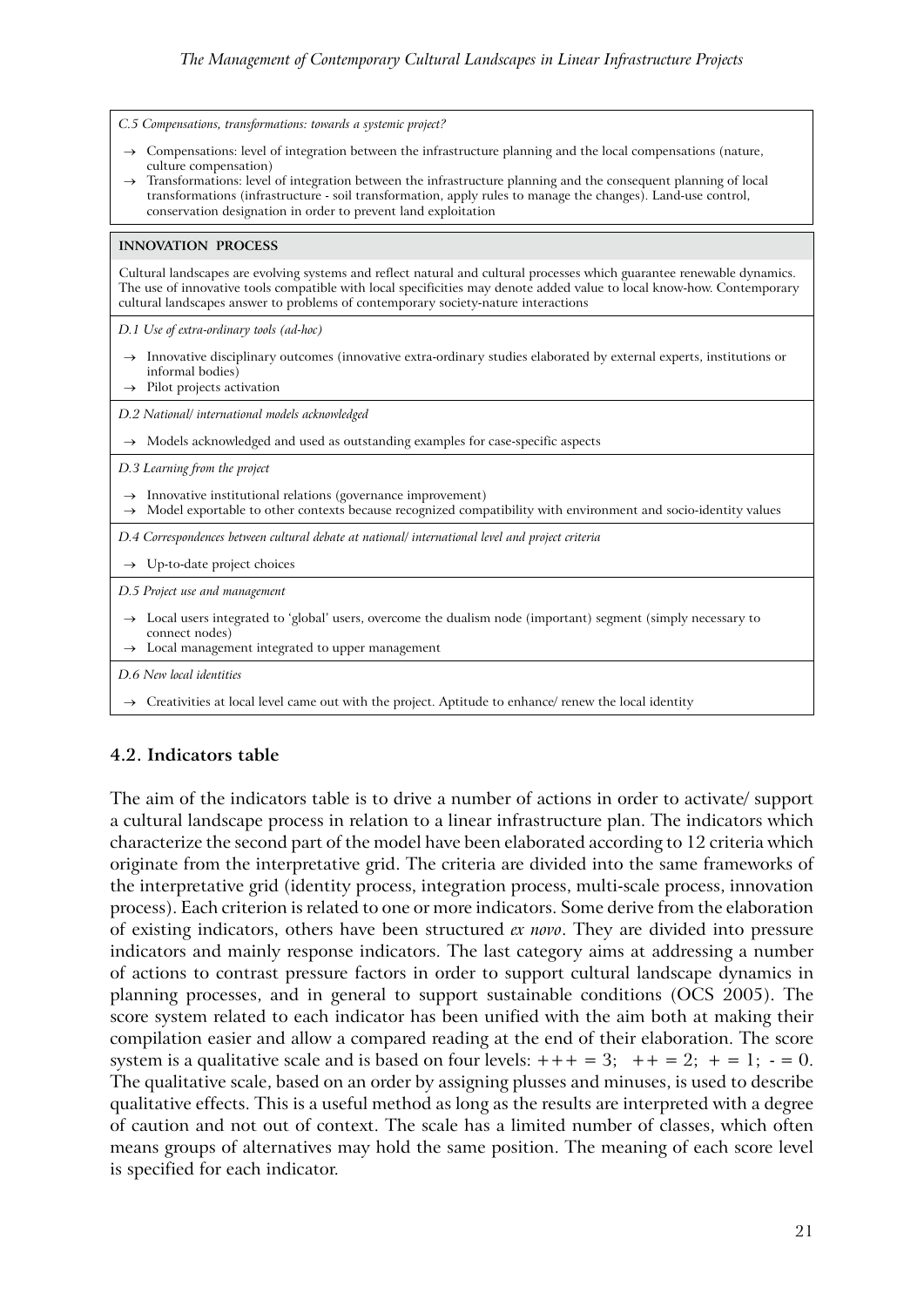| C.5 Compensations, transformations: towards a systemic project?                                                                                                                                                                                                                                                                                                                                                                                           |
|-----------------------------------------------------------------------------------------------------------------------------------------------------------------------------------------------------------------------------------------------------------------------------------------------------------------------------------------------------------------------------------------------------------------------------------------------------------|
| $\rightarrow$ Compensations: level of integration between the infrastructure planning and the local compensations (nature,<br>culture compensation)<br>> Transformations: level of integration between the infrastructure planning and the consequent planning of local<br>transformations (infrastructure - soil transformation, apply rules to manage the changes). Land-use control,<br>conservation designation in order to prevent land exploitation |
| <b>INNOVATION PROCESS</b>                                                                                                                                                                                                                                                                                                                                                                                                                                 |
| Cultural landscapes are evolving systems and reflect natural and cultural processes which guarantee renewable dynamics.<br>The use of innovative tools compatible with local specificities may denote added value to local know-how. Contemporary<br>cultural landscapes answer to problems of contemporary society-nature interactions                                                                                                                   |
| D.1 Use of extra-ordinary tools (ad-hoc)                                                                                                                                                                                                                                                                                                                                                                                                                  |
| $\rightarrow$ Innovative disciplinary outcomes (innovative extra-ordinary studies elaborated by external experts, institutions or<br>informal bodies)<br>$\rightarrow$ Pilot projects activation                                                                                                                                                                                                                                                          |
| D.2 National/ international models acknowledged                                                                                                                                                                                                                                                                                                                                                                                                           |
| $\rightarrow$ Models acknowledged and used as outstanding examples for case-specific aspects                                                                                                                                                                                                                                                                                                                                                              |
| D.3 Learning from the project                                                                                                                                                                                                                                                                                                                                                                                                                             |
| Innovative institutional relations (governance improvement)<br>$\rightarrow$<br>Model exportable to other contexts because recognized compatibility with environment and socio-identity values<br>$\rightarrow$                                                                                                                                                                                                                                           |
| D.4 Correspondences between cultural debate at national/ international level and project criteria                                                                                                                                                                                                                                                                                                                                                         |
| $\rightarrow$ Up-to-date project choices                                                                                                                                                                                                                                                                                                                                                                                                                  |
| D.5 Project use and management                                                                                                                                                                                                                                                                                                                                                                                                                            |
| $\rightarrow$ Local users integrated to 'global' users, overcome the dualism node (important) segment (simply necessary to<br>connect nodes)<br>Local management integrated to upper management<br>$\rightarrow$                                                                                                                                                                                                                                          |
| D.6 New local identities                                                                                                                                                                                                                                                                                                                                                                                                                                  |

→ Creativities at local level came out with the project. Aptitude to enhance/ renew the local identity

# **4.2. Indicators table**

The aim of the indicators table is to drive a number of actions in order to activate/ support a cultural landscape process in relation to a linear infrastructure plan. The indicators which characterize the second part of the model have been elaborated according to 12 criteria which originate from the interpretative grid. The criteria are divided into the same frameworks of the interpretative grid (identity process, integration process, multi-scale process, innovation process). Each criterion is related to one or more indicators. Some derive from the elaboration of existing indicators, others have been structured *ex novo*. They are divided into pressure indicators and mainly response indicators. The last category aims at addressing a number of actions to contrast pressure factors in order to support cultural landscape dynamics in planning processes, and in general to support sustainable conditions (OCS 2005). The score system related to each indicator has been unified with the aim both at making their compilation easier and allow a compared reading at the end of their elaboration. The score system is a qualitative scale and is based on four levels:  $+++ = 3$ ;  $++ = 2$ ;  $+= 1$ ;  $-= 0$ . The qualitative scale, based on an order by assigning plusses and minuses, is used to describe qualitative effects. This is a useful method as long as the results are interpreted with a degree of caution and not out of context. The scale has a limited number of classes, which often means groups of alternatives may hold the same position. The meaning of each score level is specified for each indicator.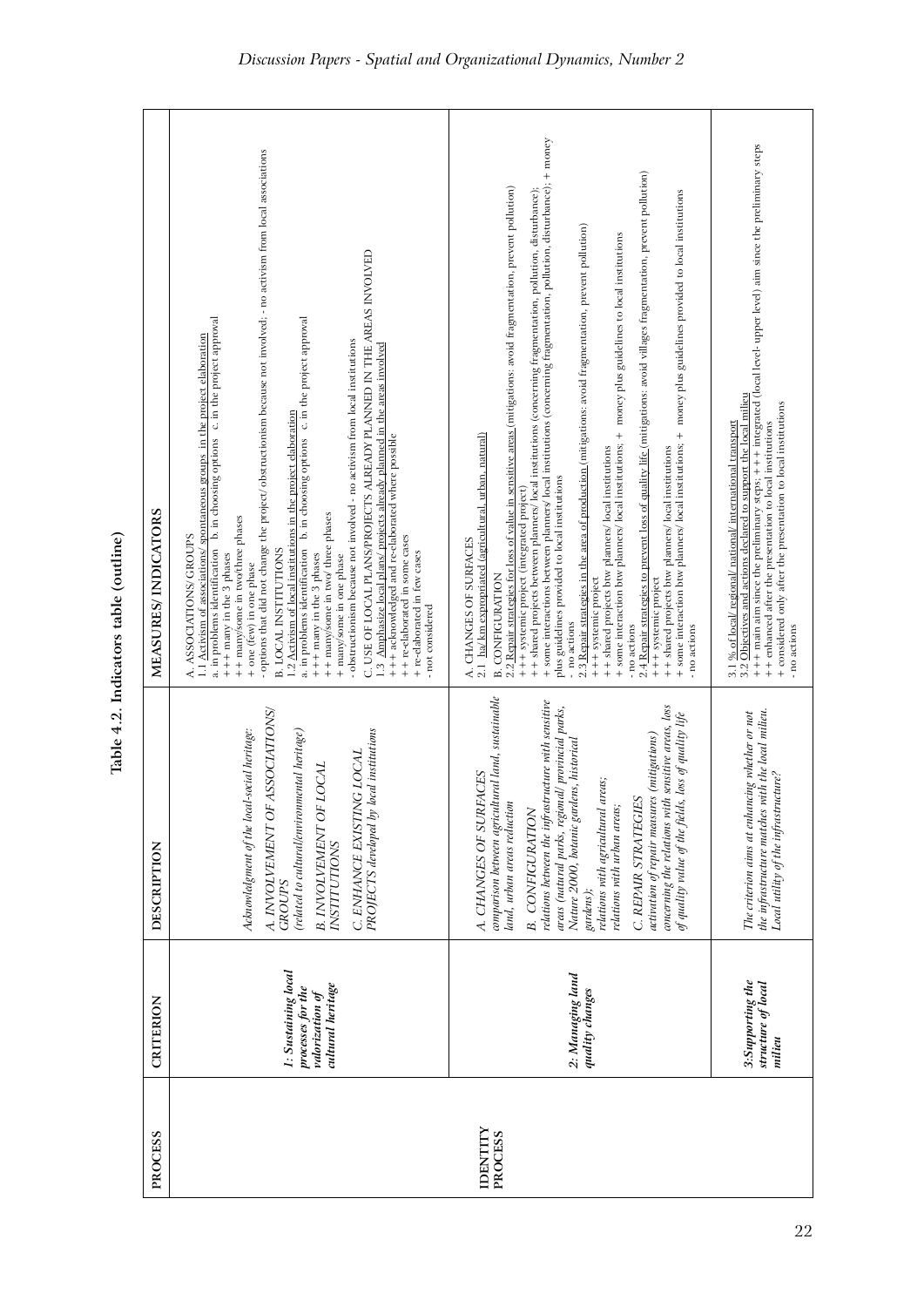| PROCESS                    | CRITERION                                                                        | DESCRIPTION                                                                                                                                                                                                                                                                                                                                                                                                                                                                                                                                                                 | MEASURES/ INDICATORS                                                                                                                                                                                                                                                                                                                                                                                                                                                                                                                                                                                                                                                                                                                                                                                                                                                                                                                                                                                                                                                                                                                                                                                                                                      |
|----------------------------|----------------------------------------------------------------------------------|-----------------------------------------------------------------------------------------------------------------------------------------------------------------------------------------------------------------------------------------------------------------------------------------------------------------------------------------------------------------------------------------------------------------------------------------------------------------------------------------------------------------------------------------------------------------------------|-----------------------------------------------------------------------------------------------------------------------------------------------------------------------------------------------------------------------------------------------------------------------------------------------------------------------------------------------------------------------------------------------------------------------------------------------------------------------------------------------------------------------------------------------------------------------------------------------------------------------------------------------------------------------------------------------------------------------------------------------------------------------------------------------------------------------------------------------------------------------------------------------------------------------------------------------------------------------------------------------------------------------------------------------------------------------------------------------------------------------------------------------------------------------------------------------------------------------------------------------------------|
|                            | 1: Sustaining local<br>cultural heritage<br>processes for the<br>valorization of | A. INVOLVEMENT OF ASSOCIATIONS/<br>C. ENHANCE EXISTING LOCAL<br>PROJECTS developed by local institutions<br>Acknowledgment of the local-social heritage:<br>(related to cultural/environmental heritage)<br><b>B. INVOLVEMENT OF LOCAL</b><br><b>INSTITUTIONS</b><br><b>GROUPS</b>                                                                                                                                                                                                                                                                                          | - options that did not change the project/ obstructionism because not involved; - no activism from local associations<br>C. USE OF LOCAL PLANS/PROJECTS ALREADY PLANNED IN THE AREAS INVOLVED<br>a. in problems identification b. in choosing options c. in the project approval<br>a. in problems identification b. in choosing options c. in the project approval<br>1.1 Activism of associations/ spontaneous groups in the project elaboration<br>- obstructionism because not involved - no activism from local institutions<br>1.3 Amphasize local plans/ projects already planned in the areas involved<br>1.2 Activism of local institutions in the project elaboration<br>+++ acknowledged and re-elaborated where possible<br>++ many/some in two/ three phases<br>++ many/some in two/three phases<br>A. ASSOCIATIONS/ GROUPS<br>++ re-elaborated in some cases<br><b>B. LOCAL INSTITUTIONS</b><br>+ re-elaborated in few cases<br>$++ +$ many in the 3 phases<br>$+++$ many in the 3 phases<br>+ many/some in one phase<br>+ one (few) in one phase<br>- not considered                                                                                                                                                                       |
| <b>IDENTITY</b><br>PROCESS | 2: Managing land<br>quality changes                                              | comparison between agricultural land, sustainable<br>relations between the infrastructure with sensitive<br>concerning the relations with sensitive areas, loss<br>areas (natural parks, regional/ provincial parks,<br>loss of quality life<br>(mitigations)<br>Nature 2000, botanic gardens, historical<br>A. CHANGES OF SURFACES<br>relations with agricultural areas;<br>C. REPAIR STRATEGIES<br>activation of repair measures<br>land, urban areas reduction<br>of quality value of the fields,<br>relations with urban areas;<br><b>B.</b> CONFIGURATION<br>gardens); | + + shared projects between planners/local institutions (concerning fragmentation, pollution, disturbance);<br>+ some interactions between planners/local institutions (concerning fragmentation, pollution, disturbance); + mone<br>.4 Repair strategies to prevent loss of quality life (mitigations: avoid villages fragmentation, prevent pollution)<br>2.2 Repair strategies for loss of value in sensitive areas (mitigations: avoid fragmentation, prevent pollution)<br>+ some interaction btw planners/ local institutions; + money plus guidelines provided to local institutions<br>.3 Repair strategies in the area of production (mitigations: avoid fragmentation, prevent pollution)<br>+ some interaction btw planners/ local institutions; + money plus guidelines to local institutions<br>2.1 ha/ km expropriated (agricultural, urban, natural)<br>++ shared projects btw planners/ local institutions<br>++ shared projects btw planners/ local institutions<br>plus guidelines provided to local institutions<br>+++ systemic project (integrated project)<br>A. CHANGES OF SURFACES<br><b>B. CONFIGURATION</b><br>+++ systemic project<br>+++ systemic project<br>- no actions<br>- no actions<br>- no actions<br>$\sim$<br>$\sim$ |
|                            | 3:Supporting the<br>structure of local<br>milieu                                 | the infrastructure matches with the local milieu.<br>The criterion aims at enhancing whether or not<br>Local utility of the infrastructure?                                                                                                                                                                                                                                                                                                                                                                                                                                 | +++ main aim since the preliminary steps; +++ integrated (local level- upper level) aim since the preliminary steps<br>3.1 % of local/ regional/ national/ international transport<br>3.2 Objectives and actions declared to support the local milieu<br>+ considered only after the presentation to local institutions<br>++ enhanced after the presentation to local institutions<br>- no actions                                                                                                                                                                                                                                                                                                                                                                                                                                                                                                                                                                                                                                                                                                                                                                                                                                                       |

**P**

Table 4.2. Indicators table (outline) **Table 4.2. Indicators table (outline)**

**P**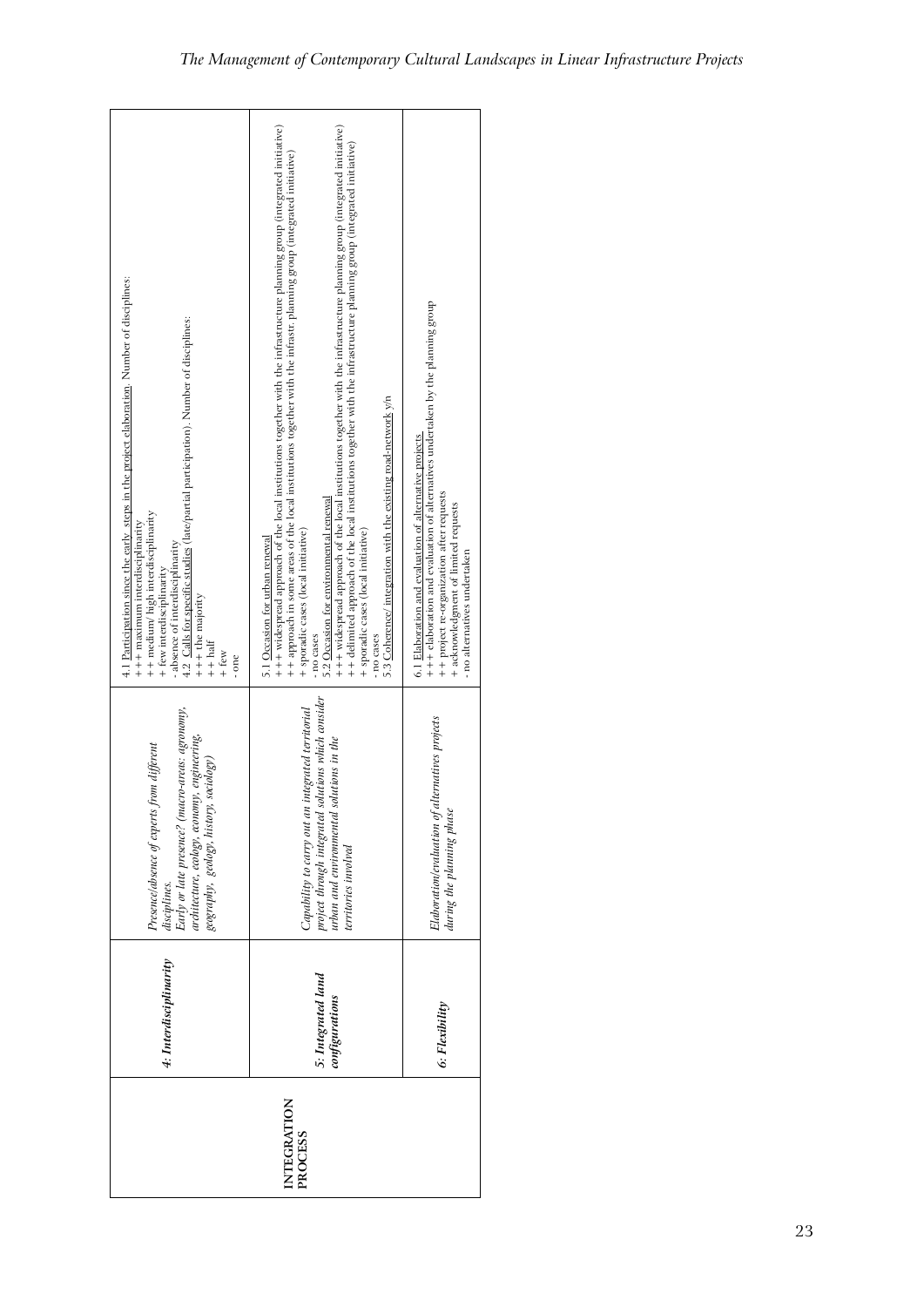| project through integrated solutions which consider<br>urban and environmental solutions in the<br>Early or late presence? (macro-areas: agronomy,<br>integrated territorial<br>Elaboration/evaluation of alternatives projects<br>architecture, ecology, economy, engineering,<br>Presence/absence of experts from different<br>geography, geology, history, sociology)<br>Capability to carry out an<br>during the planning phase<br>territories involved<br>disciplines. | +++ widespread approach of the local institutions together with the infrastructure planning group (integrated initiative)<br>+++ widespread approach of the local institutions together with the infrastructure planning group (integrated initiative)<br>+ + delimited approach of the local institutions together with the infrastructure planning group (integrated initiative)<br>++ approach in some areas of the local institutions together with the infrastr. planning group (integrated initiative)<br>4.1 Participation since the early steps in the project elaboration. Number of disciplines:<br>+++ elaboration and evaluation of alternatives undertaken by the planning group<br>4.2 Calls for specific studies (late/partial participation). Number of disciplines:<br>5.3 Coherence/ integration with the existing road-network y/n<br>6.1 Elaboration and evaluation of alternative projects<br>+ + project re-organization after requests<br>5.2 Occasion for environmental renewal<br>+ acknowledgment of limited requests<br>+ + medium/ high interdisciplinarity<br>+++ maximum interdisciplinarity<br>+ sporadic cases (local initiative)<br>+ sporadic cases (local initiative)<br>5.1 Occasion for urban renewal<br>- absence of interdisciplinarity<br>- no alternatives undertaken<br>+ few interdisciplinarity<br>$++$ the majority<br>- no cases<br>- no cases<br>$++ half$<br>$+$ few<br>- one |
|-----------------------------------------------------------------------------------------------------------------------------------------------------------------------------------------------------------------------------------------------------------------------------------------------------------------------------------------------------------------------------------------------------------------------------------------------------------------------------|-------------------------------------------------------------------------------------------------------------------------------------------------------------------------------------------------------------------------------------------------------------------------------------------------------------------------------------------------------------------------------------------------------------------------------------------------------------------------------------------------------------------------------------------------------------------------------------------------------------------------------------------------------------------------------------------------------------------------------------------------------------------------------------------------------------------------------------------------------------------------------------------------------------------------------------------------------------------------------------------------------------------------------------------------------------------------------------------------------------------------------------------------------------------------------------------------------------------------------------------------------------------------------------------------------------------------------------------------------------------------------------------------------------------------------|
|                                                                                                                                                                                                                                                                                                                                                                                                                                                                             |                                                                                                                                                                                                                                                                                                                                                                                                                                                                                                                                                                                                                                                                                                                                                                                                                                                                                                                                                                                                                                                                                                                                                                                                                                                                                                                                                                                                                               |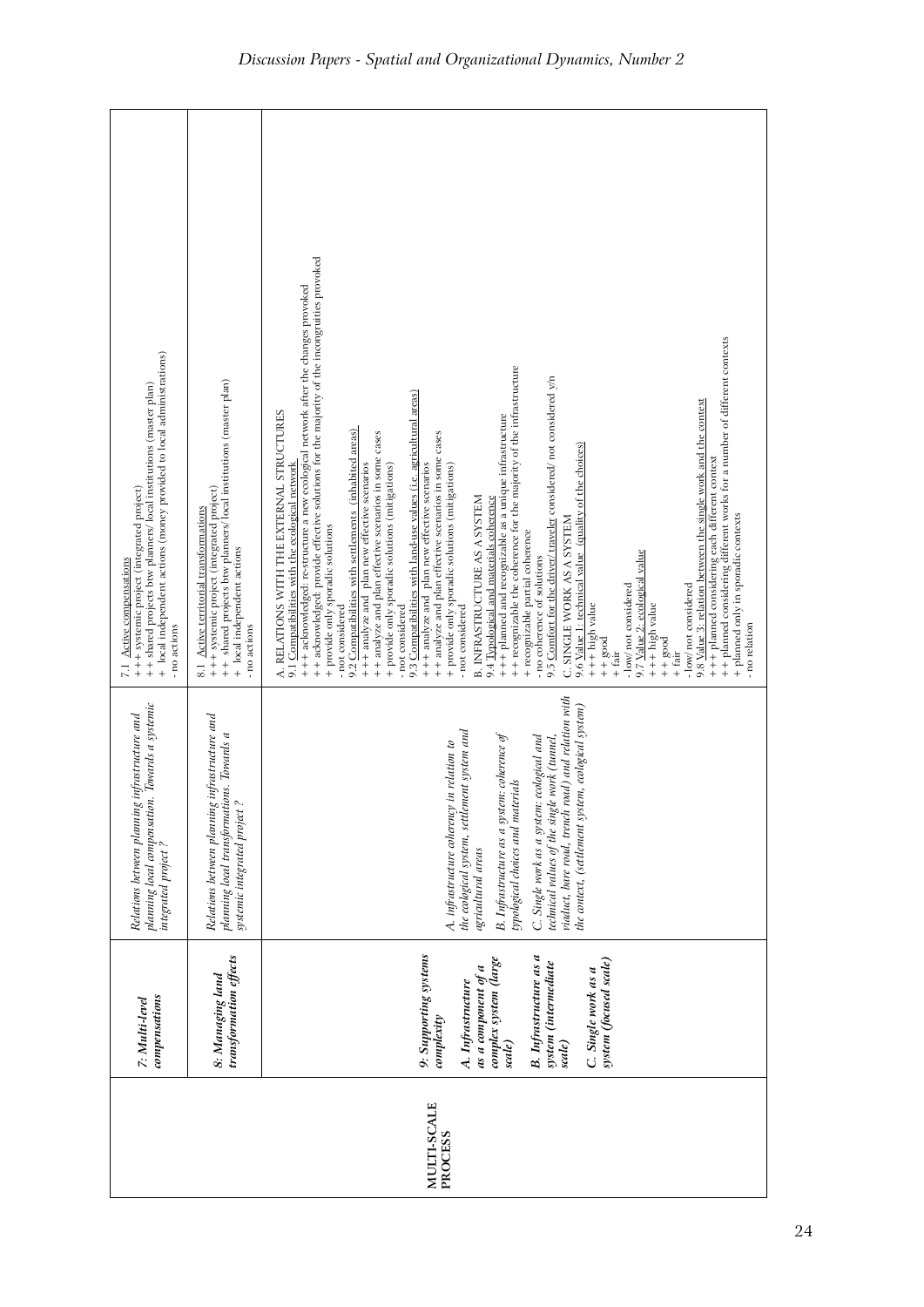|                        | compensations<br>7: Multi-level                                                                                                                                                                                                        | Towards a systemic<br>infrastructure and<br>planning local compensation.<br>Relations between planning<br>integrated project?                                                                                                                                                                                                                                                                                      | + local independent actions (money provided to local administrations)<br>++ shared projects btw planners/ local institutions (master plan)<br>+++ systemic project (integrated project)<br>7.1 Active compensations<br>- no actions                                                                                                                                                                                                                                                                                                                                                                                                                                                                                                                                                                                                                                                                                                                                                                                                                                                                                                                                                                                                                                                                                                                                                                                                                                                                                                                                                                                                                                                                                                   |
|------------------------|----------------------------------------------------------------------------------------------------------------------------------------------------------------------------------------------------------------------------------------|--------------------------------------------------------------------------------------------------------------------------------------------------------------------------------------------------------------------------------------------------------------------------------------------------------------------------------------------------------------------------------------------------------------------|---------------------------------------------------------------------------------------------------------------------------------------------------------------------------------------------------------------------------------------------------------------------------------------------------------------------------------------------------------------------------------------------------------------------------------------------------------------------------------------------------------------------------------------------------------------------------------------------------------------------------------------------------------------------------------------------------------------------------------------------------------------------------------------------------------------------------------------------------------------------------------------------------------------------------------------------------------------------------------------------------------------------------------------------------------------------------------------------------------------------------------------------------------------------------------------------------------------------------------------------------------------------------------------------------------------------------------------------------------------------------------------------------------------------------------------------------------------------------------------------------------------------------------------------------------------------------------------------------------------------------------------------------------------------------------------------------------------------------------------|
|                        | transformation effects<br>8: Managing land                                                                                                                                                                                             | infrastructure and<br>planning local transformations. Towards a<br>systemic integrated project?<br>Relations between planning                                                                                                                                                                                                                                                                                      | ++ shared projects btw planners/ local institutions (master plan)<br>+++ systemic project (integrated project)<br>8.1 Active territorial transformations<br>+ local independent actions<br>- no actions                                                                                                                                                                                                                                                                                                                                                                                                                                                                                                                                                                                                                                                                                                                                                                                                                                                                                                                                                                                                                                                                                                                                                                                                                                                                                                                                                                                                                                                                                                                               |
| MULTI-SCALE<br>PROCESS | 9: Supporting systems<br><b>B.</b> Infrastructure as a<br>complex system (large<br>system (focused scale)<br>system (intermediate<br>as a component of a<br>C. Single work as a<br>A. Infrastructure<br>complexity<br>scale)<br>scale) | viaduct, bare road, trench road) and relation with<br>the context, (settlement system, ecological system)<br>the ecological system, settlement system and<br>B. Infrastructure as a system: coherence of<br>ecological and<br>technical values of the single work (tunnel,<br>A. infrastructure coherency in relation to<br>typological choices and materials<br>C. Single work as a system:<br>agricultural areas | ++ acknowledged: provide effective solutions for the majority of the incongruities provoked<br>+++ acknowledged: re-structure a new ecological network after the changes provoked<br>++ planned considering different works for a number of different contexts<br>+ + recognizable the coherence for the majority of the infrastructure<br>9.5 Comfort for the driver/ traveler considered/ not considered y/n<br>9.3 Compatibilities with land-use values (i.e. agricultural areas)<br>9.8 Value 3: relation between the single work and the context<br>A. RELATIONS WITH THE EXTERNAL STRUCTURES<br>+++ planned and recognizable as a unique infrastructure<br>9.2 Compatibilities with settlements (inhabited areas)<br>++ analyze and plan effective scenarios in some cases<br>++ analyze and plan effective scenarios in some cases<br>9.6 Value 1: technical value (quality of the choices)<br>+++ planned considering each different context<br>+++ analyze and plan new effective scenarios<br>9.1 Compatibilities with the ecological network<br>+++ analyze and plan new effective scenarios<br>+ provide only sporadic solutions (mitigations)<br>+ provide only sporadic solutions (mitigations)<br><b>B. INFRASTRUCTURE AS A SYSTEM</b><br>9.4 Typological and materials coherence<br>+ planned only in sporadic contexts<br>C. SINGLE WORK AS A SYSTEM<br>+ provide only sporadic solutions<br>+ recognizable partial coherence<br>9.7 Value 2: ecological value<br>- no coherence of solutions<br>- low/ not considered<br>- low/ not considered<br>$+++$ high value<br>+++ high value<br>- not considered<br>- not considered<br>- not considered<br>- no relation<br>$+ +$ good<br>$+80$ od<br>$+$ fair<br>$+$ fair |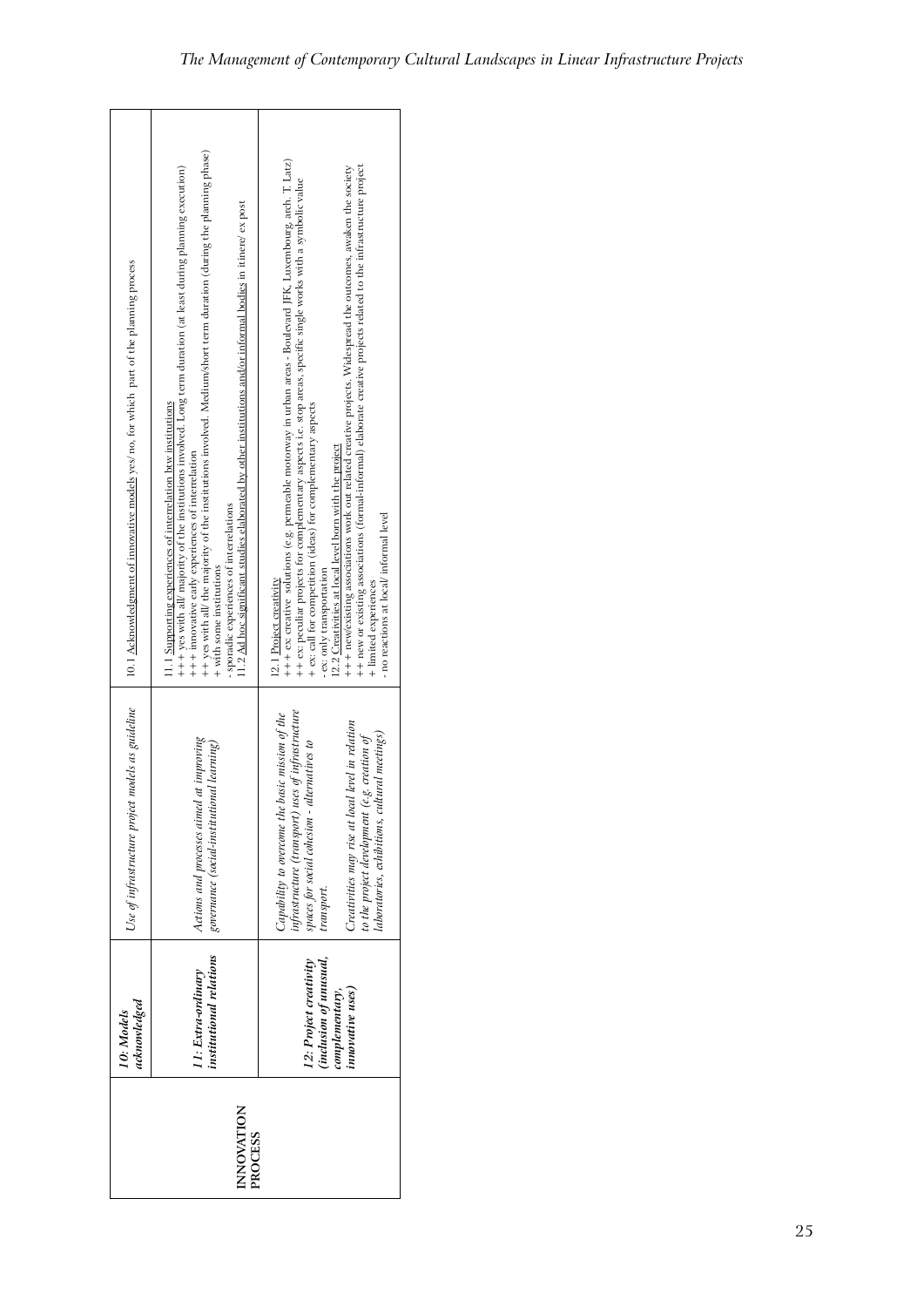| institutional relations<br><i>(inclusion of unusual,</i><br>12: Project creativity<br>11: Extra-ordinary<br>innovative uses)<br>complementary,<br>acknowledged<br>10: Models<br>INNOVATION<br>PROCESS |                                                                                                                                                                                                                                                                                                                                                                                                                                                                                                                                                   |                                                                                                                                                                                                                                                                                                                                                                                                                                                                                                                                                                                                                                                                                                                            |
|-------------------------------------------------------------------------------------------------------------------------------------------------------------------------------------------------------|---------------------------------------------------------------------------------------------------------------------------------------------------------------------------------------------------------------------------------------------------------------------------------------------------------------------------------------------------------------------------------------------------------------------------------------------------------------------------------------------------------------------------------------------------|----------------------------------------------------------------------------------------------------------------------------------------------------------------------------------------------------------------------------------------------------------------------------------------------------------------------------------------------------------------------------------------------------------------------------------------------------------------------------------------------------------------------------------------------------------------------------------------------------------------------------------------------------------------------------------------------------------------------------|
|                                                                                                                                                                                                       |                                                                                                                                                                                                                                                                                                                                                                                                                                                                                                                                                   |                                                                                                                                                                                                                                                                                                                                                                                                                                                                                                                                                                                                                                                                                                                            |
| Use of infrastructure project models as guideline                                                                                                                                                     | Actions and processes aimed at improving<br>governance (social-institutional learning)                                                                                                                                                                                                                                                                                                                                                                                                                                                            | nfrastructure (transport) uses of infrastructure<br>Capability to overcome the basic mission of the<br>Creativities may rise at local level in relation<br>laboratories, exhibitions, cultural meetings)<br>to the project development (e.g. creation of<br>spaces for social cohesion - alternatives to<br>transport.                                                                                                                                                                                                                                                                                                                                                                                                     |
| 10.1 Acknowledgment of innovative models yes/ no, for which part of the planning process                                                                                                              | ++ yes with all/ the majority of the institutions involved. Medium/short term duration (during the planning phase)<br>+++ yes with all/ majority of the institutions involved. Long term duration (at least during planning execution)<br>11.2 Ad hoc significant studies elaborated by other institutions and/or informal bodies in itinere/ ex post<br>11.1 Supporting experiences of interrelation btw institutions<br>+++ innovative early experiences of interrelation<br>sporadic experiences of interrelations<br>+ with some institutions | ++ ex creative solutions (e.g. permeable motorway in urban areas - Boulevard JFK, Luxembourg, arch. T. Latz)<br>+++ new/existing associations work out related creative projects. Widespread the outcomes, awaken the society<br>++ new or existing associations (formal-informal) elaborate creative projects related to the infrastructure project<br>++ ex: peculiar projects for complementary aspects i.e. stop areas, specific single works with a symbolic value<br>+ ex: call for competition (ideas) for complementary aspects<br>12.2 Creativities at local level born with the project<br>- no reactions at local/informal level<br>ex: only transportation<br>12.1 Project creativity<br>+ limited experiences |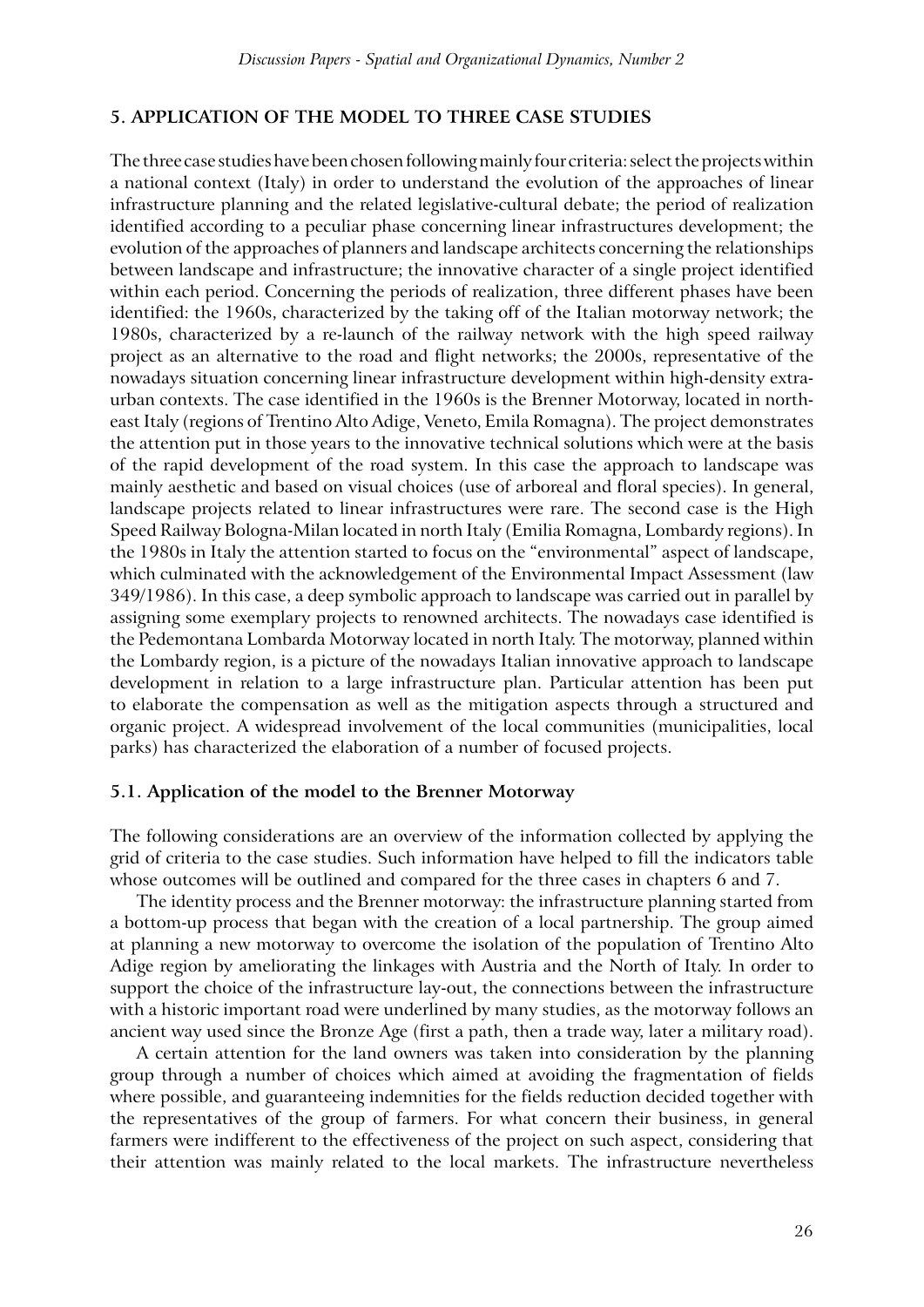# **5. Application of the model to three case studies**

The three case studies have been chosen following mainly four criteria: select the projects within a national context (Italy) in order to understand the evolution of the approaches of linear infrastructure planning and the related legislative-cultural debate; the period of realization identified according to a peculiar phase concerning linear infrastructures development; the evolution of the approaches of planners and landscape architects concerning the relationships between landscape and infrastructure; the innovative character of a single project identified within each period. Concerning the periods of realization, three different phases have been identified: the 1960s, characterized by the taking off of the Italian motorway network; the 1980s, characterized by a re-launch of the railway network with the high speed railway project as an alternative to the road and flight networks; the 2000s, representative of the nowadays situation concerning linear infrastructure development within high-density extraurban contexts. The case identified in the 1960s is the Brenner Motorway, located in northeast Italy (regions of Trentino Alto Adige, Veneto, Emila Romagna). The project demonstrates the attention put in those years to the innovative technical solutions which were at the basis of the rapid development of the road system. In this case the approach to landscape was mainly aesthetic and based on visual choices (use of arboreal and floral species). In general, landscape projects related to linear infrastructures were rare. The second case is the High Speed Railway Bologna-Milan located in north Italy (Emilia Romagna, Lombardy regions). In the 1980s in Italy the attention started to focus on the "environmental" aspect of landscape, which culminated with the acknowledgement of the Environmental Impact Assessment (law 349/1986). In this case, a deep symbolic approach to landscape was carried out in parallel by assigning some exemplary projects to renowned architects. The nowadays case identified is the Pedemontana Lombarda Motorway located in north Italy. The motorway, planned within the Lombardy region, is a picture of the nowadays Italian innovative approach to landscape development in relation to a large infrastructure plan. Particular attention has been put to elaborate the compensation as well as the mitigation aspects through a structured and organic project. A widespread involvement of the local communities (municipalities, local parks) has characterized the elaboration of a number of focused projects.

#### **5.1. Application of the model to the Brenner Motorway**

The following considerations are an overview of the information collected by applying the grid of criteria to the case studies. Such information have helped to fill the indicators table whose outcomes will be outlined and compared for the three cases in chapters 6 and 7.

The identity process and the Brenner motorway: the infrastructure planning started from a bottom-up process that began with the creation of a local partnership. The group aimed at planning a new motorway to overcome the isolation of the population of Trentino Alto Adige region by ameliorating the linkages with Austria and the North of Italy. In order to support the choice of the infrastructure lay-out, the connections between the infrastructure with a historic important road were underlined by many studies, as the motorway follows an ancient way used since the Bronze Age (first a path, then a trade way, later a military road).

A certain attention for the land owners was taken into consideration by the planning group through a number of choices which aimed at avoiding the fragmentation of fields where possible, and guaranteeing indemnities for the fields reduction decided together with the representatives of the group of farmers. For what concern their business, in general farmers were indifferent to the effectiveness of the project on such aspect, considering that their attention was mainly related to the local markets. The infrastructure nevertheless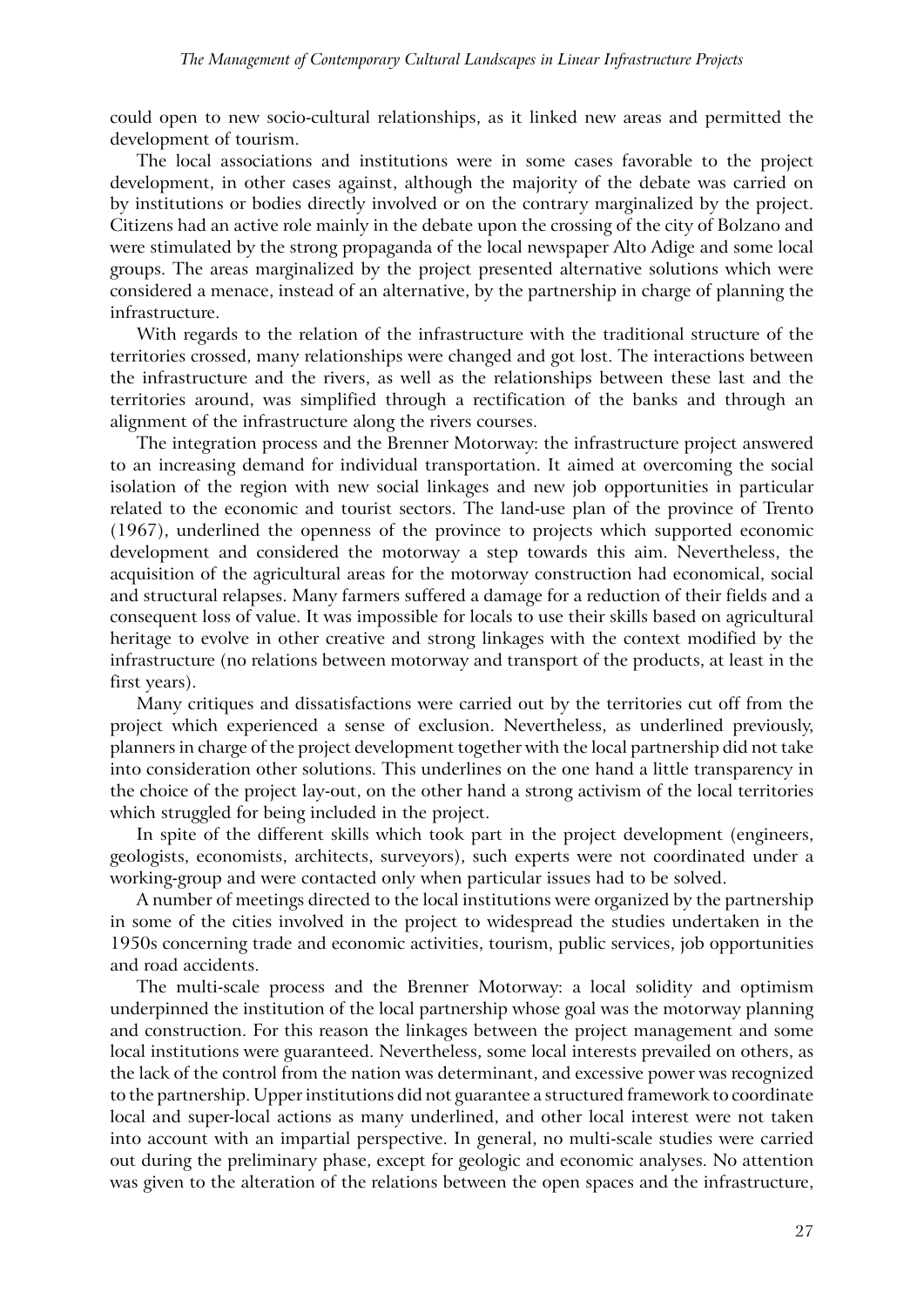could open to new socio-cultural relationships, as it linked new areas and permitted the development of tourism.

The local associations and institutions were in some cases favorable to the project development, in other cases against, although the majority of the debate was carried on by institutions or bodies directly involved or on the contrary marginalized by the project. Citizens had an active role mainly in the debate upon the crossing of the city of Bolzano and were stimulated by the strong propaganda of the local newspaper Alto Adige and some local groups. The areas marginalized by the project presented alternative solutions which were considered a menace, instead of an alternative, by the partnership in charge of planning the infrastructure.

With regards to the relation of the infrastructure with the traditional structure of the territories crossed, many relationships were changed and got lost. The interactions between the infrastructure and the rivers, as well as the relationships between these last and the territories around, was simplified through a rectification of the banks and through an alignment of the infrastructure along the rivers courses.

The integration process and the Brenner Motorway: the infrastructure project answered to an increasing demand for individual transportation. It aimed at overcoming the social isolation of the region with new social linkages and new job opportunities in particular related to the economic and tourist sectors. The land-use plan of the province of Trento (1967), underlined the openness of the province to projects which supported economic development and considered the motorway a step towards this aim. Nevertheless, the acquisition of the agricultural areas for the motorway construction had economical, social and structural relapses. Many farmers suffered a damage for a reduction of their fields and a consequent loss of value. It was impossible for locals to use their skills based on agricultural heritage to evolve in other creative and strong linkages with the context modified by the infrastructure (no relations between motorway and transport of the products, at least in the first years).

Many critiques and dissatisfactions were carried out by the territories cut off from the project which experienced a sense of exclusion. Nevertheless, as underlined previously, planners in charge of the project development together with the local partnership did not take into consideration other solutions. This underlines on the one hand a little transparency in the choice of the project lay-out, on the other hand a strong activism of the local territories which struggled for being included in the project.

In spite of the different skills which took part in the project development (engineers, geologists, economists, architects, surveyors), such experts were not coordinated under a working-group and were contacted only when particular issues had to be solved.

A number of meetings directed to the local institutions were organized by the partnership in some of the cities involved in the project to widespread the studies undertaken in the 1950s concerning trade and economic activities, tourism, public services, job opportunities and road accidents.

The multi-scale process and the Brenner Motorway: a local solidity and optimism underpinned the institution of the local partnership whose goal was the motorway planning and construction. For this reason the linkages between the project management and some local institutions were guaranteed. Nevertheless, some local interests prevailed on others, as the lack of the control from the nation was determinant, and excessive power was recognized to the partnership. Upper institutions did not guarantee a structured framework to coordinate local and super-local actions as many underlined, and other local interest were not taken into account with an impartial perspective. In general, no multi-scale studies were carried out during the preliminary phase, except for geologic and economic analyses. No attention was given to the alteration of the relations between the open spaces and the infrastructure,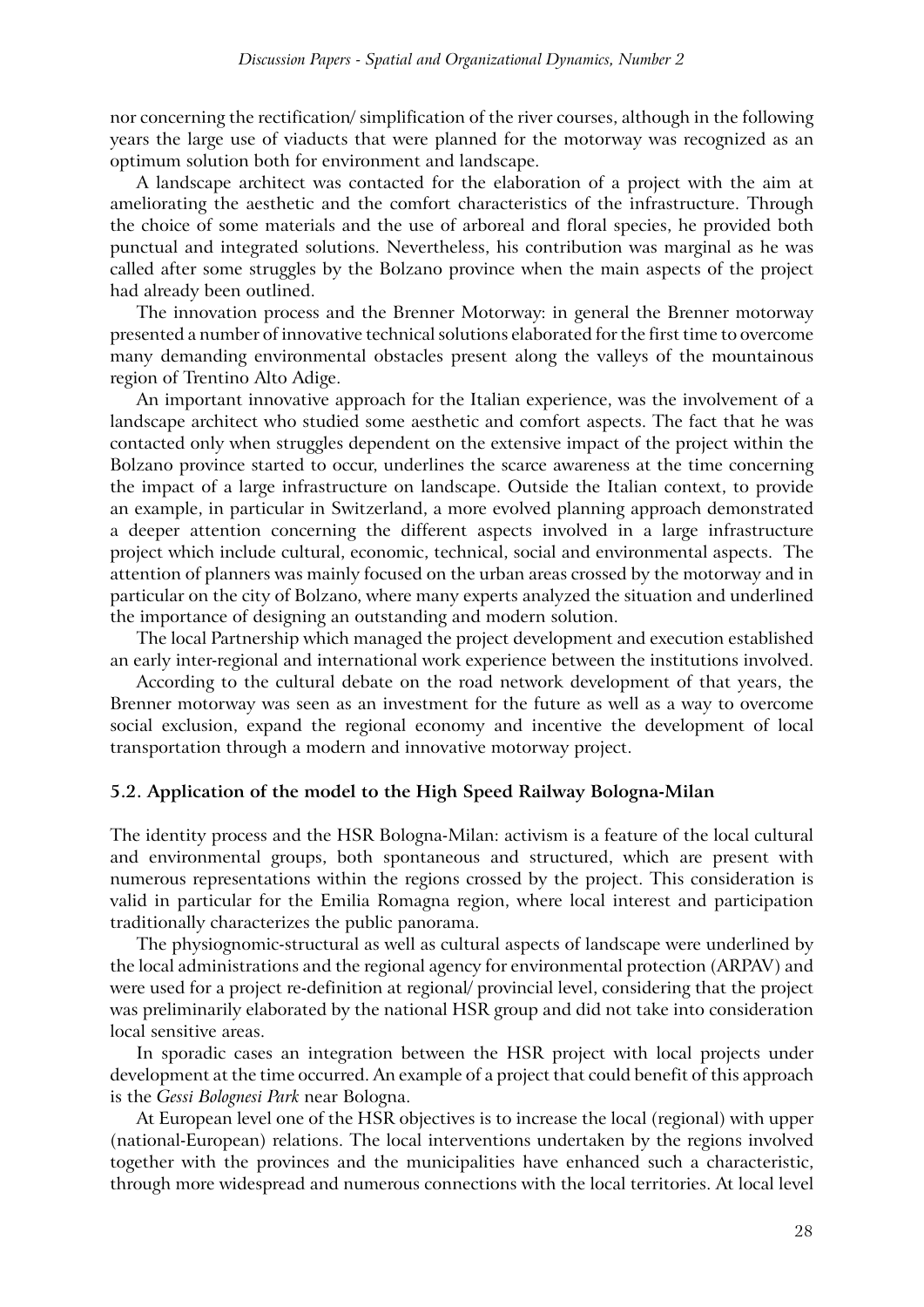nor concerning the rectification/ simplification of the river courses, although in the following years the large use of viaducts that were planned for the motorway was recognized as an optimum solution both for environment and landscape.

A landscape architect was contacted for the elaboration of a project with the aim at ameliorating the aesthetic and the comfort characteristics of the infrastructure. Through the choice of some materials and the use of arboreal and floral species, he provided both punctual and integrated solutions. Nevertheless, his contribution was marginal as he was called after some struggles by the Bolzano province when the main aspects of the project had already been outlined.

The innovation process and the Brenner Motorway: in general the Brenner motorway presented a number of innovative technical solutions elaborated for the first time to overcome many demanding environmental obstacles present along the valleys of the mountainous region of Trentino Alto Adige.

An important innovative approach for the Italian experience, was the involvement of a landscape architect who studied some aesthetic and comfort aspects. The fact that he was contacted only when struggles dependent on the extensive impact of the project within the Bolzano province started to occur, underlines the scarce awareness at the time concerning the impact of a large infrastructure on landscape. Outside the Italian context, to provide an example, in particular in Switzerland, a more evolved planning approach demonstrated a deeper attention concerning the different aspects involved in a large infrastructure project which include cultural, economic, technical, social and environmental aspects. The attention of planners was mainly focused on the urban areas crossed by the motorway and in particular on the city of Bolzano, where many experts analyzed the situation and underlined the importance of designing an outstanding and modern solution.

The local Partnership which managed the project development and execution established an early inter-regional and international work experience between the institutions involved.

According to the cultural debate on the road network development of that years, the Brenner motorway was seen as an investment for the future as well as a way to overcome social exclusion, expand the regional economy and incentive the development of local transportation through a modern and innovative motorway project.

#### **5.2. Application of the model to the High Speed Railway Bologna-Milan**

The identity process and the HSR Bologna-Milan: activism is a feature of the local cultural and environmental groups, both spontaneous and structured, which are present with numerous representations within the regions crossed by the project. This consideration is valid in particular for the Emilia Romagna region, where local interest and participation traditionally characterizes the public panorama.

The physiognomic-structural as well as cultural aspects of landscape were underlined by the local administrations and the regional agency for environmental protection (ARPAV) and were used for a project re-definition at regional/ provincial level, considering that the project was preliminarily elaborated by the national HSR group and did not take into consideration local sensitive areas.

In sporadic cases an integration between the HSR project with local projects under development at the time occurred. An example of a project that could benefit of this approach is the *Gessi Bolognesi Park* near Bologna.

At European level one of the HSR objectives is to increase the local (regional) with upper (national-European) relations. The local interventions undertaken by the regions involved together with the provinces and the municipalities have enhanced such a characteristic, through more widespread and numerous connections with the local territories. At local level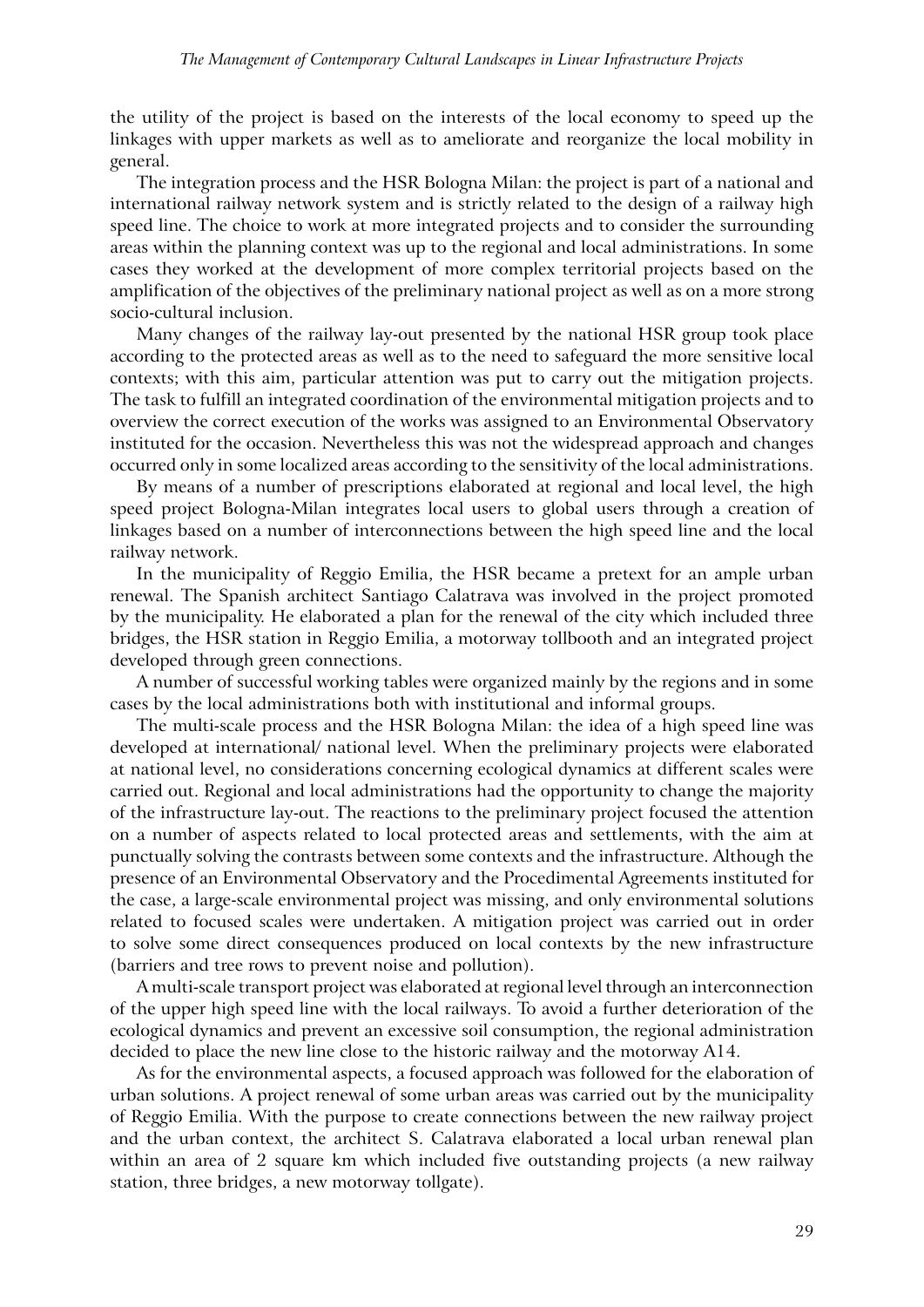the utility of the project is based on the interests of the local economy to speed up the linkages with upper markets as well as to ameliorate and reorganize the local mobility in general.

The integration process and the HSR Bologna Milan: the project is part of a national and international railway network system and is strictly related to the design of a railway high speed line. The choice to work at more integrated projects and to consider the surrounding areas within the planning context was up to the regional and local administrations. In some cases they worked at the development of more complex territorial projects based on the amplification of the objectives of the preliminary national project as well as on a more strong socio-cultural inclusion.

Many changes of the railway lay-out presented by the national HSR group took place according to the protected areas as well as to the need to safeguard the more sensitive local contexts; with this aim, particular attention was put to carry out the mitigation projects. The task to fulfill an integrated coordination of the environmental mitigation projects and to overview the correct execution of the works was assigned to an Environmental Observatory instituted for the occasion. Nevertheless this was not the widespread approach and changes occurred only in some localized areas according to the sensitivity of the local administrations.

By means of a number of prescriptions elaborated at regional and local level, the high speed project Bologna-Milan integrates local users to global users through a creation of linkages based on a number of interconnections between the high speed line and the local railway network.

In the municipality of Reggio Emilia, the HSR became a pretext for an ample urban renewal. The Spanish architect Santiago Calatrava was involved in the project promoted by the municipality. He elaborated a plan for the renewal of the city which included three bridges, the HSR station in Reggio Emilia, a motorway tollbooth and an integrated project developed through green connections.

A number of successful working tables were organized mainly by the regions and in some cases by the local administrations both with institutional and informal groups.

The multi-scale process and the HSR Bologna Milan: the idea of a high speed line was developed at international/ national level. When the preliminary projects were elaborated at national level, no considerations concerning ecological dynamics at different scales were carried out. Regional and local administrations had the opportunity to change the majority of the infrastructure lay-out. The reactions to the preliminary project focused the attention on a number of aspects related to local protected areas and settlements, with the aim at punctually solving the contrasts between some contexts and the infrastructure. Although the presence of an Environmental Observatory and the Procedimental Agreements instituted for the case, a large-scale environmental project was missing, and only environmental solutions related to focused scales were undertaken. A mitigation project was carried out in order to solve some direct consequences produced on local contexts by the new infrastructure (barriers and tree rows to prevent noise and pollution).

A multi-scale transport project was elaborated at regional level through an interconnection of the upper high speed line with the local railways. To avoid a further deterioration of the ecological dynamics and prevent an excessive soil consumption, the regional administration decided to place the new line close to the historic railway and the motorway A14.

As for the environmental aspects, a focused approach was followed for the elaboration of urban solutions. A project renewal of some urban areas was carried out by the municipality of Reggio Emilia. With the purpose to create connections between the new railway project and the urban context, the architect S. Calatrava elaborated a local urban renewal plan within an area of 2 square km which included five outstanding projects (a new railway station, three bridges, a new motorway tollgate).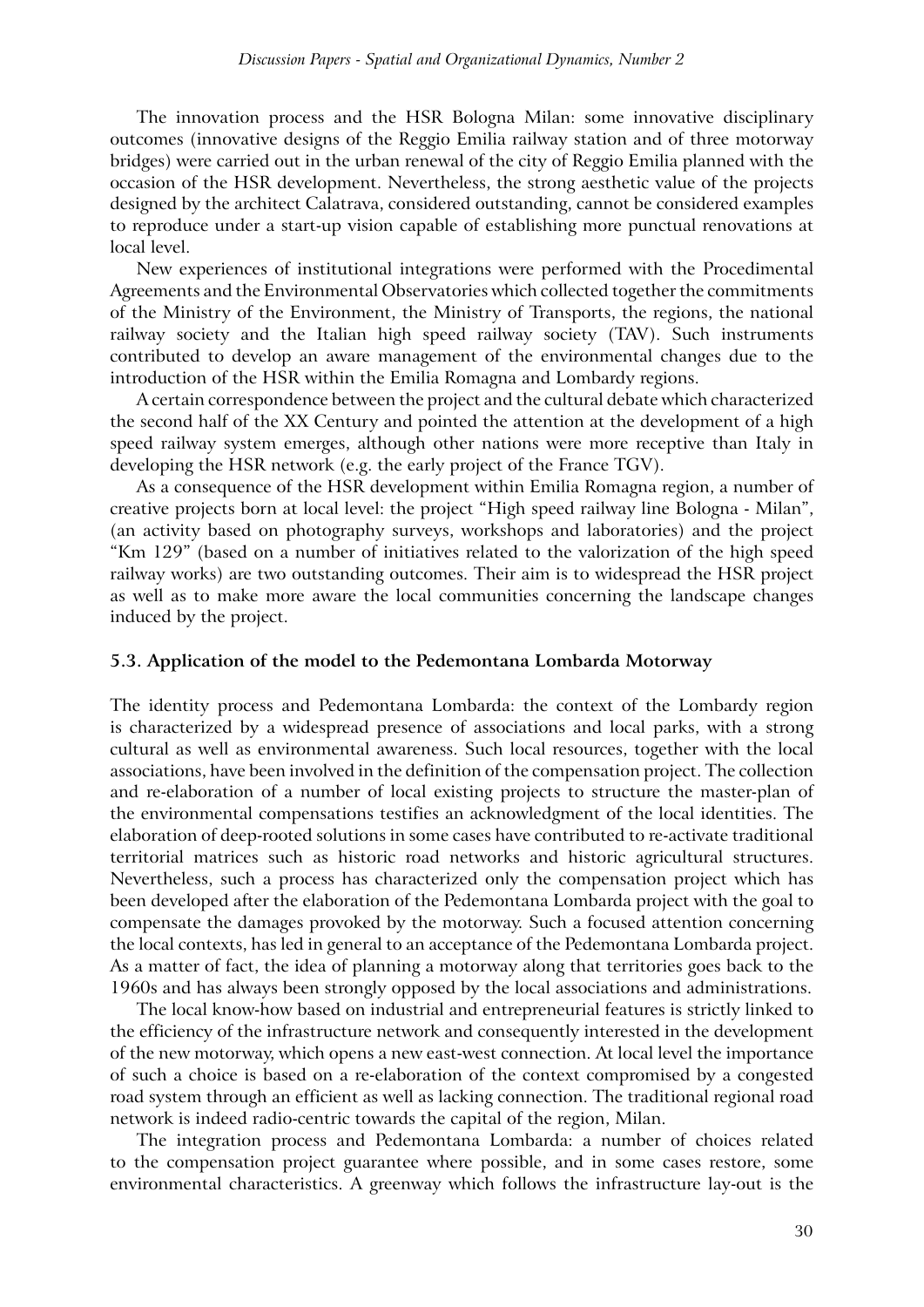The innovation process and the HSR Bologna Milan: some innovative disciplinary outcomes (innovative designs of the Reggio Emilia railway station and of three motorway bridges) were carried out in the urban renewal of the city of Reggio Emilia planned with the occasion of the HSR development. Nevertheless, the strong aesthetic value of the projects designed by the architect Calatrava, considered outstanding, cannot be considered examples to reproduce under a start-up vision capable of establishing more punctual renovations at local level.

New experiences of institutional integrations were performed with the Procedimental Agreements and the Environmental Observatories which collected together the commitments of the Ministry of the Environment, the Ministry of Transports, the regions, the national railway society and the Italian high speed railway society (TAV). Such instruments contributed to develop an aware management of the environmental changes due to the introduction of the HSR within the Emilia Romagna and Lombardy regions.

A certain correspondence between the project and the cultural debate which characterized the second half of the XX Century and pointed the attention at the development of a high speed railway system emerges, although other nations were more receptive than Italy in developing the HSR network (e.g. the early project of the France TGV).

As a consequence of the HSR development within Emilia Romagna region, a number of creative projects born at local level: the project "High speed railway line Bologna - Milan", (an activity based on photography surveys, workshops and laboratories) and the project "Km 129" (based on a number of initiatives related to the valorization of the high speed railway works) are two outstanding outcomes. Their aim is to widespread the HSR project as well as to make more aware the local communities concerning the landscape changes induced by the project.

#### **5.3. Application of the model to the Pedemontana Lombarda Motorway**

The identity process and Pedemontana Lombarda: the context of the Lombardy region is characterized by a widespread presence of associations and local parks, with a strong cultural as well as environmental awareness. Such local resources, together with the local associations, have been involved in the definition of the compensation project. The collection and re-elaboration of a number of local existing projects to structure the master-plan of the environmental compensations testifies an acknowledgment of the local identities. The elaboration of deep-rooted solutions in some cases have contributed to re-activate traditional territorial matrices such as historic road networks and historic agricultural structures. Nevertheless, such a process has characterized only the compensation project which has been developed after the elaboration of the Pedemontana Lombarda project with the goal to compensate the damages provoked by the motorway. Such a focused attention concerning the local contexts, has led in general to an acceptance of the Pedemontana Lombarda project. As a matter of fact, the idea of planning a motorway along that territories goes back to the 1960s and has always been strongly opposed by the local associations and administrations.

The local know-how based on industrial and entrepreneurial features is strictly linked to the efficiency of the infrastructure network and consequently interested in the development of the new motorway, which opens a new east-west connection. At local level the importance of such a choice is based on a re-elaboration of the context compromised by a congested road system through an efficient as well as lacking connection. The traditional regional road network is indeed radio-centric towards the capital of the region, Milan.

The integration process and Pedemontana Lombarda: a number of choices related to the compensation project guarantee where possible, and in some cases restore, some environmental characteristics. A greenway which follows the infrastructure lay-out is the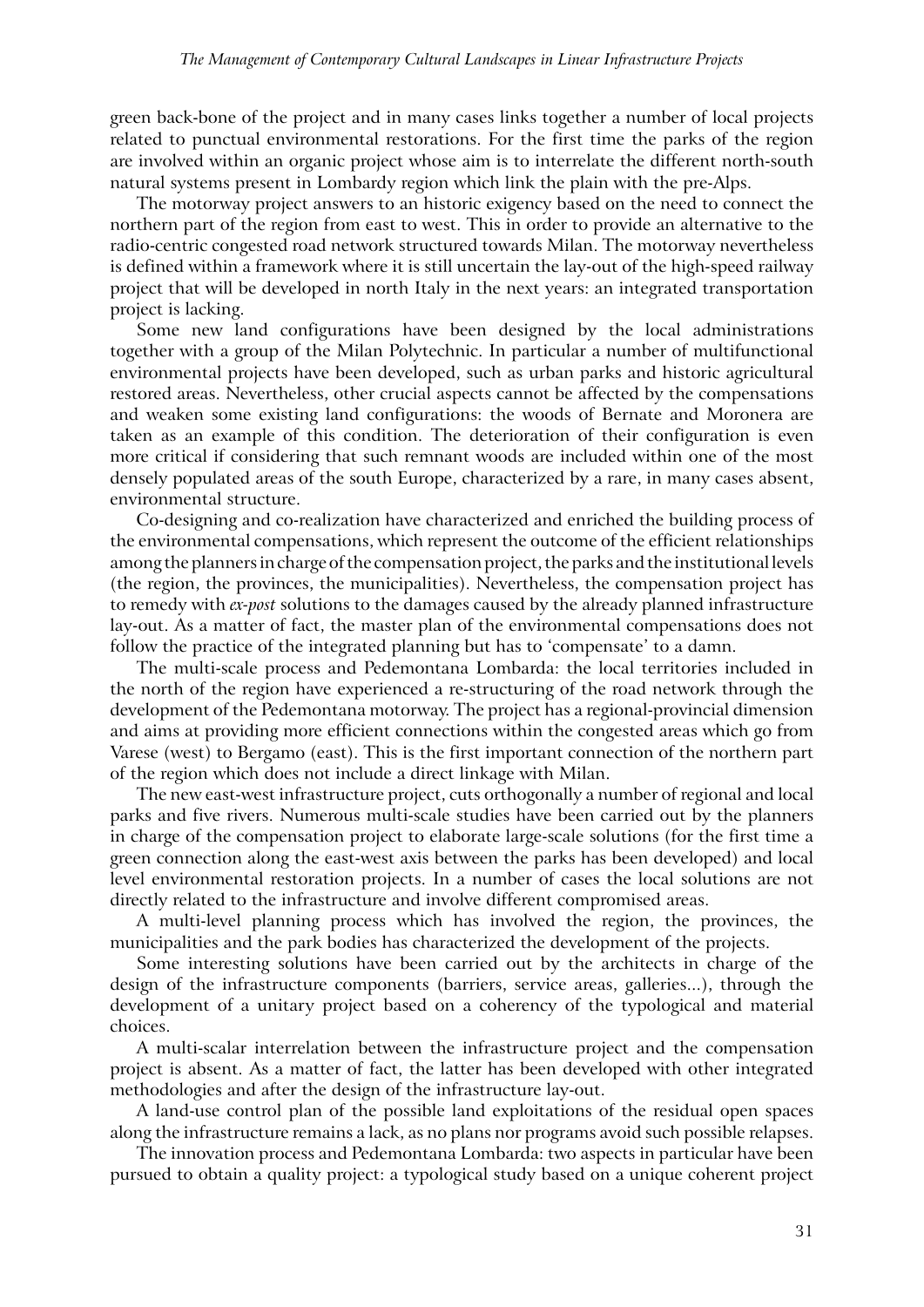green back-bone of the project and in many cases links together a number of local projects related to punctual environmental restorations. For the first time the parks of the region are involved within an organic project whose aim is to interrelate the different north-south natural systems present in Lombardy region which link the plain with the pre-Alps.

The motorway project answers to an historic exigency based on the need to connect the northern part of the region from east to west. This in order to provide an alternative to the radio-centric congested road network structured towards Milan. The motorway nevertheless is defined within a framework where it is still uncertain the lay-out of the high-speed railway project that will be developed in north Italy in the next years: an integrated transportation project is lacking.

Some new land configurations have been designed by the local administrations together with a group of the Milan Polytechnic. In particular a number of multifunctional environmental projects have been developed, such as urban parks and historic agricultural restored areas. Nevertheless, other crucial aspects cannot be affected by the compensations and weaken some existing land configurations: the woods of Bernate and Moronera are taken as an example of this condition. The deterioration of their configuration is even more critical if considering that such remnant woods are included within one of the most densely populated areas of the south Europe, characterized by a rare, in many cases absent, environmental structure.

Co-designing and co-realization have characterized and enriched the building process of the environmental compensations, which represent the outcome of the efficient relationships among the planners in charge of the compensation project, the parks and the institutional levels (the region, the provinces, the municipalities). Nevertheless, the compensation project has to remedy with *ex-post* solutions to the damages caused by the already planned infrastructure lay-out. As a matter of fact, the master plan of the environmental compensations does not follow the practice of the integrated planning but has to 'compensate' to a damn.

The multi-scale process and Pedemontana Lombarda: the local territories included in the north of the region have experienced a re-structuring of the road network through the development of the Pedemontana motorway. The project has a regional-provincial dimension and aims at providing more efficient connections within the congested areas which go from Varese (west) to Bergamo (east). This is the first important connection of the northern part of the region which does not include a direct linkage with Milan.

The new east-west infrastructure project, cuts orthogonally a number of regional and local parks and five rivers. Numerous multi-scale studies have been carried out by the planners in charge of the compensation project to elaborate large-scale solutions (for the first time a green connection along the east-west axis between the parks has been developed) and local level environmental restoration projects. In a number of cases the local solutions are not directly related to the infrastructure and involve different compromised areas.

A multi-level planning process which has involved the region, the provinces, the municipalities and the park bodies has characterized the development of the projects.

Some interesting solutions have been carried out by the architects in charge of the design of the infrastructure components (barriers, service areas, galleries...), through the development of a unitary project based on a coherency of the typological and material choices.

A multi-scalar interrelation between the infrastructure project and the compensation project is absent. As a matter of fact, the latter has been developed with other integrated methodologies and after the design of the infrastructure lay-out.

A land-use control plan of the possible land exploitations of the residual open spaces along the infrastructure remains a lack, as no plans nor programs avoid such possible relapses.

The innovation process and Pedemontana Lombarda: two aspects in particular have been pursued to obtain a quality project: a typological study based on a unique coherent project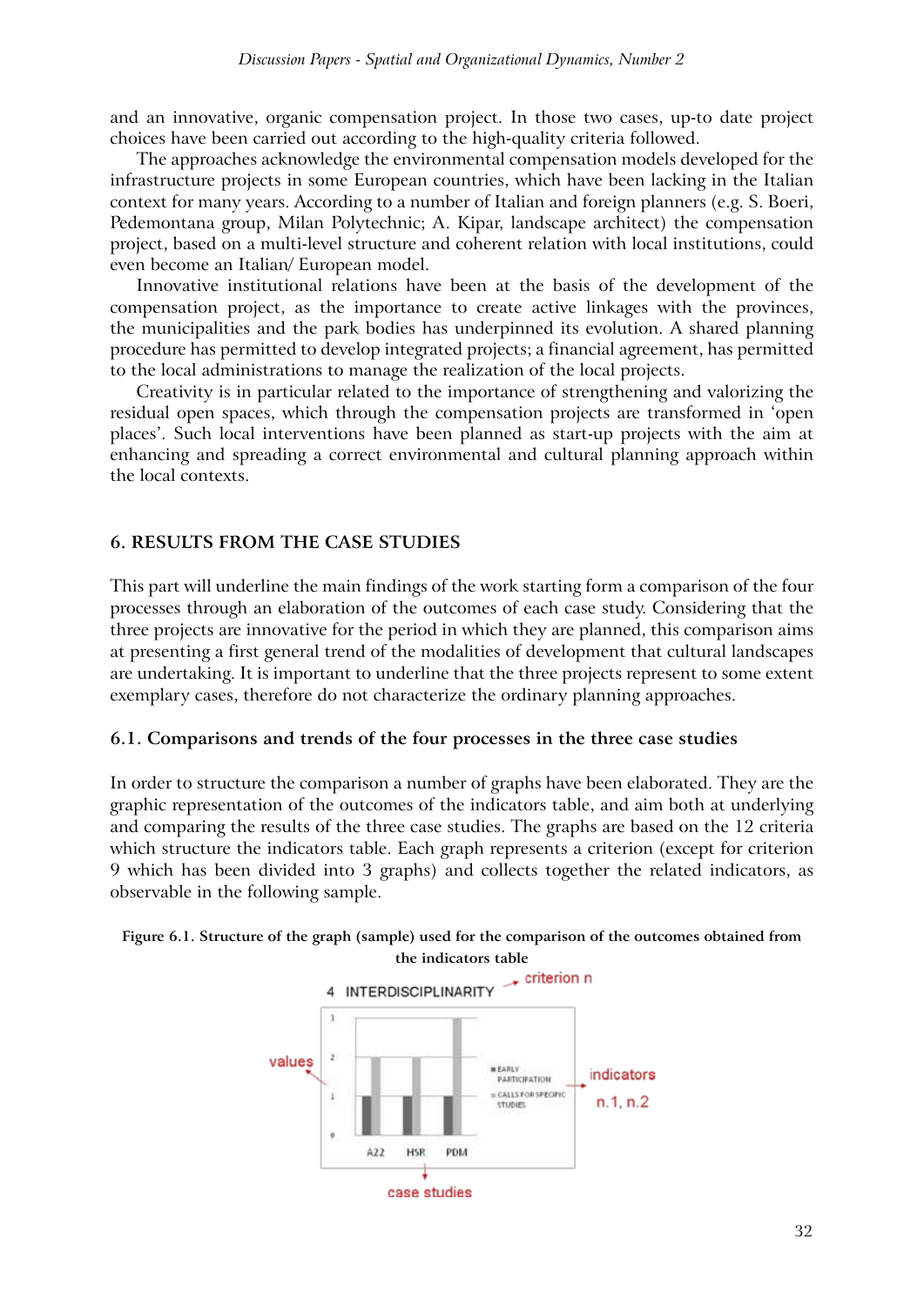and an innovative, organic compensation project. In those two cases, up-to date project choices have been carried out according to the high-quality criteria followed.

The approaches acknowledge the environmental compensation models developed for the infrastructure projects in some European countries, which have been lacking in the Italian context for many years. According to a number of Italian and foreign planners (e.g. S. Boeri, Pedemontana group, Milan Polytechnic; A. Kipar, landscape architect) the compensation project, based on a multi-level structure and coherent relation with local institutions, could even become an Italian/ European model.

Innovative institutional relations have been at the basis of the development of the compensation project, as the importance to create active linkages with the provinces, the municipalities and the park bodies has underpinned its evolution. A shared planning procedure has permitted to develop integrated projects; a financial agreement, has permitted to the local administrations to manage the realization of the local projects.

Creativity is in particular related to the importance of strengthening and valorizing the residual open spaces, which through the compensation projects are transformed in 'open places'. Such local interventions have been planned as start-up projects with the aim at enhancing and spreading a correct environmental and cultural planning approach within the local contexts.

# **6. Results from the case studies**

This part will underline the main findings of the work starting form a comparison of the four processes through an elaboration of the outcomes of each case study. Considering that the three projects are innovative for the period in which they are planned, this comparison aims at presenting a first general trend of the modalities of development that cultural landscapes are undertaking. It is important to underline that the three projects represent to some extent exemplary cases, therefore do not characterize the ordinary planning approaches.

# **6.1. Comparisons and trends of the four processes in the three case studies**

In order to structure the comparison a number of graphs have been elaborated. They are the graphic representation of the outcomes of the indicators table, and aim both at underlying and comparing the results of the three case studies. The graphs are based on the 12 criteria which structure the indicators table. Each graph represents a criterion (except for criterion 9 which has been divided into 3 graphs) and collects together the related indicators, as observable in the following sample.



#### **Figure 6.1. Structure of the graph (sample) used for the comparison of the outcomes obtained from the indicators table**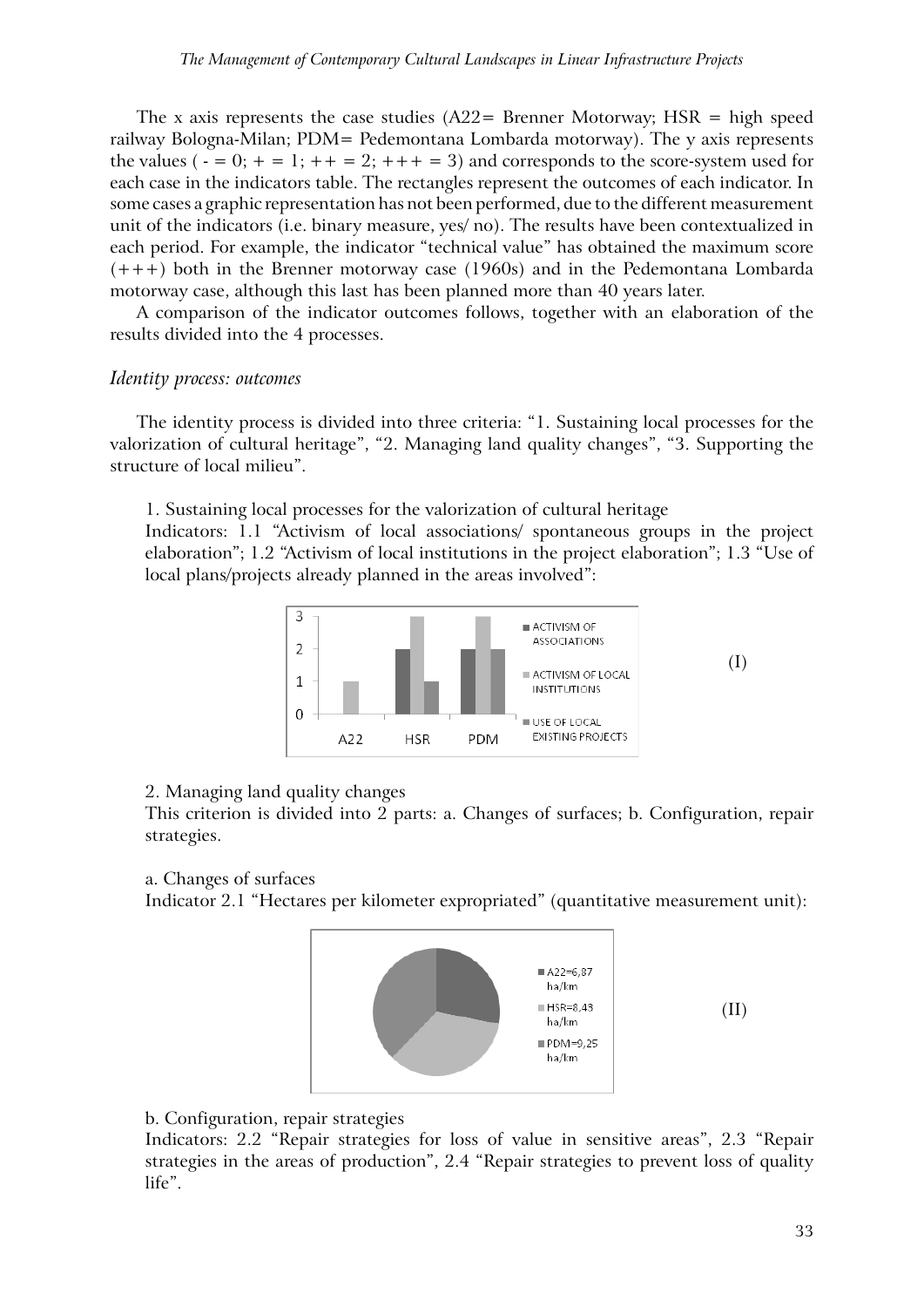The x axis represents the case studies  $(A22=$  Brenner Motorway; HSR = high speed railway Bologna-Milan; PDM= Pedemontana Lombarda motorway). The y axis represents the values ( $- = 0$ ;  $+ = 1$ ;  $+ = 2$ ;  $+ + = 3$ ) and corresponds to the score-system used for each case in the indicators table. The rectangles represent the outcomes of each indicator. In some cases a graphic representation has not been performed, due to the different measurement unit of the indicators (i.e. binary measure, yes/ no). The results have been contextualized in each period. For example, the indicator "technical value" has obtained the maximum score  $(+++)$  both in the Brenner motorway case (1960s) and in the Pedemontana Lombarda motorway case, although this last has been planned more than 40 years later.

A comparison of the indicator outcomes follows, together with an elaboration of the results divided into the 4 processes.

# *Identity process: outcomes*

The identity process is divided into three criteria: "1. Sustaining local processes for the valorization of cultural heritage", "2. Managing land quality changes", "3. Supporting the structure of local milieu".

1. Sustaining local processes for the valorization of cultural heritage

Indicators: 1.1 "Activism of local associations/ spontaneous groups in the project elaboration"; 1.2 "Activism of local institutions in the project elaboration"; 1.3 "Use of local plans/projects already planned in the areas involved":



#### 2. Managing land quality changes

This criterion is divided into 2 parts: a. Changes of surfaces; b. Configuration, repair strategies.

#### a. Changes of surfaces

Indicator 2.1 "Hectares per kilometer expropriated" (quantitative measurement unit):



(II)

# b. Configuration, repair strategies

Indicators: 2.2 "Repair strategies for loss of value in sensitive areas", 2.3 "Repair strategies in the areas of production", 2.4 "Repair strategies to prevent loss of quality life".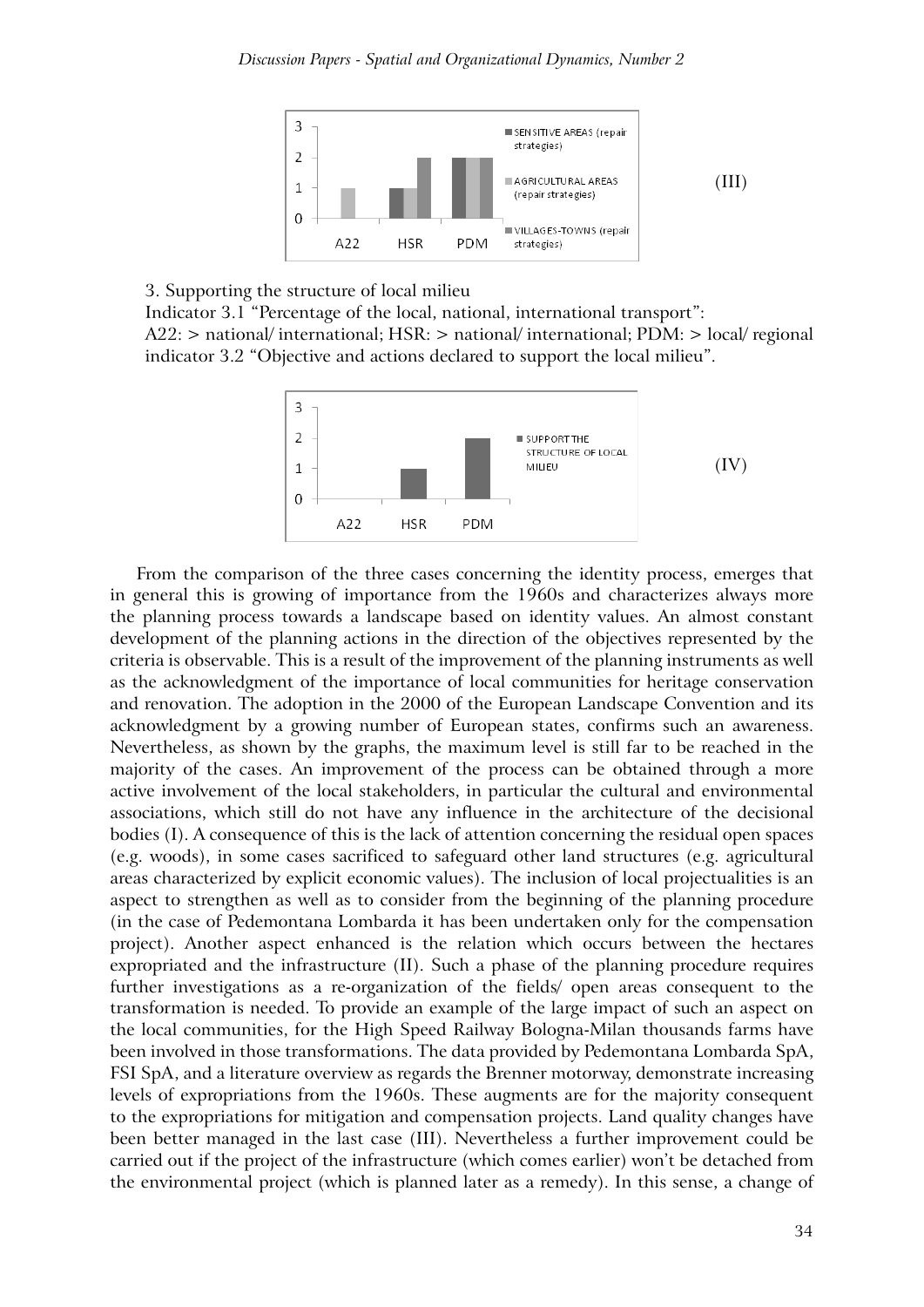

#### 3. Supporting the structure of local milieu

Indicator 3.1 "Percentage of the local, national, international transport": A22: > national/ international; HSR: > national/ international; PDM: > local/ regional indicator 3.2 "Objective and actions declared to support the local milieu".



From the comparison of the three cases concerning the identity process, emerges that in general this is growing of importance from the 1960s and characterizes always more the planning process towards a landscape based on identity values. An almost constant development of the planning actions in the direction of the objectives represented by the criteria is observable. This is a result of the improvement of the planning instruments as well as the acknowledgment of the importance of local communities for heritage conservation and renovation. The adoption in the 2000 of the European Landscape Convention and its acknowledgment by a growing number of European states, confirms such an awareness. Nevertheless, as shown by the graphs, the maximum level is still far to be reached in the majority of the cases. An improvement of the process can be obtained through a more active involvement of the local stakeholders, in particular the cultural and environmental associations, which still do not have any influence in the architecture of the decisional bodies (I). A consequence of this is the lack of attention concerning the residual open spaces (e.g. woods), in some cases sacrificed to safeguard other land structures (e.g. agricultural areas characterized by explicit economic values). The inclusion of local projectualities is an aspect to strengthen as well as to consider from the beginning of the planning procedure (in the case of Pedemontana Lombarda it has been undertaken only for the compensation project). Another aspect enhanced is the relation which occurs between the hectares expropriated and the infrastructure (II). Such a phase of the planning procedure requires further investigations as a re-organization of the fields/ open areas consequent to the transformation is needed. To provide an example of the large impact of such an aspect on the local communities, for the High Speed Railway Bologna-Milan thousands farms have been involved in those transformations. The data provided by Pedemontana Lombarda SpA, FSI SpA, and a literature overview as regards the Brenner motorway, demonstrate increasing levels of expropriations from the 1960s. These augments are for the majority consequent to the expropriations for mitigation and compensation projects. Land quality changes have been better managed in the last case (III). Nevertheless a further improvement could be carried out if the project of the infrastructure (which comes earlier) won't be detached from the environmental project (which is planned later as a remedy). In this sense, a change of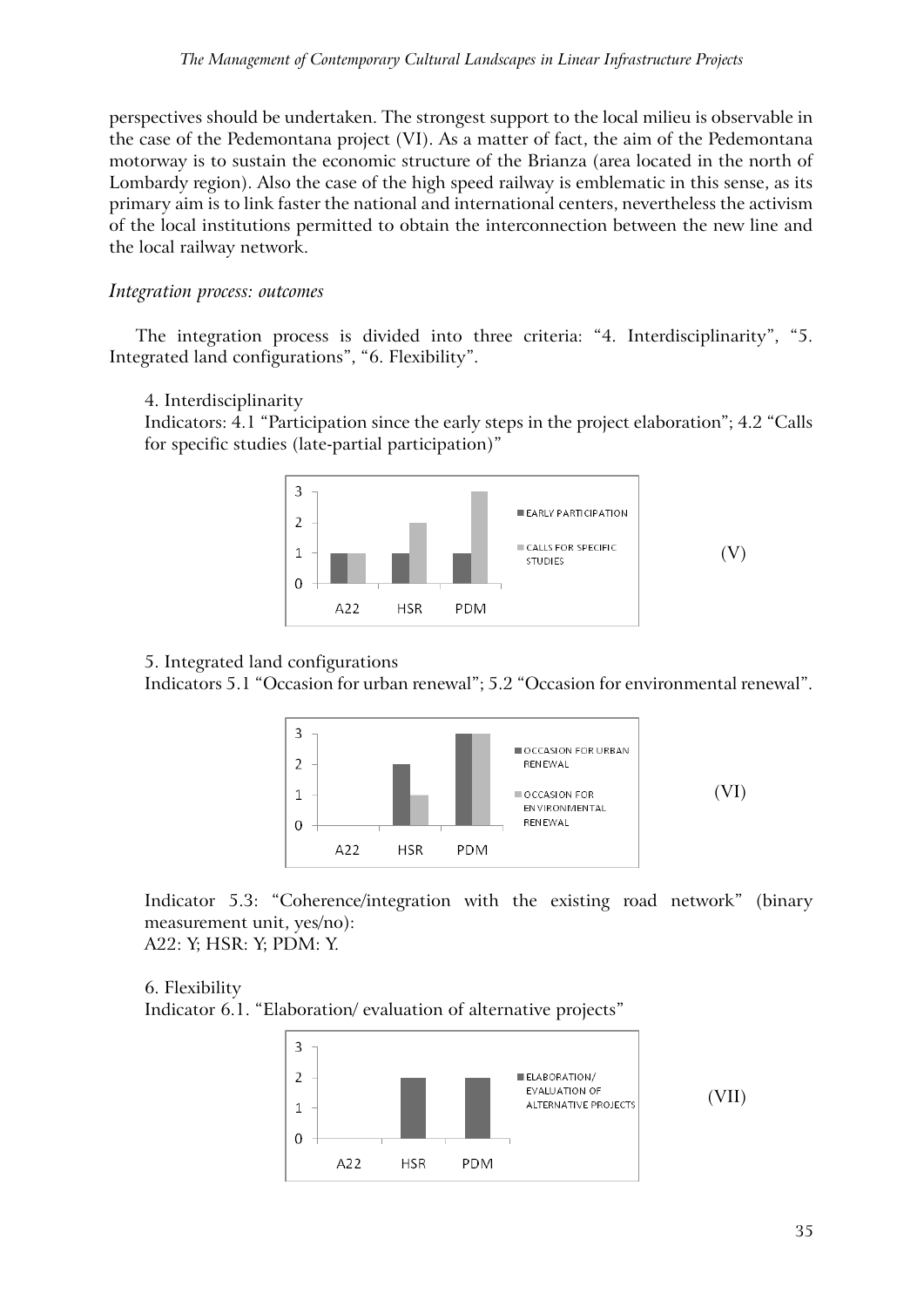perspectives should be undertaken. The strongest support to the local milieu is observable in the case of the Pedemontana project (VI). As a matter of fact, the aim of the Pedemontana motorway is to sustain the economic structure of the Brianza (area located in the north of Lombardy region). Also the case of the high speed railway is emblematic in this sense, as its primary aim is to link faster the national and international centers, nevertheless the activism of the local institutions permitted to obtain the interconnection between the new line and the local railway network.

# *Integration process: outcomes*

The integration process is divided into three criteria: "4. Interdisciplinarity", "5. Integrated land configurations", "6. Flexibility".

4. Interdisciplinarity

Indicators: 4.1 "Participation since the early steps in the project elaboration"; 4.2 "Calls for specific studies (late-partial participation)"



# 5. Integrated land configurations

Indicators 5.1 "Occasion for urban renewal"; 5.2 "Occasion for environmental renewal".



Indicator 5.3: "Coherence/integration with the existing road network" (binary measurement unit, yes/no): A22: Y; HSR: Y; PDM: Y.

# 6. Flexibility

Indicator 6.1. "Elaboration/ evaluation of alternative projects"

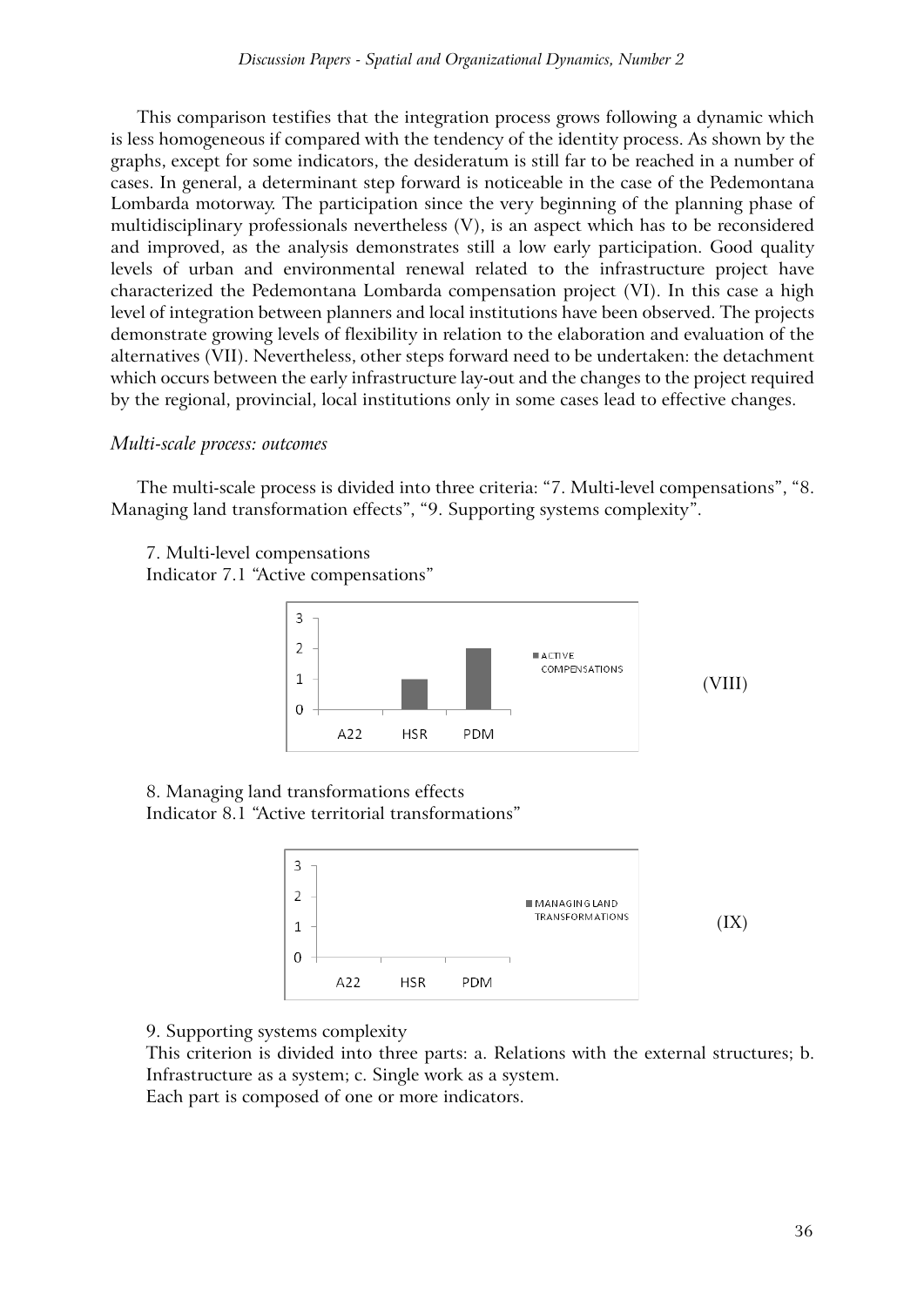This comparison testifies that the integration process grows following a dynamic which is less homogeneous if compared with the tendency of the identity process. As shown by the graphs, except for some indicators, the desideratum is still far to be reached in a number of cases. In general, a determinant step forward is noticeable in the case of the Pedemontana Lombarda motorway. The participation since the very beginning of the planning phase of multidisciplinary professionals nevertheless (V), is an aspect which has to be reconsidered and improved, as the analysis demonstrates still a low early participation. Good quality levels of urban and environmental renewal related to the infrastructure project have characterized the Pedemontana Lombarda compensation project (VI). In this case a high level of integration between planners and local institutions have been observed. The projects demonstrate growing levels of flexibility in relation to the elaboration and evaluation of the alternatives (VII). Nevertheless, other steps forward need to be undertaken: the detachment which occurs between the early infrastructure lay-out and the changes to the project required by the regional, provincial, local institutions only in some cases lead to effective changes.

## *Multi-scale process: outcomes*

The multi-scale process is divided into three criteria: "7. Multi-level compensations", "8. Managing land transformation effects", "9. Supporting systems complexity".

7. Multi-level compensations Indicator 7.1 "Active compensations"



8. Managing land transformations effects Indicator 8.1 "Active territorial transformations"



9. Supporting systems complexity

This criterion is divided into three parts: a. Relations with the external structures; b. Infrastructure as a system; c. Single work as a system. Each part is composed of one or more indicators.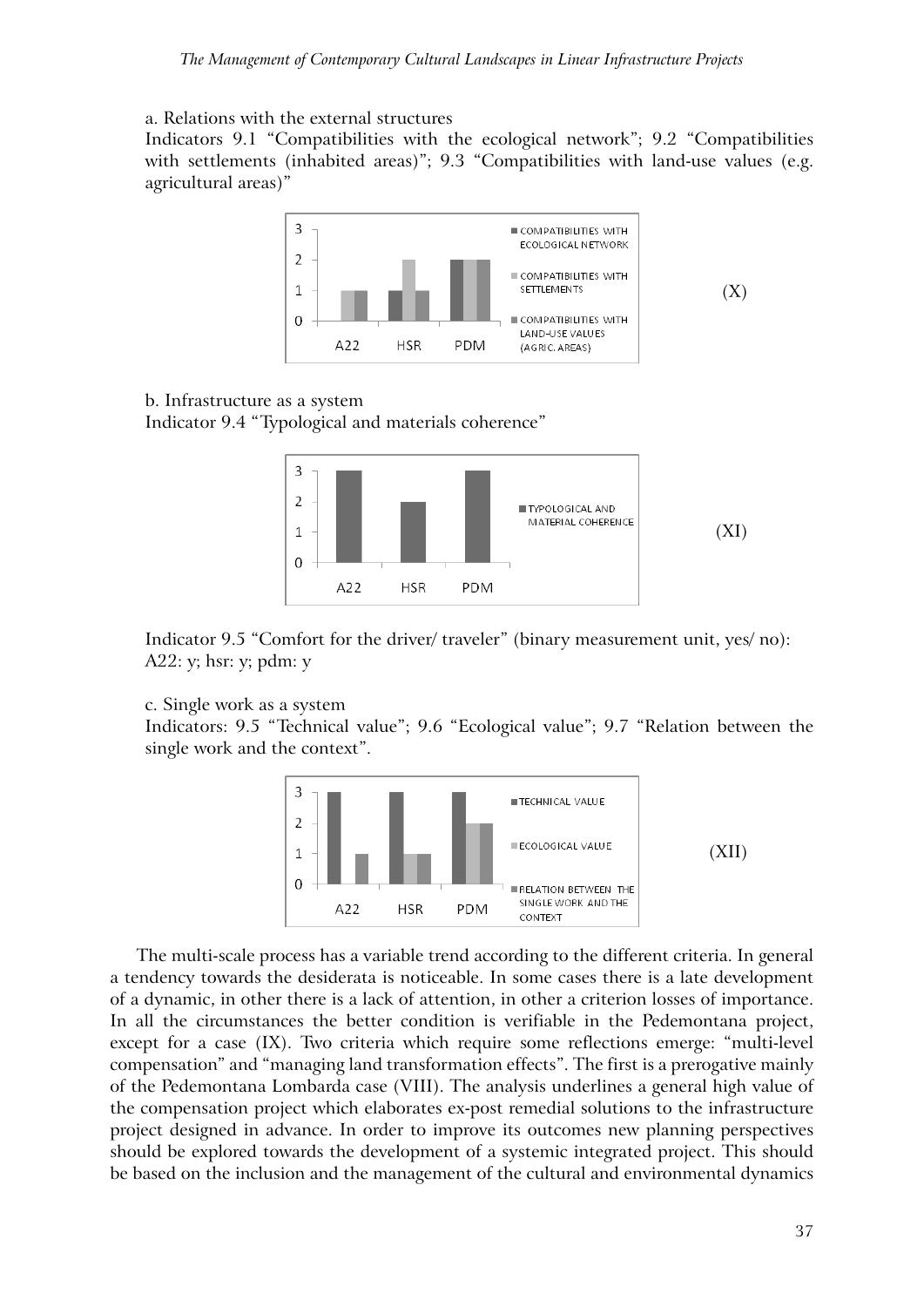#### a. Relations with the external structures

Indicators 9.1 "Compatibilities with the ecological network"; 9.2 "Compatibilities with settlements (inhabited areas)"; 9.3 "Compatibilities with land-use values (e.g. agricultural areas)"



## b. Infrastructure as a system

Indicator 9.4 "Typological and materials coherence"



Indicator 9.5 "Comfort for the driver/ traveler" (binary measurement unit, yes/ no): A22: y; hsr: y; pdm: y

#### c. Single work as a system

Indicators: 9.5 "Technical value"; 9.6 "Ecological value"; 9.7 "Relation between the single work and the context".



The multi-scale process has a variable trend according to the different criteria. In general a tendency towards the desiderata is noticeable. In some cases there is a late development of a dynamic, in other there is a lack of attention, in other a criterion losses of importance. In all the circumstances the better condition is verifiable in the Pedemontana project, except for a case (IX). Two criteria which require some reflections emerge: "multi-level compensation" and "managing land transformation effects". The first is a prerogative mainly of the Pedemontana Lombarda case (VIII). The analysis underlines a general high value of the compensation project which elaborates ex-post remedial solutions to the infrastructure project designed in advance. In order to improve its outcomes new planning perspectives should be explored towards the development of a systemic integrated project. This should be based on the inclusion and the management of the cultural and environmental dynamics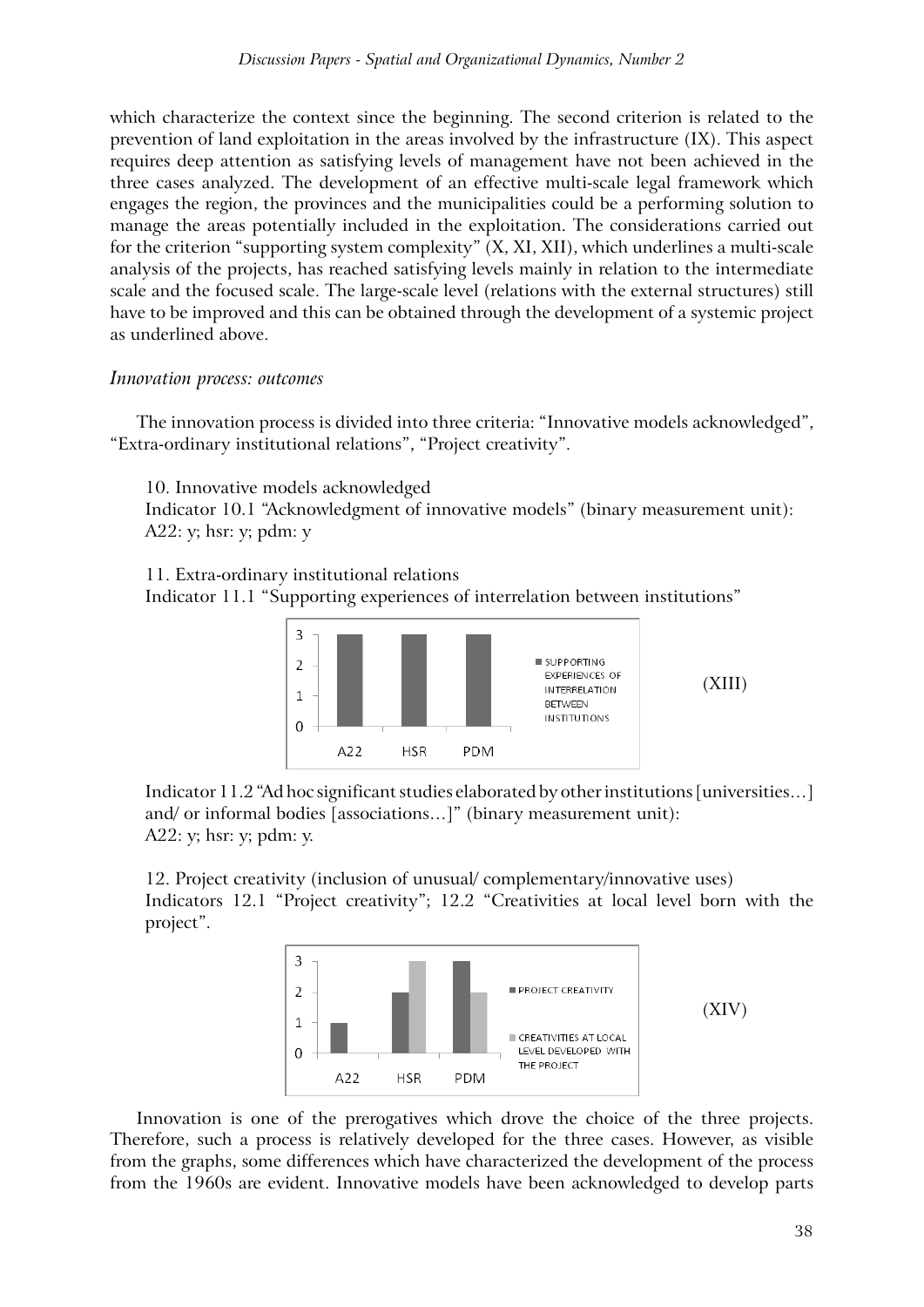which characterize the context since the beginning. The second criterion is related to the prevention of land exploitation in the areas involved by the infrastructure (IX). This aspect requires deep attention as satisfying levels of management have not been achieved in the three cases analyzed. The development of an effective multi-scale legal framework which engages the region, the provinces and the municipalities could be a performing solution to manage the areas potentially included in the exploitation. The considerations carried out for the criterion "supporting system complexity" (X, XI, XII), which underlines a multi-scale analysis of the projects, has reached satisfying levels mainly in relation to the intermediate scale and the focused scale. The large-scale level (relations with the external structures) still have to be improved and this can be obtained through the development of a systemic project as underlined above.

## *Innovation process: outcomes*

The innovation process is divided into three criteria: "Innovative models acknowledged", "Extra-ordinary institutional relations", "Project creativity".

10. Innovative models acknowledged

Indicator 10.1 "Acknowledgment of innovative models" (binary measurement unit): A22: y; hsr: y; pdm: y

11. Extra-ordinary institutional relations

Indicator 11.1 "Supporting experiences of interrelation between institutions"



Indicator 11.2 "Ad hoc significant studies elaborated by other institutions [universities…] and/ or informal bodies [associations…]" (binary measurement unit): A22: y; hsr: y; pdm: y.

12. Project creativity (inclusion of unusual/ complementary/innovative uses) Indicators 12.1 "Project creativity"; 12.2 "Creativities at local level born with the project".



Innovation is one of the prerogatives which drove the choice of the three projects. Therefore, such a process is relatively developed for the three cases. However, as visible from the graphs, some differences which have characterized the development of the process from the 1960s are evident. Innovative models have been acknowledged to develop parts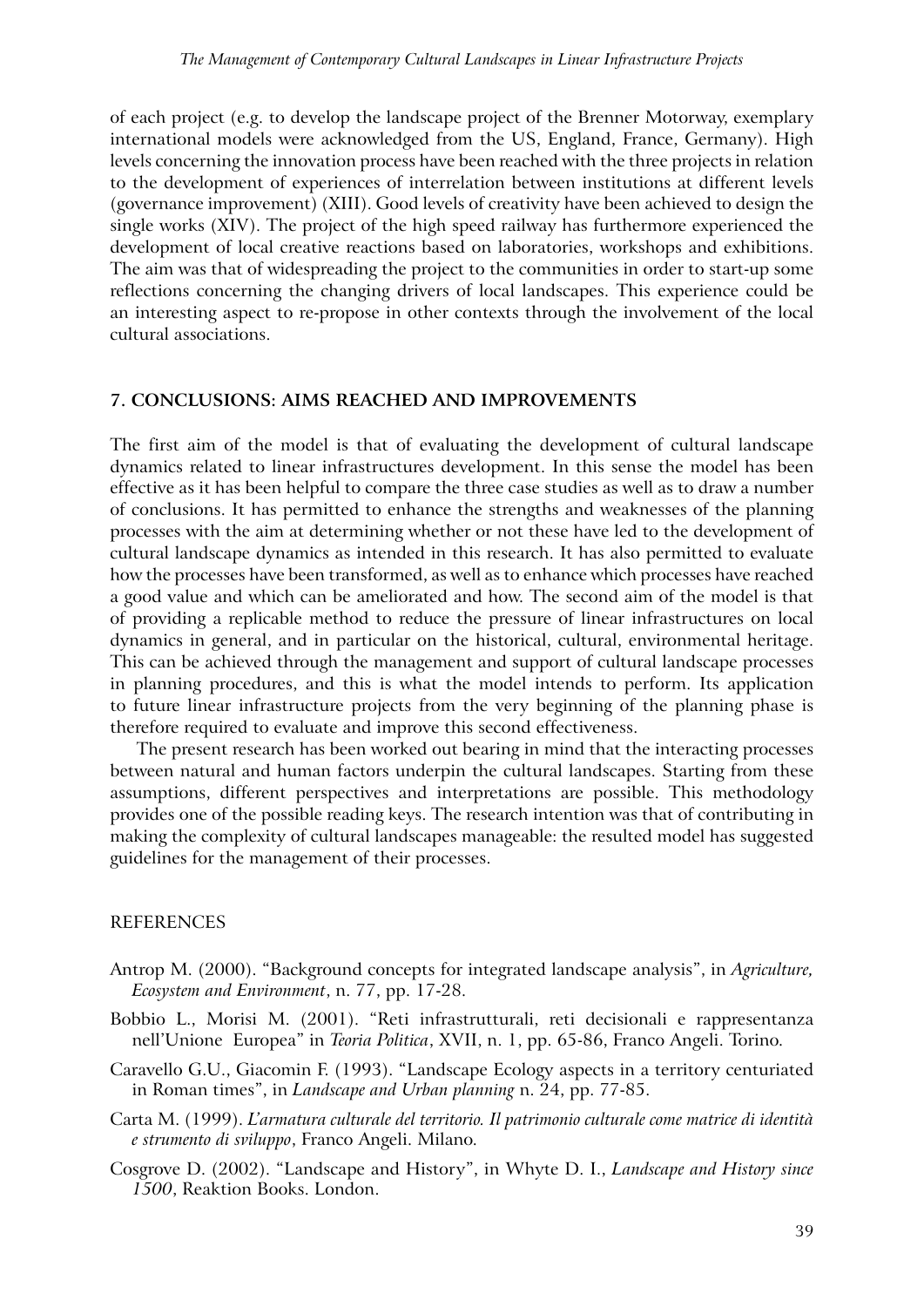of each project (e.g. to develop the landscape project of the Brenner Motorway, exemplary international models were acknowledged from the US, England, France, Germany). High levels concerning the innovation process have been reached with the three projects in relation to the development of experiences of interrelation between institutions at different levels (governance improvement) (XIII). Good levels of creativity have been achieved to design the single works (XIV). The project of the high speed railway has furthermore experienced the development of local creative reactions based on laboratories, workshops and exhibitions. The aim was that of widespreading the project to the communities in order to start-up some reflections concerning the changing drivers of local landscapes. This experience could be an interesting aspect to re-propose in other contexts through the involvement of the local cultural associations.

#### **7. Conclusions: aims reached and improvements**

The first aim of the model is that of evaluating the development of cultural landscape dynamics related to linear infrastructures development. In this sense the model has been effective as it has been helpful to compare the three case studies as well as to draw a number of conclusions. It has permitted to enhance the strengths and weaknesses of the planning processes with the aim at determining whether or not these have led to the development of cultural landscape dynamics as intended in this research. It has also permitted to evaluate how the processes have been transformed, as well as to enhance which processes have reached a good value and which can be ameliorated and how. The second aim of the model is that of providing a replicable method to reduce the pressure of linear infrastructures on local dynamics in general, and in particular on the historical, cultural, environmental heritage. This can be achieved through the management and support of cultural landscape processes in planning procedures, and this is what the model intends to perform. Its application to future linear infrastructure projects from the very beginning of the planning phase is therefore required to evaluate and improve this second effectiveness.

The present research has been worked out bearing in mind that the interacting processes between natural and human factors underpin the cultural landscapes. Starting from these assumptions, different perspectives and interpretations are possible. This methodology provides one of the possible reading keys. The research intention was that of contributing in making the complexity of cultural landscapes manageable: the resulted model has suggested guidelines for the management of their processes.

#### **REFERENCES**

- Antrop M. (2000). "Background concepts for integrated landscape analysis", in *Agriculture, Ecosystem and Environment*, n. 77, pp. 17-28.
- Bobbio L., Morisi M. (2001). "Reti infrastrutturali, reti decisionali e rappresentanza nell'Unione Europea" in *Teoria Politica*, XVII, n. 1, pp. 65-86, Franco Angeli. Torino.
- Caravello G.U., Giacomin F. (1993). "Landscape Ecology aspects in a territory centuriated in Roman times", in *Landscape and Urban planning* n. 24, pp. 77-85.
- Carta M. (1999). *L'armatura culturale del territorio. Il patrimonio culturale come matrice di identità e strumento di sviluppo*, Franco Angeli. Milano.
- Cosgrove D. (2002). "Landscape and History", in Whyte D. I., *Landscape and History since 1500*, Reaktion Books. London.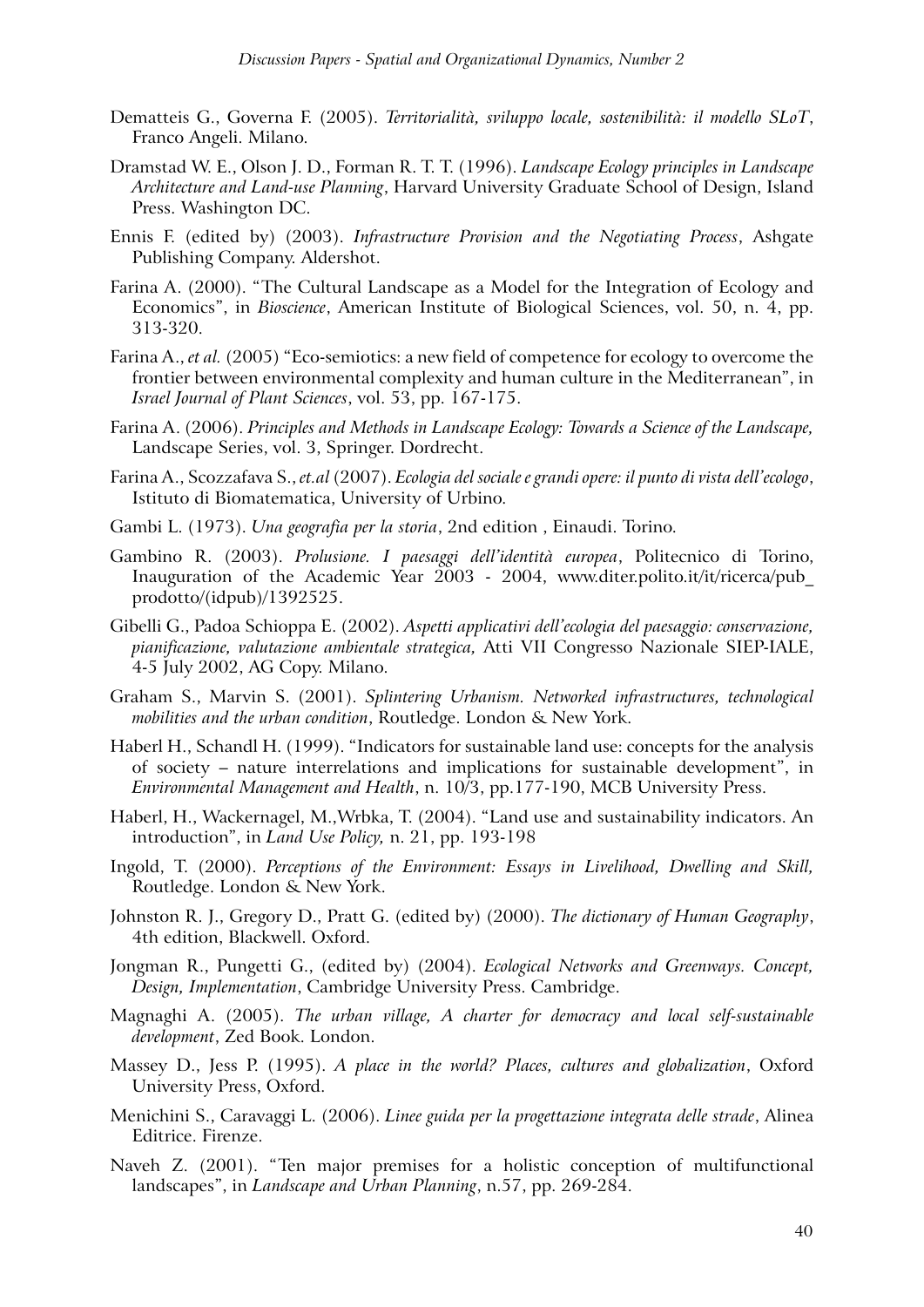- Dematteis G., Governa F. (2005). *Territorialità, sviluppo locale, sostenibilità: il modello SLoT*, Franco Angeli. Milano.
- Dramstad W. E., Olson J. D., Forman R. T. T. (1996). *Landscape Ecology principles in Landscape Architecture and Land-use Planning*, Harvard University Graduate School of Design, Island Press. Washington DC.
- Ennis F. (edited by) (2003). *Infrastructure Provision and the Negotiating Process*, Ashgate Publishing Company. Aldershot.
- Farina A. (2000). "The Cultural Landscape as a Model for the Integration of Ecology and Economics", in *Bioscience*, American Institute of Biological Sciences, vol. 50, n. 4, pp. 313-320.
- Farina A., *et al.* (2005) "Eco-semiotics: a new field of competence for ecology to overcome the frontier between environmental complexity and human culture in the Mediterranean", in *Israel Journal of Plant Sciences*, vol. 53, pp. 167-175.
- Farina A. (2006). *Principles and Methods in Landscape Ecology: Towards a Science of the Landscape,*  Landscape Series, vol. 3, Springer. Dordrecht.
- Farina A., Scozzafava S., *et.al* (2007). *Ecologia del sociale e grandi opere: il punto di vista dell'ecologo*, Istituto di Biomatematica, University of Urbino.
- Gambi L. (1973). *Una geografia per la storia*, 2nd edition , Einaudi. Torino.
- Gambino R. (2003). *Prolusione. I paesaggi dell'identità europea*, Politecnico di Torino, Inauguration of the Academic Year 2003 - 2004, www.diter.polito.it/it/ricerca/pub\_ prodotto/(idpub)/1392525.
- Gibelli G., Padoa Schioppa E. (2002). *Aspetti applicativi dell'ecologia del paesaggio: conservazione, pianificazione, valutazione ambientale strategica,* Atti VII Congresso Nazionale SIEP-IALE, 4-5 July 2002, AG Copy. Milano.
- Graham S., Marvin S. (2001). *Splintering Urbanism. Networked infrastructures, technological mobilities and the urban condition*, Routledge. London & New York.
- Haberl H., Schandl H. (1999). "Indicators for sustainable land use: concepts for the analysis of society – nature interrelations and implications for sustainable development", in *Environmental Management and Health*, n. 10/3, pp.177-190, MCB University Press.
- Haberl, H., Wackernagel, M.,Wrbka, T. (2004). "Land use and sustainability indicators. An introduction", in *Land Use Policy,* n. 21, pp. 193-198
- Ingold, T. (2000). *Perceptions of the Environment: Essays in Livelihood, Dwelling and Skill,*  Routledge. London & New York.
- Johnston R. J., Gregory D., Pratt G. (edited by) (2000). *The dictionary of Human Geography*, 4th edition, Blackwell. Oxford.
- Jongman R., Pungetti G., (edited by) (2004). *Ecological Networks and Greenways. Concept, Design, Implementation*, Cambridge University Press. Cambridge.
- Magnaghi A. (2005). *The urban village, A charter for democracy and local self-sustainable development*, Zed Book. London.
- Massey D., Jess P. (1995). *A place in the world? Places, cultures and globalization*, Oxford University Press, Oxford.
- Menichini S., Caravaggi L. (2006). *Linee guida per la progettazione integrata delle strade*, Alinea Editrice. Firenze.
- Naveh Z. (2001). "Ten major premises for a holistic conception of multifunctional landscapes", in *Landscape and Urban Planning*, n.57, pp. 269-284.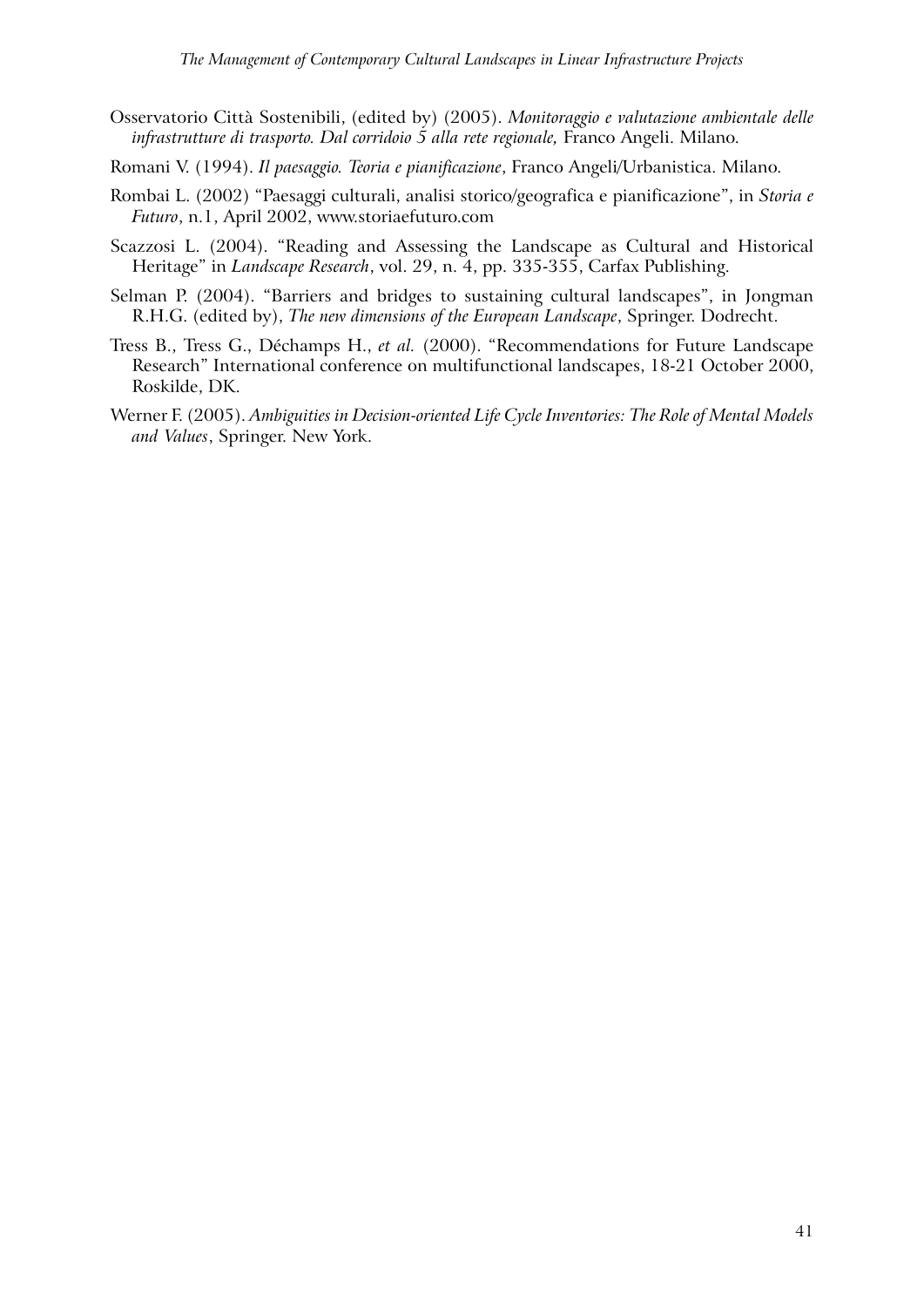- Osservatorio Città Sostenibili, (edited by) (2005). *Monitoraggio e valutazione ambientale delle infrastrutture di trasporto. Dal corridoio 5 alla rete regionale,* Franco Angeli. Milano.
- Romani V. (1994). *Il paesaggio. Teoria e pianificazione*, Franco Angeli/Urbanistica. Milano.
- Rombai L. (2002) "Paesaggi culturali, analisi storico/geografica e pianificazione", in *Storia e Futuro*, n.1, April 2002, www.storiaefuturo.com
- Scazzosi L. (2004). "Reading and Assessing the Landscape as Cultural and Historical Heritage" in *Landscape Research*, vol. 29, n. 4, pp. 335-355, Carfax Publishing.
- Selman P. (2004). "Barriers and bridges to sustaining cultural landscapes", in Jongman R.H.G. (edited by), *The new dimensions of the European Landscape*, Springer. Dodrecht.
- Tress B., Tress G., Déchamps H., *et al.* (2000). "Recommendations for Future Landscape Research" International conference on multifunctional landscapes, 18-21 October 2000, Roskilde, DK.
- Werner F. (2005). *Ambiguities in Decision-oriented Life Cycle Inventories: The Role of Mental Models and Values*, Springer. New York.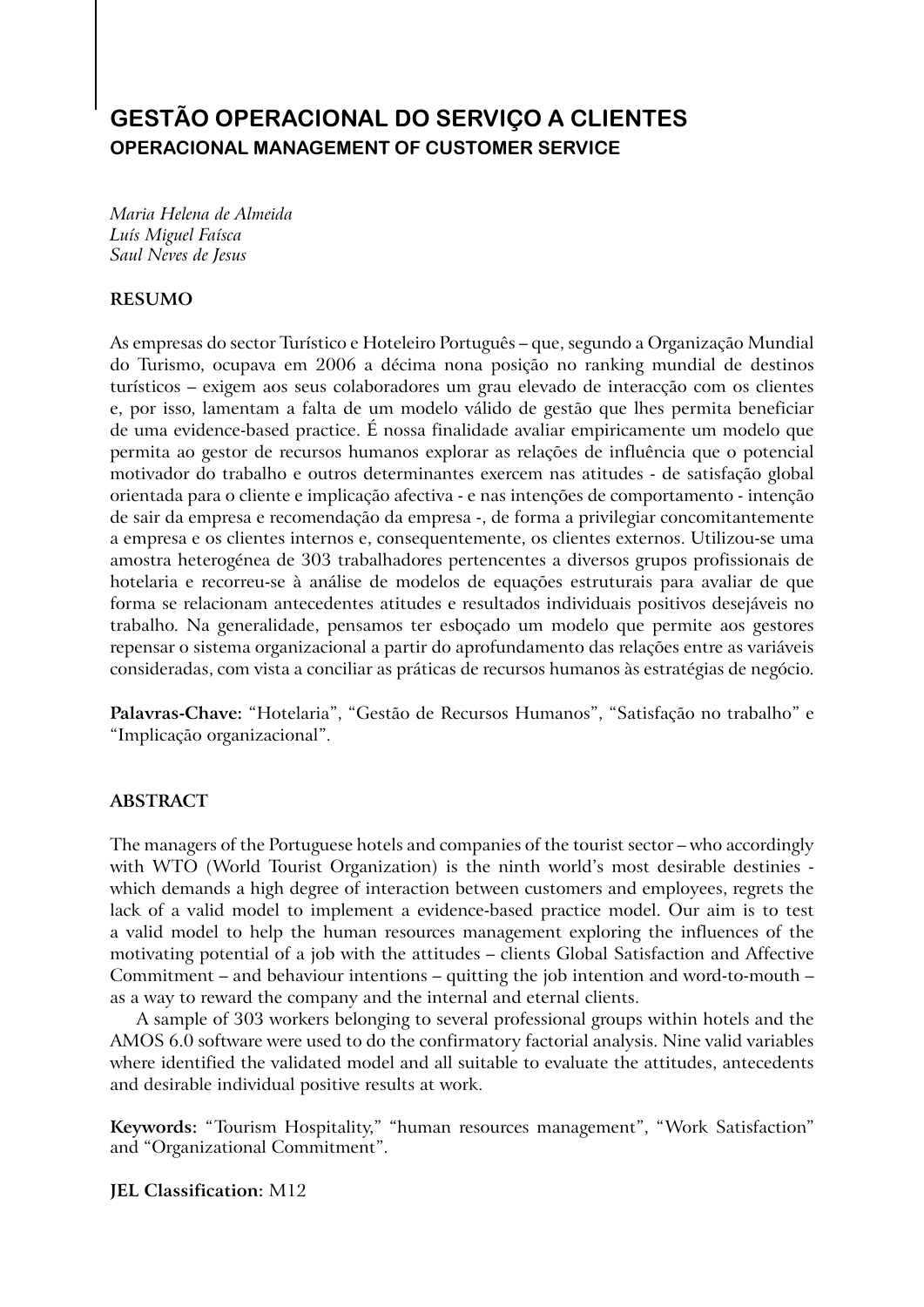# **GESTÃO OPERACIONAL DO SERVIÇO A CLIENTES OPERACIONAL MANAGEMENT OF CUSTOMER SERVICE**

*Maria Helena de Almeida Luís Miguel Faísca Saul Neves de Jesus* 

## **RESUMO**

As empresas do sector Turístico e Hoteleiro Português – que, segundo a Organização Mundial do Turismo, ocupava em 2006 a décima nona posição no ranking mundial de destinos turísticos – exigem aos seus colaboradores um grau elevado de interacção com os clientes e, por isso, lamentam a falta de um modelo válido de gestão que lhes permita beneficiar de uma evidence-based practice. É nossa finalidade avaliar empiricamente um modelo que permita ao gestor de recursos humanos explorar as relações de influência que o potencial motivador do trabalho e outros determinantes exercem nas atitudes - de satisfação global orientada para o cliente e implicação afectiva - e nas intenções de comportamento - intenção de sair da empresa e recomendação da empresa -, de forma a privilegiar concomitantemente a empresa e os clientes internos e, consequentemente, os clientes externos. Utilizou-se uma amostra heterogénea de 303 trabalhadores pertencentes a diversos grupos profissionais de hotelaria e recorreu-se à análise de modelos de equações estruturais para avaliar de que forma se relacionam antecedentes atitudes e resultados individuais positivos desejáveis no trabalho. Na generalidade, pensamos ter esboçado um modelo que permite aos gestores repensar o sistema organizacional a partir do aprofundamento das relações entre as variáveis consideradas, com vista a conciliar as práticas de recursos humanos às estratégias de negócio.

**Palavras-Chave:** "Hotelaria", "Gestão de Recursos Humanos", "Satisfação no trabalho" e "Implicação organizacional".

## **ABSTRACT**

The managers of the Portuguese hotels and companies of the tourist sector – who accordingly with WTO (World Tourist Organization) is the ninth world's most desirable destinies which demands a high degree of interaction between customers and employees, regrets the lack of a valid model to implement a evidence-based practice model. Our aim is to test a valid model to help the human resources management exploring the influences of the motivating potential of a job with the attitudes – clients Global Satisfaction and Affective Commitment – and behaviour intentions – quitting the job intention and word-to-mouth – as a way to reward the company and the internal and eternal clients.

A sample of 303 workers belonging to several professional groups within hotels and the AMOS 6.0 software were used to do the confirmatory factorial analysis. Nine valid variables where identified the validated model and all suitable to evaluate the attitudes, antecedents and desirable individual positive results at work.

**Keywords:** "Tourism Hospitality," "human resources management", "Work Satisfaction" and "Organizational Commitment".

**JEL Classification:** M12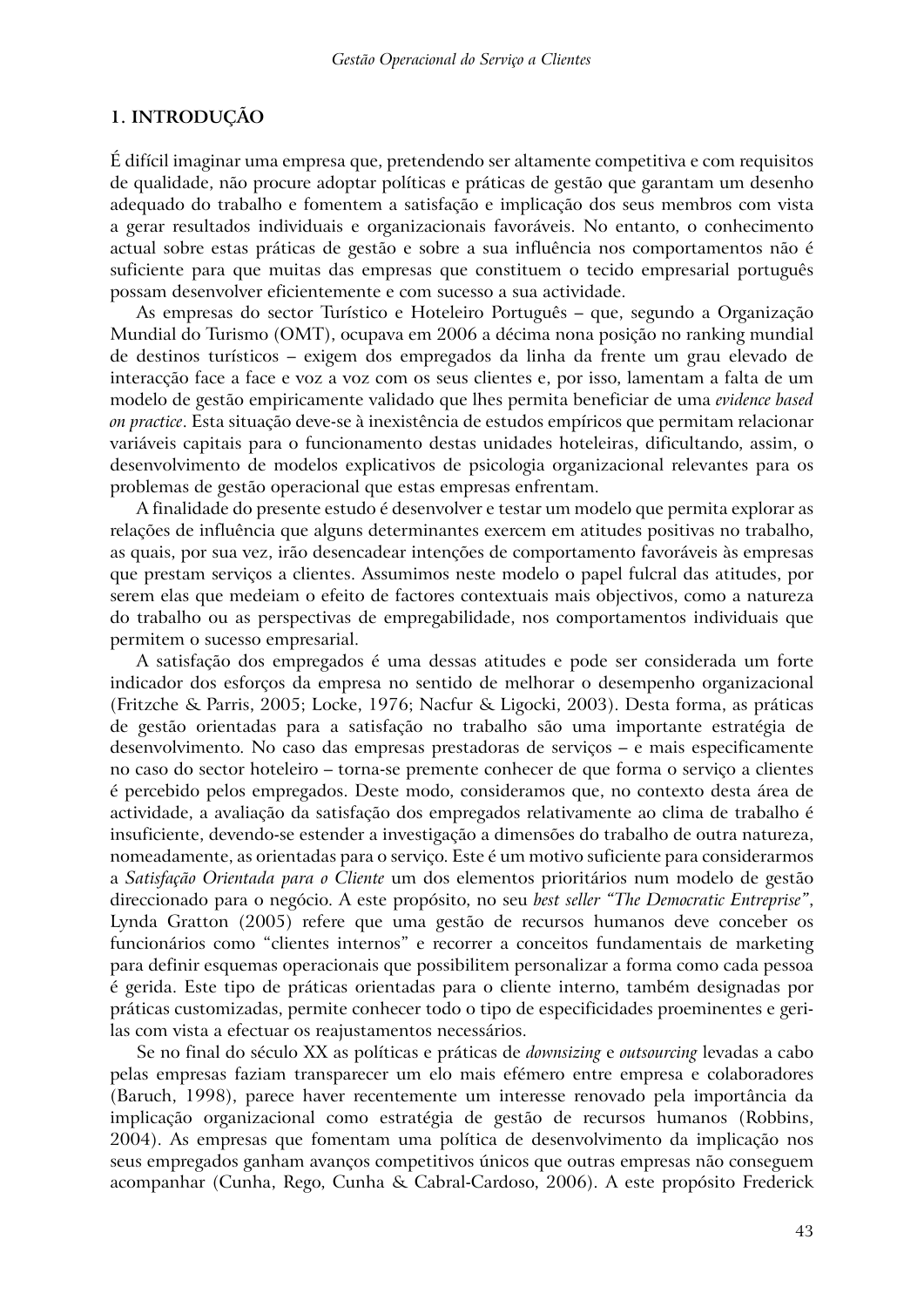## **1. INTRODUÇÃO**

É difícil imaginar uma empresa que, pretendendo ser altamente competitiva e com requisitos de qualidade, não procure adoptar políticas e práticas de gestão que garantam um desenho adequado do trabalho e fomentem a satisfação e implicação dos seus membros com vista a gerar resultados individuais e organizacionais favoráveis. No entanto, o conhecimento actual sobre estas práticas de gestão e sobre a sua influência nos comportamentos não é suficiente para que muitas das empresas que constituem o tecido empresarial português possam desenvolver eficientemente e com sucesso a sua actividade.

As empresas do sector Turístico e Hoteleiro Português – que, segundo a Organização Mundial do Turismo (OMT), ocupava em 2006 a décima nona posição no ranking mundial de destinos turísticos – exigem dos empregados da linha da frente um grau elevado de interacção face a face e voz a voz com os seus clientes e, por isso, lamentam a falta de um modelo de gestão empiricamente validado que lhes permita beneficiar de uma *evidence based on practice*. Esta situação deve-se à inexistência de estudos empíricos que permitam relacionar variáveis capitais para o funcionamento destas unidades hoteleiras, dificultando, assim, o desenvolvimento de modelos explicativos de psicologia organizacional relevantes para os problemas de gestão operacional que estas empresas enfrentam.

A finalidade do presente estudo é desenvolver e testar um modelo que permita explorar as relações de influência que alguns determinantes exercem em atitudes positivas no trabalho, as quais, por sua vez, irão desencadear intenções de comportamento favoráveis às empresas que prestam serviços a clientes. Assumimos neste modelo o papel fulcral das atitudes, por serem elas que medeiam o efeito de factores contextuais mais objectivos, como a natureza do trabalho ou as perspectivas de empregabilidade, nos comportamentos individuais que permitem o sucesso empresarial.

A satisfação dos empregados é uma dessas atitudes e pode ser considerada um forte indicador dos esforços da empresa no sentido de melhorar o desempenho organizacional (Fritzche & Parris, 2005; Locke, 1976; Nacfur & Ligocki, 2003). Desta forma, as práticas de gestão orientadas para a satisfação no trabalho são uma importante estratégia de desenvolvimento. No caso das empresas prestadoras de serviços – e mais especificamente no caso do sector hoteleiro – torna-se premente conhecer de que forma o serviço a clientes é percebido pelos empregados. Deste modo, consideramos que, no contexto desta área de actividade, a avaliação da satisfação dos empregados relativamente ao clima de trabalho é insuficiente, devendo-se estender a investigação a dimensões do trabalho de outra natureza, nomeadamente, as orientadas para o serviço. Este é um motivo suficiente para considerarmos a *Satisfação Orientada para o Cliente* um dos elementos prioritários num modelo de gestão direccionado para o negócio. A este propósito, no seu *best seller "The Democratic Entreprise"*, Lynda Gratton (2005) refere que uma gestão de recursos humanos deve conceber os funcionários como "clientes internos" e recorrer a conceitos fundamentais de marketing para definir esquemas operacionais que possibilitem personalizar a forma como cada pessoa é gerida. Este tipo de práticas orientadas para o cliente interno, também designadas por práticas customizadas, permite conhecer todo o tipo de especificidades proeminentes e gerilas com vista a efectuar os reajustamentos necessários.

Se no final do século XX as políticas e práticas de *downsizing* e *outsourcing* levadas a cabo pelas empresas faziam transparecer um elo mais efémero entre empresa e colaboradores (Baruch, 1998), parece haver recentemente um interesse renovado pela importância da implicação organizacional como estratégia de gestão de recursos humanos (Robbins, 2004). As empresas que fomentam uma política de desenvolvimento da implicação nos seus empregados ganham avanços competitivos únicos que outras empresas não conseguem acompanhar (Cunha, Rego, Cunha & Cabral-Cardoso, 2006). A este propósito Frederick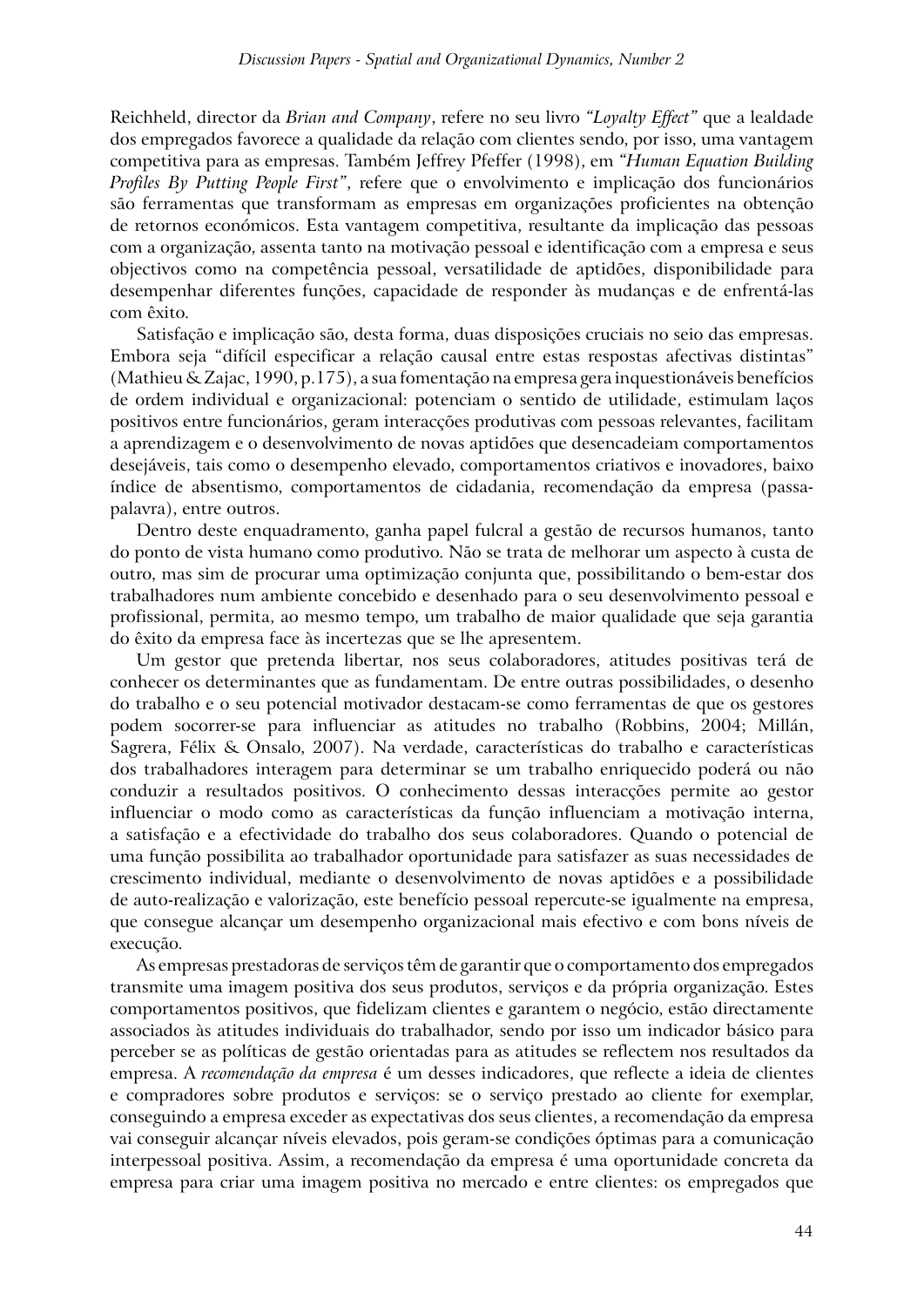Reichheld, director da *Brian and Company*, refere no seu livro *"Loyalty Effect"* que a lealdade dos empregados favorece a qualidade da relação com clientes sendo, por isso, uma vantagem competitiva para as empresas. Também Jeffrey Pfeffer (1998), em *"Human Equation Building Profiles By Putting People First"*, refere que o envolvimento e implicação dos funcionários são ferramentas que transformam as empresas em organizações proficientes na obtenção de retornos económicos. Esta vantagem competitiva, resultante da implicação das pessoas com a organização, assenta tanto na motivação pessoal e identificação com a empresa e seus objectivos como na competência pessoal, versatilidade de aptidões, disponibilidade para desempenhar diferentes funções, capacidade de responder às mudanças e de enfrentá-las com êxito.

Satisfação e implicação são, desta forma, duas disposições cruciais no seio das empresas. Embora seja "difícil especificar a relação causal entre estas respostas afectivas distintas" (Mathieu & Zajac, 1990, p.175), a sua fomentação na empresa gera inquestionáveis benefícios de ordem individual e organizacional: potenciam o sentido de utilidade, estimulam laços positivos entre funcionários, geram interacções produtivas com pessoas relevantes, facilitam a aprendizagem e o desenvolvimento de novas aptidões que desencadeiam comportamentos desejáveis, tais como o desempenho elevado, comportamentos criativos e inovadores, baixo índice de absentismo, comportamentos de cidadania, recomendação da empresa (passapalavra), entre outros.

Dentro deste enquadramento, ganha papel fulcral a gestão de recursos humanos, tanto do ponto de vista humano como produtivo. Não se trata de melhorar um aspecto à custa de outro, mas sim de procurar uma optimização conjunta que, possibilitando o bem-estar dos trabalhadores num ambiente concebido e desenhado para o seu desenvolvimento pessoal e profissional, permita, ao mesmo tempo, um trabalho de maior qualidade que seja garantia do êxito da empresa face às incertezas que se lhe apresentem.

Um gestor que pretenda libertar, nos seus colaboradores, atitudes positivas terá de conhecer os determinantes que as fundamentam. De entre outras possibilidades, o desenho do trabalho e o seu potencial motivador destacam-se como ferramentas de que os gestores podem socorrer-se para influenciar as atitudes no trabalho (Robbins, 2004; Millán, Sagrera, Félix & Onsalo, 2007). Na verdade, características do trabalho e características dos trabalhadores interagem para determinar se um trabalho enriquecido poderá ou não conduzir a resultados positivos. O conhecimento dessas interacções permite ao gestor influenciar o modo como as características da função influenciam a motivação interna, a satisfação e a efectividade do trabalho dos seus colaboradores. Quando o potencial de uma função possibilita ao trabalhador oportunidade para satisfazer as suas necessidades de crescimento individual, mediante o desenvolvimento de novas aptidões e a possibilidade de auto-realização e valorização, este benefício pessoal repercute-se igualmente na empresa, que consegue alcançar um desempenho organizacional mais efectivo e com bons níveis de execução.

As empresas prestadoras de serviços têm de garantir que o comportamento dos empregados transmite uma imagem positiva dos seus produtos, serviços e da própria organização. Estes comportamentos positivos, que fidelizam clientes e garantem o negócio, estão directamente associados às atitudes individuais do trabalhador, sendo por isso um indicador básico para perceber se as políticas de gestão orientadas para as atitudes se reflectem nos resultados da empresa. A *recomendação da empresa* é um desses indicadores, que reflecte a ideia de clientes e compradores sobre produtos e serviços: se o serviço prestado ao cliente for exemplar, conseguindo a empresa exceder as expectativas dos seus clientes, a recomendação da empresa vai conseguir alcançar níveis elevados, pois geram-se condições óptimas para a comunicação interpessoal positiva. Assim, a recomendação da empresa é uma oportunidade concreta da empresa para criar uma imagem positiva no mercado e entre clientes: os empregados que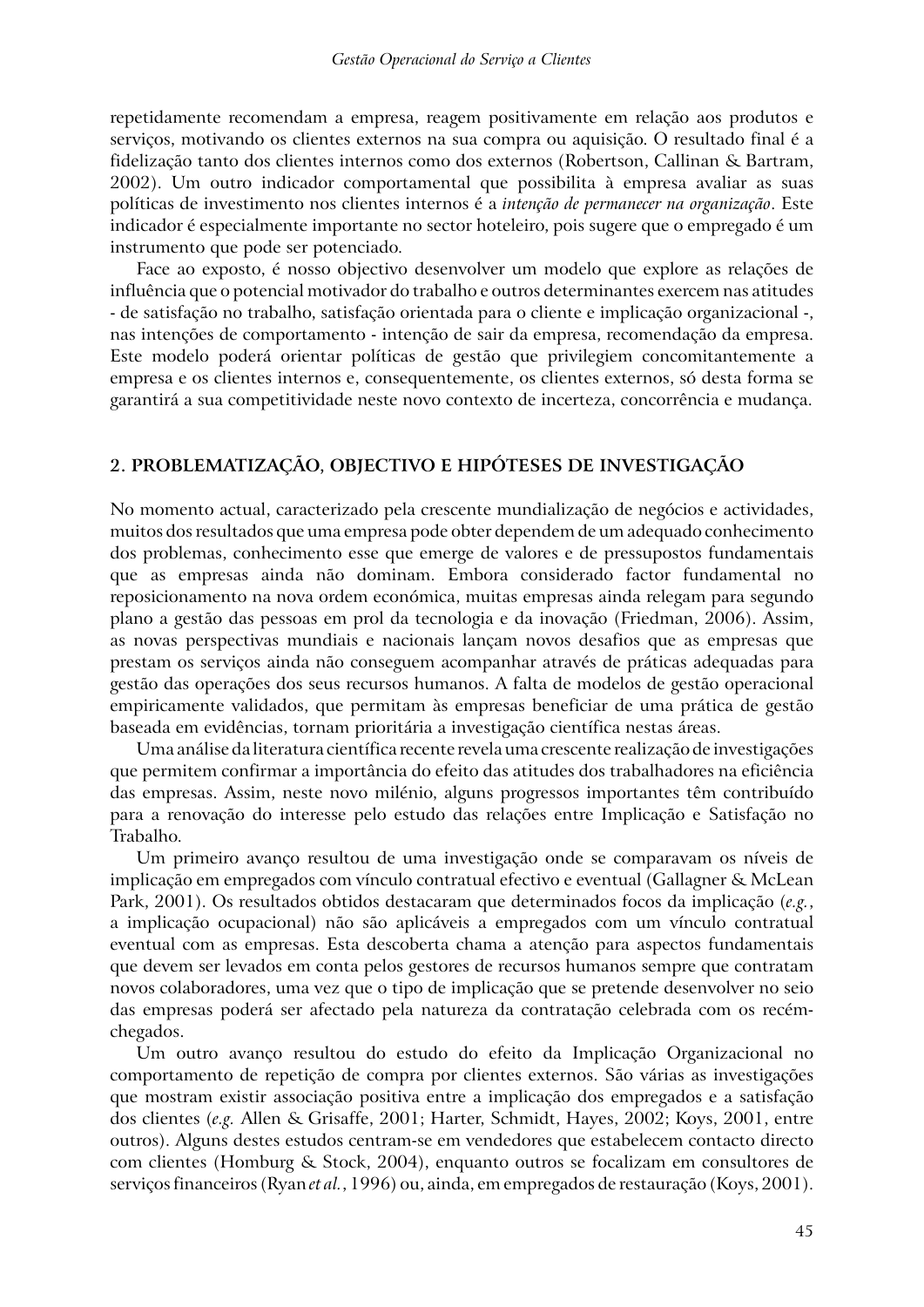repetidamente recomendam a empresa, reagem positivamente em relação aos produtos e serviços, motivando os clientes externos na sua compra ou aquisição. O resultado final é a fidelização tanto dos clientes internos como dos externos (Robertson, Callinan & Bartram, 2002). Um outro indicador comportamental que possibilita à empresa avaliar as suas políticas de investimento nos clientes internos é a *intenção de permanecer na organização*. Este indicador é especialmente importante no sector hoteleiro, pois sugere que o empregado é um instrumento que pode ser potenciado.

Face ao exposto, é nosso objectivo desenvolver um modelo que explore as relações de influência que o potencial motivador do trabalho e outros determinantes exercem nas atitudes - de satisfação no trabalho, satisfação orientada para o cliente e implicação organizacional -, nas intenções de comportamento - intenção de sair da empresa, recomendação da empresa. Este modelo poderá orientar políticas de gestão que privilegiem concomitantemente a empresa e os clientes internos e, consequentemente, os clientes externos, só desta forma se garantirá a sua competitividade neste novo contexto de incerteza, concorrência e mudança.

### **2. PROBLEMATIZAÇÃO, OBJECTIVO E HIPÓTESES DE INVESTIGAÇÃO**

No momento actual, caracterizado pela crescente mundialização de negócios e actividades, muitos dos resultados que uma empresa pode obter dependem de um adequado conhecimento dos problemas, conhecimento esse que emerge de valores e de pressupostos fundamentais que as empresas ainda não dominam. Embora considerado factor fundamental no reposicionamento na nova ordem económica, muitas empresas ainda relegam para segundo plano a gestão das pessoas em prol da tecnologia e da inovação (Friedman, 2006). Assim, as novas perspectivas mundiais e nacionais lançam novos desafios que as empresas que prestam os serviços ainda não conseguem acompanhar através de práticas adequadas para gestão das operações dos seus recursos humanos. A falta de modelos de gestão operacional empiricamente validados, que permitam às empresas beneficiar de uma prática de gestão baseada em evidências, tornam prioritária a investigação científica nestas áreas.

Uma análise da literatura científica recente revela uma crescente realização de investigações que permitem confirmar a importância do efeito das atitudes dos trabalhadores na eficiência das empresas. Assim, neste novo milénio, alguns progressos importantes têm contribuído para a renovação do interesse pelo estudo das relações entre Implicação e Satisfação no Trabalho.

Um primeiro avanço resultou de uma investigação onde se comparavam os níveis de implicação em empregados com vínculo contratual efectivo e eventual (Gallagner & McLean Park, 2001). Os resultados obtidos destacaram que determinados focos da implicação (*e.g.*, a implicação ocupacional) não são aplicáveis a empregados com um vínculo contratual eventual com as empresas. Esta descoberta chama a atenção para aspectos fundamentais que devem ser levados em conta pelos gestores de recursos humanos sempre que contratam novos colaboradores, uma vez que o tipo de implicação que se pretende desenvolver no seio das empresas poderá ser afectado pela natureza da contratação celebrada com os recémchegados.

Um outro avanço resultou do estudo do efeito da Implicação Organizacional no comportamento de repetição de compra por clientes externos. São várias as investigações que mostram existir associação positiva entre a implicação dos empregados e a satisfação dos clientes (*e.g.* Allen & Grisaffe, 2001; Harter, Schmidt, Hayes, 2002; Koys, 2001, entre outros). Alguns destes estudos centram-se em vendedores que estabelecem contacto directo com clientes (Homburg & Stock, 2004), enquanto outros se focalizam em consultores de serviços financeiros (Ryan *et al.*, 1996) ou, ainda, em empregados de restauração (Koys, 2001).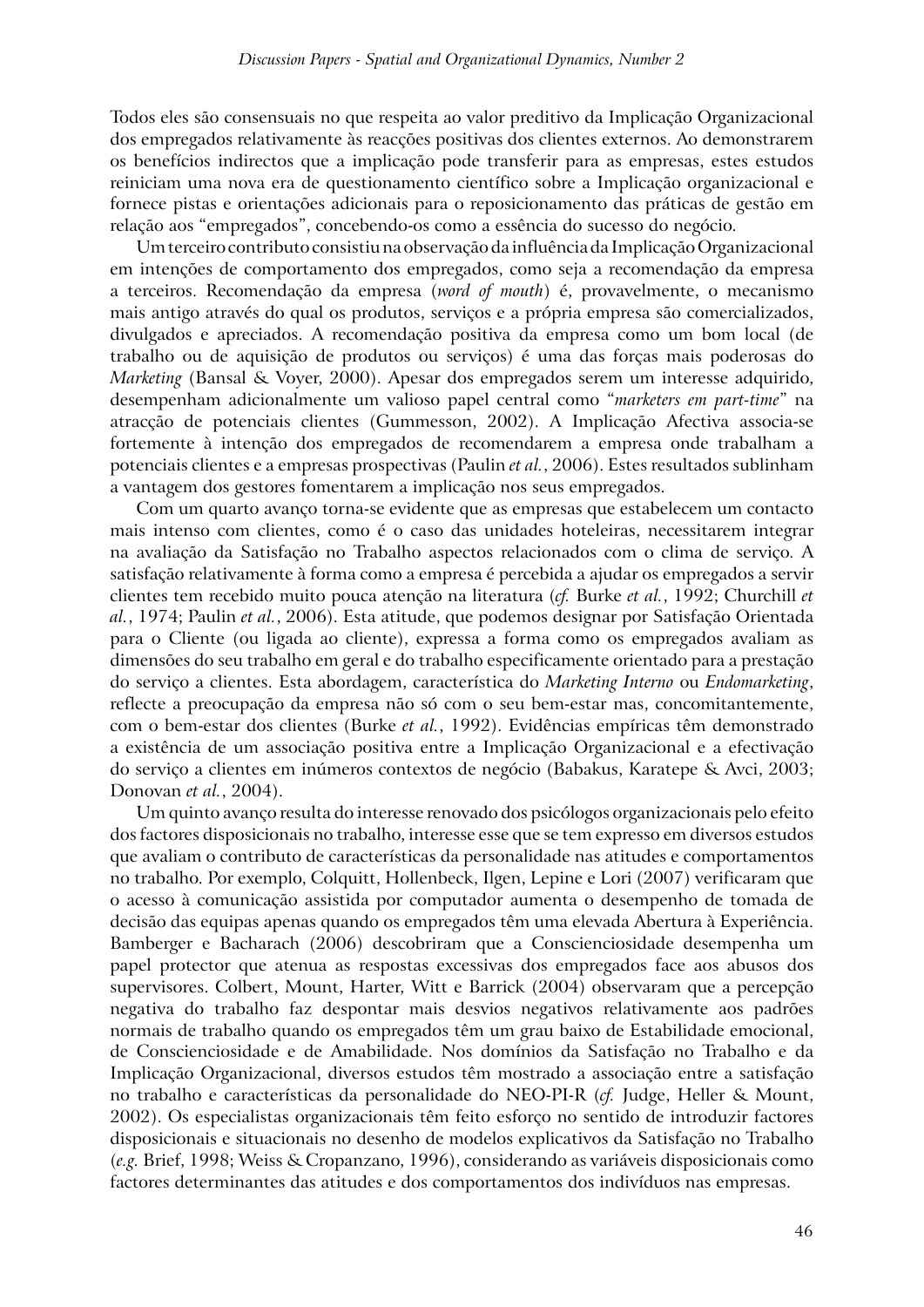Todos eles são consensuais no que respeita ao valor preditivo da Implicação Organizacional dos empregados relativamente às reacções positivas dos clientes externos. Ao demonstrarem os benefícios indirectos que a implicação pode transferir para as empresas, estes estudos reiniciam uma nova era de questionamento científico sobre a Implicação organizacional e fornece pistas e orientações adicionais para o reposicionamento das práticas de gestão em relação aos "empregados", concebendo-os como a essência do sucesso do negócio.

Um terceiro contributo consistiu na observação da influência da Implicação Organizacional em intenções de comportamento dos empregados, como seja a recomendação da empresa a terceiros. Recomendação da empresa (*word of mouth*) é, provavelmente, o mecanismo mais antigo através do qual os produtos, serviços e a própria empresa são comercializados, divulgados e apreciados. A recomendação positiva da empresa como um bom local (de trabalho ou de aquisição de produtos ou serviços) é uma das forças mais poderosas do *Marketing* (Bansal & Voyer, 2000). Apesar dos empregados serem um interesse adquirido, desempenham adicionalmente um valioso papel central como "*marketers em part-time*" na atracção de potenciais clientes (Gummesson, 2002). A Implicação Afectiva associa-se fortemente à intenção dos empregados de recomendarem a empresa onde trabalham a potenciais clientes e a empresas prospectivas (Paulin *et al.*, 2006). Estes resultados sublinham a vantagem dos gestores fomentarem a implicação nos seus empregados.

Com um quarto avanço torna-se evidente que as empresas que estabelecem um contacto mais intenso com clientes, como é o caso das unidades hoteleiras, necessitarem integrar na avaliação da Satisfação no Trabalho aspectos relacionados com o clima de serviço. A satisfação relativamente à forma como a empresa é percebida a ajudar os empregados a servir clientes tem recebido muito pouca atenção na literatura (*cf.* Burke *et al.*, 1992; Churchill *et al.*, 1974; Paulin *et al.*, 2006). Esta atitude, que podemos designar por Satisfação Orientada para o Cliente (ou ligada ao cliente), expressa a forma como os empregados avaliam as dimensões do seu trabalho em geral e do trabalho especificamente orientado para a prestação do serviço a clientes. Esta abordagem, característica do *Marketing Interno* ou *Endomarketing*, reflecte a preocupação da empresa não só com o seu bem-estar mas, concomitantemente, com o bem-estar dos clientes (Burke *et al.*, 1992). Evidências empíricas têm demonstrado a existência de um associação positiva entre a Implicação Organizacional e a efectivação do serviço a clientes em inúmeros contextos de negócio (Babakus, Karatepe & Avci, 2003; Donovan *et al.*, 2004).

Um quinto avanço resulta do interesse renovado dos psicólogos organizacionais pelo efeito dos factores disposicionais no trabalho, interesse esse que se tem expresso em diversos estudos que avaliam o contributo de características da personalidade nas atitudes e comportamentos no trabalho. Por exemplo, Colquitt, Hollenbeck, Ilgen, Lepine e Lori (2007) verificaram que o acesso à comunicação assistida por computador aumenta o desempenho de tomada de decisão das equipas apenas quando os empregados têm uma elevada Abertura à Experiência. Bamberger e Bacharach (2006) descobriram que a Conscienciosidade desempenha um papel protector que atenua as respostas excessivas dos empregados face aos abusos dos supervisores. Colbert, Mount, Harter, Witt e Barrick (2004) observaram que a percepção negativa do trabalho faz despontar mais desvios negativos relativamente aos padrões normais de trabalho quando os empregados têm um grau baixo de Estabilidade emocional, de Conscienciosidade e de Amabilidade. Nos domínios da Satisfação no Trabalho e da Implicação Organizacional, diversos estudos têm mostrado a associação entre a satisfação no trabalho e características da personalidade do NEO-PI-R (*cf.* Judge, Heller & Mount, 2002). Os especialistas organizacionais têm feito esforço no sentido de introduzir factores disposicionais e situacionais no desenho de modelos explicativos da Satisfação no Trabalho (*e.g.* Brief, 1998; Weiss & Cropanzano, 1996), considerando as variáveis disposicionais como factores determinantes das atitudes e dos comportamentos dos indivíduos nas empresas.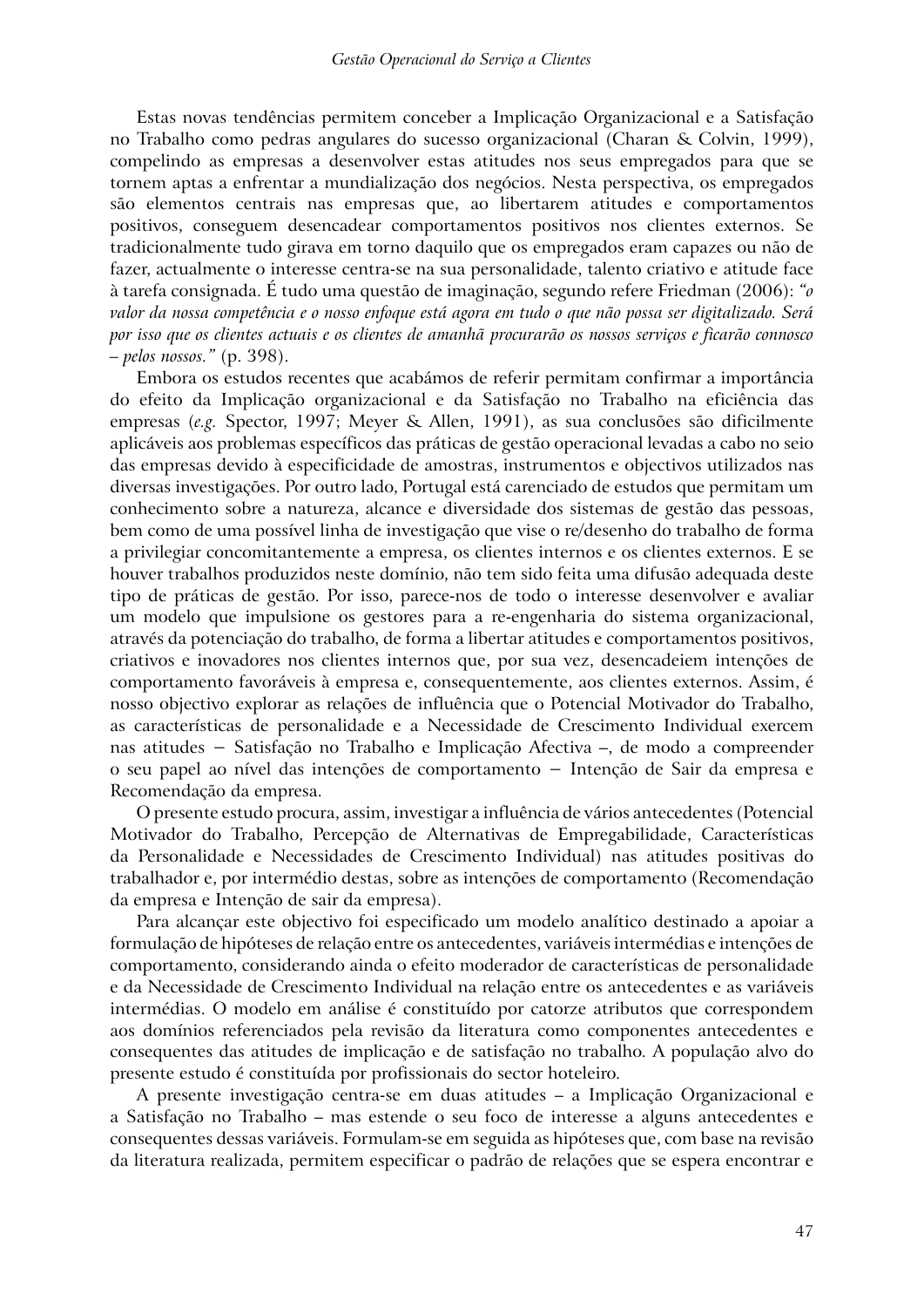Estas novas tendências permitem conceber a Implicação Organizacional e a Satisfação no Trabalho como pedras angulares do sucesso organizacional (Charan & Colvin, 1999), compelindo as empresas a desenvolver estas atitudes nos seus empregados para que se tornem aptas a enfrentar a mundialização dos negócios. Nesta perspectiva, os empregados são elementos centrais nas empresas que, ao libertarem atitudes e comportamentos positivos, conseguem desencadear comportamentos positivos nos clientes externos. Se tradicionalmente tudo girava em torno daquilo que os empregados eram capazes ou não de fazer, actualmente o interesse centra-se na sua personalidade, talento criativo e atitude face à tarefa consignada. É tudo uma questão de imaginação, segundo refere Friedman (2006): *"o valor da nossa competência e o nosso enfoque está agora em tudo o que não possa ser digitalizado. Será por isso que os clientes actuais e os clientes de amanhã procurarão os nossos serviços e ficarão connosco – pelos nossos."* (p. 398).

Embora os estudos recentes que acabámos de referir permitam confirmar a importância do efeito da Implicação organizacional e da Satisfação no Trabalho na eficiência das empresas (*e.g.* Spector, 1997; Meyer & Allen, 1991), as sua conclusões são dificilmente aplicáveis aos problemas específicos das práticas de gestão operacional levadas a cabo no seio das empresas devido à especificidade de amostras, instrumentos e objectivos utilizados nas diversas investigações. Por outro lado, Portugal está carenciado de estudos que permitam um conhecimento sobre a natureza, alcance e diversidade dos sistemas de gestão das pessoas, bem como de uma possível linha de investigação que vise o re/desenho do trabalho de forma a privilegiar concomitantemente a empresa, os clientes internos e os clientes externos. E se houver trabalhos produzidos neste domínio, não tem sido feita uma difusão adequada deste tipo de práticas de gestão. Por isso, parece-nos de todo o interesse desenvolver e avaliar um modelo que impulsione os gestores para a re-engenharia do sistema organizacional, através da potenciação do trabalho, de forma a libertar atitudes e comportamentos positivos, criativos e inovadores nos clientes internos que, por sua vez, desencadeiem intenções de comportamento favoráveis à empresa e, consequentemente, aos clientes externos. Assim, é nosso objectivo explorar as relações de influência que o Potencial Motivador do Trabalho, as características de personalidade e a Necessidade de Crescimento Individual exercem nas atitudes − Satisfação no Trabalho e Implicação Afectiva –, de modo a compreender o seu papel ao nível das intenções de comportamento − Intenção de Sair da empresa e Recomendação da empresa.

O presente estudo procura, assim, investigar a influência de vários antecedentes (Potencial Motivador do Trabalho, Percepção de Alternativas de Empregabilidade, Características da Personalidade e Necessidades de Crescimento Individual) nas atitudes positivas do trabalhador e, por intermédio destas, sobre as intenções de comportamento (Recomendação da empresa e Intenção de sair da empresa).

Para alcançar este objectivo foi especificado um modelo analítico destinado a apoiar a formulação de hipóteses de relação entre os antecedentes, variáveis intermédias e intenções de comportamento, considerando ainda o efeito moderador de características de personalidade e da Necessidade de Crescimento Individual na relação entre os antecedentes e as variáveis intermédias. O modelo em análise é constituído por catorze atributos que correspondem aos domínios referenciados pela revisão da literatura como componentes antecedentes e consequentes das atitudes de implicação e de satisfação no trabalho. A população alvo do presente estudo é constituída por profissionais do sector hoteleiro.

A presente investigação centra-se em duas atitudes – a Implicação Organizacional e a Satisfação no Trabalho – mas estende o seu foco de interesse a alguns antecedentes e consequentes dessas variáveis. Formulam-se em seguida as hipóteses que, com base na revisão da literatura realizada, permitem especificar o padrão de relações que se espera encontrar e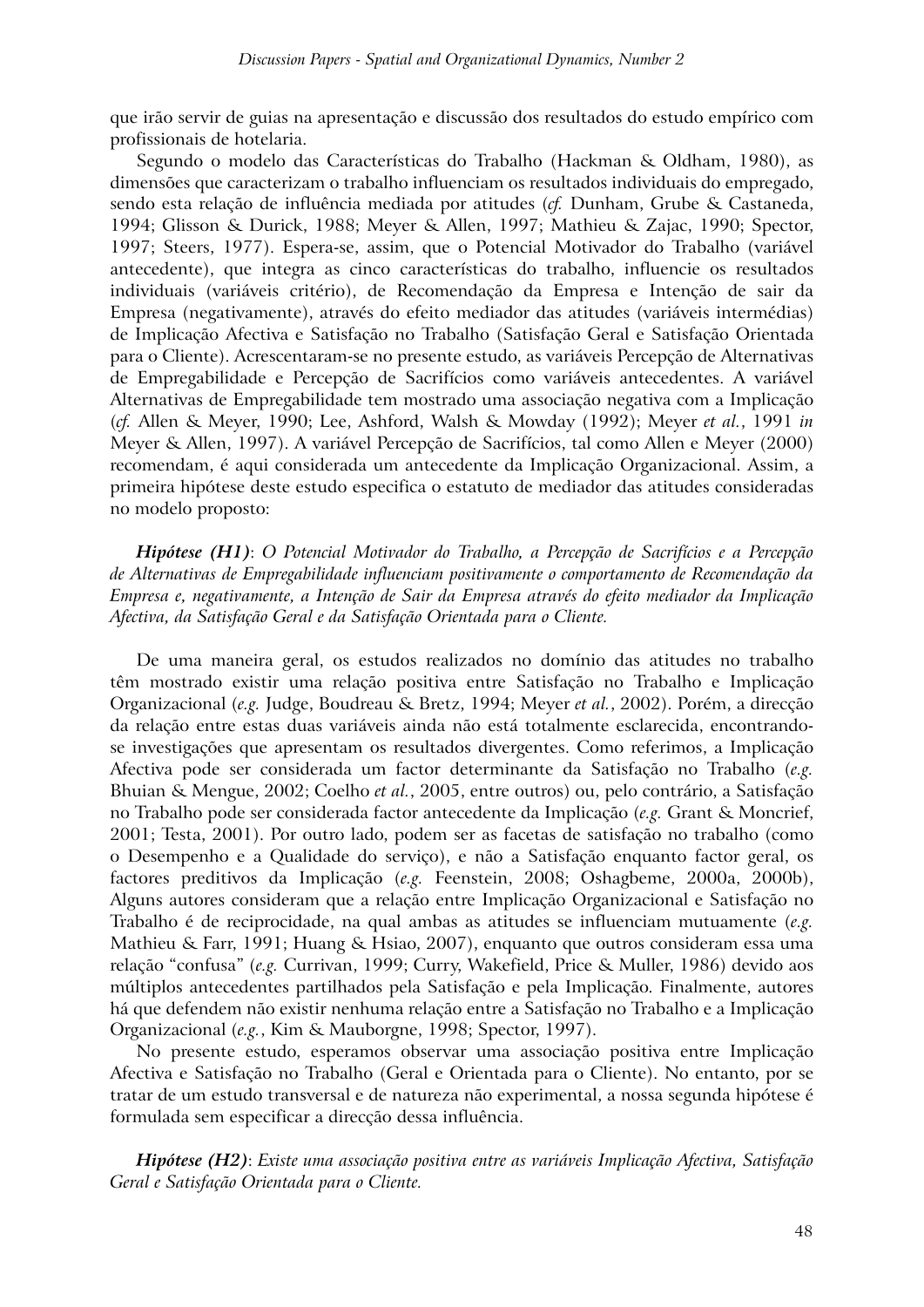que irão servir de guias na apresentação e discussão dos resultados do estudo empírico com profissionais de hotelaria.

Segundo o modelo das Características do Trabalho (Hackman & Oldham, 1980), as dimensões que caracterizam o trabalho influenciam os resultados individuais do empregado, sendo esta relação de influência mediada por atitudes (*cf.* Dunham, Grube & Castaneda, 1994; Glisson & Durick, 1988; Meyer & Allen, 1997; Mathieu & Zajac, 1990; Spector, 1997; Steers, 1977). Espera-se, assim, que o Potencial Motivador do Trabalho (variável antecedente), que integra as cinco características do trabalho, influencie os resultados individuais (variáveis critério), de Recomendação da Empresa e Intenção de sair da Empresa (negativamente), através do efeito mediador das atitudes (variáveis intermédias) de Implicação Afectiva e Satisfação no Trabalho (Satisfação Geral e Satisfação Orientada para o Cliente). Acrescentaram-se no presente estudo, as variáveis Percepção de Alternativas de Empregabilidade e Percepção de Sacrifícios como variáveis antecedentes. A variável Alternativas de Empregabilidade tem mostrado uma associação negativa com a Implicação (*cf.* Allen & Meyer, 1990; Lee, Ashford, Walsh & Mowday (1992); Meyer *et al.*, 1991 *in*  Meyer & Allen, 1997). A variável Percepção de Sacrifícios, tal como Allen e Meyer (2000) recomendam, é aqui considerada um antecedente da Implicação Organizacional. Assim, a primeira hipótese deste estudo especifica o estatuto de mediador das atitudes consideradas no modelo proposto:

*Hipótese (H1)*: *O Potencial Motivador do Trabalho, a Percepção de Sacrifícios e a Percepção de Alternativas de Empregabilidade influenciam positivamente o comportamento de Recomendação da Empresa e, negativamente, a Intenção de Sair da Empresa através do efeito mediador da Implicação Afectiva, da Satisfação Geral e da Satisfação Orientada para o Cliente.*

De uma maneira geral, os estudos realizados no domínio das atitudes no trabalho têm mostrado existir uma relação positiva entre Satisfação no Trabalho e Implicação Organizacional (*e.g.* Judge, Boudreau & Bretz, 1994; Meyer *et al.*, 2002). Porém, a direcção da relação entre estas duas variáveis ainda não está totalmente esclarecida, encontrandose investigações que apresentam os resultados divergentes. Como referimos, a Implicação Afectiva pode ser considerada um factor determinante da Satisfação no Trabalho (*e.g.* Bhuian & Mengue, 2002; Coelho *et al.*, 2005, entre outros) ou, pelo contrário, a Satisfação no Trabalho pode ser considerada factor antecedente da Implicação (*e.g.* Grant & Moncrief, 2001; Testa, 2001). Por outro lado, podem ser as facetas de satisfação no trabalho (como o Desempenho e a Qualidade do serviço), e não a Satisfação enquanto factor geral, os factores preditivos da Implicação (*e.g.* Feenstein, 2008; Oshagbeme, 2000a, 2000b), Alguns autores consideram que a relação entre Implicação Organizacional e Satisfação no Trabalho é de reciprocidade, na qual ambas as atitudes se influenciam mutuamente (*e.g.* Mathieu & Farr, 1991; Huang & Hsiao, 2007), enquanto que outros consideram essa uma relação "confusa" (*e.g.* Currivan, 1999; Curry, Wakefield, Price & Muller, 1986) devido aos múltiplos antecedentes partilhados pela Satisfação e pela Implicação. Finalmente, autores há que defendem não existir nenhuma relação entre a Satisfação no Trabalho e a Implicação Organizacional (*e.g.*, Kim & Mauborgne, 1998; Spector, 1997).

No presente estudo, esperamos observar uma associação positiva entre Implicação Afectiva e Satisfação no Trabalho (Geral e Orientada para o Cliente). No entanto, por se tratar de um estudo transversal e de natureza não experimental, a nossa segunda hipótese é formulada sem especificar a direcção dessa influência.

*Hipótese (H2)*: *Existe uma associação positiva entre as variáveis Implicação Afectiva, Satisfação Geral e Satisfação Orientada para o Cliente.*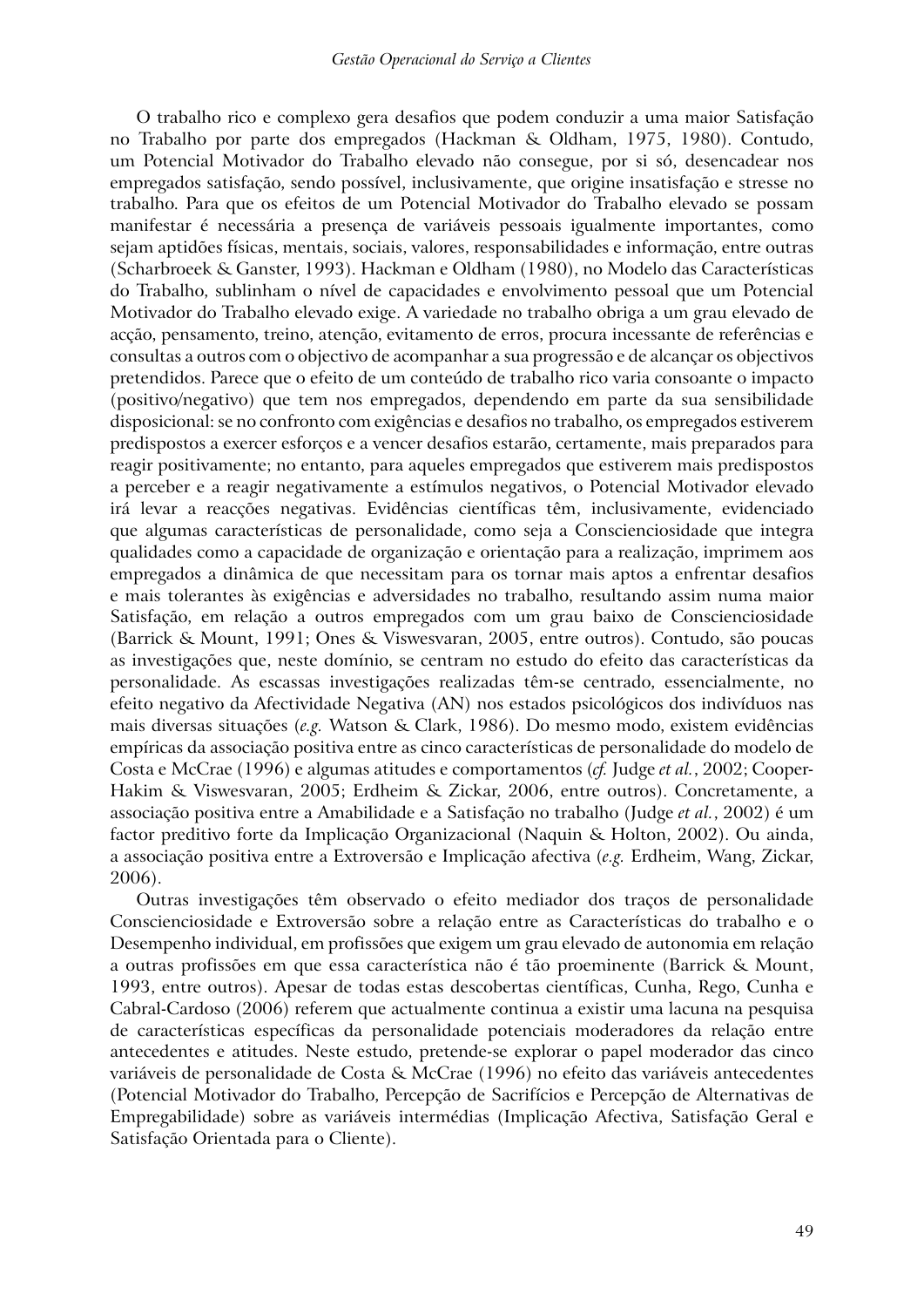O trabalho rico e complexo gera desafios que podem conduzir a uma maior Satisfação no Trabalho por parte dos empregados (Hackman & Oldham, 1975, 1980). Contudo, um Potencial Motivador do Trabalho elevado não consegue, por si só, desencadear nos empregados satisfação, sendo possível, inclusivamente, que origine insatisfação e stresse no trabalho. Para que os efeitos de um Potencial Motivador do Trabalho elevado se possam manifestar é necessária a presença de variáveis pessoais igualmente importantes, como sejam aptidões físicas, mentais, sociais, valores, responsabilidades e informação, entre outras (Scharbroeek & Ganster, 1993). Hackman e Oldham (1980), no Modelo das Características do Trabalho, sublinham o nível de capacidades e envolvimento pessoal que um Potencial Motivador do Trabalho elevado exige. A variedade no trabalho obriga a um grau elevado de acção, pensamento, treino, atenção, evitamento de erros, procura incessante de referências e consultas a outros com o objectivo de acompanhar a sua progressão e de alcançar os objectivos pretendidos. Parece que o efeito de um conteúdo de trabalho rico varia consoante o impacto (positivo/negativo) que tem nos empregados, dependendo em parte da sua sensibilidade disposicional: se no confronto com exigências e desafios no trabalho, os empregados estiverem predispostos a exercer esforços e a vencer desafios estarão, certamente, mais preparados para reagir positivamente; no entanto, para aqueles empregados que estiverem mais predispostos a perceber e a reagir negativamente a estímulos negativos, o Potencial Motivador elevado irá levar a reacções negativas. Evidências científicas têm, inclusivamente, evidenciado que algumas características de personalidade, como seja a Conscienciosidade que integra qualidades como a capacidade de organização e orientação para a realização, imprimem aos empregados a dinâmica de que necessitam para os tornar mais aptos a enfrentar desafios e mais tolerantes às exigências e adversidades no trabalho, resultando assim numa maior Satisfação, em relação a outros empregados com um grau baixo de Conscienciosidade (Barrick & Mount, 1991; Ones & Viswesvaran, 2005, entre outros). Contudo, são poucas as investigações que, neste domínio, se centram no estudo do efeito das características da personalidade. As escassas investigações realizadas têm-se centrado, essencialmente, no efeito negativo da Afectividade Negativa (AN) nos estados psicológicos dos indivíduos nas mais diversas situações (*e.g.* Watson & Clark, 1986). Do mesmo modo, existem evidências empíricas da associação positiva entre as cinco características de personalidade do modelo de Costa e McCrae (1996) e algumas atitudes e comportamentos (*cf.* Judge *et al.*, 2002; Cooper-Hakim & Viswesvaran, 2005; Erdheim & Zickar, 2006, entre outros). Concretamente, a associação positiva entre a Amabilidade e a Satisfação no trabalho (Judge *et al.*, 2002) é um factor preditivo forte da Implicação Organizacional (Naquin & Holton, 2002). Ou ainda, a associação positiva entre a Extroversão e Implicação afectiva (*e.g.* Erdheim, Wang, Zickar, 2006).

Outras investigações têm observado o efeito mediador dos traços de personalidade Conscienciosidade e Extroversão sobre a relação entre as Características do trabalho e o Desempenho individual, em profissões que exigem um grau elevado de autonomia em relação a outras profissões em que essa característica não é tão proeminente (Barrick & Mount, 1993, entre outros). Apesar de todas estas descobertas científicas, Cunha, Rego, Cunha e Cabral-Cardoso (2006) referem que actualmente continua a existir uma lacuna na pesquisa de características específicas da personalidade potenciais moderadores da relação entre antecedentes e atitudes. Neste estudo, pretende-se explorar o papel moderador das cinco variáveis de personalidade de Costa & McCrae (1996) no efeito das variáveis antecedentes (Potencial Motivador do Trabalho, Percepção de Sacrifícios e Percepção de Alternativas de Empregabilidade) sobre as variáveis intermédias (Implicação Afectiva, Satisfação Geral e Satisfação Orientada para o Cliente).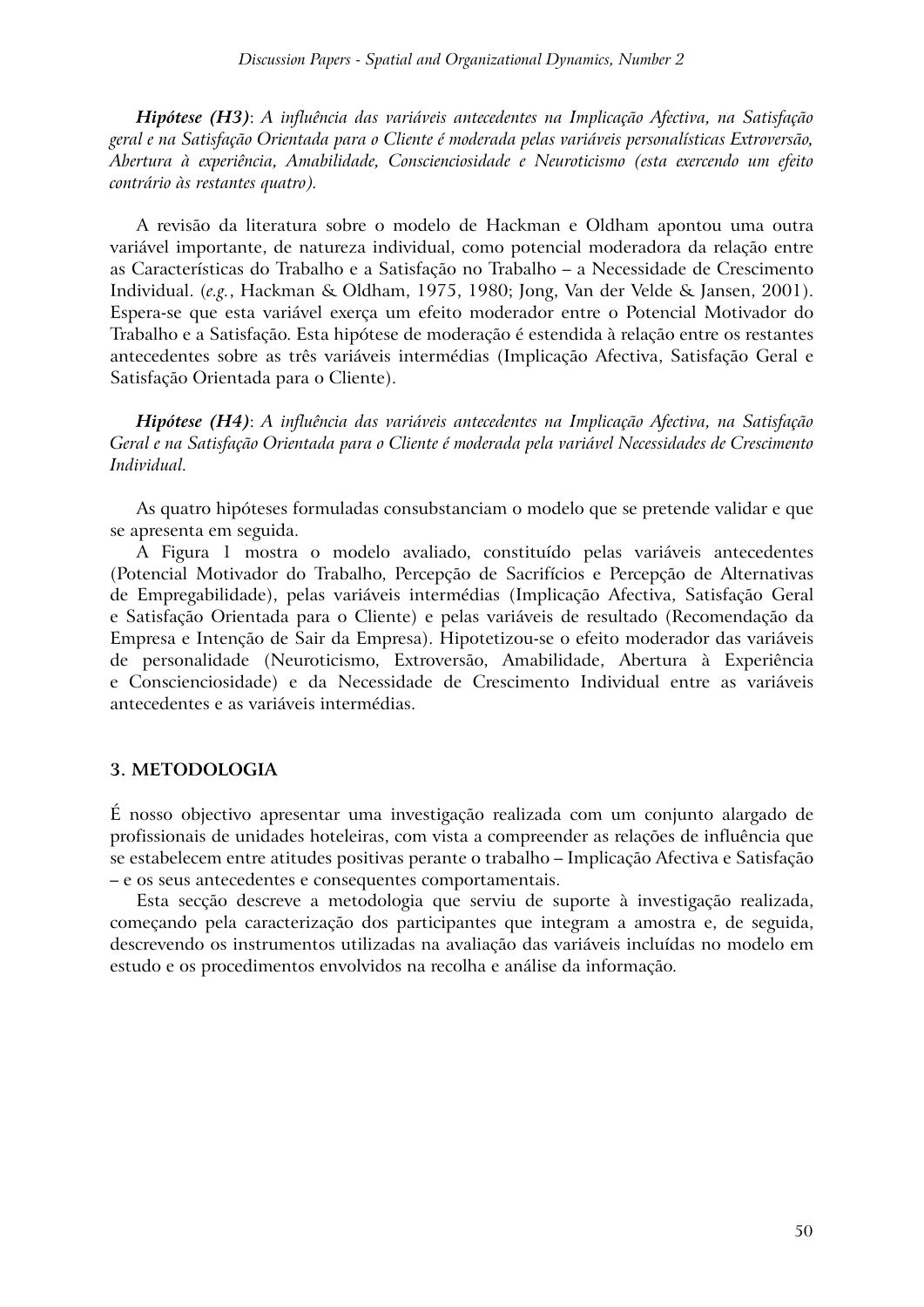*Hipótese (H3)*: *A influência das variáveis antecedentes na Implicação Afectiva, na Satisfação geral e na Satisfação Orientada para o Cliente é moderada pelas variáveis personalísticas Extroversão, Abertura à experiência, Amabilidade, Conscienciosidade e Neuroticismo (esta exercendo um efeito contrário às restantes quatro).*

A revisão da literatura sobre o modelo de Hackman e Oldham apontou uma outra variável importante, de natureza individual, como potencial moderadora da relação entre as Características do Trabalho e a Satisfação no Trabalho – a Necessidade de Crescimento Individual. (*e.g.*, Hackman & Oldham, 1975, 1980; Jong, Van der Velde & Jansen, 2001). Espera-se que esta variável exerça um efeito moderador entre o Potencial Motivador do Trabalho e a Satisfação. Esta hipótese de moderação é estendida à relação entre os restantes antecedentes sobre as três variáveis intermédias (Implicação Afectiva, Satisfação Geral e Satisfação Orientada para o Cliente).

*Hipótese (H4)*: *A influência das variáveis antecedentes na Implicação Afectiva, na Satisfação Geral e na Satisfação Orientada para o Cliente é moderada pela variável Necessidades de Crescimento Individual.*

As quatro hipóteses formuladas consubstanciam o modelo que se pretende validar e que se apresenta em seguida.

A Figura 1 mostra o modelo avaliado, constituído pelas variáveis antecedentes (Potencial Motivador do Trabalho, Percepção de Sacrifícios e Percepção de Alternativas de Empregabilidade), pelas variáveis intermédias (Implicação Afectiva, Satisfação Geral e Satisfação Orientada para o Cliente) e pelas variáveis de resultado (Recomendação da Empresa e Intenção de Sair da Empresa). Hipotetizou-se o efeito moderador das variáveis de personalidade (Neuroticismo, Extroversão, Amabilidade, Abertura à Experiência e Conscienciosidade) e da Necessidade de Crescimento Individual entre as variáveis antecedentes e as variáveis intermédias.

#### **3. METODOLOGIA**

É nosso objectivo apresentar uma investigação realizada com um conjunto alargado de profissionais de unidades hoteleiras, com vista a compreender as relações de influência que se estabelecem entre atitudes positivas perante o trabalho – Implicação Afectiva e Satisfação – e os seus antecedentes e consequentes comportamentais.

Esta secção descreve a metodologia que serviu de suporte à investigação realizada, começando pela caracterização dos participantes que integram a amostra e, de seguida, descrevendo os instrumentos utilizadas na avaliação das variáveis incluídas no modelo em estudo e os procedimentos envolvidos na recolha e análise da informação.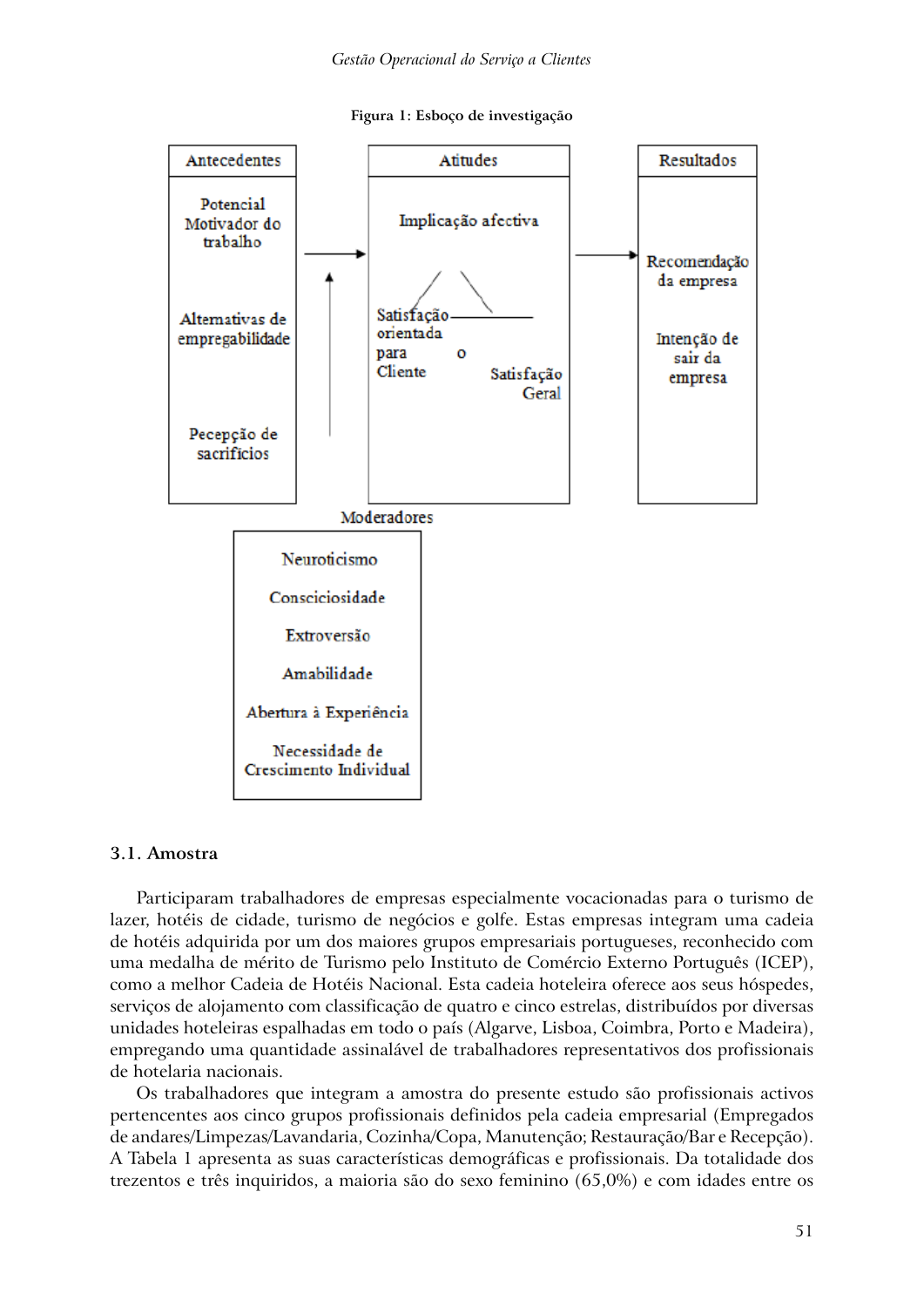



#### **3.1. Amostra**

Participaram trabalhadores de empresas especialmente vocacionadas para o turismo de lazer, hotéis de cidade, turismo de negócios e golfe. Estas empresas integram uma cadeia de hotéis adquirida por um dos maiores grupos empresariais portugueses, reconhecido com uma medalha de mérito de Turismo pelo Instituto de Comércio Externo Português (ICEP), como a melhor Cadeia de Hotéis Nacional. Esta cadeia hoteleira oferece aos seus hóspedes, serviços de alojamento com classificação de quatro e cinco estrelas, distribuídos por diversas unidades hoteleiras espalhadas em todo o país (Algarve, Lisboa, Coimbra, Porto e Madeira), empregando uma quantidade assinalável de trabalhadores representativos dos profissionais de hotelaria nacionais.

Os trabalhadores que integram a amostra do presente estudo são profissionais activos pertencentes aos cinco grupos profissionais definidos pela cadeia empresarial (Empregados de andares/Limpezas/Lavandaria, Cozinha/Copa, Manutenção; Restauração/Bar e Recepção). A Tabela 1 apresenta as suas características demográficas e profissionais. Da totalidade dos trezentos e três inquiridos, a maioria são do sexo feminino (65,0%) e com idades entre os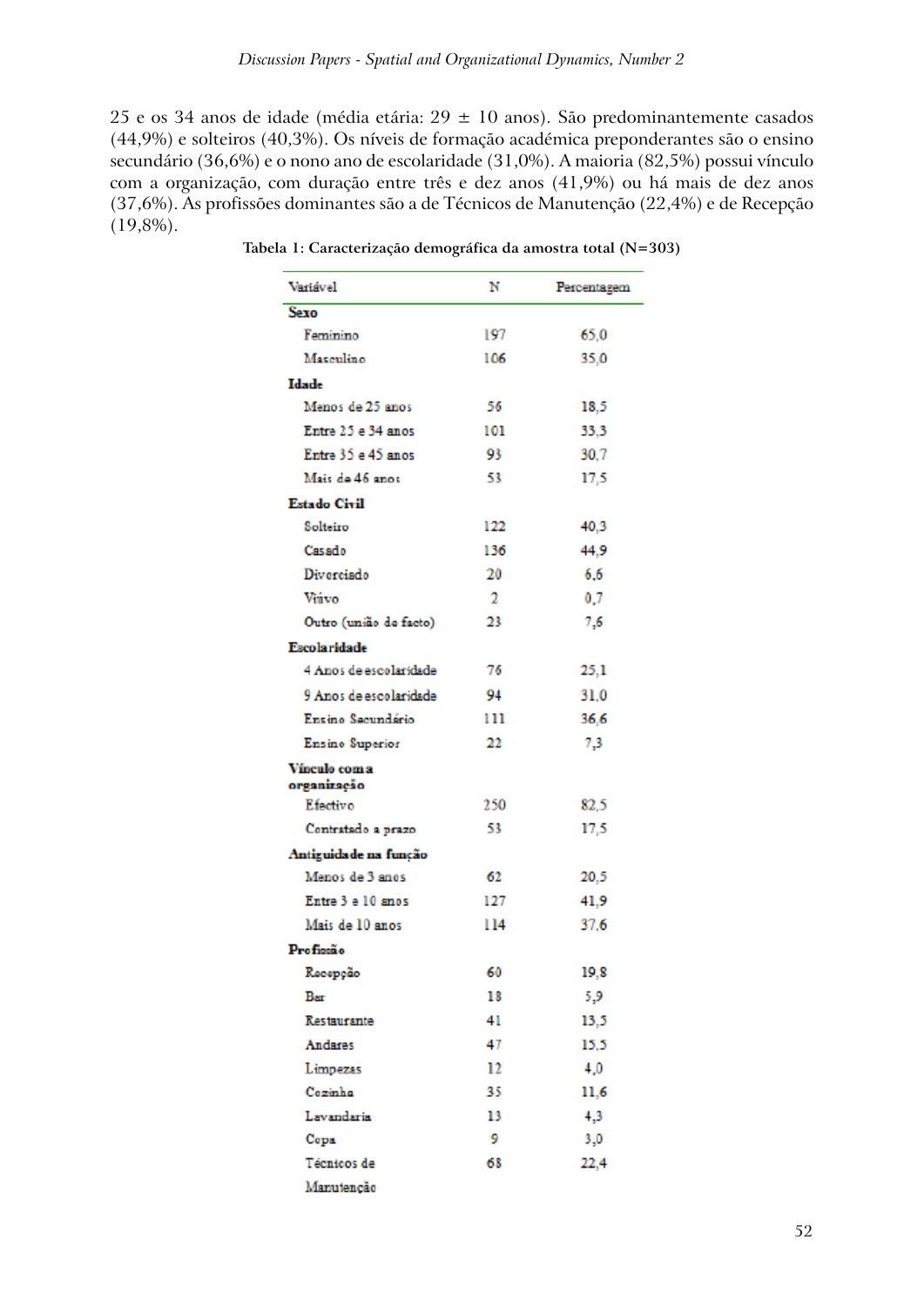25 e os 34 anos de idade (média etária: 29 ± 10 anos). São predominantemente casados (44,9%) e solteiros (40,3%). Os níveis de formação académica preponderantes são o ensino secundário (36,6%) e o nono ano de escolaridade (31,0%). A maioria (82,5%) possui vínculo com a organização, com duração entre três e dez anos (41,9%) ou há mais de dez anos (37,6%). As profissões dominantes são a de Técnicos de Manutenção (22,4%) e de Recepção (19,8%).

| Variável                     | N   | Percentagem |
|------------------------------|-----|-------------|
| <b>Sexo</b>                  |     |             |
| Feminino                     | 197 | 65,0        |
| Masculino                    | 106 | 35,0        |
| Idade                        |     |             |
| Menos de 25 anos             | 56  | 18,5        |
| Entre 25 e 34 anos           | 101 | 33,3        |
| Entre 35 e 45 anos           | 93  | 30.7        |
| Mais de 46 anos              | 53  | 17,5        |
| Estado Civil                 |     |             |
| Solteiro                     | 122 | 40,3        |
| Casado                       | 136 | 44,9        |
| Divorciado                   | 20  | 6.6         |
| Viávo                        | 2   | 0,7         |
| Outro (união de facto)       | 23  | 7,6         |
| <b>Escolaridade</b>          |     |             |
| 4 Anos de escolaridade       | 76  | 25,1        |
| 9 Anos de escolaridade       | 94  | 31.0        |
| Ensino Secundário            | 111 | 36,6        |
| Ensino Superior              | 22  | 7,3         |
| Vínculo com a<br>organização |     |             |
| Efectivo                     | 250 | 82,5        |
| Contratado a prazo           | 53  | 17,5        |
| Antiguidade na função        |     |             |
| Menos de 3 anos              | 62  | 20,5        |
| Entre 3 e 10 anos            | 127 | 41,9        |
| Mais de 10 anos              | 114 | 37.6        |
| Profissão                    |     |             |
| Recepção                     | 60  | 19,8        |
| Bar                          | 18  | 5,9         |
| Restaurante                  | 41  | 13,5        |
| Andares                      | 47  | 15,5        |
| Limpezas                     | 12  | 4,0         |
| Cozinha                      | 35  | 11,6        |
| Lavandaria                   | 13  | 4,3         |
| Copa                         | 9   | 3,0         |
| Técnicos de                  | 68  | 22,4        |
| Manutenção                   |     |             |

**Tabela 1: Caracterização demográfica da amostra total (N=303)**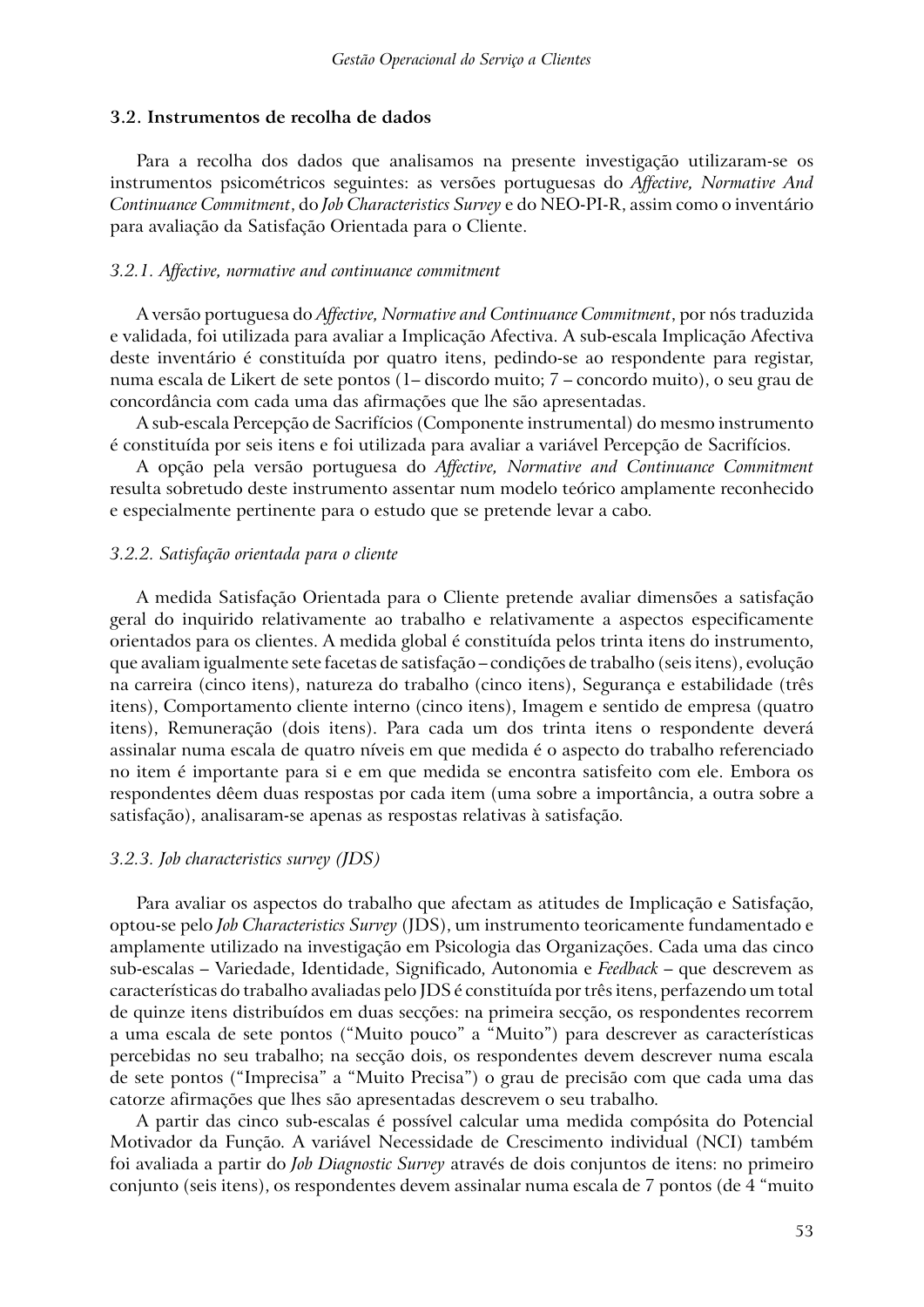#### **3.2. Instrumentos de recolha de dados**

Para a recolha dos dados que analisamos na presente investigação utilizaram-se os instrumentos psicométricos seguintes: as versões portuguesas do *Affective, Normative And Continuance Commitment*, do *Job Characteristics Survey* e do NEO-PI-R, assim como o inventário para avaliação da Satisfação Orientada para o Cliente.

#### *3.2.1. Affective, normative and continuance commitment*

A versão portuguesa do *Affective, Normative and Continuance Commitment*, por nós traduzida e validada, foi utilizada para avaliar a Implicação Afectiva. A sub-escala Implicação Afectiva deste inventário é constituída por quatro itens, pedindo-se ao respondente para registar, numa escala de Likert de sete pontos (1– discordo muito; 7 – concordo muito), o seu grau de concordância com cada uma das afirmações que lhe são apresentadas.

A sub-escala Percepção de Sacrifícios (Componente instrumental) do mesmo instrumento é constituída por seis itens e foi utilizada para avaliar a variável Percepção de Sacrifícios.

A opção pela versão portuguesa do *Affective, Normative and Continuance Commitment*  resulta sobretudo deste instrumento assentar num modelo teórico amplamente reconhecido e especialmente pertinente para o estudo que se pretende levar a cabo.

### *3.2.2. Satisfação orientada para o cliente*

A medida Satisfação Orientada para o Cliente pretende avaliar dimensões a satisfação geral do inquirido relativamente ao trabalho e relativamente a aspectos especificamente orientados para os clientes. A medida global é constituída pelos trinta itens do instrumento, que avaliam igualmente sete facetas de satisfação – condições de trabalho (seis itens), evolução na carreira (cinco itens), natureza do trabalho (cinco itens), Segurança e estabilidade (três itens), Comportamento cliente interno (cinco itens), Imagem e sentido de empresa (quatro itens), Remuneração (dois itens). Para cada um dos trinta itens o respondente deverá assinalar numa escala de quatro níveis em que medida é o aspecto do trabalho referenciado no item é importante para si e em que medida se encontra satisfeito com ele. Embora os respondentes dêem duas respostas por cada item (uma sobre a importância, a outra sobre a satisfação), analisaram-se apenas as respostas relativas à satisfação.

#### *3.2.3. Job characteristics survey (JDS)*

Para avaliar os aspectos do trabalho que afectam as atitudes de Implicação e Satisfação, optou-se pelo *Job Characteristics Survey* (JDS), um instrumento teoricamente fundamentado e amplamente utilizado na investigação em Psicologia das Organizações. Cada uma das cinco sub-escalas – Variedade, Identidade, Significado, Autonomia e *Feedback* – que descrevem as características do trabalho avaliadas pelo JDS é constituída por três itens, perfazendo um total de quinze itens distribuídos em duas secções: na primeira secção, os respondentes recorrem a uma escala de sete pontos ("Muito pouco" a "Muito") para descrever as características percebidas no seu trabalho; na secção dois, os respondentes devem descrever numa escala de sete pontos ("Imprecisa" a "Muito Precisa") o grau de precisão com que cada uma das catorze afirmações que lhes são apresentadas descrevem o seu trabalho.

A partir das cinco sub-escalas é possível calcular uma medida compósita do Potencial Motivador da Função. A variável Necessidade de Crescimento individual (NCI) também foi avaliada a partir do *Job Diagnostic Survey* através de dois conjuntos de itens: no primeiro conjunto (seis itens), os respondentes devem assinalar numa escala de 7 pontos (de 4 "muito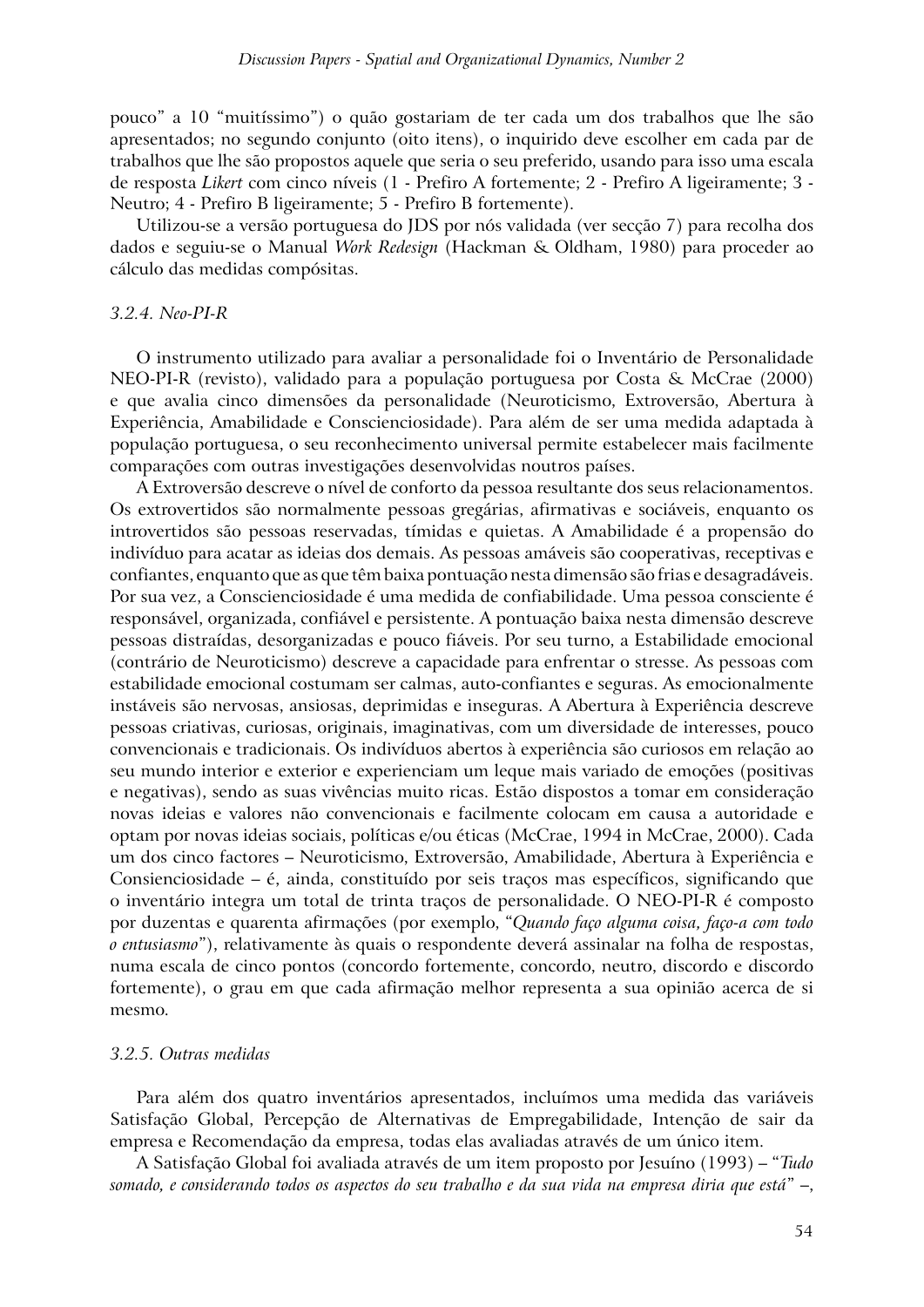pouco" a 10 "muitíssimo") o quão gostariam de ter cada um dos trabalhos que lhe são apresentados; no segundo conjunto (oito itens), o inquirido deve escolher em cada par de trabalhos que lhe são propostos aquele que seria o seu preferido, usando para isso uma escala de resposta *Likert* com cinco níveis (1 - Prefiro A fortemente; 2 - Prefiro A ligeiramente; 3 - Neutro; 4 - Prefiro B ligeiramente; 5 - Prefiro B fortemente).

Utilizou-se a versão portuguesa do JDS por nós validada (ver secção 7) para recolha dos dados e seguiu-se o Manual *Work Redesign* (Hackman & Oldham, 1980) para proceder ao cálculo das medidas compósitas.

#### *3.2.4. Neo-PI-R*

O instrumento utilizado para avaliar a personalidade foi o Inventário de Personalidade NEO-PI-R (revisto), validado para a população portuguesa por Costa & McCrae (2000) e que avalia cinco dimensões da personalidade (Neuroticismo, Extroversão, Abertura à Experiência, Amabilidade e Conscienciosidade). Para além de ser uma medida adaptada à população portuguesa, o seu reconhecimento universal permite estabelecer mais facilmente comparações com outras investigações desenvolvidas noutros países.

A Extroversão descreve o nível de conforto da pessoa resultante dos seus relacionamentos. Os extrovertidos são normalmente pessoas gregárias, afirmativas e sociáveis, enquanto os introvertidos são pessoas reservadas, tímidas e quietas. A Amabilidade é a propensão do indivíduo para acatar as ideias dos demais. As pessoas amáveis são cooperativas, receptivas e confiantes, enquanto que as que têm baixa pontuação nesta dimensão são frias e desagradáveis. Por sua vez, a Conscienciosidade é uma medida de confiabilidade. Uma pessoa consciente é responsável, organizada, confiável e persistente. A pontuação baixa nesta dimensão descreve pessoas distraídas, desorganizadas e pouco fiáveis. Por seu turno, a Estabilidade emocional (contrário de Neuroticismo) descreve a capacidade para enfrentar o stresse. As pessoas com estabilidade emocional costumam ser calmas, auto-confiantes e seguras. As emocionalmente instáveis são nervosas, ansiosas, deprimidas e inseguras. A Abertura à Experiência descreve pessoas criativas, curiosas, originais, imaginativas, com um diversidade de interesses, pouco convencionais e tradicionais. Os indivíduos abertos à experiência são curiosos em relação ao seu mundo interior e exterior e experienciam um leque mais variado de emoções (positivas e negativas), sendo as suas vivências muito ricas. Estão dispostos a tomar em consideração novas ideias e valores não convencionais e facilmente colocam em causa a autoridade e optam por novas ideias sociais, políticas e/ou éticas (McCrae, 1994 in McCrae, 2000). Cada um dos cinco factores – Neuroticismo, Extroversão, Amabilidade, Abertura à Experiência e Consienciosidade – é, ainda, constituído por seis traços mas específicos, significando que o inventário integra um total de trinta traços de personalidade. O NEO-PI-R é composto por duzentas e quarenta afirmações (por exemplo, "*Quando faço alguma coisa, faço-a com todo o entusiasmo*"), relativamente às quais o respondente deverá assinalar na folha de respostas, numa escala de cinco pontos (concordo fortemente, concordo, neutro, discordo e discordo fortemente), o grau em que cada afirmação melhor representa a sua opinião acerca de si mesmo.

#### *3.2.5. Outras medidas*

Para além dos quatro inventários apresentados, incluímos uma medida das variáveis Satisfação Global, Percepção de Alternativas de Empregabilidade, Intenção de sair da empresa e Recomendação da empresa, todas elas avaliadas através de um único item.

A Satisfação Global foi avaliada através de um item proposto por Jesuíno (1993) – "*Tudo somado, e considerando todos os aspectos do seu trabalho e da sua vida na empresa diria que está*" –,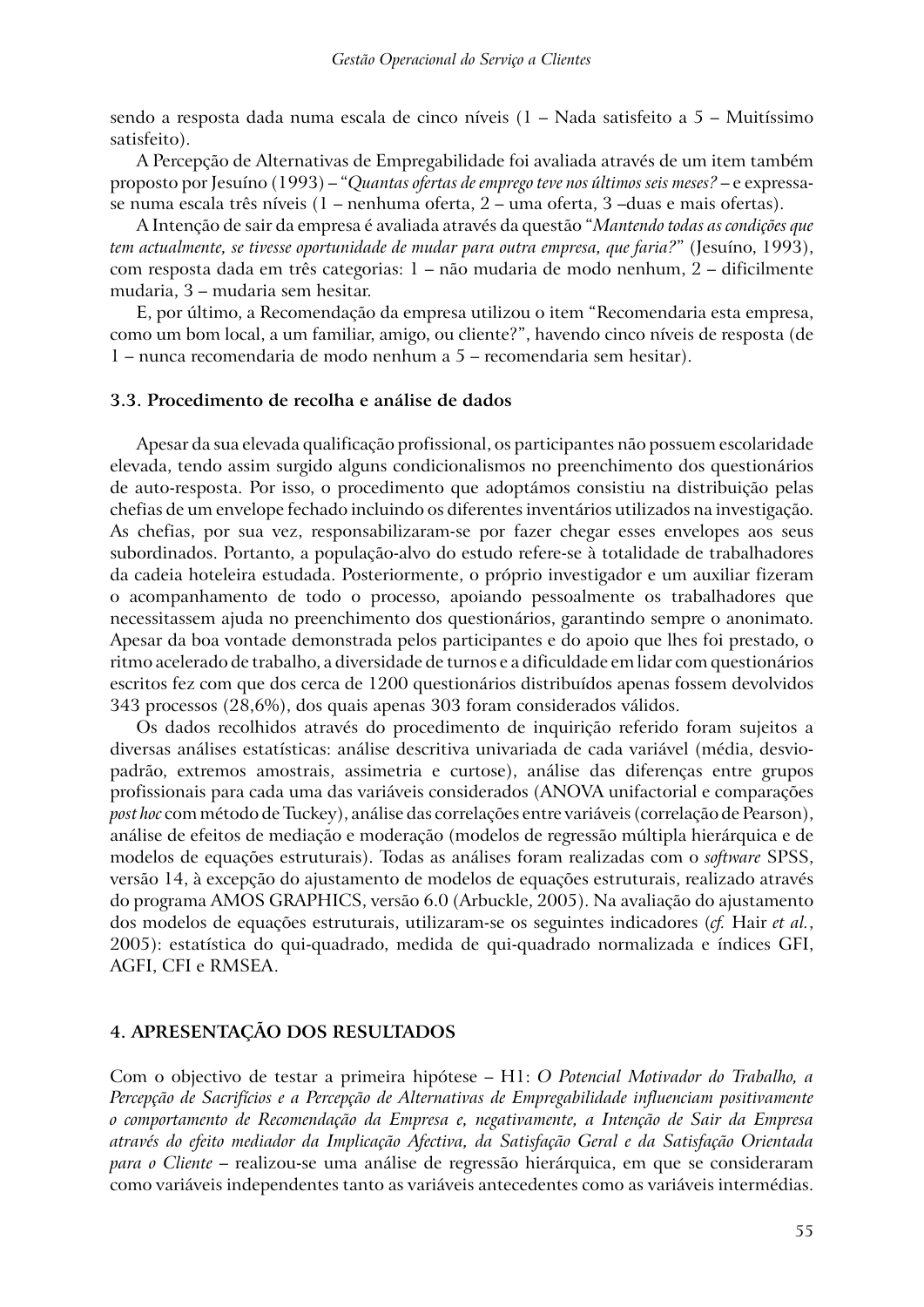sendo a resposta dada numa escala de cinco níveis (1 – Nada satisfeito a 5 – Muitíssimo satisfeito).

A Percepção de Alternativas de Empregabilidade foi avaliada através de um item também proposto por Jesuíno (1993) – "*Quantas ofertas de emprego teve nos últimos seis meses?* – e expressase numa escala três níveis (1 – nenhuma oferta, 2 – uma oferta, 3 –duas e mais ofertas).

A Intenção de sair da empresa é avaliada através da questão "*Mantendo todas as condições que tem actualmente, se tivesse oportunidade de mudar para outra empresa, que faria?*" (Jesuíno, 1993), com resposta dada em três categorias: 1 – não mudaria de modo nenhum, 2 – dificilmente mudaria, 3 – mudaria sem hesitar.

E, por último, a Recomendação da empresa utilizou o item "Recomendaria esta empresa, como um bom local, a um familiar, amigo, ou cliente?", havendo cinco níveis de resposta (de 1 – nunca recomendaria de modo nenhum a 5 – recomendaria sem hesitar).

### **3.3. Procedimento de recolha e análise de dados**

Apesar da sua elevada qualificação profissional, os participantes não possuem escolaridade elevada, tendo assim surgido alguns condicionalismos no preenchimento dos questionários de auto-resposta. Por isso, o procedimento que adoptámos consistiu na distribuição pelas chefias de um envelope fechado incluindo os diferentes inventários utilizados na investigação. As chefias, por sua vez, responsabilizaram-se por fazer chegar esses envelopes aos seus subordinados. Portanto, a população-alvo do estudo refere-se à totalidade de trabalhadores da cadeia hoteleira estudada. Posteriormente, o próprio investigador e um auxiliar fizeram o acompanhamento de todo o processo, apoiando pessoalmente os trabalhadores que necessitassem ajuda no preenchimento dos questionários, garantindo sempre o anonimato. Apesar da boa vontade demonstrada pelos participantes e do apoio que lhes foi prestado, o ritmo acelerado de trabalho, a diversidade de turnos e a dificuldade em lidar com questionários escritos fez com que dos cerca de 1200 questionários distribuídos apenas fossem devolvidos 343 processos (28,6%), dos quais apenas 303 foram considerados válidos.

Os dados recolhidos através do procedimento de inquirição referido foram sujeitos a diversas análises estatísticas: análise descritiva univariada de cada variável (média, desviopadrão, extremos amostrais, assimetria e curtose), análise das diferenças entre grupos profissionais para cada uma das variáveis considerados (ANOVA unifactorial e comparações *post hoc* com método de Tuckey), análise das correlações entre variáveis (correlação de Pearson), análise de efeitos de mediação e moderação (modelos de regressão múltipla hierárquica e de modelos de equações estruturais). Todas as análises foram realizadas com o *software* SPSS, versão 14, à excepção do ajustamento de modelos de equações estruturais, realizado através do programa AMOS GRAPHICS, versão 6.0 (Arbuckle, 2005). Na avaliação do ajustamento dos modelos de equações estruturais, utilizaram-se os seguintes indicadores (*cf.* Hair *et al.*, 2005): estatística do qui-quadrado, medida de qui-quadrado normalizada e índices GFI, AGFI, CFI e RMSEA.

### **4. APRESENTAÇÃO DOS RESULTADOS**

Com o objectivo de testar a primeira hipótese – H1: *O Potencial Motivador do Trabalho, a Percepção de Sacrifícios e a Percepção de Alternativas de Empregabilidade influenciam positivamente o comportamento de Recomendação da Empresa e, negativamente, a Intenção de Sair da Empresa através do efeito mediador da Implicação Afectiva, da Satisfação Geral e da Satisfação Orientada para o Cliente* – realizou-se uma análise de regressão hierárquica, em que se consideraram como variáveis independentes tanto as variáveis antecedentes como as variáveis intermédias.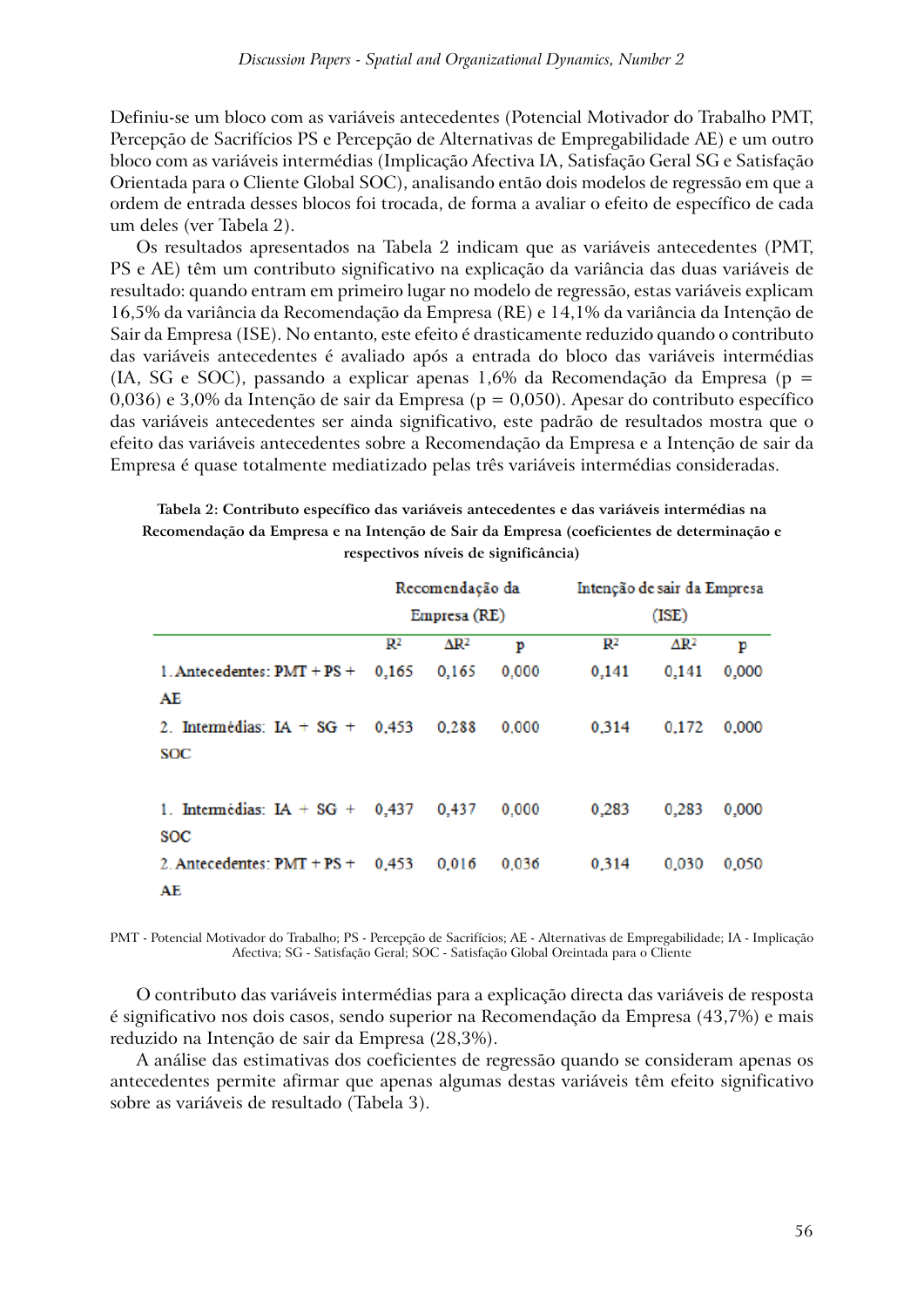Definiu-se um bloco com as variáveis antecedentes (Potencial Motivador do Trabalho PMT, Percepção de Sacrifícios PS e Percepção de Alternativas de Empregabilidade AE) e um outro bloco com as variáveis intermédias (Implicação Afectiva IA, Satisfação Geral SG e Satisfação Orientada para o Cliente Global SOC), analisando então dois modelos de regressão em que a ordem de entrada desses blocos foi trocada, de forma a avaliar o efeito de específico de cada um deles (ver Tabela 2).

Os resultados apresentados na Tabela 2 indicam que as variáveis antecedentes (PMT, PS e AE) têm um contributo significativo na explicação da variância das duas variáveis de resultado: quando entram em primeiro lugar no modelo de regressão, estas variáveis explicam 16,5% da variância da Recomendação da Empresa (RE) e 14,1% da variância da Intenção de Sair da Empresa (ISE). No entanto, este efeito é drasticamente reduzido quando o contributo das variáveis antecedentes é avaliado após a entrada do bloco das variáveis intermédias (IA, SG e SOC), passando a explicar apenas 1,6% da Recomendação da Empresa ( $p =$ 0,036) e 3,0% da Intenção de sair da Empresa ( $p = 0.050$ ). Apesar do contributo específico das variáveis antecedentes ser ainda significativo, este padrão de resultados mostra que o efeito das variáveis antecedentes sobre a Recomendação da Empresa e a Intenção de sair da Empresa é quase totalmente mediatizado pelas três variáveis intermédias consideradas.

**Tabela 2: Contributo específico das variáveis antecedentes e das variáveis intermédias na Recomendação da Empresa e na Intenção de Sair da Empresa (coeficientes de determinação e respectivos níveis de significância)**

|                               |                | Recomendação da         |       | Intenção de sair da Empresa |                         |       |  |  |
|-------------------------------|----------------|-------------------------|-------|-----------------------------|-------------------------|-------|--|--|
|                               |                | Empresa (RE)            |       | (ISE)                       |                         |       |  |  |
|                               | $\mathbb{R}^2$ | $\Delta$ R <sup>2</sup> | p     | R2                          | $\Delta$ R <sup>2</sup> | p     |  |  |
| 1. Antecedentes: $PMT + PS +$ | 0,165          | 0.165                   | 0.000 | 0,141                       | 0,141                   | 0,000 |  |  |
| AE                            |                |                         |       |                             |                         |       |  |  |
| 2. Intermédias: $IA + SG +$   | 0.453          | 0.288                   | 0.000 | 0.314                       | 0.172                   | 0.000 |  |  |
| SOC                           |                |                         |       |                             |                         |       |  |  |
|                               |                |                         |       |                             |                         |       |  |  |
| 1. Intermédias: $IA + SG +$   | 0,437          | 0.437                   | 0.000 | 0.283                       | 0,283                   | 0,000 |  |  |
| <b>SOC</b>                    |                |                         |       |                             |                         |       |  |  |
| 2. Antecedentes: $PMT + PS +$ | 0.453          | 0.016                   | 0.036 | 0.314                       | 0.030                   | 0,050 |  |  |
| AE                            |                |                         |       |                             |                         |       |  |  |

PMT - Potencial Motivador do Trabalho; PS - Percepção de Sacrifícios; AE - Alternativas de Empregabilidade; IA - Implicação Afectiva; SG - Satisfação Geral; SOC - Satisfação Global Oreintada para o Cliente

O contributo das variáveis intermédias para a explicação directa das variáveis de resposta é significativo nos dois casos, sendo superior na Recomendação da Empresa (43,7%) e mais reduzido na Intenção de sair da Empresa (28,3%).

A análise das estimativas dos coeficientes de regressão quando se consideram apenas os antecedentes permite afirmar que apenas algumas destas variáveis têm efeito significativo sobre as variáveis de resultado (Tabela 3).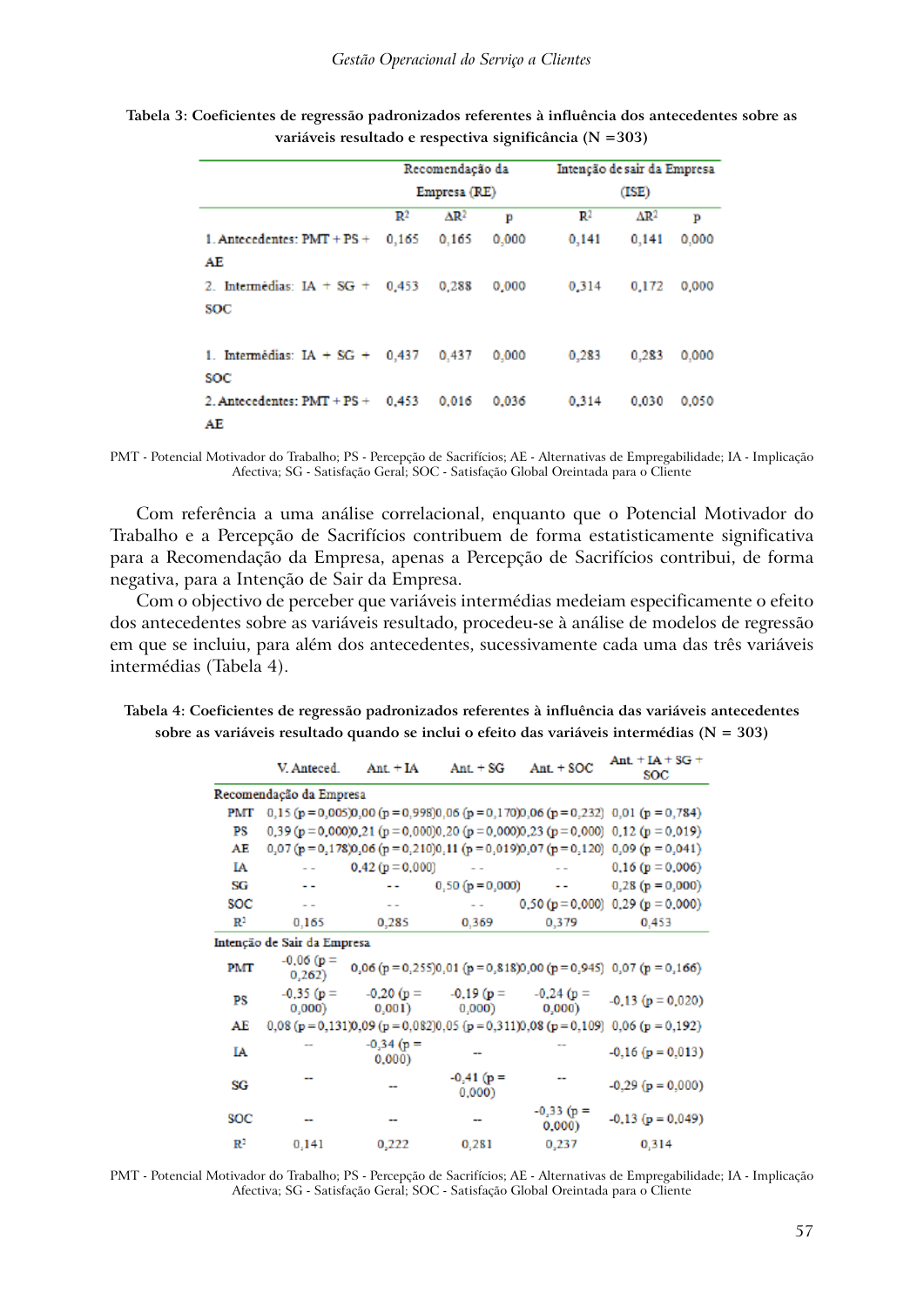|                                     |                | Recomendação da         |       | Intenção de sair da Empresa |                         |       |  |  |
|-------------------------------------|----------------|-------------------------|-------|-----------------------------|-------------------------|-------|--|--|
|                                     |                | Empresa (RE)            |       | (ISE)                       |                         |       |  |  |
|                                     | $\mathbb{R}^2$ | $\Delta$ R <sup>2</sup> | р     | R2                          | $\Delta$ R <sup>2</sup> | Þ     |  |  |
| 1. Antecedentes: $PMT + PS +$       | 0,165          | 0.165                   | 0.000 | 0,141                       | 0.141                   | 0.000 |  |  |
| AE                                  |                |                         |       |                             |                         |       |  |  |
| 2. Intermédias: IA + SG + $0,453$   |                | 0.288                   | 0.000 | 0.314                       | 0.172                   | 0.000 |  |  |
| SOC                                 |                |                         |       |                             |                         |       |  |  |
|                                     |                |                         |       |                             |                         |       |  |  |
| 1. Intermédias: $IA + SG + 0,437$   |                | 0.437                   | 0.000 | 0.283                       | 0.283                   | 0.000 |  |  |
| soc                                 |                |                         |       |                             |                         |       |  |  |
| 2. Antecedentes: $PMT + PS + 0.453$ |                | 0.016                   | 0.036 | 0.314                       | 0.030                   | 0.050 |  |  |
| AE                                  |                |                         |       |                             |                         |       |  |  |

**Tabela 3: Coeficientes de regressão padronizados referentes à influência dos antecedentes sobre as variáveis resultado e respectiva significância (N =303)**

PMT - Potencial Motivador do Trabalho; PS - Percepção de Sacrifícios; AE - Alternativas de Empregabilidade; IA - Implicação Afectiva; SG - Satisfação Geral; SOC - Satisfação Global Oreintada para o Cliente

Com referência a uma análise correlacional, enquanto que o Potencial Motivador do Trabalho e a Percepção de Sacrifícios contribuem de forma estatisticamente significativa para a Recomendação da Empresa, apenas a Percepção de Sacrifícios contribui, de forma negativa, para a Intenção de Sair da Empresa.

Com o objectivo de perceber que variáveis intermédias medeiam especificamente o efeito dos antecedentes sobre as variáveis resultado, procedeu-se à análise de modelos de regressão em que se incluiu, para além dos antecedentes, sucessivamente cada uma das três variáveis intermédias (Tabela 4).

**Tabela 4: Coeficientes de regressão padronizados referentes à influência das variáveis antecedentes sobre as variáveis resultado quando se inclui o efeito das variáveis intermédias (N = 303)**

|                | V. Anteced.                 | $Ant + IA$                                                         | $Ant. + SG$           | $Ant. + SOC$          | Ant $+IA + SG +$<br><b>SOC</b>                                                      |
|----------------|-----------------------------|--------------------------------------------------------------------|-----------------------|-----------------------|-------------------------------------------------------------------------------------|
|                | Recomendação da Empresa     |                                                                    |                       |                       |                                                                                     |
| PMT            |                             |                                                                    |                       |                       | $0,15$ (p = 0,005)0,00 (p = 0,998)0,06 (p = 0,170)0,06 (p = 0,232) 0,01 (p = 0,784) |
| РS             |                             |                                                                    |                       |                       | $0,39$ (p = 0,000)0,21 (p = 0,000)0,20 (p = 0,000)0,23 (p = 0,000) 0,12 (p = 0,019) |
| AE             |                             |                                                                    |                       |                       | $0,07$ (p = 0,178)0,06 (p = 0,210)0,11 (p = 0,019)0,07 (p = 0,120) 0,09 (p = 0,041) |
| IΑ             |                             | $0,42(p=0,000)$                                                    | $\sim$ 100 $\pm$      |                       | $0.16(p = 0.006)$                                                                   |
| SG             | - -                         |                                                                    | $0,50 (p = 0,000)$ -- |                       | $0,28(p = 0,000)$                                                                   |
| SOC            |                             | $\sim$ $\sim$                                                      |                       |                       | $0,50 (p = 0,000)$ 0,29 (p = 0,000)                                                 |
| $\mathbb{R}^2$ | 0.165                       | 0,285                                                              | 0,369                 | 0,379                 | 0.453                                                                               |
|                | Intenção de Sair da Empresa |                                                                    |                       |                       |                                                                                     |
| PMT            | $-0.06(p =$<br>0,262)       |                                                                    |                       |                       | 0,06 (p = 0,255)0,01 (p = 0,818)0,00 (p = 0,945) 0,07 (p = 0,166)                   |
| PS             | (0,000)                     | $-0.35(p = -0.20(p = -0.19(p = -0.24(p =$<br>0,001)                | (0,000)               | 0,000)                | $-0.13$ ( $p = 0.020$ )                                                             |
| AE             |                             | $0.08$ (p = 0.131)0.09 (p = 0.082)0.05 (p = 0.311)0.08 (p = 0.109) |                       |                       | $0,06$ (p = 0,192)                                                                  |
| IA             |                             | $-0,34(p =$<br>0,000                                               |                       |                       | $-0.16$ ( $p = 0.013$ )                                                             |
| SG             |                             |                                                                    | $-0,41$ (p =<br>0,000 |                       | $-0.29$ ( $p = 0.000$ )                                                             |
| SOC            |                             |                                                                    |                       | $-0,33$ (p =<br>0,000 | $-0.13$ ( $p = 0.049$ )                                                             |
| $\mathbb{R}^2$ | 0,141                       | 0,222                                                              | 0,281                 | 0,237                 | 0,314                                                                               |

PMT - Potencial Motivador do Trabalho; PS - Percepção de Sacrifícios; AE - Alternativas de Empregabilidade; IA - Implicação Afectiva; SG - Satisfação Geral; SOC - Satisfação Global Oreintada para o Cliente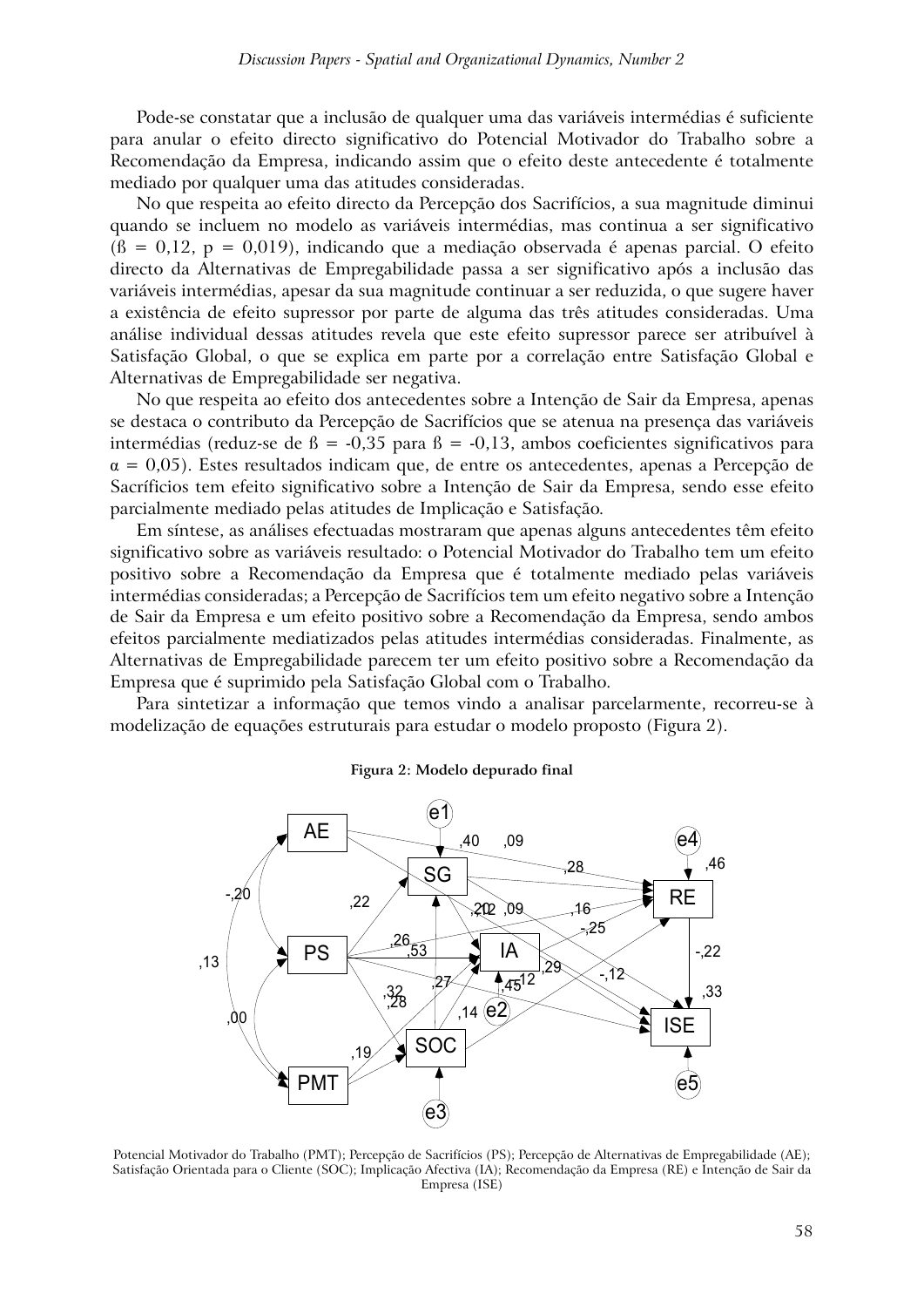Pode-se constatar que a inclusão de qualquer uma das variáveis intermédias é suficiente para anular o efeito directo significativo do Potencial Motivador do Trabalho sobre a Recomendação da Empresa, indicando assim que o efeito deste antecedente é totalmente mediado por qualquer uma das atitudes consideradas.

No que respeita ao efeito directo da Percepção dos Sacrifícios, a sua magnitude diminui quando se incluem no modelo as variáveis intermédias, mas continua a ser significativo  $(6 = 0.12, p = 0.019)$ , indicando que a mediação observada é apenas parcial. O efeito directo da Alternativas de Empregabilidade passa a ser significativo após a inclusão das variáveis intermédias, apesar da sua magnitude continuar a ser reduzida, o que sugere haver a existência de efeito supressor por parte de alguma das três atitudes consideradas. Uma análise individual dessas atitudes revela que este efeito supressor parece ser atribuível à Satisfação Global, o que se explica em parte por a correlação entre Satisfação Global e Alternativas de Empregabilidade ser negativa.

No que respeita ao efeito dos antecedentes sobre a Intenção de Sair da Empresa, apenas se destaca o contributo da Percepção de Sacrifícios que se atenua na presença das variáveis intermédias (reduz-se de  $\beta$  = -0,35 para  $\beta$  = -0,13, ambos coeficientes significativos para  $\alpha = 0.05$ ). Estes resultados indicam que, de entre os antecedentes, apenas a Percepção de Sacríficios tem efeito significativo sobre a Intenção de Sair da Empresa, sendo esse efeito parcialmente mediado pelas atitudes de Implicação e Satisfação.

Em síntese, as análises efectuadas mostraram que apenas alguns antecedentes têm efeito significativo sobre as variáveis resultado: o Potencial Motivador do Trabalho tem um efeito positivo sobre a Recomendação da Empresa que é totalmente mediado pelas variáveis intermédias consideradas; a Percepção de Sacrifícios tem um efeito negativo sobre a Intenção de Sair da Empresa e um efeito positivo sobre a Recomendação da Empresa, sendo ambos efeitos parcialmente mediatizados pelas atitudes intermédias consideradas. Finalmente, as Alternativas de Empregabilidade parecem ter um efeito positivo sobre a Recomendação da Empresa que é suprimido pela Satisfação Global com o Trabalho.

Para sintetizar a informação que temos vindo a analisar parcelarmente, recorreu-se à modelização de equações estruturais para estudar o modelo proposto (Figura 2).

#### **Figura 2: Modelo depurado final**



Potencial Motivador do Trabalho (PMT); Percepção de Sacrifícios (PS); Percepção de Alternativas de Empregabilidade (AE); Satisfação Orientada para o Cliente (SOC); Implicação Afectiva (IA); Recomendação da Empresa (RE) e Intenção de Sair da Empresa (ISE)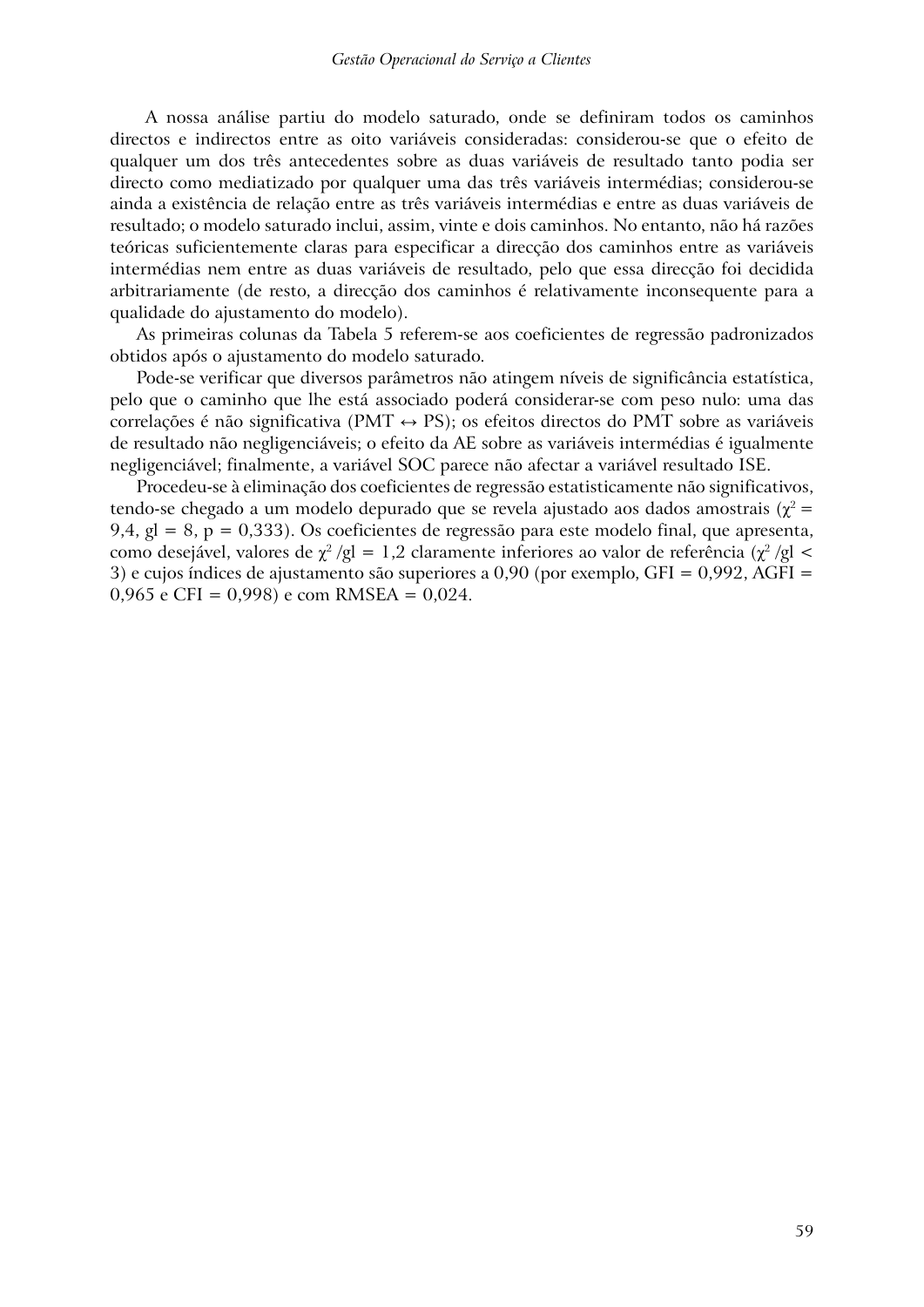A nossa análise partiu do modelo saturado, onde se definiram todos os caminhos directos e indirectos entre as oito variáveis consideradas: considerou-se que o efeito de qualquer um dos três antecedentes sobre as duas variáveis de resultado tanto podia ser directo como mediatizado por qualquer uma das três variáveis intermédias; considerou-se ainda a existência de relação entre as três variáveis intermédias e entre as duas variáveis de resultado; o modelo saturado inclui, assim, vinte e dois caminhos. No entanto, não há razões teóricas suficientemente claras para especificar a direcção dos caminhos entre as variáveis intermédias nem entre as duas variáveis de resultado, pelo que essa direcção foi decidida arbitrariamente (de resto, a direcção dos caminhos é relativamente inconsequente para a qualidade do ajustamento do modelo).

As primeiras colunas da Tabela 5 referem-se aos coeficientes de regressão padronizados obtidos após o ajustamento do modelo saturado.

Pode-se verificar que diversos parâmetros não atingem níveis de significância estatística, pelo que o caminho que lhe está associado poderá considerar-se com peso nulo: uma das correlações é não significativa (PMT  $\leftrightarrow$  PS); os efeitos directos do PMT sobre as variáveis de resultado não negligenciáveis; o efeito da AE sobre as variáveis intermédias é igualmente negligenciável; finalmente, a variável SOC parece não afectar a variável resultado ISE.

Procedeu-se à eliminação dos coeficientes de regressão estatisticamente não significativos, tendo-se chegado a um modelo depurado que se revela ajustado aos dados amostrais ( $\gamma^2$  = 9,4, gl = 8, p = 0,333). Os coeficientes de regressão para este modelo final, que apresenta, como desejável, valores de  $\chi^2$  /gl = 1,2 claramente inferiores ao valor de referência ( $\chi^2$  /gl < 3) e cujos índices de ajustamento são superiores a 0,90 (por exemplo, GFI = 0,992, AGFI = 0,965 e CFI = 0,998) e com RMSEA = 0,024.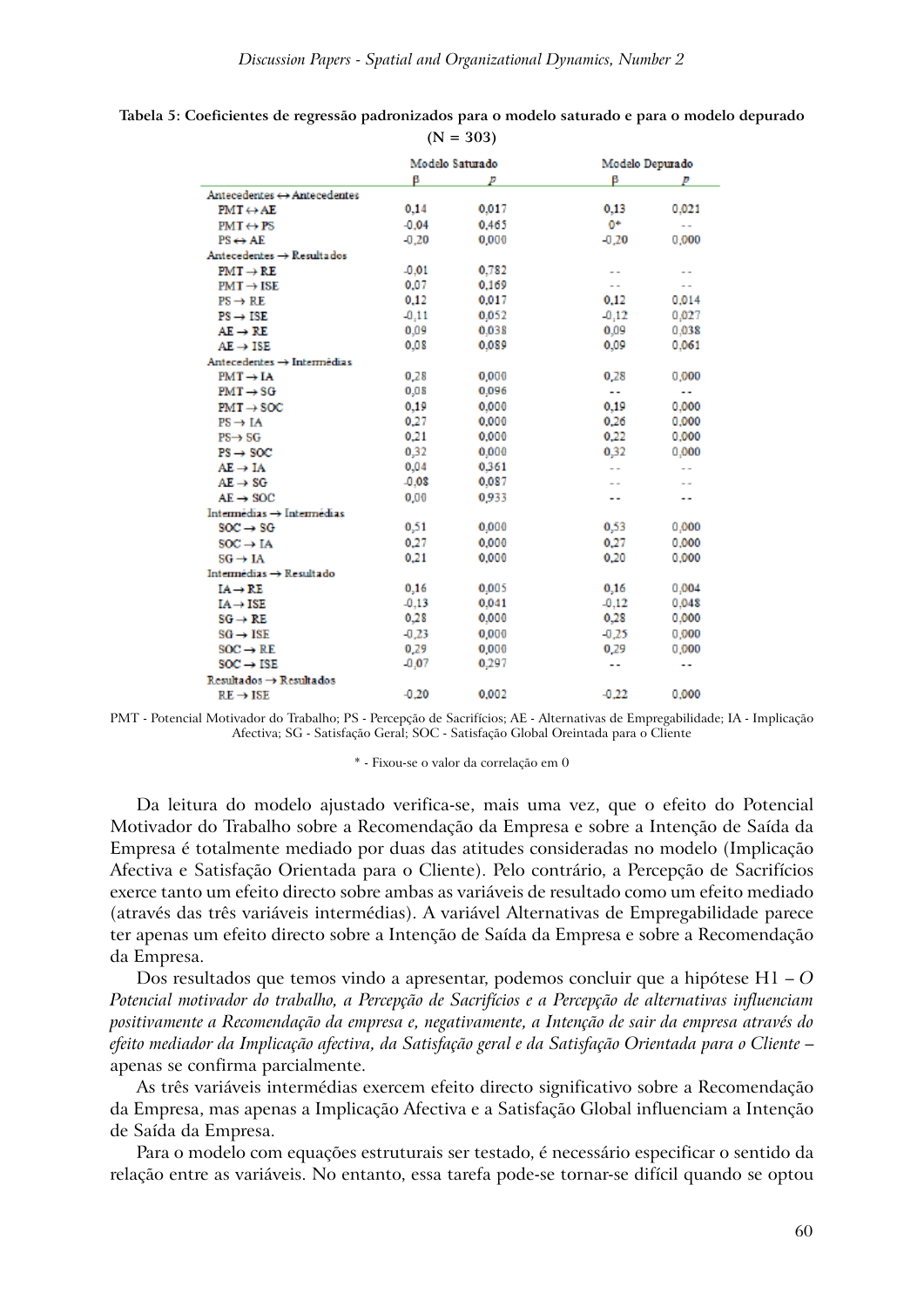|         |       | Modelo Depurado |                      |
|---------|-------|-----------------|----------------------|
| β       | р     | β               | p                    |
|         |       |                 |                      |
| 0.14    | 0.017 | 0.13            | 0,021                |
| $-0.04$ | 0.465 | 0*              | $\sim$               |
| $-0.20$ | 0.000 | $-0.20$         | 0,000                |
|         |       |                 |                      |
| $-0.01$ | 0.782 | $\sim$          |                      |
| 0.07    | 0.169 | $\sim$          | $\sim$ $-$           |
| 0.12    | 0.017 | 0.12            | 0.014                |
| $-0.11$ | 0.052 | $-0.12$         | 0.027                |
| 0.09    | 0.038 | 0.09            | 0.038                |
| 0.08    | 0.089 | 0.09            | 0.061                |
|         |       |                 |                      |
| 0,28    | 0.000 | 0.28            | 0,000                |
| 0,0.8   | 0,096 | 44              | 44                   |
| 0.19    | 0.000 | 0.19            | 0.000                |
| 0.27    | 0.000 | 0.26            | 0.000                |
| 0.21    | 0.000 | 0.22            | 0.000                |
| 0,32    | 0.000 | 0,32            | 0.000                |
| 0.04    | 0.361 | $\sim$          | $\sim$               |
| $-0.08$ | 0.087 |                 |                      |
| 0.00    | 0.933 | ٠.              |                      |
|         |       |                 |                      |
| 0,51    | 0.000 | 0,53            | 0,000                |
| 0.27    | 0.000 | 0.27            | 0.000                |
| 0.21    | 0.000 | 0.20            | 0.000                |
|         |       |                 |                      |
| 0.16    | 0.005 | 0.16            | 0.004                |
| $-0.13$ | 0.041 | $-0.12$         | 0.048                |
| 0.28    | 0.000 | 0.28            | 0.000                |
| $-0.23$ | 0,000 | $-0.25$         | 0,000                |
| 0.29    | 0.000 | 0.29            | 0,000                |
| $-0.07$ | 0,297 | 44              | $\ddot{\phantom{1}}$ |
|         |       |                 |                      |
| $-0.20$ | 0.002 | $-0.22$         | 0.000                |
|         |       | Modelo Saturado |                      |

| Tabela 5: Coeficientes de regressão padronizados para o modelo saturado e para o modelo depurado |             |  |  |
|--------------------------------------------------------------------------------------------------|-------------|--|--|
|                                                                                                  | $(N = 303)$ |  |  |

PMT - Potencial Motivador do Trabalho; PS - Percepção de Sacrifícios; AE - Alternativas de Empregabilidade; IA - Implicação Afectiva; SG - Satisfação Geral; SOC - Satisfação Global Oreintada para o Cliente

\* - Fixou-se o valor da correlação em 0

Da leitura do modelo ajustado verifica-se, mais uma vez, que o efeito do Potencial Motivador do Trabalho sobre a Recomendação da Empresa e sobre a Intenção de Saída da Empresa é totalmente mediado por duas das atitudes consideradas no modelo (Implicação Afectiva e Satisfação Orientada para o Cliente). Pelo contrário, a Percepção de Sacrifícios exerce tanto um efeito directo sobre ambas as variáveis de resultado como um efeito mediado (através das três variáveis intermédias). A variável Alternativas de Empregabilidade parece ter apenas um efeito directo sobre a Intenção de Saída da Empresa e sobre a Recomendação da Empresa.

Dos resultados que temos vindo a apresentar, podemos concluir que a hipótese H1 – *O Potencial motivador do trabalho, a Percepção de Sacrifícios e a Percepção de alternativas influenciam positivamente a Recomendação da empresa e, negativamente, a Intenção de sair da empresa através do efeito mediador da Implicação afectiva, da Satisfação geral e da Satisfação Orientada para o Cliente* – apenas se confirma parcialmente.

As três variáveis intermédias exercem efeito directo significativo sobre a Recomendação da Empresa, mas apenas a Implicação Afectiva e a Satisfação Global influenciam a Intenção de Saída da Empresa.

Para o modelo com equações estruturais ser testado, é necessário especificar o sentido da relação entre as variáveis. No entanto, essa tarefa pode-se tornar-se difícil quando se optou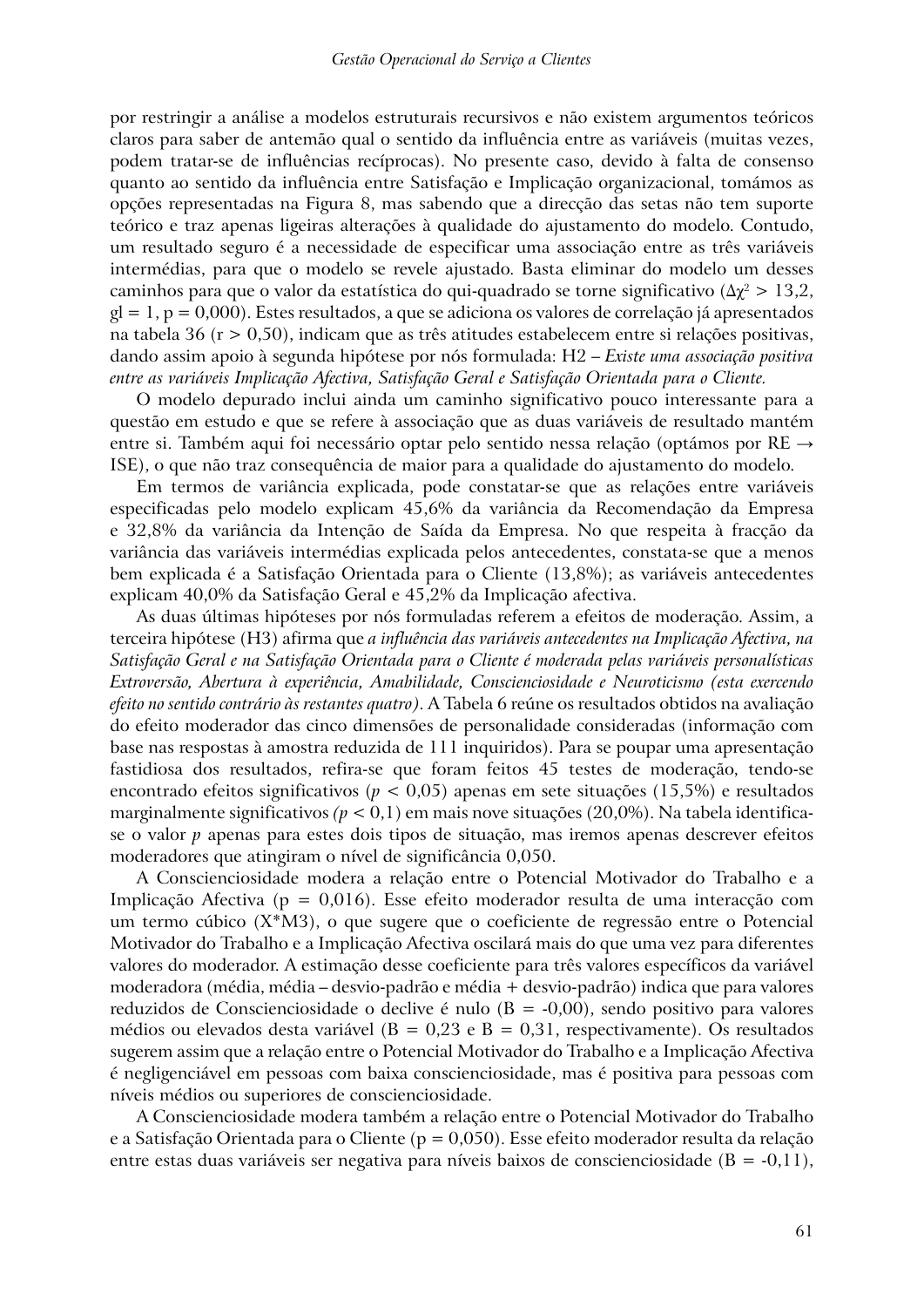por restringir a análise a modelos estruturais recursivos e não existem argumentos teóricos claros para saber de antemão qual o sentido da influência entre as variáveis (muitas vezes, podem tratar-se de influências recíprocas). No presente caso, devido à falta de consenso quanto ao sentido da influência entre Satisfação e Implicação organizacional, tomámos as opções representadas na Figura 8, mas sabendo que a direcção das setas não tem suporte teórico e traz apenas ligeiras alterações à qualidade do ajustamento do modelo. Contudo, um resultado seguro é a necessidade de especificar uma associação entre as três variáveis intermédias, para que o modelo se revele ajustado. Basta eliminar do modelo um desses caminhos para que o valor da estatística do qui-quadrado se torne significativo ( $\Delta \chi^2 > 13.2$ ,  $gl = 1, p = 0,000$ ). Estes resultados, a que se adiciona os valores de correlação já apresentados na tabela 36 ( $r > 0.50$ ), indicam que as três atitudes estabelecem entre si relações positivas, dando assim apoio à segunda hipótese por nós formulada: H2 – *Existe uma associação positiva entre as variáveis Implicação Afectiva, Satisfação Geral e Satisfação Orientada para o Cliente.*

O modelo depurado inclui ainda um caminho significativo pouco interessante para a questão em estudo e que se refere à associação que as duas variáveis de resultado mantém entre si. Também aqui foi necessário optar pelo sentido nessa relação (optámos por RE → ISE), o que não traz consequência de maior para a qualidade do ajustamento do modelo.

Em termos de variância explicada, pode constatar-se que as relações entre variáveis especificadas pelo modelo explicam 45,6% da variância da Recomendação da Empresa e 32,8% da variância da Intenção de Saída da Empresa. No que respeita à fracção da variância das variáveis intermédias explicada pelos antecedentes, constata-se que a menos bem explicada é a Satisfação Orientada para o Cliente (13,8%); as variáveis antecedentes explicam 40,0% da Satisfação Geral e 45,2% da Implicação afectiva.

As duas últimas hipóteses por nós formuladas referem a efeitos de moderação. Assim, a terceira hipótese (H3) afirma que *a influência das variáveis antecedentes na Implicação Afectiva, na Satisfação Geral e na Satisfação Orientada para o Cliente é moderada pelas variáveis personalísticas Extroversão, Abertura à experiência, Amabilidade, Conscienciosidade e Neuroticismo (esta exercendo efeito no sentido contrário às restantes quatro)*. A Tabela 6 reúne os resultados obtidos na avaliação do efeito moderador das cinco dimensões de personalidade consideradas (informação com base nas respostas à amostra reduzida de 111 inquiridos). Para se poupar uma apresentação fastidiosa dos resultados, refira-se que foram feitos 45 testes de moderação, tendo-se encontrado efeitos significativos (*p* < 0,05) apenas em sete situações (15,5%) e resultados marginalmente significativos *(p* < 0,1) em mais nove situações (20,0%). Na tabela identificase o valor *p* apenas para estes dois tipos de situação, mas iremos apenas descrever efeitos moderadores que atingiram o nível de significância 0,050.

A Conscienciosidade modera a relação entre o Potencial Motivador do Trabalho e a Implicação Afectiva (p = 0,016). Esse efeito moderador resulta de uma interacção com um termo cúbico (X\*M3), o que sugere que o coeficiente de regressão entre o Potencial Motivador do Trabalho e a Implicação Afectiva oscilará mais do que uma vez para diferentes valores do moderador. A estimação desse coeficiente para três valores específicos da variável moderadora (média, média – desvio-padrão e média + desvio-padrão) indica que para valores reduzidos de Conscienciosidade o declive é nulo  $(B = -0.00)$ , sendo positivo para valores médios ou elevados desta variável ( $B = 0.23$  e  $B = 0.31$ , respectivamente). Os resultados sugerem assim que a relação entre o Potencial Motivador do Trabalho e a Implicação Afectiva é negligenciável em pessoas com baixa conscienciosidade, mas é positiva para pessoas com níveis médios ou superiores de conscienciosidade.

A Conscienciosidade modera também a relação entre o Potencial Motivador do Trabalho e a Satisfação Orientada para o Cliente ( $p = 0.050$ ). Esse efeito moderador resulta da relação entre estas duas variáveis ser negativa para níveis baixos de conscienciosidade (B = -0,11),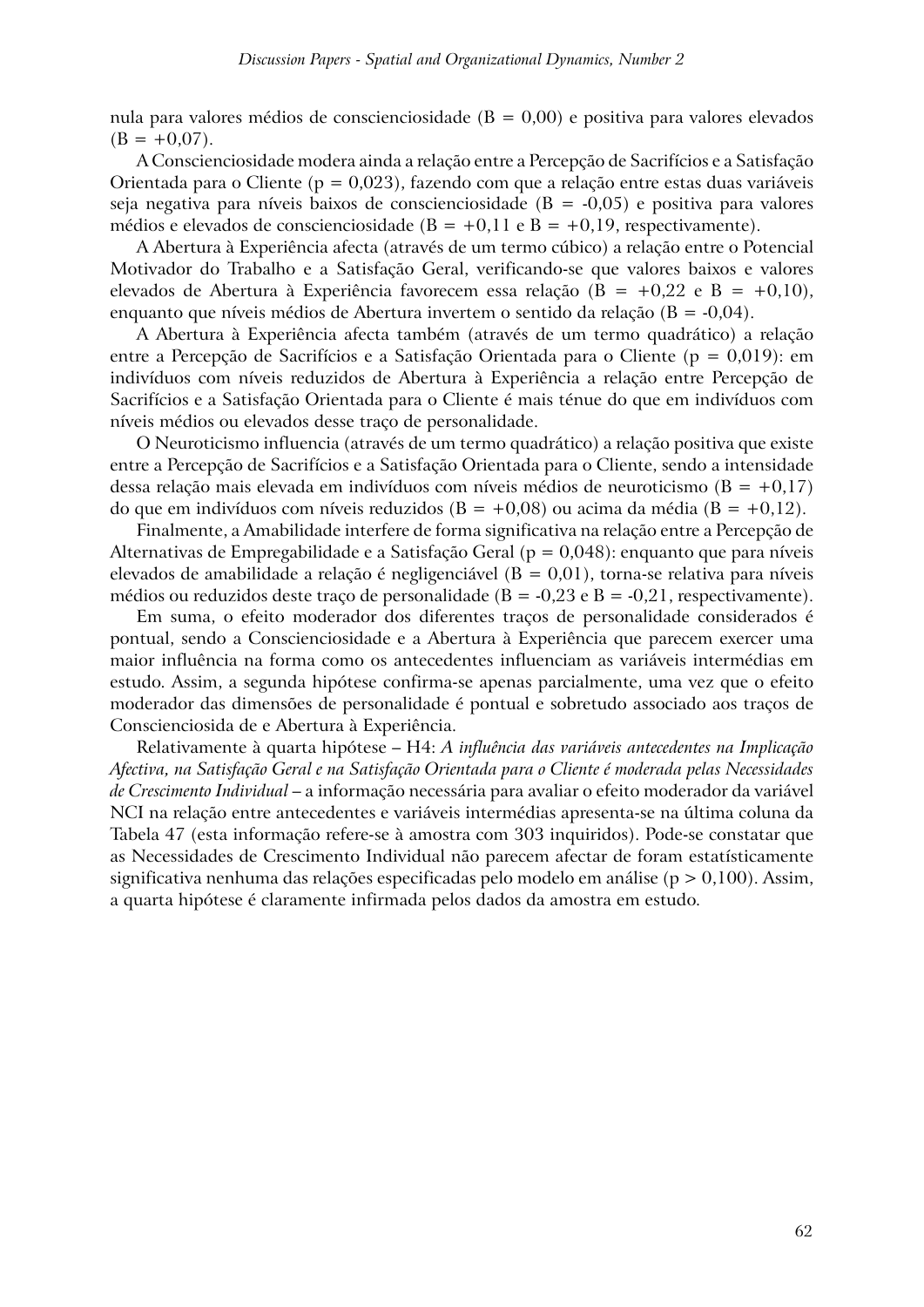nula para valores médios de conscienciosidade ( $B = 0.00$ ) e positiva para valores elevados  $(B = +0.07)$ .

A Conscienciosidade modera ainda a relação entre a Percepção de Sacrifícios e a Satisfação Orientada para o Cliente ( $p = 0.023$ ), fazendo com que a relação entre estas duas variáveis seja negativa para níveis baixos de conscienciosidade ( $B = -0.05$ ) e positiva para valores médios e elevados de conscienciosidade ( $B = +0,11$  e  $B = +0,19$ , respectivamente).

A Abertura à Experiência afecta (através de um termo cúbico) a relação entre o Potencial Motivador do Trabalho e a Satisfação Geral, verificando-se que valores baixos e valores elevados de Abertura à Experiência favorecem essa relação (B = +0,22 e B = +0,10), enquanto que níveis médios de Abertura invertem o sentido da relação (B = -0,04).

A Abertura à Experiência afecta também (através de um termo quadrático) a relação entre a Percepção de Sacrifícios e a Satisfação Orientada para o Cliente (p = 0,019): em indivíduos com níveis reduzidos de Abertura à Experiência a relação entre Percepção de Sacrifícios e a Satisfação Orientada para o Cliente é mais ténue do que em indivíduos com níveis médios ou elevados desse traço de personalidade.

O Neuroticismo influencia (através de um termo quadrático) a relação positiva que existe entre a Percepção de Sacrifícios e a Satisfação Orientada para o Cliente, sendo a intensidade dessa relação mais elevada em indivíduos com níveis médios de neuroticismo ( $B = +0.17$ ) do que em indivíduos com níveis reduzidos ( $B = +0.08$ ) ou acima da média ( $B = +0.12$ ).

Finalmente, a Amabilidade interfere de forma significativa na relação entre a Percepção de Alternativas de Empregabilidade e a Satisfação Geral (p = 0,048): enquanto que para níveis elevados de amabilidade a relação é negligenciável ( $B = 0.01$ ), torna-se relativa para níveis médios ou reduzidos deste traço de personalidade ( $B = -0.23$  e  $B = -0.21$ , respectivamente).

Em suma, o efeito moderador dos diferentes traços de personalidade considerados é pontual, sendo a Conscienciosidade e a Abertura à Experiência que parecem exercer uma maior influência na forma como os antecedentes influenciam as variáveis intermédias em estudo. Assim, a segunda hipótese confirma-se apenas parcialmente, uma vez que o efeito moderador das dimensões de personalidade é pontual e sobretudo associado aos traços de Conscienciosida de e Abertura à Experiência.

Relativamente à quarta hipótese – H4: *A influência das variáveis antecedentes na Implicação Afectiva, na Satisfação Geral e na Satisfação Orientada para o Cliente é moderada pelas Necessidades de Crescimento Individual* – a informação necessária para avaliar o efeito moderador da variável NCI na relação entre antecedentes e variáveis intermédias apresenta-se na última coluna da Tabela 47 (esta informação refere-se à amostra com 303 inquiridos). Pode-se constatar que as Necessidades de Crescimento Individual não parecem afectar de foram estatísticamente significativa nenhuma das relações especificadas pelo modelo em análise ( $p > 0,100$ ). Assim, a quarta hipótese é claramente infirmada pelos dados da amostra em estudo.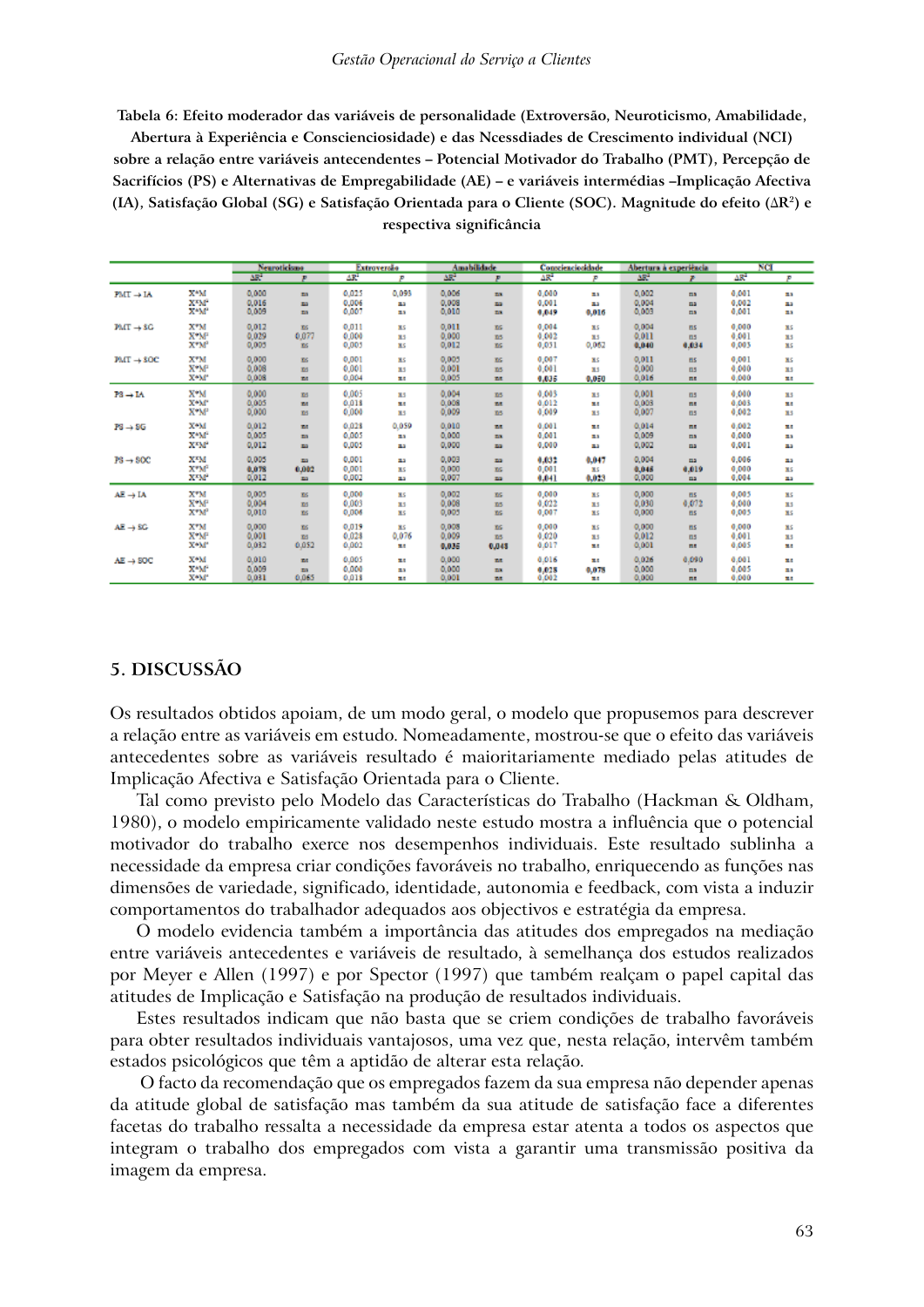#### *Gestão Operacional do Serviço a Clientes*

**Tabela 6: Efeito moderador das variáveis de personalidade (Extroversão, Neuroticismo, Amabilidade,** 

**Abertura à Experiência e Conscienciosidade) e das Ncessdiades de Crescimento individual (NCI) sobre a relação entre variáveis antecendentes – Potencial Motivador do Trabalho (PMT), Percepção de Sacrifícios (PS) e Alternativas de Empregabilidade (AE) – e variáveis intermédias –Implicação Afectiva (IA), Satisfação Global (SG) e Satisfação Orientada para o Cliente (SOC). Magnitude do efeito (**∆**R2) e respectiva significância**

|                          |                  | Neuroticismo<br>Extroversio |             |                 | <b>Amabilidade</b> |                 | Conscienciosidade |                 | Abertura à experiência | $_{\text{NCI}}$ |                |                 |     |
|--------------------------|------------------|-----------------------------|-------------|-----------------|--------------------|-----------------|-------------------|-----------------|------------------------|-----------------|----------------|-----------------|-----|
|                          |                  | AR <sup>2</sup>             | P           | AR <sup>2</sup> | <b>P</b>           | AR <sup>2</sup> | P                 | ΔR <sup>2</sup> | ×                      | AR <sup>2</sup> | æ.             | AR <sup>*</sup> | p   |
| $PMT \rightarrow IA$     | XW               | 0,000                       | za.         | 0.025           | 0.093              | 0.006           | m.                | 0.000           | 23                     | 0.002           | <b>COL</b>     | 0,001           | 33  |
|                          | <b>XEMP</b>      | 0.016                       | za          | 0.006           | 23                 | 0.008           | 23                | 0.001           | 23                     | 0.004           | ma             | 0.002           | 23  |
|                          | XW.              | 0,009                       | za.         | 0.007           | 23                 | 0.010           | m.                | 6,049           | 0,016                  | 0,009           | ma             | 0.001           | 23  |
| $PMT \rightarrow 8G$     | X*M              | 0.012                       | XG          | 0.011           | XS.                | 0.011           | XG.               | 0,004           | XS                     | 0,004           | B <sub>S</sub> | 0,000           | XS. |
|                          | X*M <sup>P</sup> | 0.029                       | 0.077       | 0.000           | 31.5               | 0,000           | <b>BS</b>         | 0.002           | 31.5                   | 0.011           | B <sub>5</sub> | 0.001           | 35  |
|                          | X"M"             | 0,005                       | X6          | 0.005           | XS.                | 0,012           | XG.               | 0,031           | 0,062                  | 0.040           | 0.034          | 0,003           | XS. |
| $PMT \rightarrow SOC$    | X*M              | 0,000                       | XS.         | 0,001           | XS.                | 0.005           | XG.               | 0,007           | XS.                    | 0.011           | $_{\rm BS}$    | 0,001           | XS. |
|                          | X*M              | 0,008                       | 85          | 0.001           | 31.5               | 0.001           | X6                | 0.001           | 35                     | 0,000           | B <sub>5</sub> | 0,000           | 35  |
|                          | X*M*             | 0.008                       | <b>Ed</b>   | 0.004           | 出版                 | 0.005           | <b>TAT</b>        | 0.035           | 0,050                  | 0,016           | ■■             | 0.000           | 言語  |
| $P3 \rightarrow I \land$ | X*M              | 0,000                       | <b>DS</b>   | 0.005           | 33                 | 0,004           | <b>BS</b>         | 0,003           | 31.5                   | 0,001           | $n$            | 0,000           | 33  |
|                          | X*M*             | 0.005                       | <b>Tale</b> | 0.018           | 25                 | 0.008           | <b>SHE</b>        | 0.012           | z.                     | 0.003           | 田屋             | 0.003           | 28  |
|                          | X*M°             | 0,000                       | <b>DS</b>   | 0,000           | 31.5               | 0,009           | <b>BS</b>         | 0,009           | 85                     | 0,007           | $n$            | 0,002           | 33  |
| $P3 \rightarrow 5G$      | X*M              | 0.012                       | z.          | 0.028           | 0.059              | 0.010           | <b>DIE</b>        | 0.001           | 25                     | 0.014           | 出版             | 0.002           | z.  |
|                          | XW.              | 0.005                       | <b>ES</b>   | 0.005           | 23                 | 0,000           | <b>EX</b>         | 0.001           | 23                     | 0.009           | m              | 0,000           | 33  |
|                          | XEM <sup>2</sup> | 0,012                       | za.         | 0.005           | 23                 | 0,000           | za.               | 0,000           | 23                     | 0,002           | ma             | 0,001           | 23  |
| $PS \rightarrow SOC$     | XEM              | 0.005                       | za.         | 0.001           | 23                 | 0,003           | za.               | 6,032           | 0.047                  | 0.004           | <b>ma</b>      | 0.006           | 23  |
|                          | X"M"             | 0.078                       | 0.002       | 0,001           | XS.                | 0,000           | XG.               | 0,001           | XS.                    | 0.045           | 0.019          | 0,000           | XS. |
|                          | XEM <sup>2</sup> | 0.012                       | <b>EG</b>   | 0.002           | 23                 | 0.007           | za.               | 6.041           | 0.023                  | 0.000           | ma.            | 0.004           | 23  |
| $AE \rightarrow IA$      | X*M              | 0,005                       | XS.         | 0,000           | XS.                | 0,002           | XG.               | 0,000           | XS                     | 0,000           | <b>ELS</b>     | 0,005           | XS. |
|                          | X*M <sup>P</sup> | 0,004                       | <b>DS</b>   | 0.003           | 35                 | 0,008           | X5                | 0,022           | 35                     | 0.030           | 0,072          | 0,000           | 33  |
|                          | X"M"             | 0,010                       | XS.         | 0,006           | XS.                | 0,005           | XG.               | 0,007           | XS                     | 0,000           | <b>BS</b>      | 0,005           | XS  |
| $AE \rightarrow SC$      | X*M              | 0,000                       | XS          | 0.019           | XS.                | 0,008           | XG.               | 0,000           | XS                     | 0,000           | B <sub>S</sub> | 0,000           | XS. |
|                          | X*M <sup>P</sup> | 0,001                       | 105         | 0.028           | 0.076              | 0,009           | <b>BS</b>         | 0,020           | 85                     | 0.012           | $n$            | 0.001           | 35  |
|                          | X*M*             | 0.032                       | 0.052       | 0.002           | 大阪                 | 0.036           | 0.045             | 0,017           | まま                     | 0,001           | ms.            | 0.005           | ×.  |
| $AE \rightarrow SOC$     | X*M              | 0,010                       | <b>Tale</b> | 0.005           | 言語                 | 0.000           | <b>Bit</b>        | 0.016           | н.                     | 0.026           | 0.090          | 0.001           | ×.  |
|                          | XW.              | 0,009                       | za.         | 0.000           | 23                 | 0,000           | <b>EX</b>         | 6,025           | 0,078                  | 0.000           | $\overline{m}$ | 0.005           | 23  |
|                          | X*M*             | 0.031                       | 0.065       | 0.018           | z.                 | 0.001           | <b>TAT</b>        | 0.002           | まま                     | 0.000           | 言語             | 0.000           | 23  |

### **5. DISCUSSÃO**

Os resultados obtidos apoiam, de um modo geral, o modelo que propusemos para descrever a relação entre as variáveis em estudo. Nomeadamente, mostrou-se que o efeito das variáveis antecedentes sobre as variáveis resultado é maioritariamente mediado pelas atitudes de Implicação Afectiva e Satisfação Orientada para o Cliente.

Tal como previsto pelo Modelo das Características do Trabalho (Hackman & Oldham, 1980), o modelo empiricamente validado neste estudo mostra a influência que o potencial motivador do trabalho exerce nos desempenhos individuais. Este resultado sublinha a necessidade da empresa criar condições favoráveis no trabalho, enriquecendo as funções nas dimensões de variedade, significado, identidade, autonomia e feedback, com vista a induzir comportamentos do trabalhador adequados aos objectivos e estratégia da empresa.

O modelo evidencia também a importância das atitudes dos empregados na mediação entre variáveis antecedentes e variáveis de resultado, à semelhança dos estudos realizados por Meyer e Allen (1997) e por Spector (1997) que também realçam o papel capital das atitudes de Implicação e Satisfação na produção de resultados individuais.

Estes resultados indicam que não basta que se criem condições de trabalho favoráveis para obter resultados individuais vantajosos, uma vez que, nesta relação, intervêm também estados psicológicos que têm a aptidão de alterar esta relação.

 O facto da recomendação que os empregados fazem da sua empresa não depender apenas da atitude global de satisfação mas também da sua atitude de satisfação face a diferentes facetas do trabalho ressalta a necessidade da empresa estar atenta a todos os aspectos que integram o trabalho dos empregados com vista a garantir uma transmissão positiva da imagem da empresa.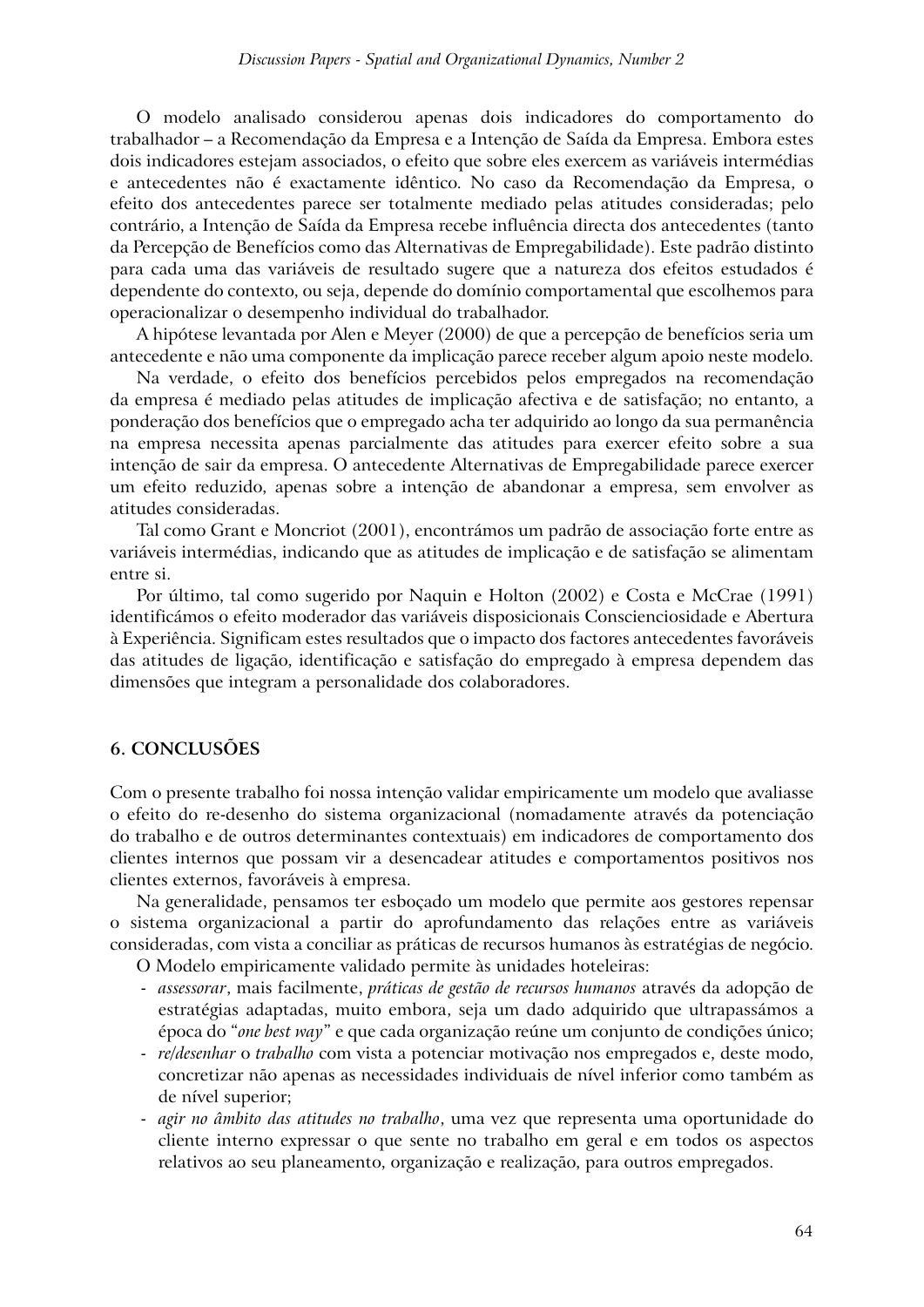O modelo analisado considerou apenas dois indicadores do comportamento do trabalhador – a Recomendação da Empresa e a Intenção de Saída da Empresa. Embora estes dois indicadores estejam associados, o efeito que sobre eles exercem as variáveis intermédias e antecedentes não é exactamente idêntico. No caso da Recomendação da Empresa, o efeito dos antecedentes parece ser totalmente mediado pelas atitudes consideradas; pelo contrário, a Intenção de Saída da Empresa recebe influência directa dos antecedentes (tanto da Percepção de Benefícios como das Alternativas de Empregabilidade). Este padrão distinto para cada uma das variáveis de resultado sugere que a natureza dos efeitos estudados é dependente do contexto, ou seja, depende do domínio comportamental que escolhemos para operacionalizar o desempenho individual do trabalhador.

A hipótese levantada por Alen e Meyer (2000) de que a percepção de benefícios seria um antecedente e não uma componente da implicação parece receber algum apoio neste modelo.

Na verdade, o efeito dos benefícios percebidos pelos empregados na recomendação da empresa é mediado pelas atitudes de implicação afectiva e de satisfação; no entanto, a ponderação dos benefícios que o empregado acha ter adquirido ao longo da sua permanência na empresa necessita apenas parcialmente das atitudes para exercer efeito sobre a sua intenção de sair da empresa. O antecedente Alternativas de Empregabilidade parece exercer um efeito reduzido, apenas sobre a intenção de abandonar a empresa, sem envolver as atitudes consideradas.

Tal como Grant e Moncriot (2001), encontrámos um padrão de associação forte entre as variáveis intermédias, indicando que as atitudes de implicação e de satisfação se alimentam entre si.

Por último, tal como sugerido por Naquin e Holton (2002) e Costa e McCrae (1991) identificámos o efeito moderador das variáveis disposicionais Conscienciosidade e Abertura à Experiência. Significam estes resultados que o impacto dos factores antecedentes favoráveis das atitudes de ligação, identificação e satisfação do empregado à empresa dependem das dimensões que integram a personalidade dos colaboradores.

### **6. CONCLUSÕES**

Com o presente trabalho foi nossa intenção validar empiricamente um modelo que avaliasse o efeito do re-desenho do sistema organizacional (nomadamente através da potenciação do trabalho e de outros determinantes contextuais) em indicadores de comportamento dos clientes internos que possam vir a desencadear atitudes e comportamentos positivos nos clientes externos, favoráveis à empresa.

Na generalidade, pensamos ter esboçado um modelo que permite aos gestores repensar o sistema organizacional a partir do aprofundamento das relações entre as variáveis consideradas, com vista a conciliar as práticas de recursos humanos às estratégias de negócio.

O Modelo empiricamente validado permite às unidades hoteleiras:

- *assessorar*, mais facilmente, *práticas de gestão de recursos humanos* através da adopção de estratégias adaptadas, muito embora, seja um dado adquirido que ultrapassámos a época do "*one best way*" e que cada organização reúne um conjunto de condições único;
- *re/desenhar* o *trabalho* com vista a potenciar motivação nos empregados e, deste modo, concretizar não apenas as necessidades individuais de nível inferior como também as de nível superior;
- *agir no âmbito das atitudes no trabalho*, uma vez que representa uma oportunidade do cliente interno expressar o que sente no trabalho em geral e em todos os aspectos relativos ao seu planeamento, organização e realização, para outros empregados.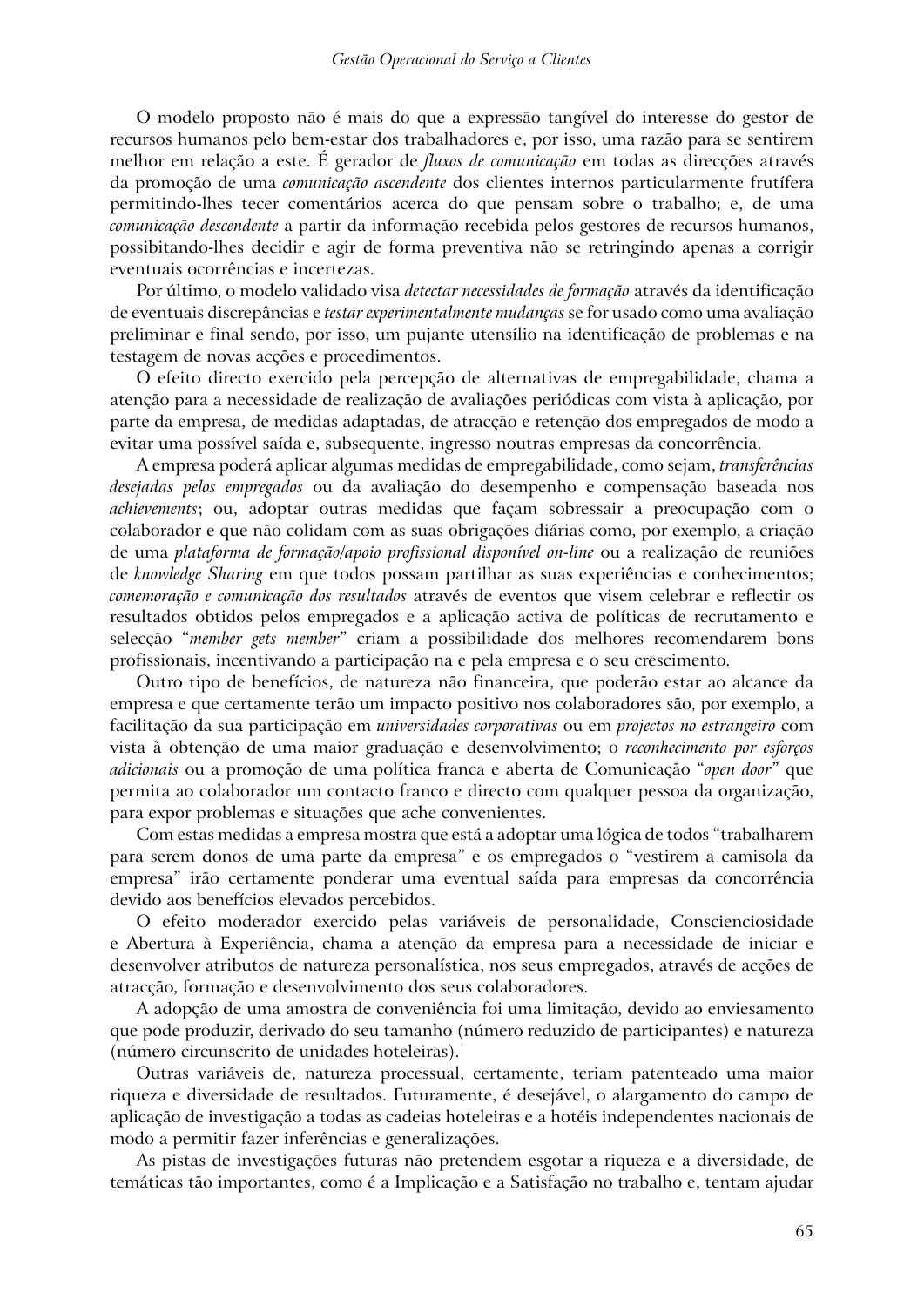O modelo proposto não é mais do que a expressão tangível do interesse do gestor de recursos humanos pelo bem-estar dos trabalhadores e, por isso, uma razão para se sentirem melhor em relação a este. É gerador de *fluxos de comunicação* em todas as direcções através da promoção de uma *comunicação ascendente* dos clientes internos particularmente frutífera permitindo-lhes tecer comentários acerca do que pensam sobre o trabalho; e, de uma *comunicação descendente* a partir da informação recebida pelos gestores de recursos humanos, possibitando-lhes decidir e agir de forma preventiva não se retringindo apenas a corrigir eventuais ocorrências e incertezas.

Por último, o modelo validado visa *detectar necessidades de formação* através da identificação de eventuais discrepâncias e *testar experimentalmente mudanças* se for usado como uma avaliação preliminar e final sendo, por isso, um pujante utensílio na identificação de problemas e na testagem de novas acções e procedimentos.

O efeito directo exercido pela percepção de alternativas de empregabilidade, chama a atenção para a necessidade de realização de avaliações periódicas com vista à aplicação, por parte da empresa, de medidas adaptadas, de atracção e retenção dos empregados de modo a evitar uma possível saída e, subsequente, ingresso noutras empresas da concorrência.

A empresa poderá aplicar algumas medidas de empregabilidade, como sejam, *transferências desejadas pelos empregados* ou da avaliação do desempenho e compensação baseada nos *achievements*; ou, adoptar outras medidas que façam sobressair a preocupação com o colaborador e que não colidam com as suas obrigações diárias como, por exemplo, a criação de uma *plataforma de formação/apoio profissional disponível on-line* ou a realização de reuniões de *knowledge Sharing* em que todos possam partilhar as suas experiências e conhecimentos; *comemoração e comunicação dos resultados* através de eventos que visem celebrar e reflectir os resultados obtidos pelos empregados e a aplicação activa de políticas de recrutamento e selecção "*member gets member*" criam a possibilidade dos melhores recomendarem bons profissionais, incentivando a participação na e pela empresa e o seu crescimento.

Outro tipo de benefícios, de natureza não financeira, que poderão estar ao alcance da empresa e que certamente terão um impacto positivo nos colaboradores são, por exemplo, a facilitação da sua participação em *universidades corporativas* ou em *projectos no estrangeiro* com vista à obtenção de uma maior graduação e desenvolvimento; o *reconhecimento por esforços adicionais* ou a promoção de uma política franca e aberta de Comunicação "*open door*" que permita ao colaborador um contacto franco e directo com qualquer pessoa da organização, para expor problemas e situações que ache convenientes.

Com estas medidas a empresa mostra que está a adoptar uma lógica de todos "trabalharem para serem donos de uma parte da empresa" e os empregados o "vestirem a camisola da empresa" irão certamente ponderar uma eventual saída para empresas da concorrência devido aos benefícios elevados percebidos.

O efeito moderador exercido pelas variáveis de personalidade, Conscienciosidade e Abertura à Experiência, chama a atenção da empresa para a necessidade de iniciar e desenvolver atributos de natureza personalística, nos seus empregados, através de acções de atracção, formação e desenvolvimento dos seus colaboradores.

A adopção de uma amostra de conveniência foi uma limitação, devido ao enviesamento que pode produzir, derivado do seu tamanho (número reduzido de participantes) e natureza (número circunscrito de unidades hoteleiras).

Outras variáveis de, natureza processual, certamente, teriam patenteado uma maior riqueza e diversidade de resultados. Futuramente, é desejável, o alargamento do campo de aplicação de investigação a todas as cadeias hoteleiras e a hotéis independentes nacionais de modo a permitir fazer inferências e generalizações.

As pistas de investigações futuras não pretendem esgotar a riqueza e a diversidade, de temáticas tão importantes, como é a Implicação e a Satisfação no trabalho e, tentam ajudar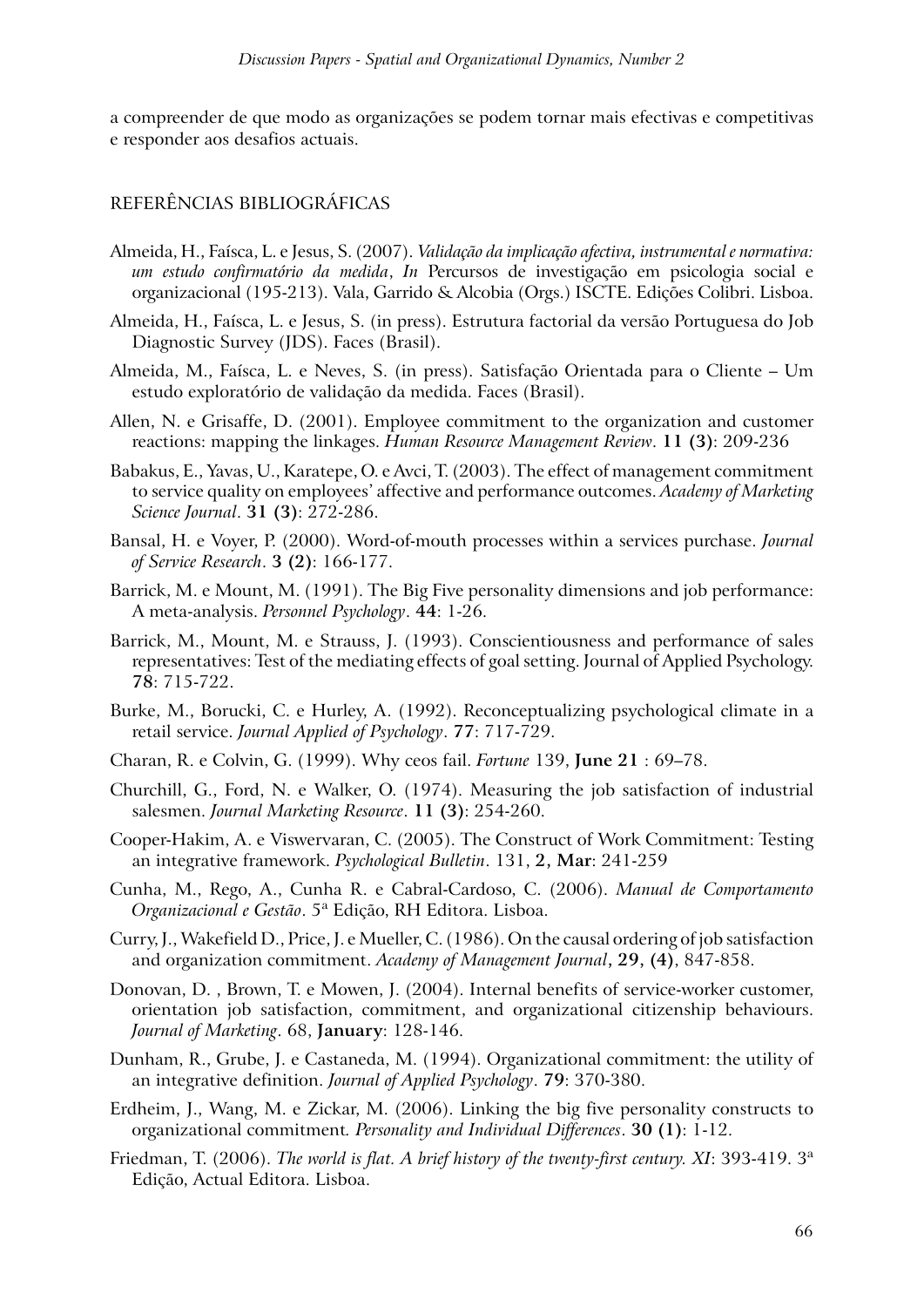a compreender de que modo as organizações se podem tornar mais efectivas e competitivas e responder aos desafios actuais.

### REFERÊNCIAS BIBLIOGRÁFICAS

- Almeida, H., Faísca, L. e Jesus, S. (2007). *Validação da implicação afectiva, instrumental e normativa: um estudo confirmatório da medida*, *In* Percursos de investigação em psicologia social e organizacional (195-213). Vala, Garrido & Alcobia (Orgs.) ISCTE. Edições Colibri. Lisboa.
- Almeida, H., Faísca, L. e Jesus, S. (in press). Estrutura factorial da versão Portuguesa do Job Diagnostic Survey (JDS). Faces (Brasil).
- Almeida, M., Faísca, L. e Neves, S. (in press). Satisfação Orientada para o Cliente Um estudo exploratório de validação da medida. Faces (Brasil).
- Allen, N. e Grisaffe, D. (2001). Employee commitment to the organization and customer reactions: mapping the linkages. *Human Resource Management Review*. **11 (3)**: 209-236
- Babakus, E., Yavas, U., Karatepe, O. e Avci, T. (2003). The effect of management commitment to service quality on employees' affective and performance outcomes. *Academy of Marketing Science Journal*. **31 (3)**: 272-286.
- Bansal, H. e Voyer, P. (2000). Word-of-mouth processes within a services purchase. *Journal of Service Research*. **3 (2)**: 166-177.
- Barrick, M. e Mount, M. (1991). The Big Five personality dimensions and job performance: A meta-analysis. *Personnel Psychology*. **44**: 1-26.
- Barrick, M., Mount, M. e Strauss, J. (1993). Conscientiousness and performance of sales representatives: Test of the mediating effects of goal setting. Journal of Applied Psychology. **78**: 715-722.
- Burke, M., Borucki, C. e Hurley, A. (1992). Reconceptualizing psychological climate in a retail service. *Journal Applied of Psychology*. **77**: 717-729.
- Charan, R. e Colvin, G. (1999). Why ceos fail. *Fortune* 139, **June 21** : 69–78.
- Churchill, G., Ford, N. e Walker, O. (1974). Measuring the job satisfaction of industrial salesmen. *Journal Marketing Resource*. **11 (3)**: 254-260.
- Cooper-Hakim, A. e Viswervaran, C. (2005). The Construct of Work Commitment: Testing an integrative framework. *Psychological Bulletin*. 131, **2, Mar**: 241-259
- Cunha, M., Rego, A., Cunha R. e Cabral-Cardoso, C. (2006). *Manual de Comportamento Organizacional e Gestão*. 5ª Edição, RH Editora. Lisboa.
- Curry, J., Wakefield D., Price, J. e Mueller, C. (1986). On the causal ordering of job satisfaction and organization commitment. *Academy of Management Journal***, 29, (4)**, 847-858.
- Donovan, D. , Brown, T. e Mowen, J. (2004). Internal benefits of service-worker customer, orientation job satisfaction, commitment, and organizational citizenship behaviours. *Journal of Marketing*. 68, **January**: 128-146.
- Dunham, R., Grube, J. e Castaneda, M. (1994). Organizational commitment: the utility of an integrative definition. *Journal of Applied Psychology*. **79**: 370-380.
- Erdheim, J., Wang, M. e Zickar, M. (2006). Linking the big five personality constructs to organizational commitment*. Personality and Individual Differences*. **30 (1)**: 1-12.
- Friedman, T. (2006). *The world is flat. A brief history of the twenty-first century. XI*: 393-419. 3ª Edição, Actual Editora. Lisboa.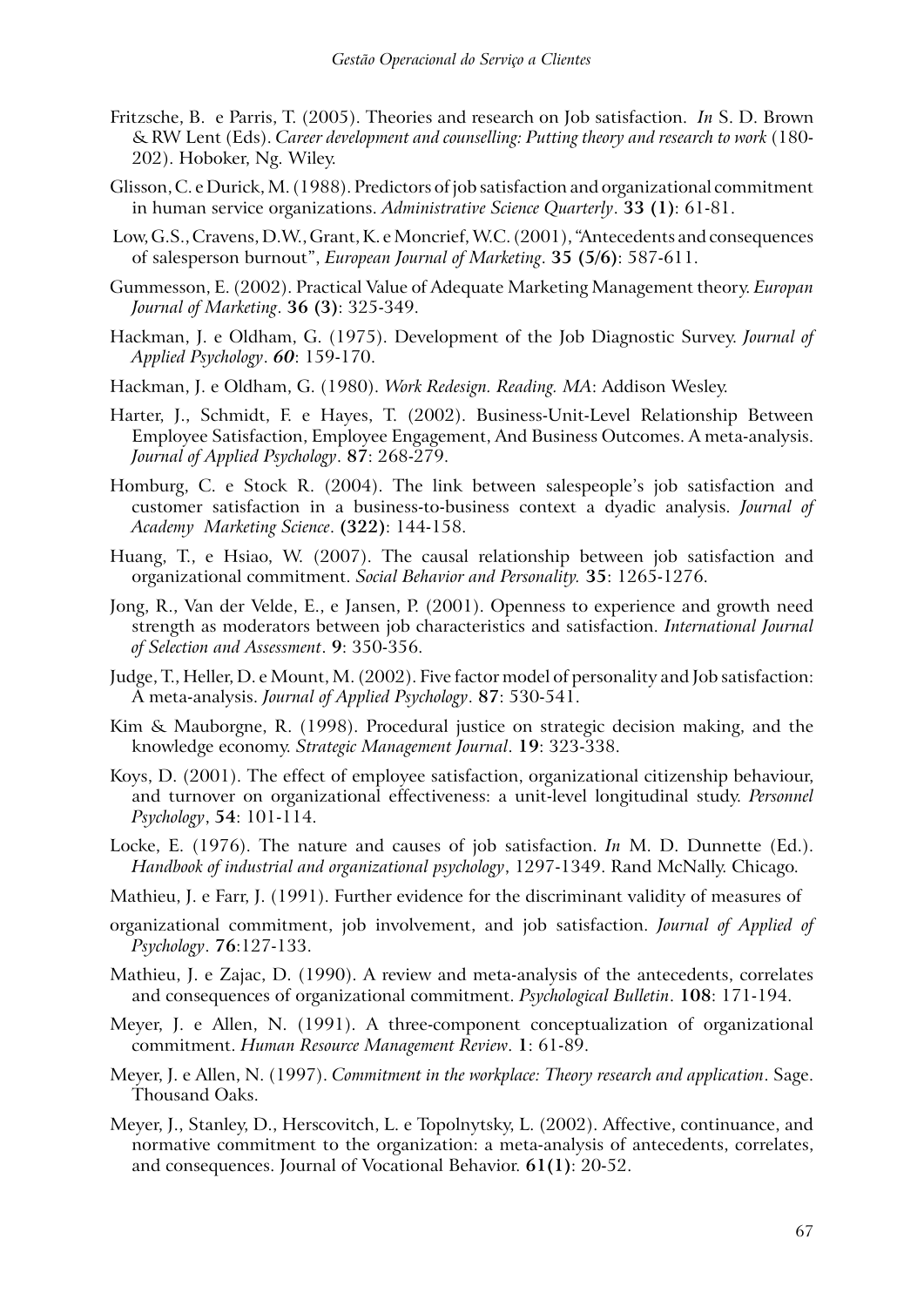- Fritzsche, B. e Parris, T. (2005). Theories and research on Job satisfaction. *In* S. D. Brown & RW Lent (Eds). *Career development and counselling: Putting theory and research to work* (180- 202). Hoboker, Ng. Wiley.
- Glisson, C. e Durick, M. (1988). Predictors of job satisfaction and organizational commitment in human service organizations. *Administrative Science Quarterly*. **33 (1)**: 61-81.
- Low, G.S., Cravens, D.W., Grant, K. e Moncrief, W.C. (2001), "Antecedents and consequences of salesperson burnout", *European Journal of Marketing*. **35 (5/6)**: 587-611.
- Gummesson, E. (2002). Practical Value of Adequate Marketing Management theory. *Europan Journal of Marketing*. **36 (3)**: 325-349.
- Hackman, J. e Oldham, G. (1975). Development of the Job Diagnostic Survey. *Journal of Applied Psychology*. *60*: 159-170.
- Hackman, J. e Oldham, G. (1980). *Work Redesign. Reading. MA*: Addison Wesley.
- Harter, J., Schmidt, F. e Hayes, T. (2002). Business-Unit-Level Relationship Between Employee Satisfaction, Employee Engagement, And Business Outcomes. A meta-analysis. *Journal of Applied Psychology*. **87**: 268-279.
- Homburg, C. e Stock R. (2004). The link between salespeople's job satisfaction and customer satisfaction in a business-to-business context a dyadic analysis. *Journal of Academy Marketing Science*. **(322)**: 144-158.
- Huang, T., e Hsiao, W. (2007). The causal relationship between job satisfaction and organizational commitment. *Social Behavior and Personality.* **35**: 1265-1276.
- Jong, R., Van der Velde, E., e Jansen, P. (2001). Openness to experience and growth need strength as moderators between job characteristics and satisfaction. *International Journal of Selection and Assessment*. **9**: 350-356.
- Judge, T., Heller, D. e Mount, M. (2002). Five factor model of personality and Job satisfaction: A meta-analysis. *Journal of Applied Psychology*. **87**: 530-541.
- Kim & Mauborgne, R. (1998). Procedural justice on strategic decision making, and the knowledge economy. *Strategic Management Journal*. **19**: 323-338.
- Koys, D. (2001). The effect of employee satisfaction, organizational citizenship behaviour, and turnover on organizational effectiveness: a unit-level longitudinal study. *Personnel Psychology*, **54**: 101-114.
- Locke, E. (1976). The nature and causes of job satisfaction. *In* M. D. Dunnette (Ed.). *Handbook of industrial and organizational psychology*, 1297-1349. Rand McNally. Chicago.
- Mathieu, J. e Farr, J. (1991). Further evidence for the discriminant validity of measures of
- organizational commitment, job involvement, and job satisfaction. *Journal of Applied of Psychology*. **76**:127-133.
- Mathieu, J. e Zajac, D. (1990). A review and meta-analysis of the antecedents, correlates and consequences of organizational commitment. *Psychological Bulletin*. **108**: 171-194.
- Meyer, J. e Allen, N. (1991). A three-component conceptualization of organizational commitment. *Human Resource Management Review*. **1**: 61-89.
- Meyer, J. e Allen, N. (1997). *Commitment in the workplace: Theory research and application*. Sage. Thousand Oaks.
- Meyer, J., Stanley, D., Herscovitch, L. e Topolnytsky, L. (2002). Affective, continuance, and normative commitment to the organization: a meta-analysis of antecedents, correlates, and consequences. Journal of Vocational Behavior. **61(1)**: 20-52.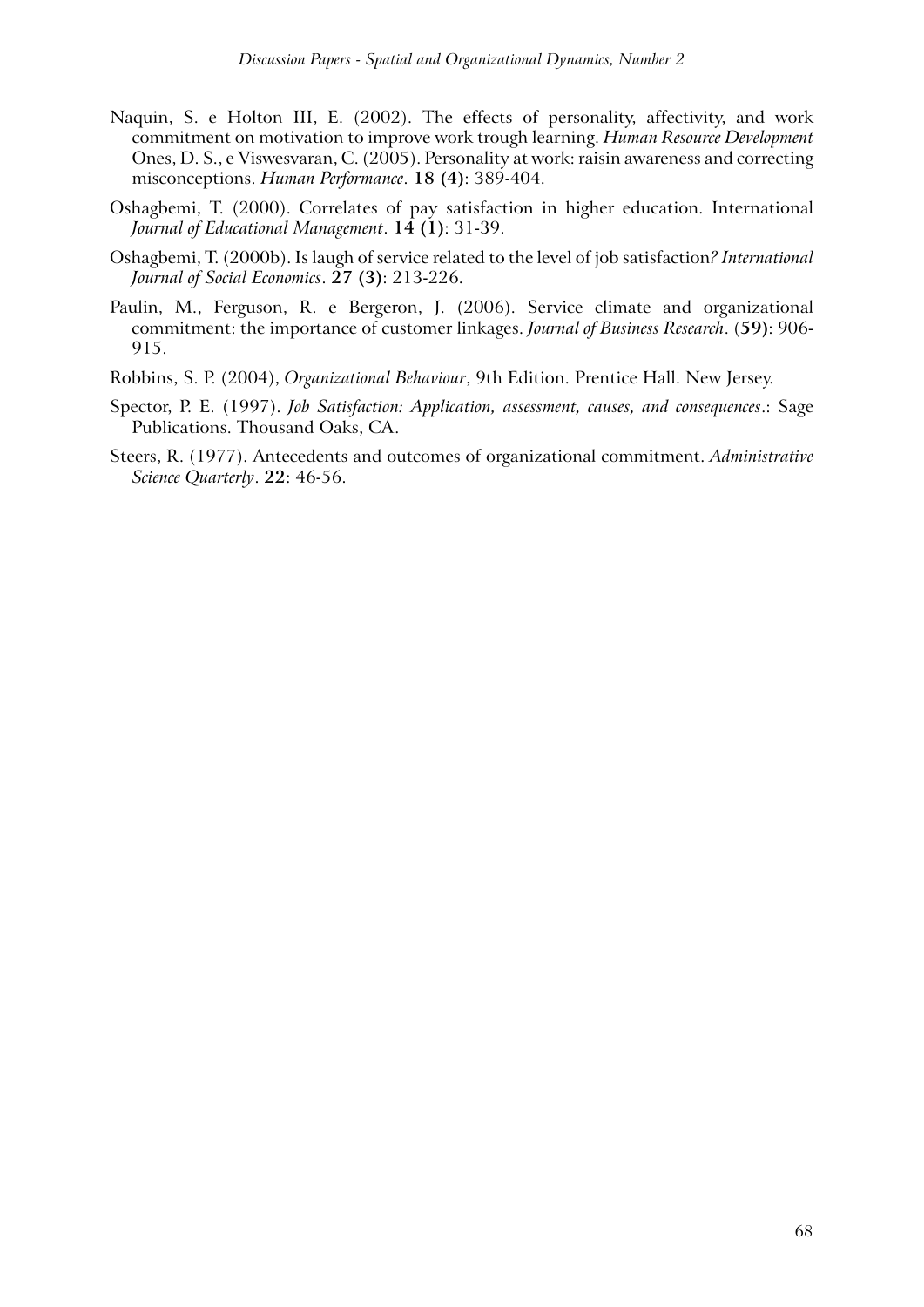- Naquin, S. e Holton III, E. (2002). The effects of personality, affectivity, and work commitment on motivation to improve work trough learning. *Human Resource Development*  Ones, D. S., e Viswesvaran, C. (2005). Personality at work: raisin awareness and correcting misconceptions. *Human Performance*. **18 (4)**: 389-404.
- Oshagbemi, T. (2000). Correlates of pay satisfaction in higher education. International *Journal of Educational Management*. **14 (1)**: 31-39.
- Oshagbemi, T. (2000b). Is laugh of service related to the level of job satisfaction*? International Journal of Social Economics*. **27 (3)**: 213-226.
- Paulin, M., Ferguson, R. e Bergeron, J. (2006). Service climate and organizational commitment: the importance of customer linkages. *Journal of Business Research*. (**59)**: 906- 915.
- Robbins, S. P. (2004), *Organizational Behaviour*, 9th Edition. Prentice Hall. New Jersey.
- Spector, P. E. (1997). *Job Satisfaction: Application, assessment, causes, and consequences*.: Sage Publications. Thousand Oaks, CA.
- Steers, R. (1977). Antecedents and outcomes of organizational commitment. *Administrative Science Quarterly*. **22**: 46-56.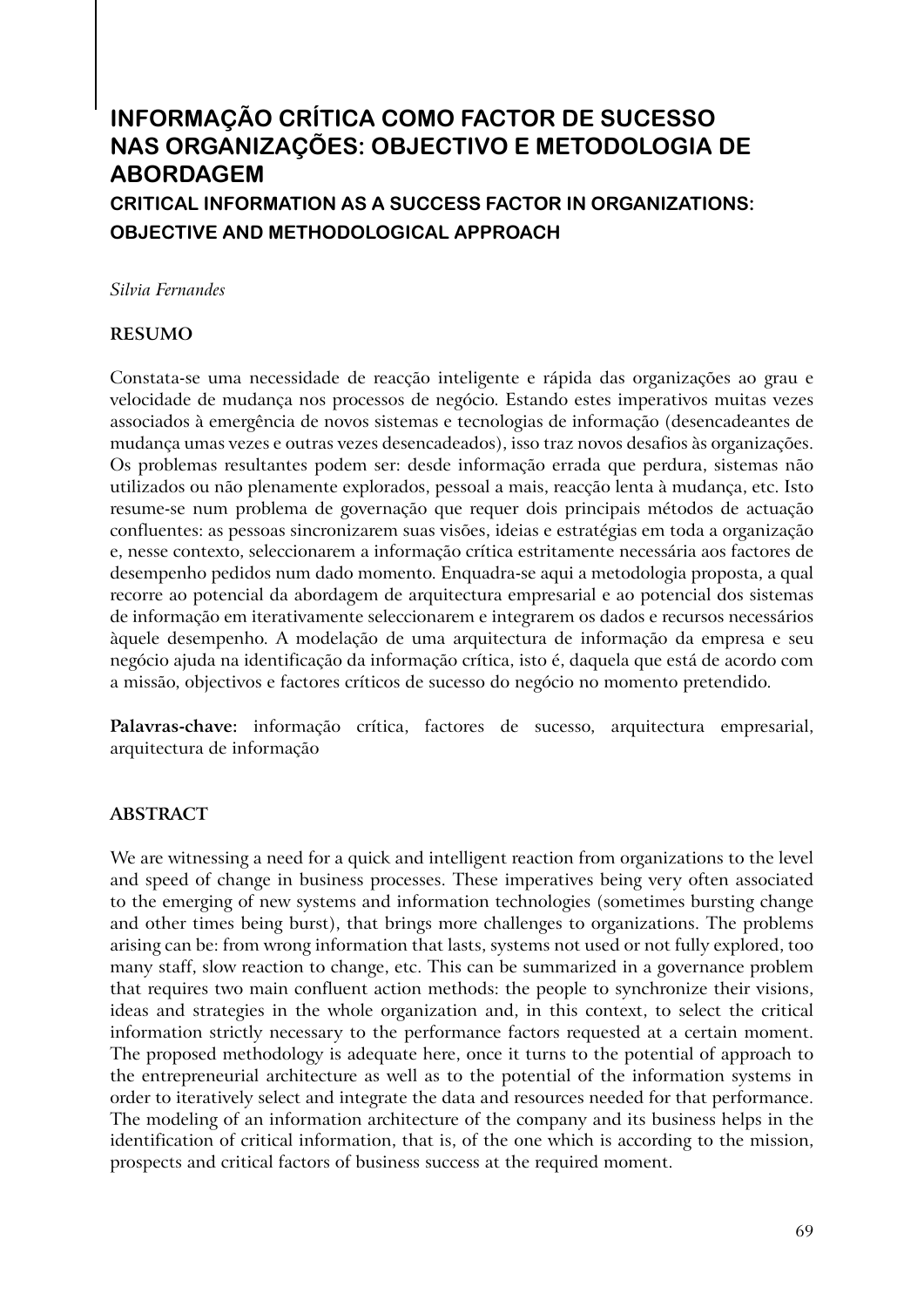# **INFORMAÇÃO CRÍTICA COMO FACTOR DE SUCESSO NAS ORGANIZAÇÕES: OBJECTIVO E METODOLOGIA DE ABORDAGEM CRITICAL INFORMATION AS A SUCCESS FACTOR IN ORGANIZATIONS:**

**OBJECTIVE AND METHODOLOGICAL APPROACH**

*Silvia Fernandes*

### **RESUMO**

Constata-se uma necessidade de reacção inteligente e rápida das organizações ao grau e velocidade de mudança nos processos de negócio. Estando estes imperativos muitas vezes associados à emergência de novos sistemas e tecnologias de informação (desencadeantes de mudança umas vezes e outras vezes desencadeados), isso traz novos desafios às organizações. Os problemas resultantes podem ser: desde informação errada que perdura, sistemas não utilizados ou não plenamente explorados, pessoal a mais, reacção lenta à mudança, etc. Isto resume-se num problema de governação que requer dois principais métodos de actuação confluentes: as pessoas sincronizarem suas visões, ideias e estratégias em toda a organização e, nesse contexto, seleccionarem a informação crítica estritamente necessária aos factores de desempenho pedidos num dado momento. Enquadra-se aqui a metodologia proposta, a qual recorre ao potencial da abordagem de arquitectura empresarial e ao potencial dos sistemas de informação em iterativamente seleccionarem e integrarem os dados e recursos necessários àquele desempenho. A modelação de uma arquitectura de informação da empresa e seu negócio ajuda na identificação da informação crítica, isto é, daquela que está de acordo com a missão, objectivos e factores críticos de sucesso do negócio no momento pretendido.

**Palavras-chave:** informação crítica, factores de sucesso, arquitectura empresarial, arquitectura de informação

## **ABSTRACT**

We are witnessing a need for a quick and intelligent reaction from organizations to the level and speed of change in business processes. These imperatives being very often associated to the emerging of new systems and information technologies (sometimes bursting change and other times being burst), that brings more challenges to organizations. The problems arising can be: from wrong information that lasts, systems not used or not fully explored, too many staff, slow reaction to change, etc. This can be summarized in a governance problem that requires two main confluent action methods: the people to synchronize their visions, ideas and strategies in the whole organization and, in this context, to select the critical information strictly necessary to the performance factors requested at a certain moment. The proposed methodology is adequate here, once it turns to the potential of approach to the entrepreneurial architecture as well as to the potential of the information systems in order to iteratively select and integrate the data and resources needed for that performance. The modeling of an information architecture of the company and its business helps in the identification of critical information, that is, of the one which is according to the mission, prospects and critical factors of business success at the required moment.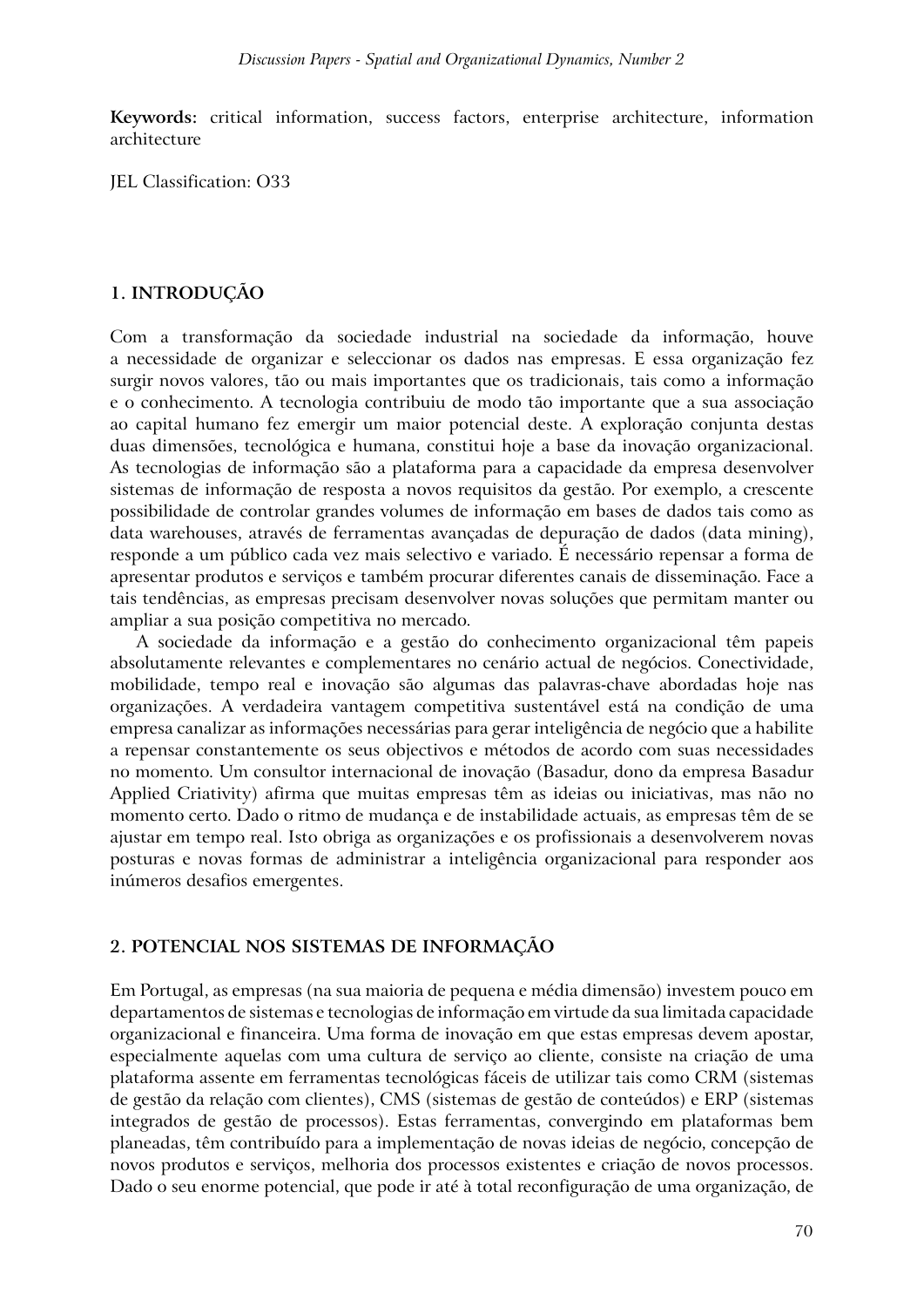**Keywords:** critical information, success factors, enterprise architecture, information architecture

JEL Classification: O33

### **1. INTRODUÇÃO**

Com a transformação da sociedade industrial na sociedade da informação, houve a necessidade de organizar e seleccionar os dados nas empresas. E essa organização fez surgir novos valores, tão ou mais importantes que os tradicionais, tais como a informação e o conhecimento. A tecnologia contribuiu de modo tão importante que a sua associação ao capital humano fez emergir um maior potencial deste. A exploração conjunta destas duas dimensões, tecnológica e humana, constitui hoje a base da inovação organizacional. As tecnologias de informação são a plataforma para a capacidade da empresa desenvolver sistemas de informação de resposta a novos requisitos da gestão. Por exemplo, a crescente possibilidade de controlar grandes volumes de informação em bases de dados tais como as data warehouses, através de ferramentas avançadas de depuração de dados (data mining), responde a um público cada vez mais selectivo e variado. É necessário repensar a forma de apresentar produtos e serviços e também procurar diferentes canais de disseminação. Face a tais tendências, as empresas precisam desenvolver novas soluções que permitam manter ou ampliar a sua posição competitiva no mercado.

A sociedade da informação e a gestão do conhecimento organizacional têm papeis absolutamente relevantes e complementares no cenário actual de negócios. Conectividade, mobilidade, tempo real e inovação são algumas das palavras-chave abordadas hoje nas organizações. A verdadeira vantagem competitiva sustentável está na condição de uma empresa canalizar as informações necessárias para gerar inteligência de negócio que a habilite a repensar constantemente os seus objectivos e métodos de acordo com suas necessidades no momento. Um consultor internacional de inovação (Basadur, dono da empresa Basadur Applied Criativity) afirma que muitas empresas têm as ideias ou iniciativas, mas não no momento certo. Dado o ritmo de mudança e de instabilidade actuais, as empresas têm de se ajustar em tempo real. Isto obriga as organizações e os profissionais a desenvolverem novas posturas e novas formas de administrar a inteligência organizacional para responder aos inúmeros desafios emergentes.

### **2. POTENCIAL NOS SISTEMAS DE INFORMAÇÃO**

Em Portugal, as empresas (na sua maioria de pequena e média dimensão) investem pouco em departamentos de sistemas e tecnologias de informação em virtude da sua limitada capacidade organizacional e financeira. Uma forma de inovação em que estas empresas devem apostar, especialmente aquelas com uma cultura de serviço ao cliente, consiste na criação de uma plataforma assente em ferramentas tecnológicas fáceis de utilizar tais como CRM (sistemas de gestão da relação com clientes), CMS (sistemas de gestão de conteúdos) e ERP (sistemas integrados de gestão de processos). Estas ferramentas, convergindo em plataformas bem planeadas, têm contribuído para a implementação de novas ideias de negócio, concepção de novos produtos e serviços, melhoria dos processos existentes e criação de novos processos. Dado o seu enorme potencial, que pode ir até à total reconfiguração de uma organização, de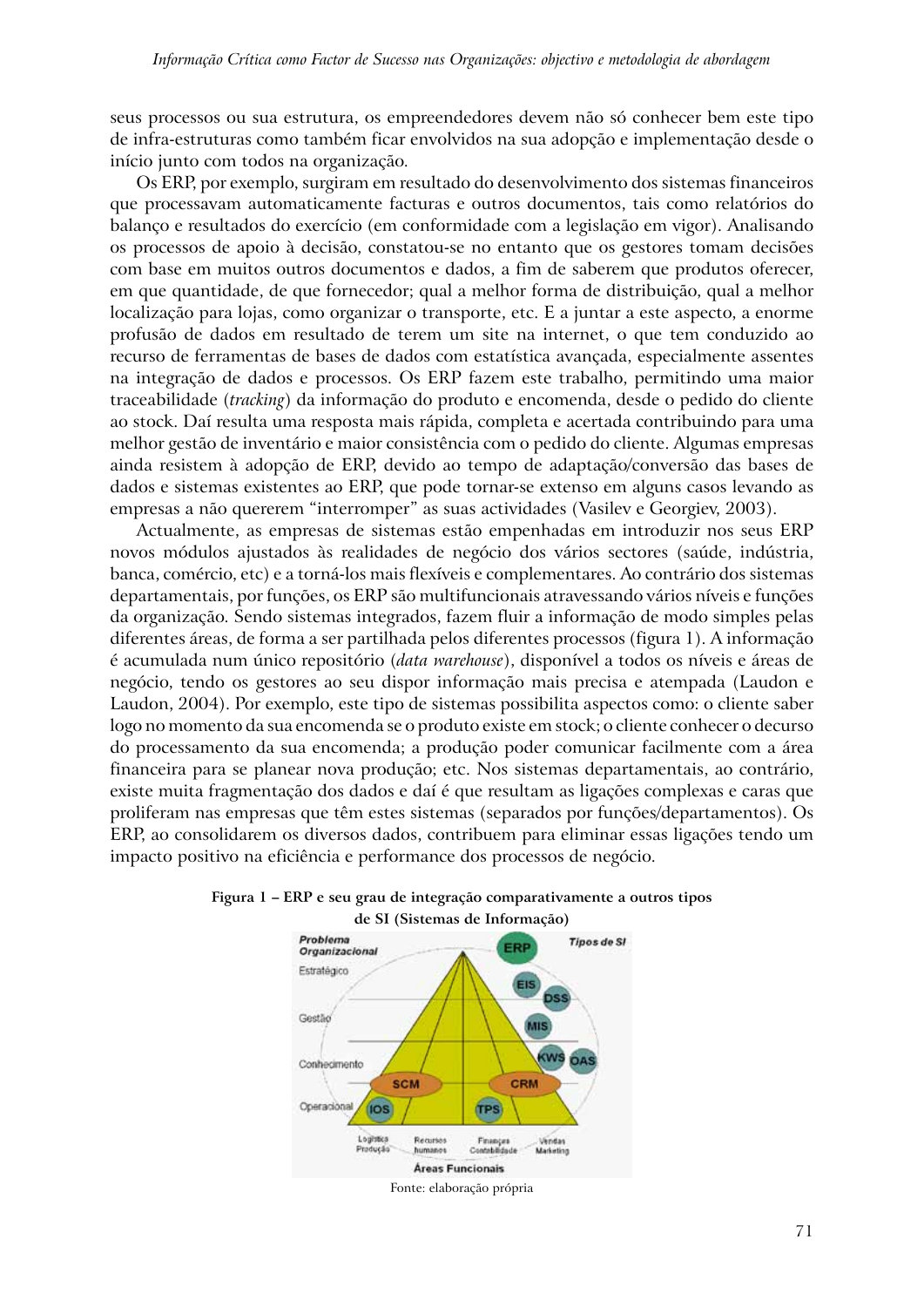seus processos ou sua estrutura, os empreendedores devem não só conhecer bem este tipo de infra-estruturas como também ficar envolvidos na sua adopção e implementação desde o início junto com todos na organização.

Os ERP, por exemplo, surgiram em resultado do desenvolvimento dos sistemas financeiros que processavam automaticamente facturas e outros documentos, tais como relatórios do balanço e resultados do exercício (em conformidade com a legislação em vigor). Analisando os processos de apoio à decisão, constatou-se no entanto que os gestores tomam decisões com base em muitos outros documentos e dados, a fim de saberem que produtos oferecer, em que quantidade, de que fornecedor; qual a melhor forma de distribuição, qual a melhor localização para lojas, como organizar o transporte, etc. E a juntar a este aspecto, a enorme profusão de dados em resultado de terem um site na internet, o que tem conduzido ao recurso de ferramentas de bases de dados com estatística avançada, especialmente assentes na integração de dados e processos. Os ERP fazem este trabalho, permitindo uma maior traceabilidade (*tracking*) da informação do produto e encomenda, desde o pedido do cliente ao stock. Daí resulta uma resposta mais rápida, completa e acertada contribuindo para uma melhor gestão de inventário e maior consistência com o pedido do cliente. Algumas empresas ainda resistem à adopção de ERP, devido ao tempo de adaptação/conversão das bases de dados e sistemas existentes ao ERP, que pode tornar-se extenso em alguns casos levando as empresas a não quererem "interromper" as suas actividades (Vasilev e Georgiev, 2003).

Actualmente, as empresas de sistemas estão empenhadas em introduzir nos seus ERP novos módulos ajustados às realidades de negócio dos vários sectores (saúde, indústria, banca, comércio, etc) e a torná-los mais flexíveis e complementares. Ao contrário dos sistemas departamentais, por funções, os ERP são multifuncionais atravessando vários níveis e funções da organização. Sendo sistemas integrados, fazem fluir a informação de modo simples pelas diferentes áreas, de forma a ser partilhada pelos diferentes processos (figura 1). A informação é acumulada num único repositório (*data warehouse*), disponível a todos os níveis e áreas de negócio, tendo os gestores ao seu dispor informação mais precisa e atempada (Laudon e Laudon, 2004). Por exemplo, este tipo de sistemas possibilita aspectos como: o cliente saber logo no momento da sua encomenda se o produto existe em stock; o cliente conhecer o decurso do processamento da sua encomenda; a produção poder comunicar facilmente com a área financeira para se planear nova produção; etc. Nos sistemas departamentais, ao contrário, existe muita fragmentação dos dados e daí é que resultam as ligações complexas e caras que proliferam nas empresas que têm estes sistemas (separados por funções/departamentos). Os ERP, ao consolidarem os diversos dados, contribuem para eliminar essas ligações tendo um impacto positivo na eficiência e performance dos processos de negócio.



### **Figura 1 – ERP e seu grau de integração comparativamente a outros tipos de SI (Sistemas de Informação)**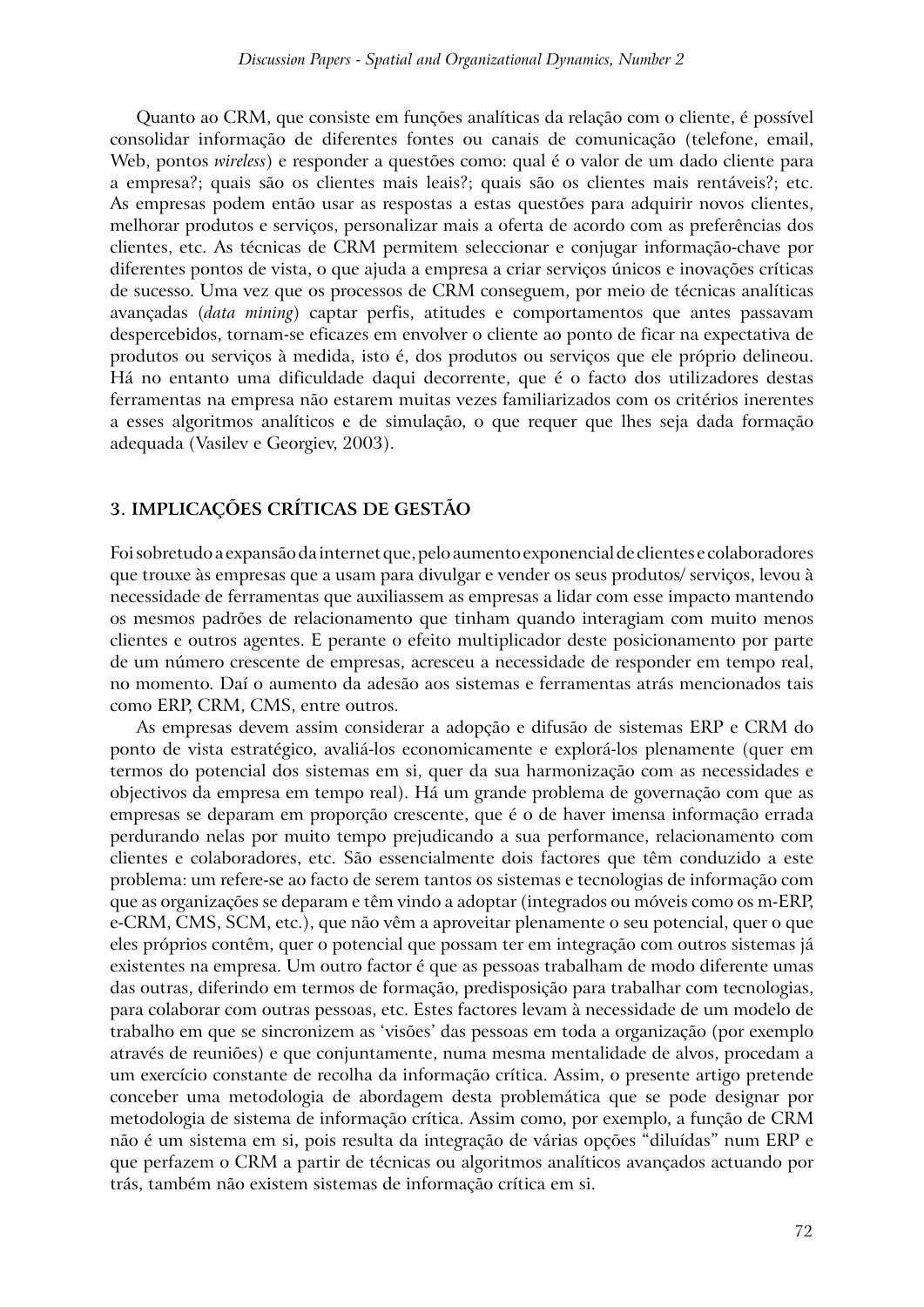Quanto ao CRM, que consiste em funções analíticas da relação com o cliente, é possível consolidar informação de diferentes fontes ou canais de comunicação (telefone, email, Web, pontos *wireless*) e responder a questões como: qual é o valor de um dado cliente para a empresa?; quais são os clientes mais leais?; quais são os clientes mais rentáveis?; etc. As empresas podem então usar as respostas a estas questões para adquirir novos clientes, melhorar produtos e serviços, personalizar mais a oferta de acordo com as preferências dos clientes, etc. As técnicas de CRM permitem seleccionar e conjugar informação-chave por diferentes pontos de vista, o que ajuda a empresa a criar serviços únicos e inovações críticas de sucesso. Uma vez que os processos de CRM conseguem, por meio de técnicas analíticas avançadas (*data mining*) captar perfis, atitudes e comportamentos que antes passavam despercebidos, tornam-se eficazes em envolver o cliente ao ponto de ficar na expectativa de produtos ou serviços à medida, isto é, dos produtos ou serviços que ele próprio delineou. Há no entanto uma dificuldade daqui decorrente, que é o facto dos utilizadores destas ferramentas na empresa não estarem muitas vezes familiarizados com os critérios inerentes a esses algoritmos analíticos e de simulação, o que requer que lhes seja dada formação adequada (Vasilev e Georgiev, 2003).

### **3. IMPLICAÇÕES CRÍTICAS DE GESTÃO**

Foi sobretudo a expansão da internet que, pelo aumento exponencial de clientes e colaboradores que trouxe às empresas que a usam para divulgar e vender os seus produtos/ serviços, levou à necessidade de ferramentas que auxiliassem as empresas a lidar com esse impacto mantendo os mesmos padrões de relacionamento que tinham quando interagiam com muito menos clientes e outros agentes. E perante o efeito multiplicador deste posicionamento por parte de um número crescente de empresas, acresceu a necessidade de responder em tempo real, no momento. Daí o aumento da adesão aos sistemas e ferramentas atrás mencionados tais como ERP, CRM, CMS, entre outros.

As empresas devem assim considerar a adopção e difusão de sistemas ERP e CRM do ponto de vista estratégico, avaliá-los economicamente e explorá-los plenamente (quer em termos do potencial dos sistemas em si, quer da sua harmonização com as necessidades e objectivos da empresa em tempo real). Há um grande problema de governação com que as empresas se deparam em proporção crescente, que é o de haver imensa informação errada perdurando nelas por muito tempo prejudicando a sua performance, relacionamento com clientes e colaboradores, etc. São essencialmente dois factores que têm conduzido a este problema: um refere-se ao facto de serem tantos os sistemas e tecnologias de informação com que as organizações se deparam e têm vindo a adoptar (integrados ou móveis como os m-ERP, e-CRM, CMS, SCM, etc.), que não vêm a aproveitar plenamente o seu potencial, quer o que eles próprios contêm, quer o potencial que possam ter em integração com outros sistemas já existentes na empresa. Um outro factor é que as pessoas trabalham de modo diferente umas das outras, diferindo em termos de formação, predisposição para trabalhar com tecnologias, para colaborar com outras pessoas, etc. Estes factores levam à necessidade de um modelo de trabalho em que se sincronizem as 'visões' das pessoas em toda a organização (por exemplo através de reuniões) e que conjuntamente, numa mesma mentalidade de alvos, procedam a um exercício constante de recolha da informação crítica. Assim, o presente artigo pretende conceber uma metodologia de abordagem desta problemática que se pode designar por metodologia de sistema de informação crítica. Assim como, por exemplo, a função de CRM não é um sistema em si, pois resulta da integração de várias opções "diluídas" num ERP e que perfazem o CRM a partir de técnicas ou algoritmos analíticos avançados actuando por trás, também não existem sistemas de informação crítica em si.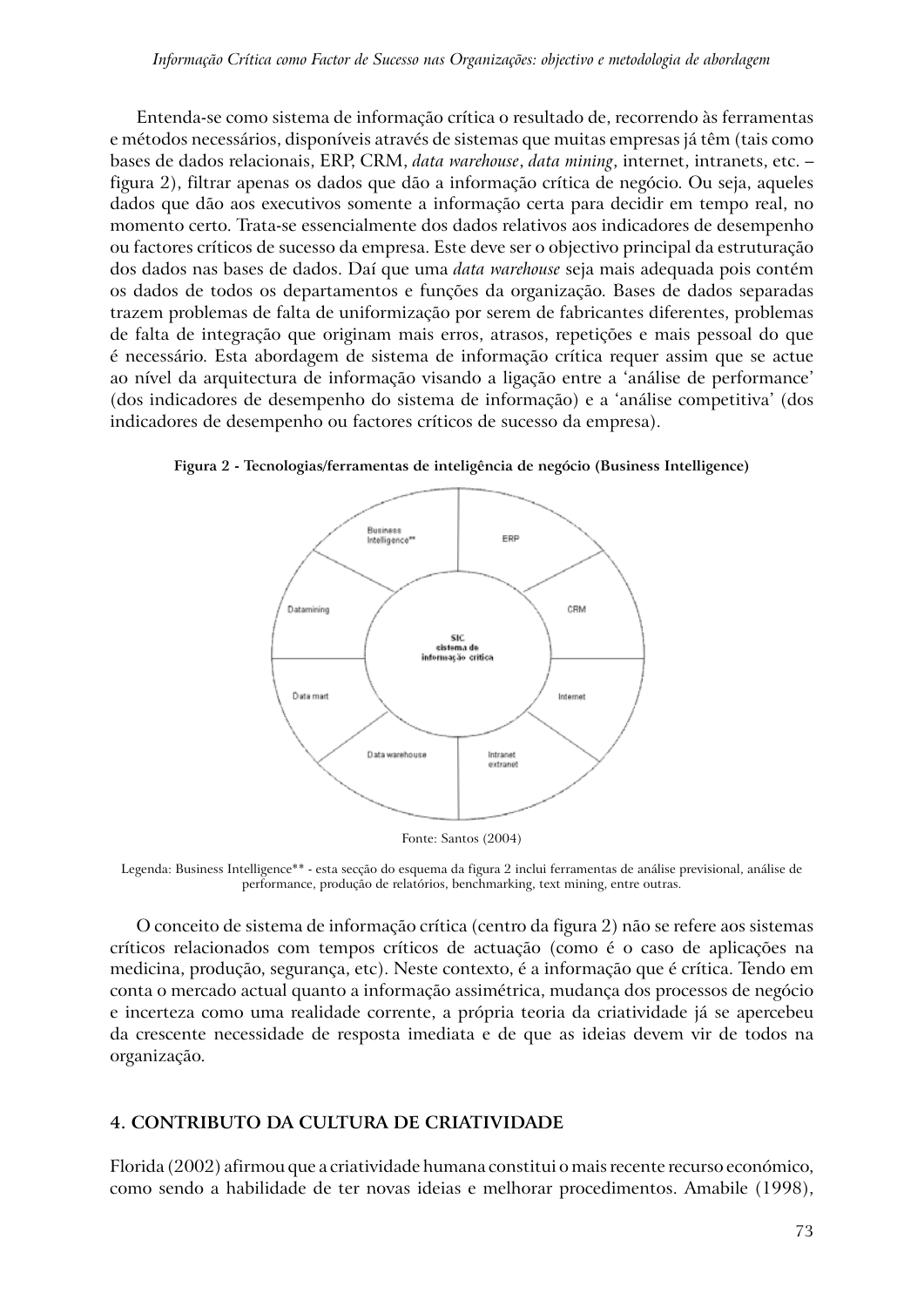Entenda-se como sistema de informação crítica o resultado de, recorrendo às ferramentas e métodos necessários, disponíveis através de sistemas que muitas empresas já têm (tais como bases de dados relacionais, ERP, CRM, *data warehouse*, *data mining*, internet, intranets, etc. – figura 2), filtrar apenas os dados que dão a informação crítica de negócio. Ou seja, aqueles dados que dão aos executivos somente a informação certa para decidir em tempo real, no momento certo. Trata-se essencialmente dos dados relativos aos indicadores de desempenho ou factores críticos de sucesso da empresa. Este deve ser o objectivo principal da estruturação dos dados nas bases de dados. Daí que uma *data warehouse* seja mais adequada pois contém os dados de todos os departamentos e funções da organização. Bases de dados separadas trazem problemas de falta de uniformização por serem de fabricantes diferentes, problemas de falta de integração que originam mais erros, atrasos, repetições e mais pessoal do que é necessário. Esta abordagem de sistema de informação crítica requer assim que se actue ao nível da arquitectura de informação visando a ligação entre a 'análise de performance' (dos indicadores de desempenho do sistema de informação) e a 'análise competitiva' (dos indicadores de desempenho ou factores críticos de sucesso da empresa).



**Figura 2 - Tecnologias/ferramentas de inteligência de negócio (Business Intelligence)**

Fonte: Santos (2004)

Legenda: Business Intelligence\*\* - esta secção do esquema da figura 2 inclui ferramentas de análise previsional, análise de performance, produção de relatórios, benchmarking, text mining, entre outras.

O conceito de sistema de informação crítica (centro da figura 2) não se refere aos sistemas críticos relacionados com tempos críticos de actuação (como é o caso de aplicações na medicina, produção, segurança, etc). Neste contexto, é a informação que é crítica. Tendo em conta o mercado actual quanto a informação assimétrica, mudança dos processos de negócio e incerteza como uma realidade corrente, a própria teoria da criatividade já se apercebeu da crescente necessidade de resposta imediata e de que as ideias devem vir de todos na organização.

### **4. CONTRIBUTO DA CULTURA DE CRIATIVIDADE**

Florida (2002) afirmou que a criatividade humana constitui o mais recente recurso económico, como sendo a habilidade de ter novas ideias e melhorar procedimentos. Amabile (1998),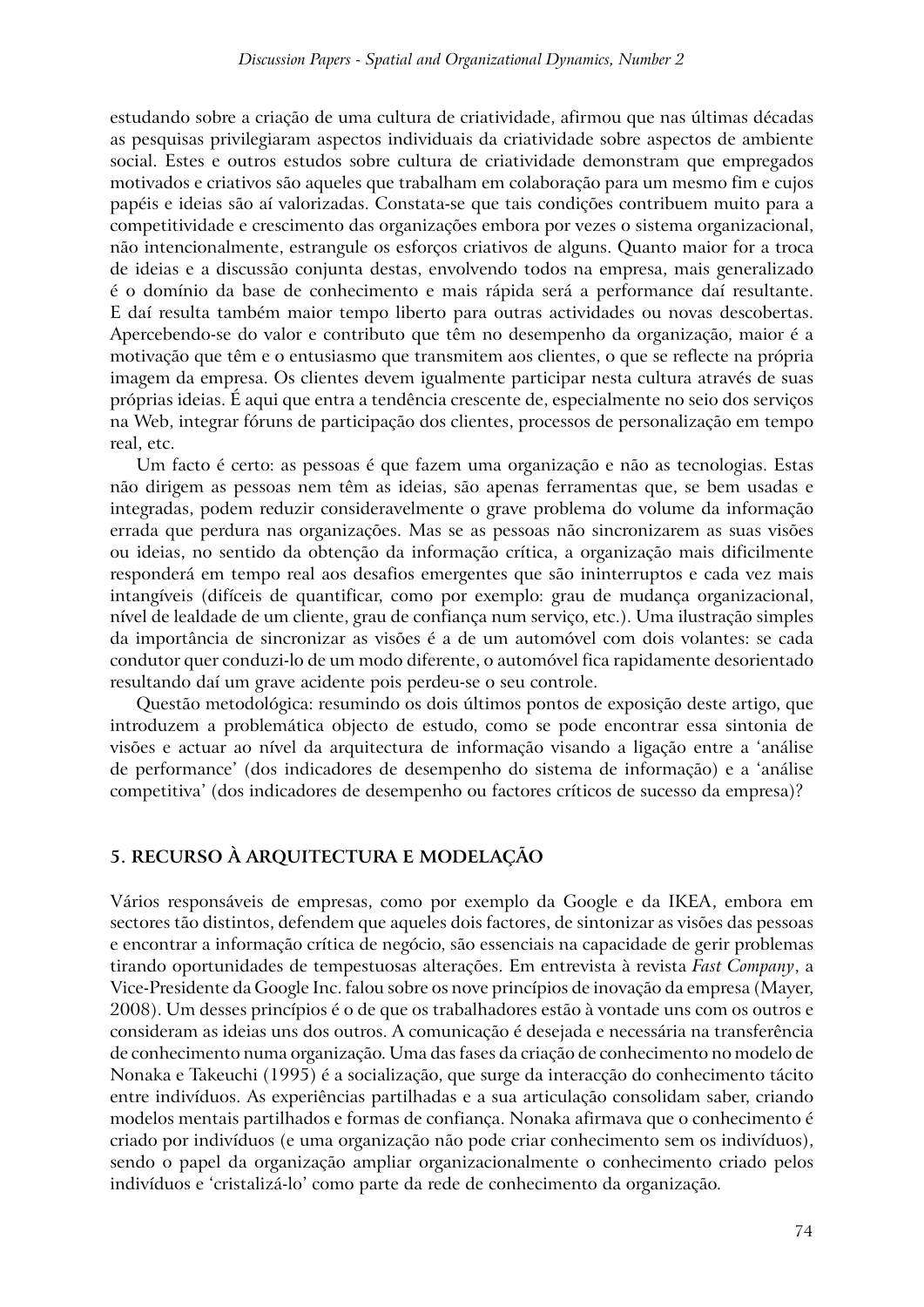estudando sobre a criação de uma cultura de criatividade, afirmou que nas últimas décadas as pesquisas privilegiaram aspectos individuais da criatividade sobre aspectos de ambiente social. Estes e outros estudos sobre cultura de criatividade demonstram que empregados motivados e criativos são aqueles que trabalham em colaboração para um mesmo fim e cujos papéis e ideias são aí valorizadas. Constata-se que tais condições contribuem muito para a competitividade e crescimento das organizações embora por vezes o sistema organizacional, não intencionalmente, estrangule os esforços criativos de alguns. Quanto maior for a troca de ideias e a discussão conjunta destas, envolvendo todos na empresa, mais generalizado é o domínio da base de conhecimento e mais rápida será a performance daí resultante. E daí resulta também maior tempo liberto para outras actividades ou novas descobertas. Apercebendo-se do valor e contributo que têm no desempenho da organização, maior é a motivação que têm e o entusiasmo que transmitem aos clientes, o que se reflecte na própria imagem da empresa. Os clientes devem igualmente participar nesta cultura através de suas próprias ideias. É aqui que entra a tendência crescente de, especialmente no seio dos serviços na Web, integrar fóruns de participação dos clientes, processos de personalização em tempo real, etc.

Um facto é certo: as pessoas é que fazem uma organização e não as tecnologias. Estas não dirigem as pessoas nem têm as ideias, são apenas ferramentas que, se bem usadas e integradas, podem reduzir consideravelmente o grave problema do volume da informação errada que perdura nas organizações. Mas se as pessoas não sincronizarem as suas visões ou ideias, no sentido da obtenção da informação crítica, a organização mais dificilmente responderá em tempo real aos desafios emergentes que são ininterruptos e cada vez mais intangíveis (difíceis de quantificar, como por exemplo: grau de mudança organizacional, nível de lealdade de um cliente, grau de confiança num serviço, etc.). Uma ilustração simples da importância de sincronizar as visões é a de um automóvel com dois volantes: se cada condutor quer conduzi-lo de um modo diferente, o automóvel fica rapidamente desorientado resultando daí um grave acidente pois perdeu-se o seu controle.

Questão metodológica: resumindo os dois últimos pontos de exposição deste artigo, que introduzem a problemática objecto de estudo, como se pode encontrar essa sintonia de visões e actuar ao nível da arquitectura de informação visando a ligação entre a 'análise de performance' (dos indicadores de desempenho do sistema de informação) e a 'análise competitiva' (dos indicadores de desempenho ou factores críticos de sucesso da empresa)?

### **5. RECURSO À ARQUITECTURA E MODELAÇÃO**

Vários responsáveis de empresas, como por exemplo da Google e da IKEA, embora em sectores tão distintos, defendem que aqueles dois factores, de sintonizar as visões das pessoas e encontrar a informação crítica de negócio, são essenciais na capacidade de gerir problemas tirando oportunidades de tempestuosas alterações. Em entrevista à revista *Fast Company*, a Vice-Presidente da Google Inc. falou sobre os nove princípios de inovação da empresa (Mayer, 2008). Um desses princípios é o de que os trabalhadores estão à vontade uns com os outros e consideram as ideias uns dos outros. A comunicação é desejada e necessária na transferência de conhecimento numa organização. Uma das fases da criação de conhecimento no modelo de Nonaka e Takeuchi (1995) é a socialização, que surge da interacção do conhecimento tácito entre indivíduos. As experiências partilhadas e a sua articulação consolidam saber, criando modelos mentais partilhados e formas de confiança. Nonaka afirmava que o conhecimento é criado por indivíduos (e uma organização não pode criar conhecimento sem os indivíduos), sendo o papel da organização ampliar organizacionalmente o conhecimento criado pelos indivíduos e 'cristalizá-lo' como parte da rede de conhecimento da organização.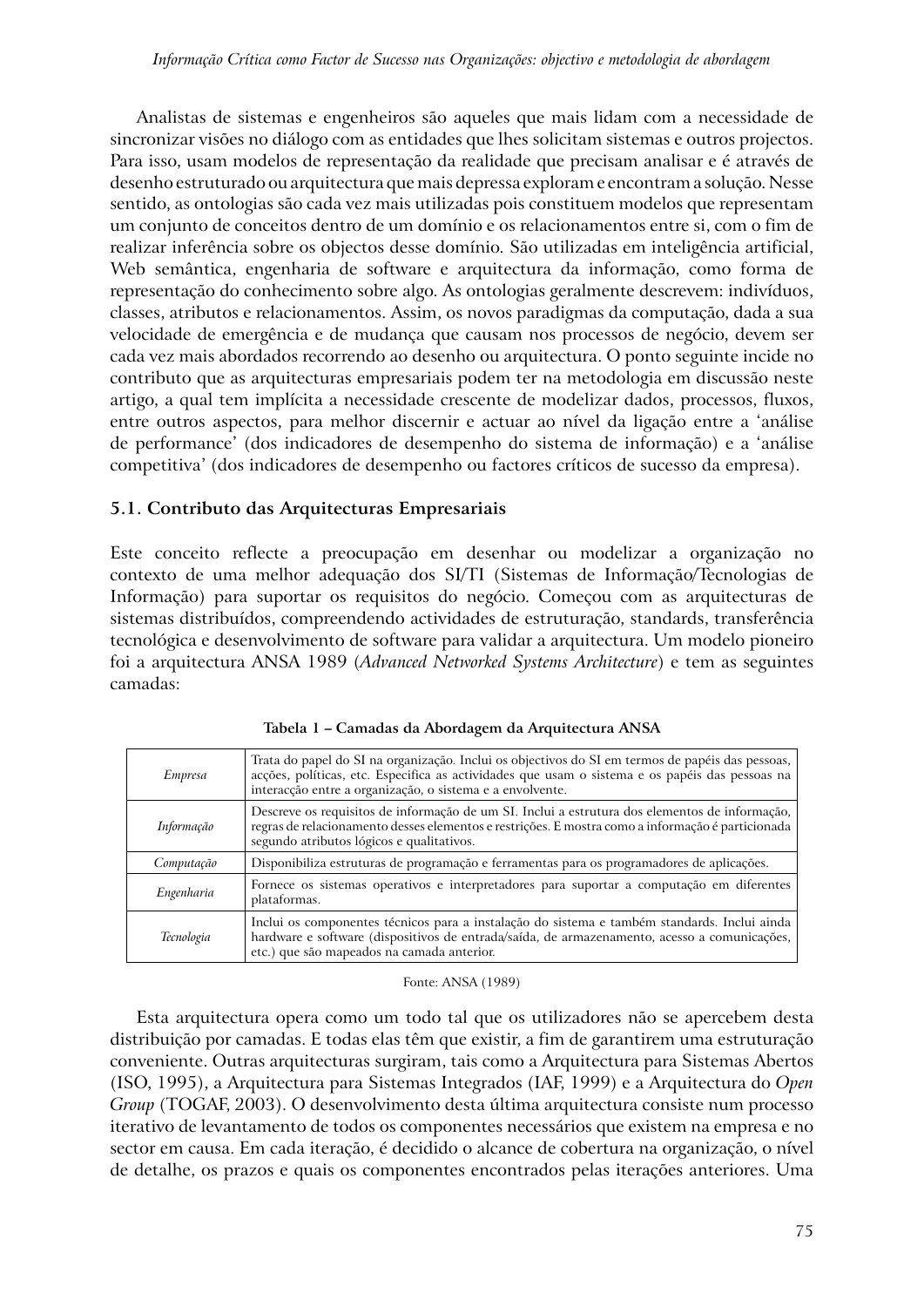Analistas de sistemas e engenheiros são aqueles que mais lidam com a necessidade de sincronizar visões no diálogo com as entidades que lhes solicitam sistemas e outros projectos. Para isso, usam modelos de representação da realidade que precisam analisar e é através de desenho estruturado ou arquitectura que mais depressa exploram e encontram a solução. Nesse sentido, as ontologias são cada vez mais utilizadas pois constituem modelos que representam um conjunto de conceitos dentro de um domínio e os relacionamentos entre si, com o fim de realizar inferência sobre os objectos desse domínio. São utilizadas em inteligência artificial, Web semântica, engenharia de software e arquitectura da informação, como forma de representação do conhecimento sobre algo. As ontologias geralmente descrevem: indivíduos, classes, atributos e relacionamentos. Assim, os novos paradigmas da computação, dada a sua velocidade de emergência e de mudança que causam nos processos de negócio, devem ser cada vez mais abordados recorrendo ao desenho ou arquitectura. O ponto seguinte incide no contributo que as arquitecturas empresariais podem ter na metodologia em discussão neste artigo, a qual tem implícita a necessidade crescente de modelizar dados, processos, fluxos, entre outros aspectos, para melhor discernir e actuar ao nível da ligação entre a 'análise de performance' (dos indicadores de desempenho do sistema de informação) e a 'análise competitiva' (dos indicadores de desempenho ou factores críticos de sucesso da empresa).

### **5.1. Contributo das Arquitecturas Empresariais**

Este conceito reflecte a preocupação em desenhar ou modelizar a organização no contexto de uma melhor adequação dos SI/TI (Sistemas de Informação/Tecnologias de Informação) para suportar os requisitos do negócio. Começou com as arquitecturas de sistemas distribuídos, compreendendo actividades de estruturação, standards, transferência tecnológica e desenvolvimento de software para validar a arquitectura. Um modelo pioneiro foi a arquitectura ANSA 1989 (*Advanced Networked Systems Architecture*) e tem as seguintes camadas:

| <i>Empresa</i> | Trata do papel do SI na organização. Inclui os objectivos do SI em termos de papéis das pessoas,<br>acções, políticas, etc. Especifica as actividades que usam o sistema e os papéis das pessoas na<br>interacção entre a organização, o sistema e a envolvente. |  |  |
|----------------|------------------------------------------------------------------------------------------------------------------------------------------------------------------------------------------------------------------------------------------------------------------|--|--|
| Informação     | Descreve os requisitos de informação de um SI. Inclui a estrutura dos elementos de informação,<br>regras de relacionamento desses elementos e restrições. E mostra como a informação é particionada<br>segundo atributos lógicos e qualitativos.                 |  |  |
| Computação     | Disponibiliza estruturas de programação e ferramentas para os programadores de aplicações.                                                                                                                                                                       |  |  |
| Engenharia     | Fornece os sistemas operativos e interpretadores para suportar a computação em diferentes<br>plataformas.                                                                                                                                                        |  |  |
| Tecnologia     | Inclui os componentes técnicos para a instalação do sistema e também standards. Inclui ainda<br>hardware e software (dispositivos de entrada/saída, de armazenamento, acesso a comunicações,<br>etc.) que são mapeados na camada anterior.                       |  |  |

**Tabela 1 – Camadas da Abordagem da Arquitectura ANSA**

#### Fonte: ANSA (1989)

Esta arquitectura opera como um todo tal que os utilizadores não se apercebem desta distribuição por camadas. E todas elas têm que existir, a fim de garantirem uma estruturação conveniente. Outras arquitecturas surgiram, tais como a Arquitectura para Sistemas Abertos (ISO, 1995), a Arquitectura para Sistemas Integrados (IAF, 1999) e a Arquitectura do *Open Group* (TOGAF, 2003). O desenvolvimento desta última arquitectura consiste num processo iterativo de levantamento de todos os componentes necessários que existem na empresa e no sector em causa. Em cada iteração, é decidido o alcance de cobertura na organização, o nível de detalhe, os prazos e quais os componentes encontrados pelas iterações anteriores. Uma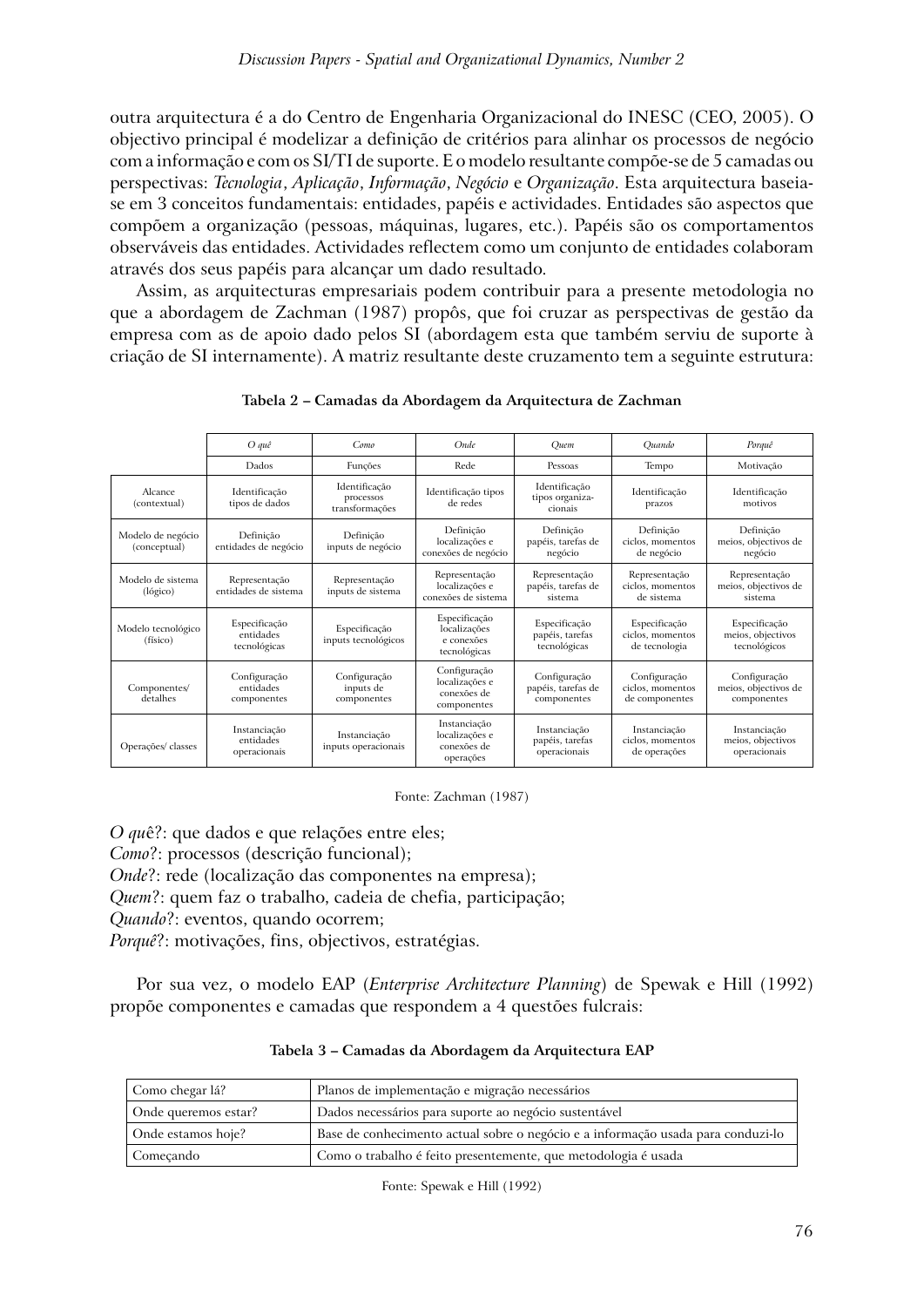outra arquitectura é a do Centro de Engenharia Organizacional do INESC (CEO, 2005). O objectivo principal é modelizar a definição de critérios para alinhar os processos de negócio com a informação e com os SI/TI de suporte. E o modelo resultante compõe-se de 5 camadas ou perspectivas: *Tecnologia*, *Aplicação*, *Informação*, *Negócio* e *Organização*. Esta arquitectura baseiase em 3 conceitos fundamentais: entidades, papéis e actividades. Entidades são aspectos que compõem a organização (pessoas, máquinas, lugares, etc.). Papéis são os comportamentos observáveis das entidades. Actividades reflectem como um conjunto de entidades colaboram através dos seus papéis para alcançar um dado resultado.

Assim, as arquitecturas empresariais podem contribuir para a presente metodologia no que a abordagem de Zachman (1987) propôs, que foi cruzar as perspectivas de gestão da empresa com as de apoio dado pelos SI (abordagem esta que também serviu de suporte à criação de SI internamente). A matriz resultante deste cruzamento tem a seguinte estrutura:

|                                   | O quê                                      | Como                                         | Onde                                                         | Quem                                              | Quando                                             | Porquê                                              |
|-----------------------------------|--------------------------------------------|----------------------------------------------|--------------------------------------------------------------|---------------------------------------------------|----------------------------------------------------|-----------------------------------------------------|
|                                   | Dados                                      | Funções                                      | Rede                                                         | Pessoas                                           | Tempo                                              | Motivação                                           |
| Alcance<br>(contextual)           | Identificação<br>tipos de dados            | Identificação<br>processos<br>transformações | Identificação tipos<br>de redes                              | Identificação<br>tipos organiza-<br>cionais       | Identificação<br>prazos                            | Identificação<br>motivos                            |
| Modelo de negócio<br>(conceptual) | Definicão<br>entidades de negócio          | Definicão<br>inputs de negócio               | Definicão<br>localizações e<br>conexões de negócio           | Definicão<br>papéis, tarefas de<br>negócio        | Definicão<br>ciclos, momentos<br>de negócio        | Definicão<br>meios, objectivos de<br>negócio        |
| Modelo de sistema<br>(lógico)     | Representação<br>entidades de sistema      | Representação<br>inputs de sistema           | Representação<br>localizações e<br>conexões de sistema       | Representação<br>papéis, tarefas de<br>sistema    | Representação<br>ciclos, momentos<br>de sistema    | Representação<br>meios, objectivos de<br>sistema    |
| Modelo tecnológico<br>(físico)    | Especificação<br>entidades<br>tecnológicas | Especificação<br>inputs tecnológicos         | Especificação<br>localizações<br>e conexões<br>tecnológicas  | Especificação<br>papéis, tarefas<br>tecnológicas  | Especificação<br>ciclos, momentos<br>de tecnologia | Especificação<br>meios, objectivos<br>tecnológicos  |
| Componentes/<br>detalhes          | Configuração<br>entidades<br>componentes   | Configuração<br>inputs de<br>componentes     | Configuração<br>localizações e<br>conexões de<br>componentes | Configuração<br>papéis, tarefas de<br>componentes | Configuração<br>ciclos, momentos<br>de componentes | Configuração<br>meios, objectivos de<br>componentes |
| Operações/ classes                | Instanciação<br>entidades<br>operacionais  | Instanciação<br>inputs operacionais          | Instanciação<br>localizações e<br>conexões de<br>operações   | Instanciação<br>papéis, tarefas<br>operacionais   | Instanciação<br>ciclos, momentos<br>de operações   | Instanciação<br>meios, objectivos<br>operacionais   |

**Tabela 2 – Camadas da Abordagem da Arquitectura de Zachman**

Fonte: Zachman (1987)

*O qu*ê?: que dados e que relações entre eles; *Como*?: processos (descrição funcional); *Onde*?: rede (localização das componentes na empresa); *Quem*?: quem faz o trabalho, cadeia de chefia, participação; *Quando*?: eventos, quando ocorrem; *Porquê*?: motivações, fins, objectivos, estratégias.

Por sua vez, o modelo EAP (*Enterprise Architecture Planning*) de Spewak e Hill (1992) propõe componentes e camadas que respondem a 4 questões fulcrais:

| Como chegar lá?      | Planos de implementação e migração necessários                                   |
|----------------------|----------------------------------------------------------------------------------|
| Onde queremos estar? | Dados necessários para suporte ao negócio sustentável                            |
| Onde estamos hoje?   | Base de conhecimento actual sobre o negócio e a informação usada para conduzi-lo |
| Comecando            | Como o trabalho é feito presentemente, que metodologia é usada                   |

**Tabela 3 – Camadas da Abordagem da Arquitectura EAP**

Fonte: Spewak e Hill (1992)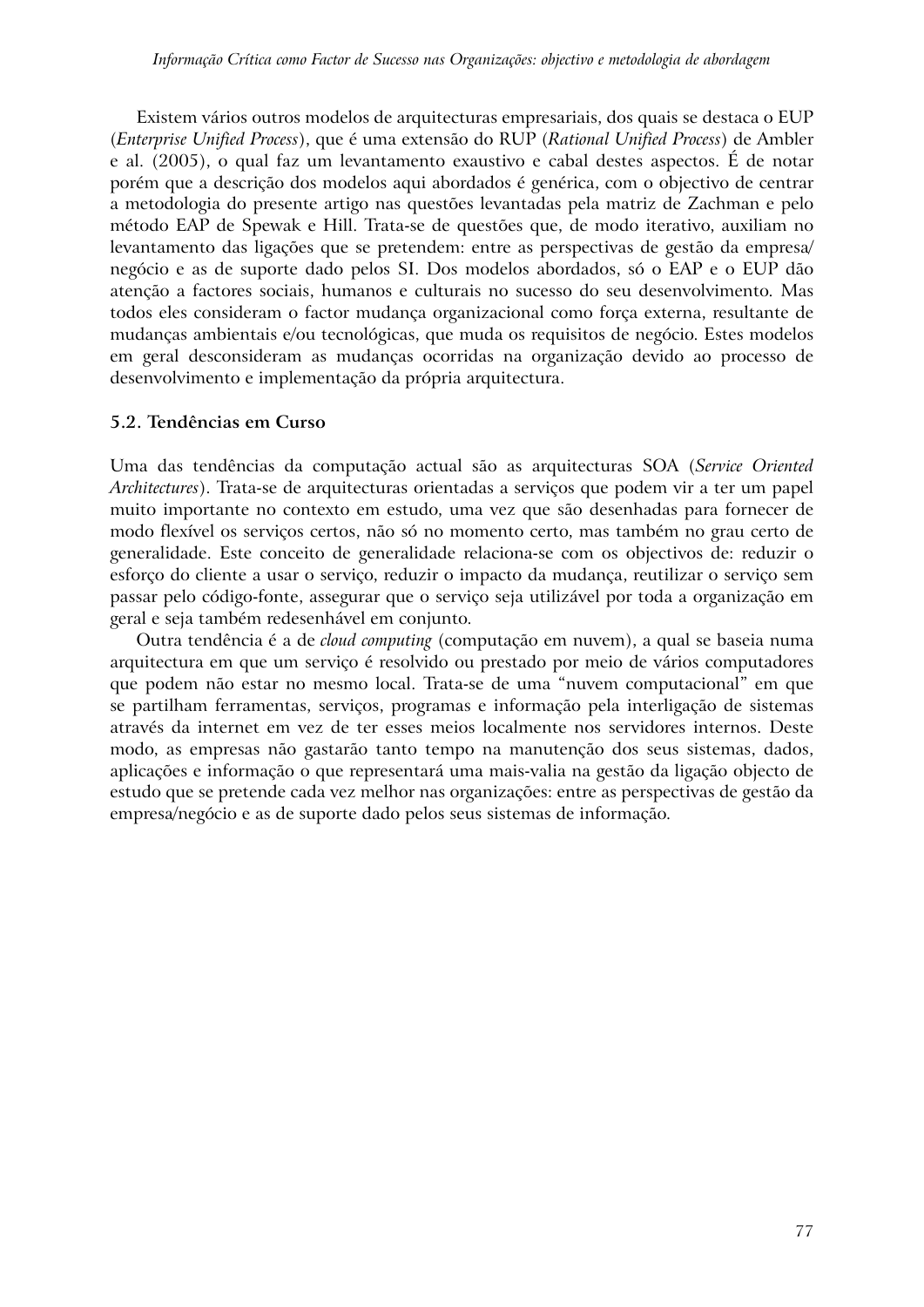Existem vários outros modelos de arquitecturas empresariais, dos quais se destaca o EUP (*Enterprise Unified Process*), que é uma extensão do RUP (*Rational Unified Process*) de Ambler e al. (2005), o qual faz um levantamento exaustivo e cabal destes aspectos. É de notar porém que a descrição dos modelos aqui abordados é genérica, com o objectivo de centrar a metodologia do presente artigo nas questões levantadas pela matriz de Zachman e pelo método EAP de Spewak e Hill. Trata-se de questões que, de modo iterativo, auxiliam no levantamento das ligações que se pretendem: entre as perspectivas de gestão da empresa/ negócio e as de suporte dado pelos SI. Dos modelos abordados, só o EAP e o EUP dão atenção a factores sociais, humanos e culturais no sucesso do seu desenvolvimento. Mas todos eles consideram o factor mudança organizacional como força externa, resultante de mudanças ambientais e/ou tecnológicas, que muda os requisitos de negócio. Estes modelos em geral desconsideram as mudanças ocorridas na organização devido ao processo de desenvolvimento e implementação da própria arquitectura.

#### **5.2. Tendências em Curso**

Uma das tendências da computação actual são as arquitecturas SOA (*Service Oriented Architectures*). Trata-se de arquitecturas orientadas a serviços que podem vir a ter um papel muito importante no contexto em estudo, uma vez que são desenhadas para fornecer de modo flexível os serviços certos, não só no momento certo, mas também no grau certo de generalidade. Este conceito de generalidade relaciona-se com os objectivos de: reduzir o esforço do cliente a usar o serviço, reduzir o impacto da mudança, reutilizar o serviço sem passar pelo código-fonte, assegurar que o serviço seja utilizável por toda a organização em geral e seja também redesenhável em conjunto.

Outra tendência é a de *cloud computing* (computação em nuvem), a qual se baseia numa arquitectura em que um serviço é resolvido ou prestado por meio de vários computadores que podem não estar no mesmo local. Trata-se de uma "nuvem computacional" em que se partilham ferramentas, serviços, programas e informação pela interligação de sistemas através da internet em vez de ter esses meios localmente nos servidores internos. Deste modo, as empresas não gastarão tanto tempo na manutenção dos seus sistemas, dados, aplicações e informação o que representará uma mais-valia na gestão da ligação objecto de estudo que se pretende cada vez melhor nas organizações: entre as perspectivas de gestão da empresa/negócio e as de suporte dado pelos seus sistemas de informação.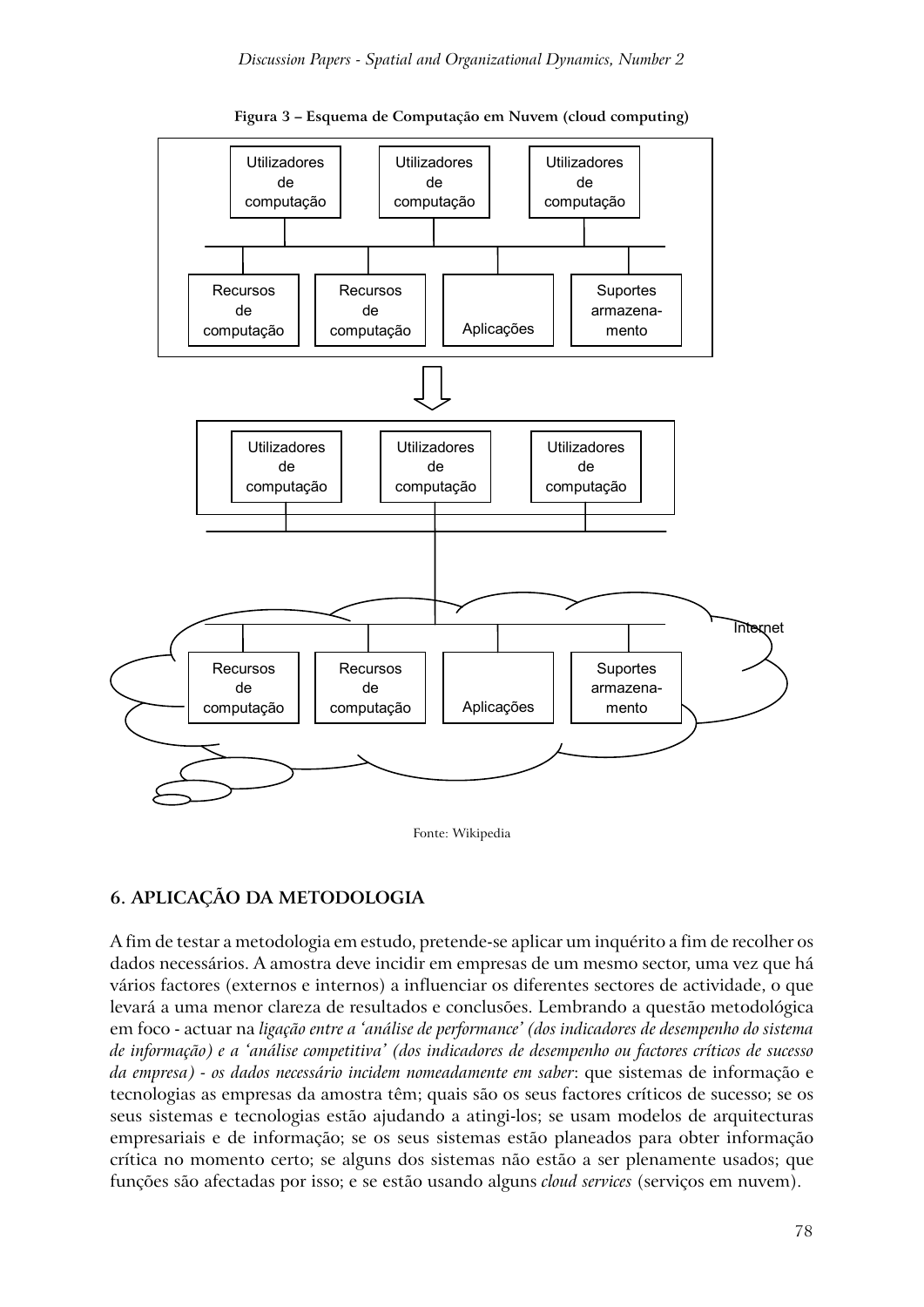

**Figura 3 – Esquema de Computação em Nuvem (cloud computing)**

Fonte: Wikipedia

# **6. APLICAÇÃO DA METODOLOGIA**

A fim de testar a metodologia em estudo, pretende-se aplicar um inquérito a fim de recolher os dados necessários. A amostra deve incidir em empresas de um mesmo sector, uma vez que há vários factores (externos e internos) a influenciar os diferentes sectores de actividade, o que levará a uma menor clareza de resultados e conclusões. Lembrando a questão metodológica em foco - actuar na *ligação entre a 'análise de performance' (dos indicadores de desempenho do sistema de informação) e a 'análise competitiva' (dos indicadores de desempenho ou factores críticos de sucesso da empresa) - os dados necessário incidem nomeadamente em saber*: que sistemas de informação e tecnologias as empresas da amostra têm; quais são os seus factores críticos de sucesso; se os seus sistemas e tecnologias estão ajudando a atingi-los; se usam modelos de arquitecturas empresariais e de informação; se os seus sistemas estão planeados para obter informação crítica no momento certo; se alguns dos sistemas não estão a ser plenamente usados; que funções são afectadas por isso; e se estão usando alguns *cloud services* (serviços em nuvem).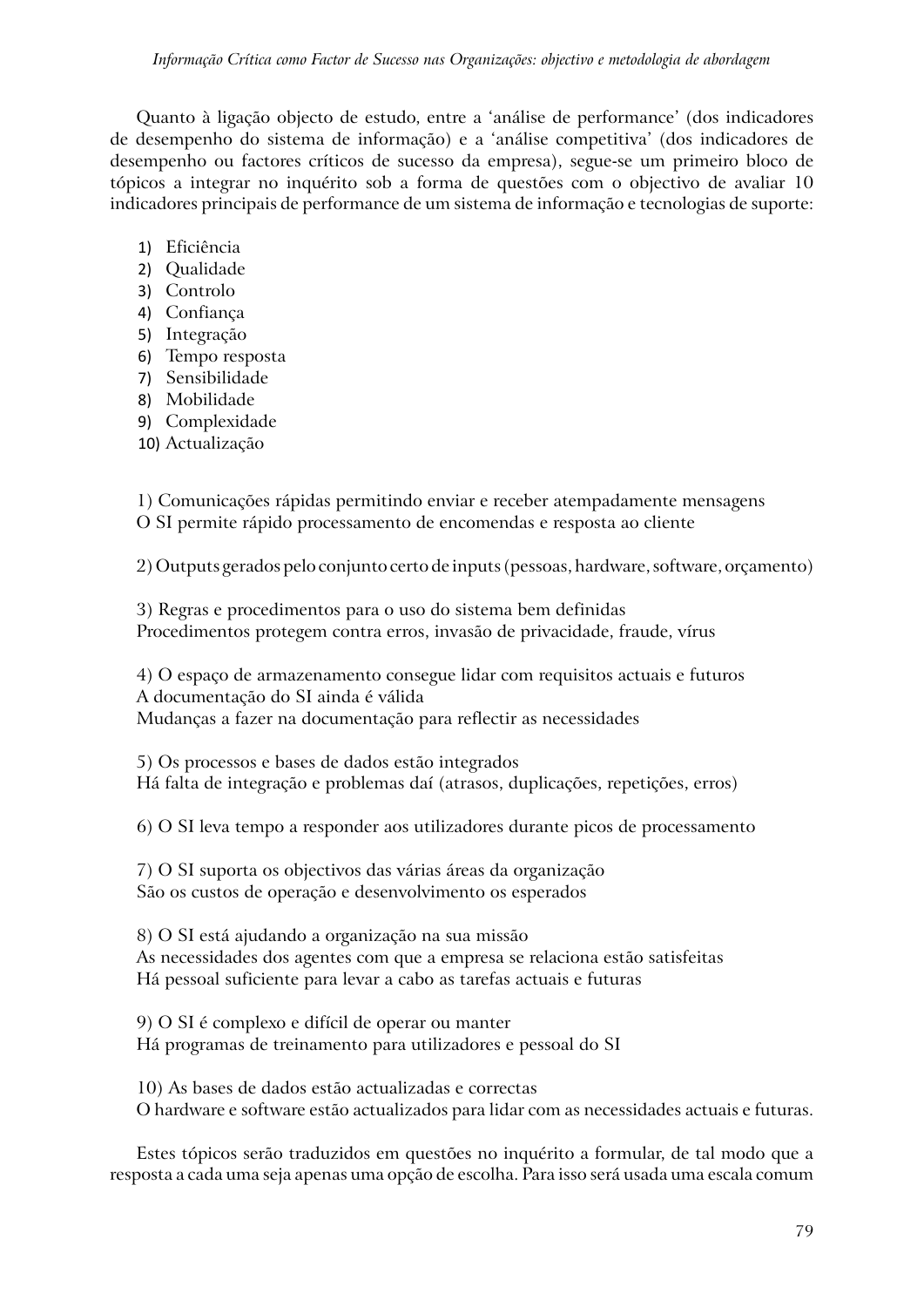Quanto à ligação objecto de estudo, entre a 'análise de performance' (dos indicadores de desempenho do sistema de informação) e a 'análise competitiva' (dos indicadores de desempenho ou factores críticos de sucesso da empresa), segue-se um primeiro bloco de tópicos a integrar no inquérito sob a forma de questões com o objectivo de avaliar 10 indicadores principais de performance de um sistema de informação e tecnologias de suporte:

- 1) Eficiência
- 2) Qualidade
- 3) Controlo
- 4) Confiança
- 5) Integração
- 6) Tempo resposta
- 7) Sensibilidade
- 8) Mobilidade
- 9) Complexidade
- 10) Actualização

1) Comunicações rápidas permitindo enviar e receber atempadamente mensagens O SI permite rápido processamento de encomendas e resposta ao cliente

2) Outputs gerados pelo conjunto certo de inputs (pessoas, hardware, software, orçamento)

3) Regras e procedimentos para o uso do sistema bem definidas Procedimentos protegem contra erros, invasão de privacidade, fraude, vírus

4) O espaço de armazenamento consegue lidar com requisitos actuais e futuros A documentação do SI ainda é válida Mudanças a fazer na documentação para reflectir as necessidades

5) Os processos e bases de dados estão integrados Há falta de integração e problemas daí (atrasos, duplicações, repetições, erros)

6) O SI leva tempo a responder aos utilizadores durante picos de processamento

7) O SI suporta os objectivos das várias áreas da organização São os custos de operação e desenvolvimento os esperados

8) O SI está ajudando a organização na sua missão As necessidades dos agentes com que a empresa se relaciona estão satisfeitas Há pessoal suficiente para levar a cabo as tarefas actuais e futuras

9) O SI é complexo e difícil de operar ou manter Há programas de treinamento para utilizadores e pessoal do SI

10) As bases de dados estão actualizadas e correctas O hardware e software estão actualizados para lidar com as necessidades actuais e futuras.

Estes tópicos serão traduzidos em questões no inquérito a formular, de tal modo que a resposta a cada uma seja apenas uma opção de escolha. Para isso será usada uma escala comum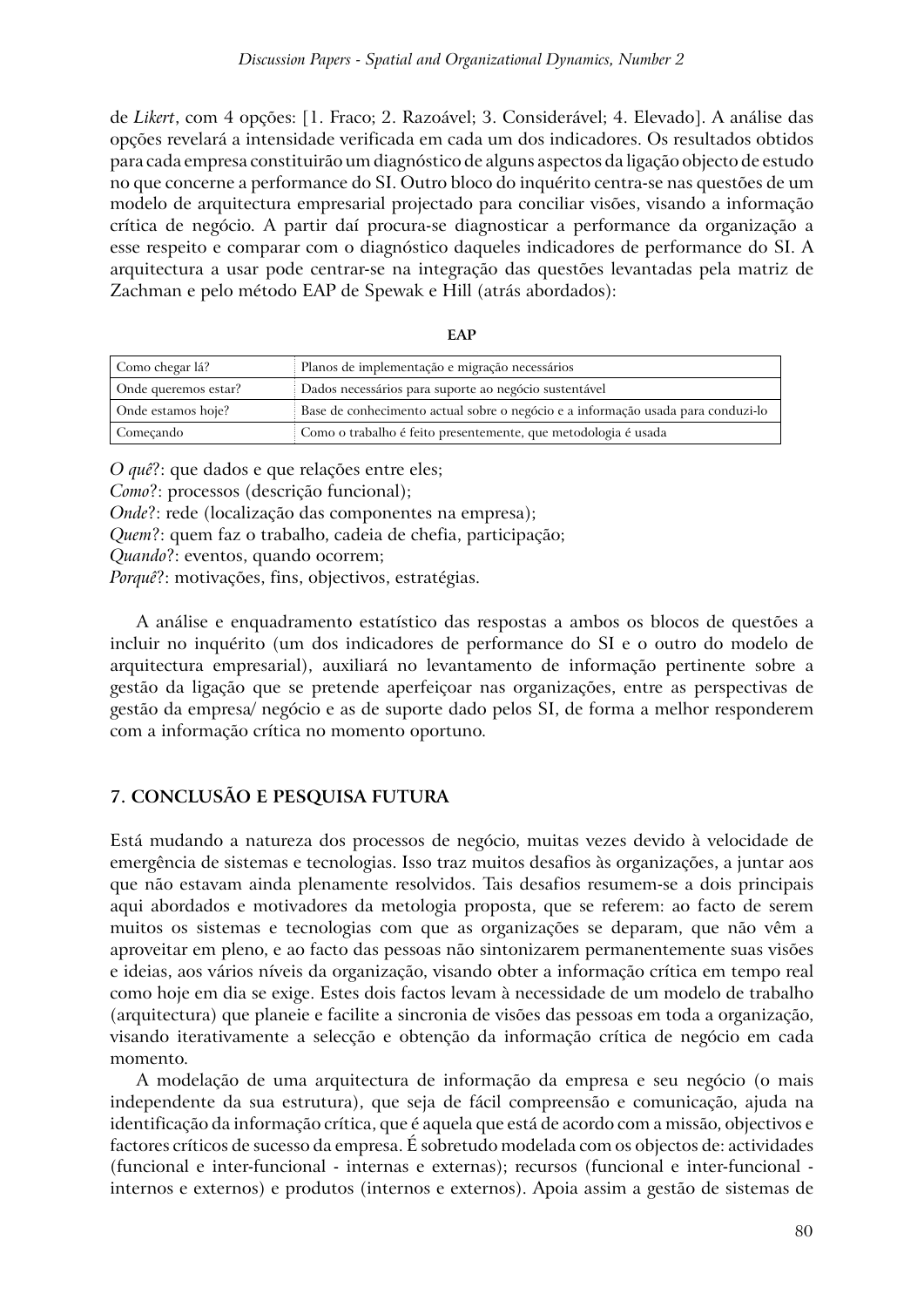de *Likert*, com 4 opções: [1. Fraco; 2. Razoável; 3. Considerável; 4. Elevado]. A análise das opções revelará a intensidade verificada em cada um dos indicadores. Os resultados obtidos para cada empresa constituirão um diagnóstico de alguns aspectos da ligação objecto de estudo no que concerne a performance do SI. Outro bloco do inquérito centra-se nas questões de um modelo de arquitectura empresarial projectado para conciliar visões, visando a informação crítica de negócio. A partir daí procura-se diagnosticar a performance da organização a esse respeito e comparar com o diagnóstico daqueles indicadores de performance do SI. A arquitectura a usar pode centrar-se na integração das questões levantadas pela matriz de Zachman e pelo método EAP de Spewak e Hill (atrás abordados):

| Como chegar lá?      | Planos de implementação e migração necessários                                   |
|----------------------|----------------------------------------------------------------------------------|
| Onde queremos estar? | Dados necessários para suporte ao negócio sustentável                            |
| Onde estamos hoie?   | Base de conhecimento actual sobre o negócio e a informação usada para conduzi-lo |
| Comecando            | Como o trabalho é feito presentemente, que metodologia é usada                   |

**EAP**

*O quê*?: que dados e que relações entre eles; *Como*?: processos (descrição funcional); *Onde*?: rede (localização das componentes na empresa); *Quem*?: quem faz o trabalho, cadeia de chefia, participação; *Quando*?: eventos, quando ocorrem; *Porquê*?: motivações, fins, objectivos, estratégias.

A análise e enquadramento estatístico das respostas a ambos os blocos de questões a incluir no inquérito (um dos indicadores de performance do SI e o outro do modelo de arquitectura empresarial), auxiliará no levantamento de informação pertinente sobre a gestão da ligação que se pretende aperfeiçoar nas organizações, entre as perspectivas de gestão da empresa/ negócio e as de suporte dado pelos SI, de forma a melhor responderem com a informação crítica no momento oportuno.

### **7. CONCLUSÃO E PESQUISA FUTURA**

Está mudando a natureza dos processos de negócio, muitas vezes devido à velocidade de emergência de sistemas e tecnologias. Isso traz muitos desafios às organizações, a juntar aos que não estavam ainda plenamente resolvidos. Tais desafios resumem-se a dois principais aqui abordados e motivadores da metologia proposta, que se referem: ao facto de serem muitos os sistemas e tecnologias com que as organizações se deparam, que não vêm a aproveitar em pleno, e ao facto das pessoas não sintonizarem permanentemente suas visões e ideias, aos vários níveis da organização, visando obter a informação crítica em tempo real como hoje em dia se exige. Estes dois factos levam à necessidade de um modelo de trabalho (arquitectura) que planeie e facilite a sincronia de visões das pessoas em toda a organização, visando iterativamente a selecção e obtenção da informação crítica de negócio em cada momento.

A modelação de uma arquitectura de informação da empresa e seu negócio (o mais independente da sua estrutura), que seja de fácil compreensão e comunicação, ajuda na identificação da informação crítica, que é aquela que está de acordo com a missão, objectivos e factores críticos de sucesso da empresa. É sobretudo modelada com os objectos de: actividades (funcional e inter-funcional - internas e externas); recursos (funcional e inter-funcional internos e externos) e produtos (internos e externos). Apoia assim a gestão de sistemas de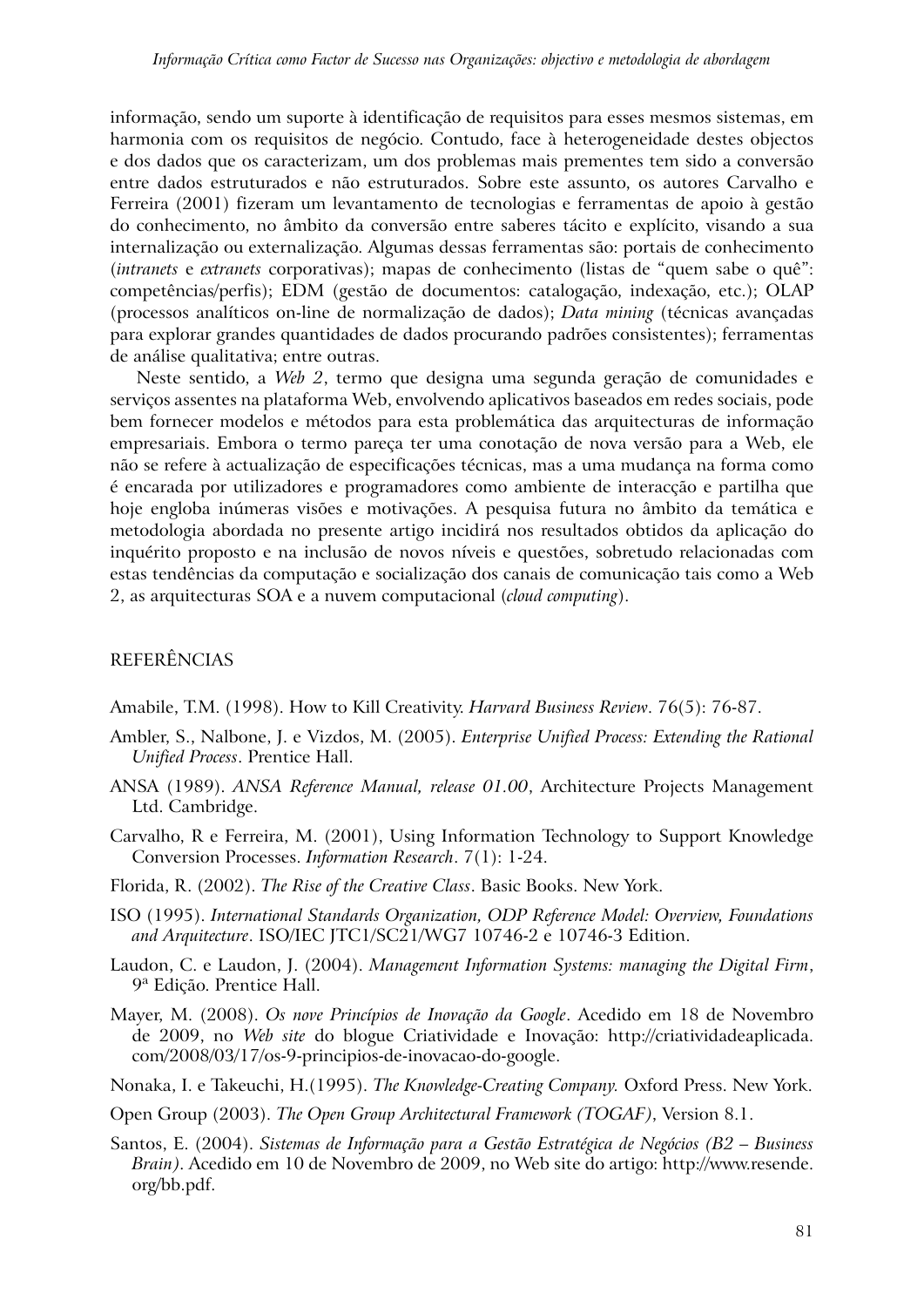informação, sendo um suporte à identificação de requisitos para esses mesmos sistemas, em harmonia com os requisitos de negócio. Contudo, face à heterogeneidade destes objectos e dos dados que os caracterizam, um dos problemas mais prementes tem sido a conversão entre dados estruturados e não estruturados. Sobre este assunto, os autores Carvalho e Ferreira (2001) fizeram um levantamento de tecnologias e ferramentas de apoio à gestão do conhecimento, no âmbito da conversão entre saberes tácito e explícito, visando a sua internalização ou externalização. Algumas dessas ferramentas são: portais de conhecimento (*intranets* e *extranets* corporativas); mapas de conhecimento (listas de "quem sabe o quê": competências/perfis); EDM (gestão de documentos: catalogação, indexação, etc.); OLAP (processos analíticos on-line de normalização de dados); *Data mining* (técnicas avançadas para explorar grandes quantidades de dados procurando padrões consistentes); ferramentas de análise qualitativa; entre outras.

Neste sentido, a *Web 2*, termo que designa uma segunda geração de comunidades e serviços assentes na plataforma Web, envolvendo aplicativos baseados em redes sociais, pode bem fornecer modelos e métodos para esta problemática das arquitecturas de informação empresariais. Embora o termo pareça ter uma conotação de nova versão para a Web, ele não se refere à actualização de especificações técnicas, mas a uma mudança na forma como é encarada por utilizadores e programadores como ambiente de interacção e partilha que hoje engloba inúmeras visões e motivações. A pesquisa futura no âmbito da temática e metodologia abordada no presente artigo incidirá nos resultados obtidos da aplicação do inquérito proposto e na inclusão de novos níveis e questões, sobretudo relacionadas com estas tendências da computação e socialização dos canais de comunicação tais como a Web 2, as arquitecturas SOA e a nuvem computacional (*cloud computing*).

### REFERÊNCIAS

Amabile, T.M. (1998). How to Kill Creativity. *Harvard Business Review*. 76(5): 76-87.

- Ambler, S., Nalbone, J. e Vizdos, M. (2005). *Enterprise Unified Process: Extending the Rational Unified Process*. Prentice Hall.
- ANSA (1989). *ANSA Reference Manual, release 01.00*, Architecture Projects Management Ltd. Cambridge.
- Carvalho, R e Ferreira, M. (2001), Using Information Technology to Support Knowledge Conversion Processes. *Information Research*. 7(1): 1-24.
- Florida, R. (2002). *The Rise of the Creative Class*. Basic Books. New York.
- ISO (1995). *International Standards Organization, ODP Reference Model: Overview, Foundations and Arquitecture*. ISO/IEC JTC1/SC21/WG7 10746-2 e 10746-3 Edition.
- Laudon, C. e Laudon, J. (2004). *Management Information Systems: managing the Digital Firm*, 9ª Edição. Prentice Hall.
- Mayer, M. (2008). *Os nove Princípios de Inovação da Google*. Acedido em 18 de Novembro de 2009, no *Web site* do blogue Criatividade e Inovação: http://criatividadeaplicada. com/2008/03/17/os-9-principios-de-inovacao-do-google.
- Nonaka, I. e Takeuchi, H.(1995). *The Knowledge-Creating Company.* Oxford Press. New York.

Open Group (2003). *The Open Group Architectural Framework (TOGAF)*, Version 8.1.

Santos, E. (2004). *Sistemas de Informação para a Gestão Estratégica de Negócios (B2 – Business Brain)*. Acedido em 10 de Novembro de 2009, no Web site do artigo: http://www.resende. org/bb.pdf.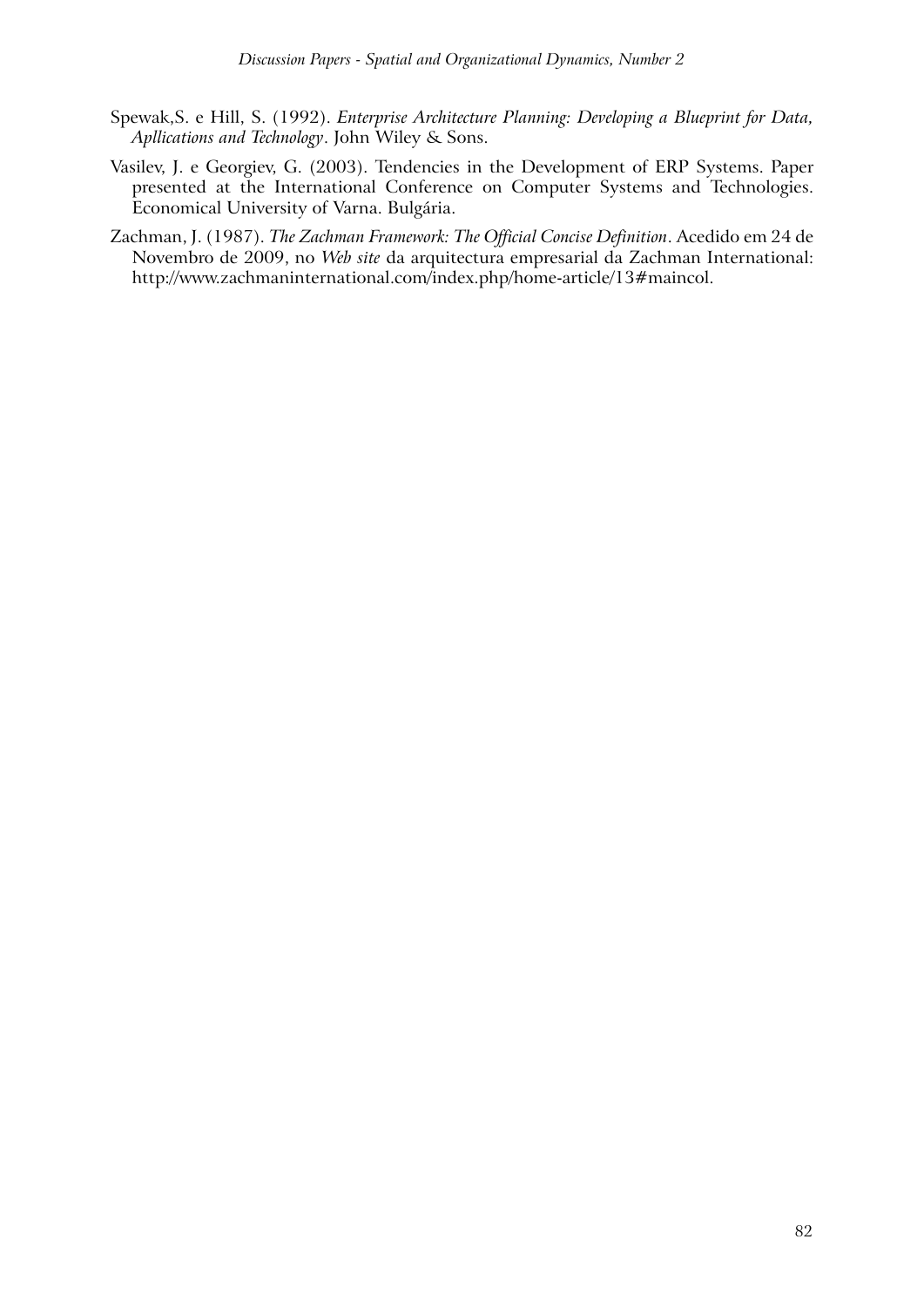- Spewak,S. e Hill, S. (1992). *Enterprise Architecture Planning: Developing a Blueprint for Data, Apllications and Technology*. John Wiley & Sons.
- Vasilev, J. e Georgiev, G. (2003). Tendencies in the Development of ERP Systems. Paper presented at the International Conference on Computer Systems and Technologies. Economical University of Varna. Bulgária.
- Zachman, J. (1987). *The Zachman Framework: The Official Concise Definition*. Acedido em 24 de Novembro de 2009, no *Web site* da arquitectura empresarial da Zachman International: http://www.zachmaninternational.com/index.php/home-article/13#maincol.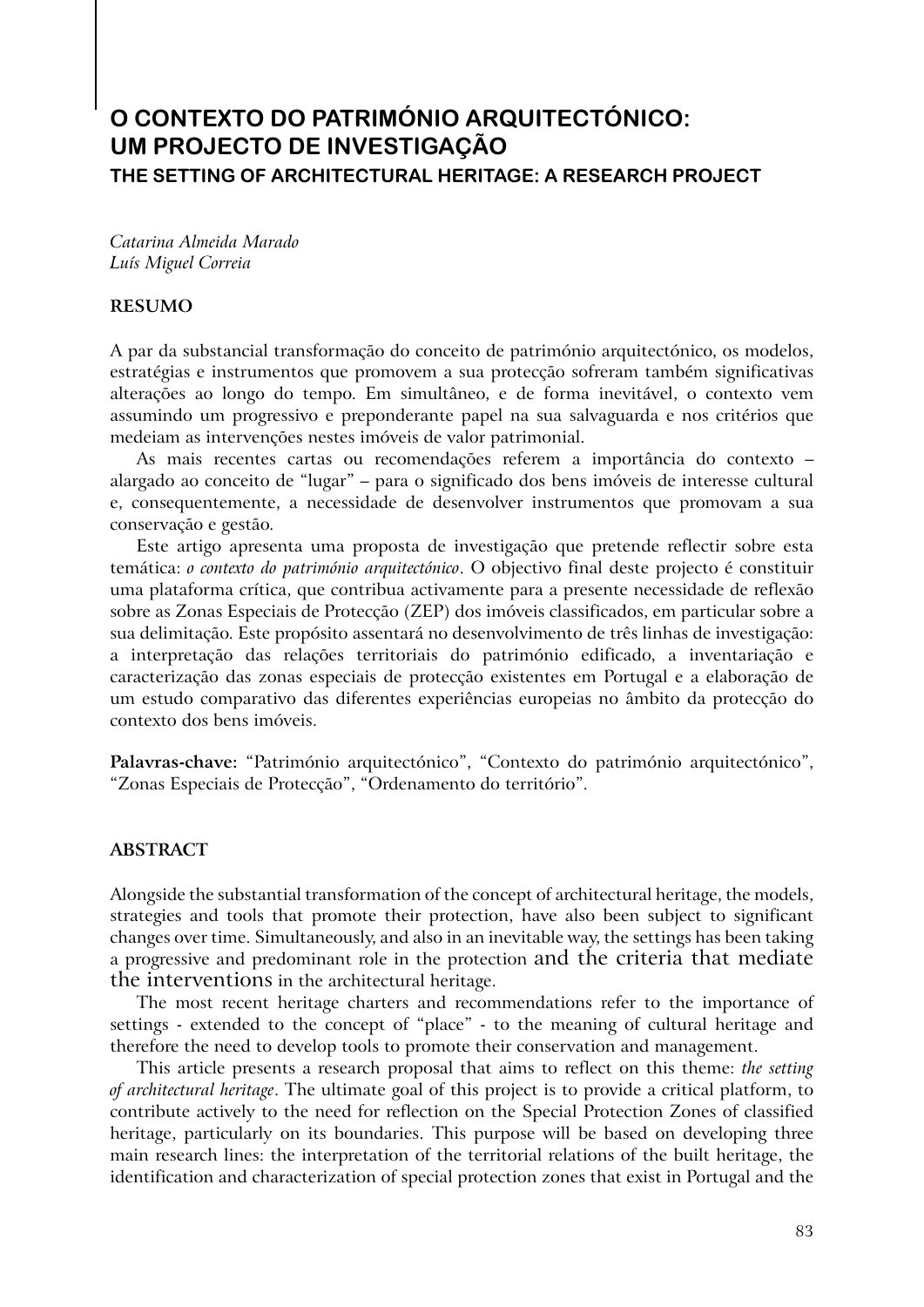# **O CONTEXTO DO PATRIMÓNIO ARQUITECTÓNICO: UM PROJECTO DE INVESTIGAÇÃO THE SETTING OF ARCHITECTURAL HERITAGE: A RESEARCH PROJECT**

*Catarina Almeida Marado Luís Miguel Correia*

#### **RESUMO**

A par da substancial transformação do conceito de património arquitectónico, os modelos, estratégias e instrumentos que promovem a sua protecção sofreram também significativas alterações ao longo do tempo. Em simultâneo, e de forma inevitável, o contexto vem assumindo um progressivo e preponderante papel na sua salvaguarda e nos critérios que medeiam as intervenções nestes imóveis de valor patrimonial.

As mais recentes cartas ou recomendações referem a importância do contexto – alargado ao conceito de "lugar" – para o significado dos bens imóveis de interesse cultural e, consequentemente, a necessidade de desenvolver instrumentos que promovam a sua conservação e gestão.

Este artigo apresenta uma proposta de investigação que pretende reflectir sobre esta temática: *o contexto do património arquitectónico*. O objectivo final deste projecto é constituir uma plataforma crítica, que contribua activamente para a presente necessidade de reflexão sobre as Zonas Especiais de Protecção (ZEP) dos imóveis classificados, em particular sobre a sua delimitação. Este propósito assentará no desenvolvimento de três linhas de investigação: a interpretação das relações territoriais do património edificado, a inventariação e caracterização das zonas especiais de protecção existentes em Portugal e a elaboração de um estudo comparativo das diferentes experiências europeias no âmbito da protecção do contexto dos bens imóveis.

**Palavras-chave:** "Património arquitectónico", "Contexto do património arquitectónico", "Zonas Especiais de Protecção", "Ordenamento do território".

#### **ABSTRACT**

Alongside the substantial transformation of the concept of architectural heritage, the models, strategies and tools that promote their protection, have also been subject to significant changes over time. Simultaneously, and also in an inevitable way, the settings has been taking a progressive and predominant role in the protection and the criteria that mediate the interventions in the architectural heritage.

The most recent heritage charters and recommendations refer to the importance of settings - extended to the concept of "place" - to the meaning of cultural heritage and therefore the need to develop tools to promote their conservation and management.

This article presents a research proposal that aims to reflect on this theme: *the setting of architectural heritage*. The ultimate goal of this project is to provide a critical platform, to contribute actively to the need for reflection on the Special Protection Zones of classified heritage, particularly on its boundaries. This purpose will be based on developing three main research lines: the interpretation of the territorial relations of the built heritage, the identification and characterization of special protection zones that exist in Portugal and the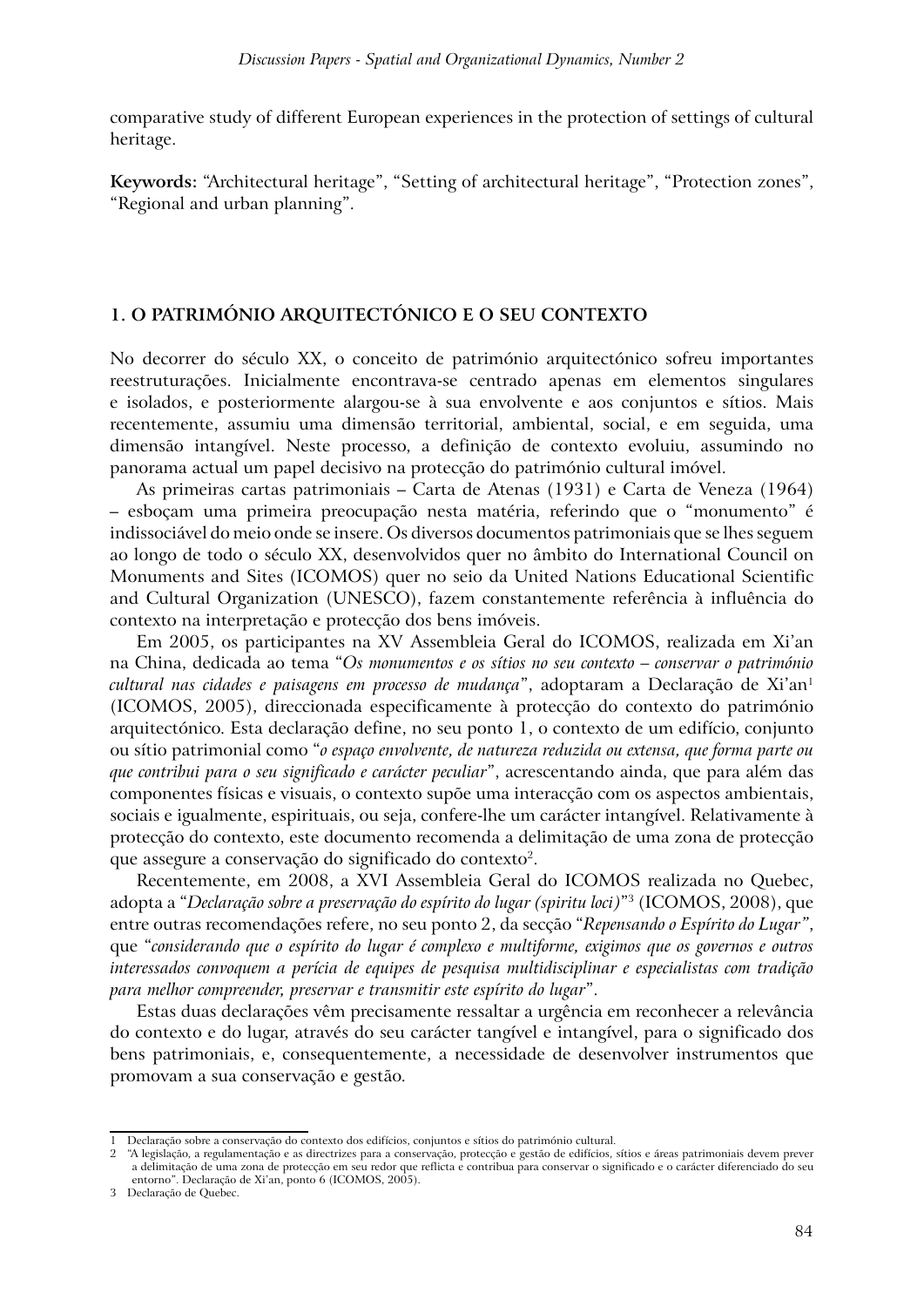comparative study of different European experiences in the protection of settings of cultural heritage.

**Keywords:** "Architectural heritage", "Setting of architectural heritage", "Protection zones", "Regional and urban planning".

### **1. O PATRIMÓNIO ARQUITECTÓNICO E O SEU CONTEXTO**

No decorrer do século XX, o conceito de património arquitectónico sofreu importantes reestruturações. Inicialmente encontrava-se centrado apenas em elementos singulares e isolados, e posteriormente alargou-se à sua envolvente e aos conjuntos e sítios. Mais recentemente, assumiu uma dimensão territorial, ambiental, social, e em seguida, uma dimensão intangível. Neste processo, a definição de contexto evoluiu, assumindo no panorama actual um papel decisivo na protecção do património cultural imóvel.

As primeiras cartas patrimoniais – Carta de Atenas (1931) e Carta de Veneza (1964) – esboçam uma primeira preocupação nesta matéria, referindo que o "monumento" é indissociável do meio onde se insere. Os diversos documentos patrimoniais que se lhes seguem ao longo de todo o século XX, desenvolvidos quer no âmbito do International Council on Monuments and Sites (ICOMOS) quer no seio da United Nations Educational Scientific and Cultural Organization (UNESCO), fazem constantemente referência à influência do contexto na interpretação e protecção dos bens imóveis.

Em 2005, os participantes na XV Assembleia Geral do ICOMOS, realizada em Xi'an na China, dedicada ao tema "*Os monumentos e os sítios no seu contexto – conservar o património cultural nas cidades e paisagens em processo de mudança*", adoptaram a Declaração de Xi'an1 (ICOMOS, 2005), direccionada especificamente à protecção do contexto do património arquitectónico. Esta declaração define, no seu ponto 1, o contexto de um edifício, conjunto ou sítio patrimonial como "*o espaço envolvente, de natureza reduzida ou extensa, que forma parte ou que contribui para o seu significado e carácter peculiar*", acrescentando ainda, que para além das componentes físicas e visuais, o contexto supõe uma interacção com os aspectos ambientais, sociais e igualmente, espirituais, ou seja, confere-lhe um carácter intangível. Relativamente à protecção do contexto, este documento recomenda a delimitação de uma zona de protecção que assegure a conservação do significado do contexto2.

Recentemente, em 2008, a XVI Assembleia Geral do ICOMOS realizada no Quebec, adopta a "*Declaração sobre a preservação do espírito do lugar (spiritu loci)*"3 (ICOMOS, 2008), que entre outras recomendações refere, no seu ponto 2, da secção "*Repensando o Espírito do Lugar"*, que "*considerando que o espírito do lugar é complexo e multiforme, exigimos que os governos e outros interessados convoquem a perícia de equipes de pesquisa multidisciplinar e especialistas com tradição para melhor compreender, preservar e transmitir este espírito do lugar*".

Estas duas declarações vêm precisamente ressaltar a urgência em reconhecer a relevância do contexto e do lugar, através do seu carácter tangível e intangível, para o significado dos bens patrimoniais, e, consequentemente, a necessidade de desenvolver instrumentos que promovam a sua conservação e gestão.

<sup>1</sup> Declaração sobre a conservação do contexto dos edifícios, conjuntos e sítios do património cultural.

<sup>2</sup> "A legislação, a regulamentação e as directrizes para a conservação, protecção e gestão de edifícios, sítios e áreas patrimoniais devem prever a delimitação de uma zona de protecção em seu redor que reflicta e contribua para conservar o significado e o carácter diferenciado do seu entorno". Declaração de Xi'an, ponto 6 (ICOMOS, 2005).

<sup>3</sup> Declaração de Quebec.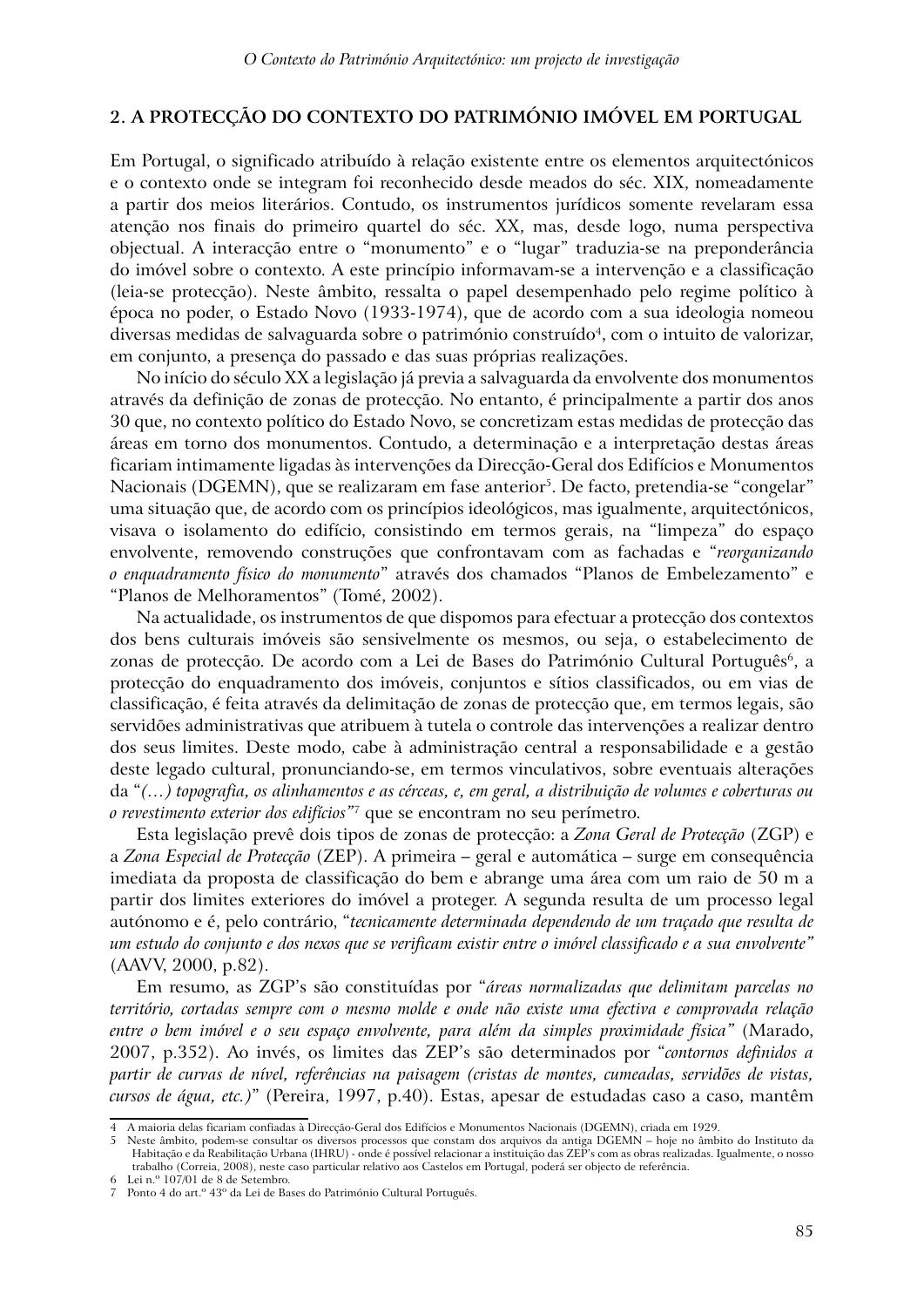### **2. A PROTECÇÃO DO CONTEXTO DO PATRIMÓNIO IMÓVEL EM PORTUGAL**

Em Portugal, o significado atribuído à relação existente entre os elementos arquitectónicos e o contexto onde se integram foi reconhecido desde meados do séc. XIX, nomeadamente a partir dos meios literários. Contudo, os instrumentos jurídicos somente revelaram essa atenção nos finais do primeiro quartel do séc. XX, mas, desde logo, numa perspectiva objectual. A interacção entre o "monumento" e o "lugar" traduzia-se na preponderância do imóvel sobre o contexto. A este princípio informavam-se a intervenção e a classificação (leia-se protecção). Neste âmbito, ressalta o papel desempenhado pelo regime político à época no poder, o Estado Novo (1933-1974), que de acordo com a sua ideologia nomeou diversas medidas de salvaguarda sobre o património construído<sup>4</sup>, com o intuito de valorizar, em conjunto, a presença do passado e das suas próprias realizações.

No início do século XX a legislação já previa a salvaguarda da envolvente dos monumentos através da definição de zonas de protecção. No entanto, é principalmente a partir dos anos 30 que, no contexto político do Estado Novo, se concretizam estas medidas de protecção das áreas em torno dos monumentos. Contudo, a determinação e a interpretação destas áreas ficariam intimamente ligadas às intervenções da Direcção-Geral dos Edifícios e Monumentos Nacionais (DGEMN), que se realizaram em fase anterior<sup>5</sup>. De facto, pretendia-se "congelar" uma situação que, de acordo com os princípios ideológicos, mas igualmente, arquitectónicos, visava o isolamento do edifício, consistindo em termos gerais, na "limpeza" do espaço envolvente, removendo construções que confrontavam com as fachadas e "*reorganizando o enquadramento físico do monumento*" através dos chamados "Planos de Embelezamento" e "Planos de Melhoramentos" (Tomé, 2002).

Na actualidade, os instrumentos de que dispomos para efectuar a protecção dos contextos dos bens culturais imóveis são sensivelmente os mesmos, ou seja, o estabelecimento de zonas de protecção. De acordo com a Lei de Bases do Património Cultural Português<sup>6</sup>, a protecção do enquadramento dos imóveis, conjuntos e sítios classificados, ou em vias de classificação, é feita através da delimitação de zonas de protecção que, em termos legais, são servidões administrativas que atribuem à tutela o controle das intervenções a realizar dentro dos seus limites. Deste modo, cabe à administração central a responsabilidade e a gestão deste legado cultural, pronunciando-se, em termos vinculativos, sobre eventuais alterações da "*(…) topografia, os alinhamentos e as cérceas, e, em geral, a distribuição de volumes e coberturas ou o revestimento exterior dos edifícios"*7 que se encontram no seu perímetro.

Esta legislação prevê dois tipos de zonas de protecção: a *Zona Geral de Protecção* (ZGP) e a *Zona Especial de Protecção* (ZEP). A primeira – geral e automática – surge em consequência imediata da proposta de classificação do bem e abrange uma área com um raio de 50 m a partir dos limites exteriores do imóvel a proteger. A segunda resulta de um processo legal autónomo e é, pelo contrário, "*tecnicamente determinada dependendo de um traçado que resulta de um estudo do conjunto e dos nexos que se verificam existir entre o imóvel classificado e a sua envolvente"*  (AAVV, 2000, p.82).

Em resumo, as ZGP's são constituídas por "*áreas normalizadas que delimitam parcelas no território, cortadas sempre com o mesmo molde e onde não existe uma efectiva e comprovada relação entre o bem imóvel e o seu espaço envolvente, para além da simples proximidade física"* (Marado, 2007, p.352). Ao invés, os limites das ZEP's são determinados por "*contornos definidos a partir de curvas de nível, referências na paisagem (cristas de montes, cumeadas, servidões de vistas, cursos de água, etc.)*" (Pereira, 1997, p.40). Estas, apesar de estudadas caso a caso, mantêm

<sup>4</sup> A maioria delas ficariam confiadas à Direcção-Geral dos Edifícios e Monumentos Nacionais (DGEMN), criada em 1929.

<sup>5</sup> Neste âmbito, podem-se consultar os diversos processos que constam dos arquivos da antiga DGEMN – hoje no âmbito do Instituto da Habitação e da Reabilitação Urbana (IHRU) - onde é possível relacionar a instituição das ZEP's com as obras realizadas. Igualmente, o nosso trabalho (Correia, 2008), neste caso particular relativo aos Castelos em Portugal, poderá ser objecto de referência. Lei n.º 107/01 de 8 de Setembro.

<sup>7</sup> Ponto 4 do art.º 43º da Lei de Bases do Património Cultural Português.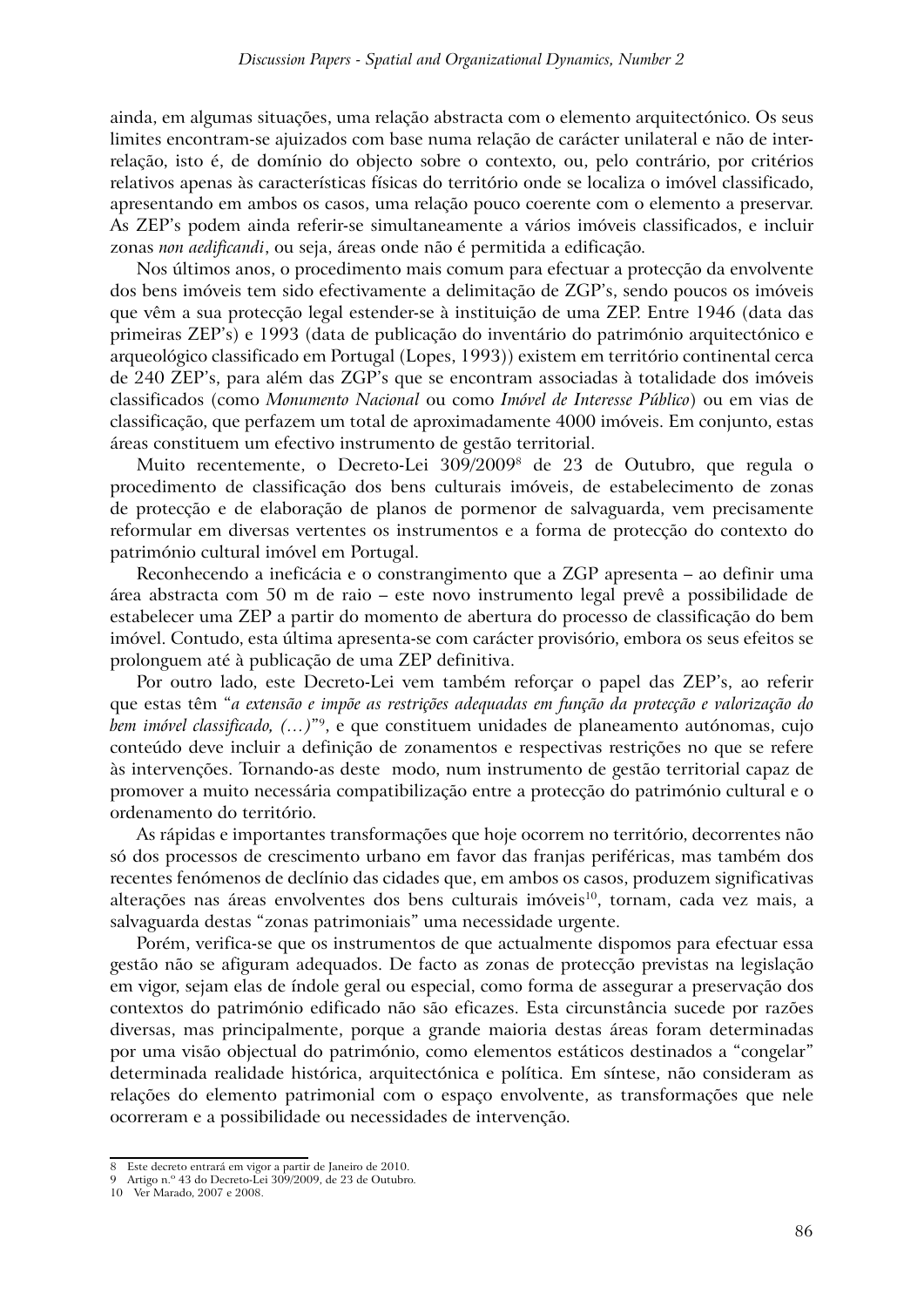ainda, em algumas situações, uma relação abstracta com o elemento arquitectónico. Os seus limites encontram-se ajuizados com base numa relação de carácter unilateral e não de interrelação, isto é, de domínio do objecto sobre o contexto, ou, pelo contrário, por critérios relativos apenas às características físicas do território onde se localiza o imóvel classificado, apresentando em ambos os casos, uma relação pouco coerente com o elemento a preservar. As ZEP's podem ainda referir-se simultaneamente a vários imóveis classificados, e incluir zonas *non aedificandi*, ou seja, áreas onde não é permitida a edificação.

Nos últimos anos, o procedimento mais comum para efectuar a protecção da envolvente dos bens imóveis tem sido efectivamente a delimitação de ZGP's, sendo poucos os imóveis que vêm a sua protecção legal estender-se à instituição de uma ZEP. Entre 1946 (data das primeiras ZEP's) e 1993 (data de publicação do inventário do património arquitectónico e arqueológico classificado em Portugal (Lopes, 1993)) existem em território continental cerca de 240 ZEP's, para além das ZGP's que se encontram associadas à totalidade dos imóveis classificados (como *Monumento Nacional* ou como *Imóvel de Interesse Público*) ou em vias de classificação, que perfazem um total de aproximadamente 4000 imóveis. Em conjunto, estas áreas constituem um efectivo instrumento de gestão territorial.

Muito recentemente, o Decreto-Lei 309/20098 de 23 de Outubro, que regula o procedimento de classificação dos bens culturais imóveis, de estabelecimento de zonas de protecção e de elaboração de planos de pormenor de salvaguarda, vem precisamente reformular em diversas vertentes os instrumentos e a forma de protecção do contexto do património cultural imóvel em Portugal.

Reconhecendo a ineficácia e o constrangimento que a ZGP apresenta – ao definir uma área abstracta com 50 m de raio – este novo instrumento legal prevê a possibilidade de estabelecer uma ZEP a partir do momento de abertura do processo de classificação do bem imóvel. Contudo, esta última apresenta-se com carácter provisório, embora os seus efeitos se prolonguem até à publicação de uma ZEP definitiva.

Por outro lado, este Decreto-Lei vem também reforçar o papel das ZEP's, ao referir que estas têm "*a extensão e impõe as restrições adequadas em função da protecção e valorização do bem imóvel classificado, (…)*"9, e que constituem unidades de planeamento autónomas, cujo conteúdo deve incluir a definição de zonamentos e respectivas restrições no que se refere às intervenções. Tornando-as deste modo, num instrumento de gestão territorial capaz de promover a muito necessária compatibilização entre a protecção do património cultural e o ordenamento do território.

As rápidas e importantes transformações que hoje ocorrem no território, decorrentes não só dos processos de crescimento urbano em favor das franjas periféricas, mas também dos recentes fenómenos de declínio das cidades que, em ambos os casos, produzem significativas alterações nas áreas envolventes dos bens culturais imóveis<sup>10</sup>, tornam, cada vez mais, a salvaguarda destas "zonas patrimoniais" uma necessidade urgente.

Porém, verifica-se que os instrumentos de que actualmente dispomos para efectuar essa gestão não se afiguram adequados. De facto as zonas de protecção previstas na legislação em vigor, sejam elas de índole geral ou especial, como forma de assegurar a preservação dos contextos do património edificado não são eficazes. Esta circunstância sucede por razões diversas, mas principalmente, porque a grande maioria destas áreas foram determinadas por uma visão objectual do património, como elementos estáticos destinados a "congelar" determinada realidade histórica, arquitectónica e política. Em síntese, não consideram as relações do elemento patrimonial com o espaço envolvente, as transformações que nele ocorreram e a possibilidade ou necessidades de intervenção.

<sup>8</sup> Este decreto entrará em vigor a partir de Janeiro de 2010.

<sup>9</sup> Artigo n.º 43 do Decreto-Lei 309/2009, de 23 de Outubro.

<sup>10</sup> Ver Marado, 2007 e 2008.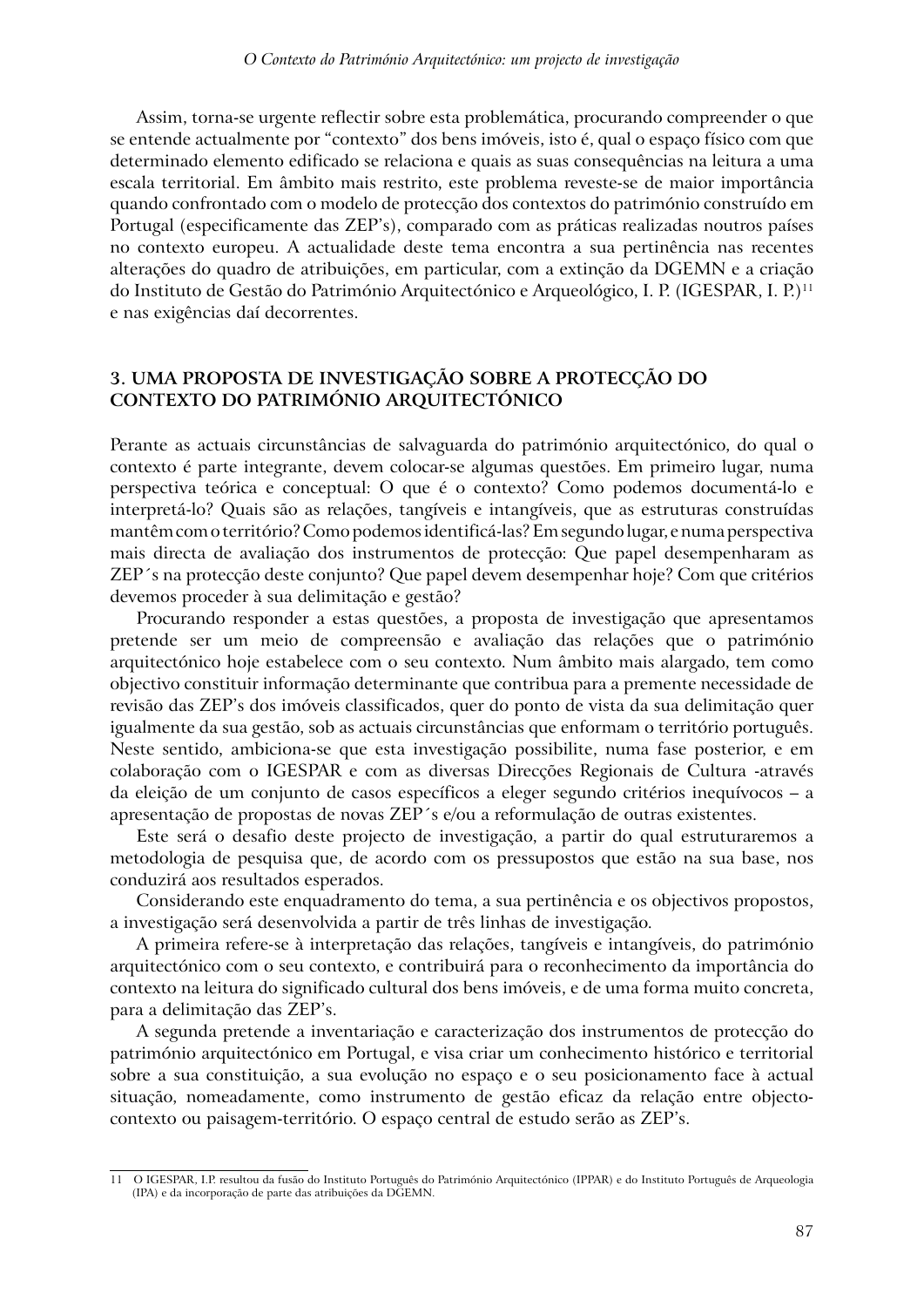Assim, torna-se urgente reflectir sobre esta problemática, procurando compreender o que se entende actualmente por "contexto" dos bens imóveis, isto é, qual o espaço físico com que determinado elemento edificado se relaciona e quais as suas consequências na leitura a uma escala territorial. Em âmbito mais restrito, este problema reveste-se de maior importância quando confrontado com o modelo de protecção dos contextos do património construído em Portugal (especificamente das ZEP's), comparado com as práticas realizadas noutros países no contexto europeu. A actualidade deste tema encontra a sua pertinência nas recentes alterações do quadro de atribuições, em particular, com a extinção da DGEMN e a criação do Instituto de Gestão do Património Arquitectónico e Arqueológico, I. P. (IGESPAR, I. P.)11 e nas exigências daí decorrentes.

### **3. UMA PROPOSTA DE INVESTIGAÇÃO SOBRE A PROTECÇÃO DO CONTEXTO DO PATRIMÓNIO ARQUITECTÓNICO**

Perante as actuais circunstâncias de salvaguarda do património arquitectónico, do qual o contexto é parte integrante, devem colocar-se algumas questões. Em primeiro lugar, numa perspectiva teórica e conceptual: O que é o contexto? Como podemos documentá-lo e interpretá-lo? Quais são as relações, tangíveis e intangíveis, que as estruturas construídas mantêm com o território? Como podemos identificá-las? Em segundo lugar, e numa perspectiva mais directa de avaliação dos instrumentos de protecção: Que papel desempenharam as ZEP´s na protecção deste conjunto? Que papel devem desempenhar hoje? Com que critérios devemos proceder à sua delimitação e gestão?

Procurando responder a estas questões, a proposta de investigação que apresentamos pretende ser um meio de compreensão e avaliação das relações que o património arquitectónico hoje estabelece com o seu contexto. Num âmbito mais alargado, tem como objectivo constituir informação determinante que contribua para a premente necessidade de revisão das ZEP's dos imóveis classificados, quer do ponto de vista da sua delimitação quer igualmente da sua gestão, sob as actuais circunstâncias que enformam o território português. Neste sentido, ambiciona-se que esta investigação possibilite, numa fase posterior, e em colaboração com o IGESPAR e com as diversas Direcções Regionais de Cultura -através da eleição de um conjunto de casos específicos a eleger segundo critérios inequívocos – a apresentação de propostas de novas ZEP´s e/ou a reformulação de outras existentes.

Este será o desafio deste projecto de investigação, a partir do qual estruturaremos a metodologia de pesquisa que, de acordo com os pressupostos que estão na sua base, nos conduzirá aos resultados esperados.

Considerando este enquadramento do tema, a sua pertinência e os objectivos propostos, a investigação será desenvolvida a partir de três linhas de investigação.

A primeira refere-se à interpretação das relações, tangíveis e intangíveis, do património arquitectónico com o seu contexto, e contribuirá para o reconhecimento da importância do contexto na leitura do significado cultural dos bens imóveis, e de uma forma muito concreta, para a delimitação das ZEP's.

A segunda pretende a inventariação e caracterização dos instrumentos de protecção do património arquitectónico em Portugal, e visa criar um conhecimento histórico e territorial sobre a sua constituição, a sua evolução no espaço e o seu posicionamento face à actual situação, nomeadamente, como instrumento de gestão eficaz da relação entre objectocontexto ou paisagem-território. O espaço central de estudo serão as ZEP's.

<sup>11</sup> O IGESPAR, I.P. resultou da fusão do Instituto Português do Património Arquitectónico (IPPAR) e do Instituto Português de Arqueologia (IPA) e da incorporação de parte das atribuições da DGEMN.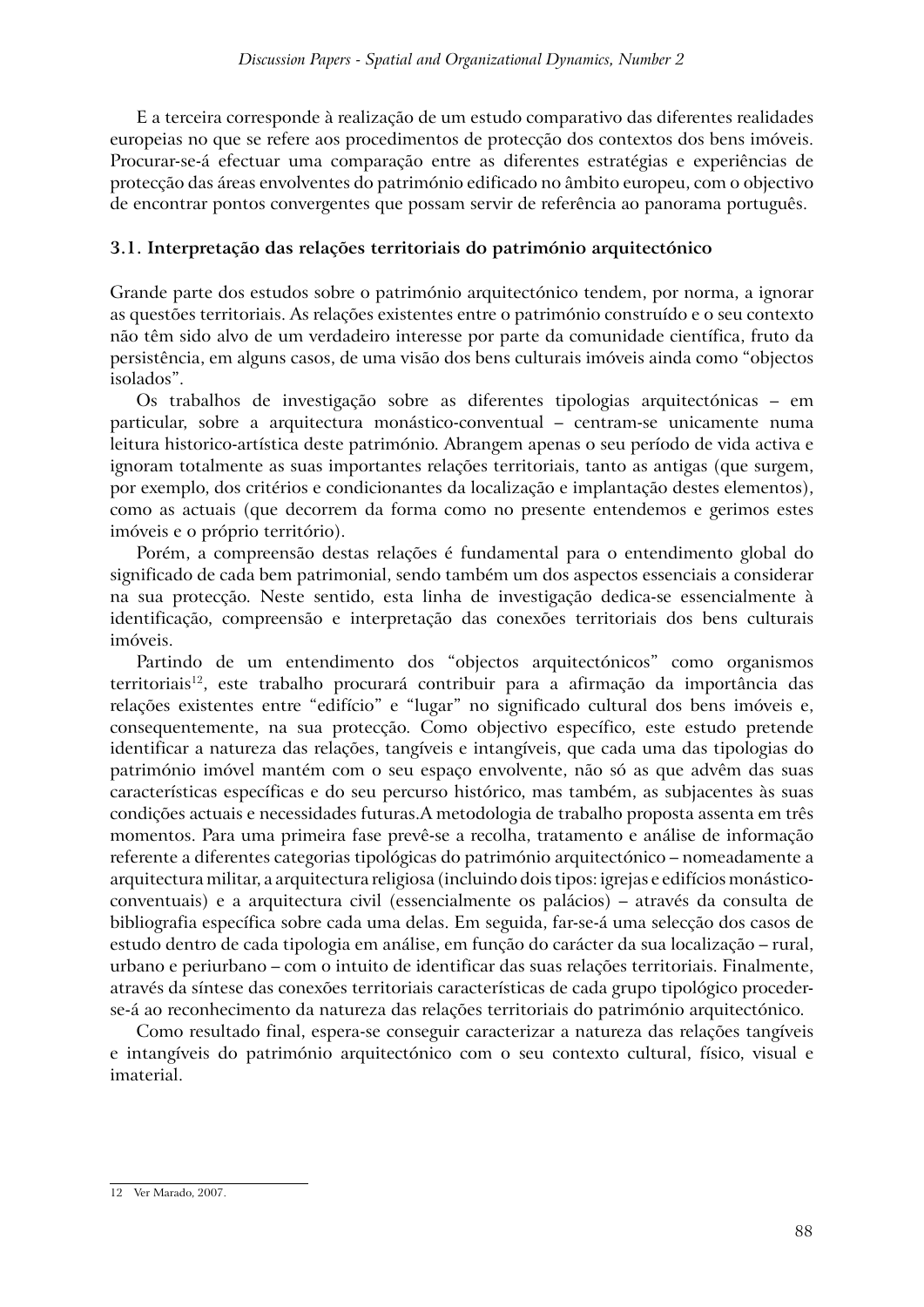E a terceira corresponde à realização de um estudo comparativo das diferentes realidades europeias no que se refere aos procedimentos de protecção dos contextos dos bens imóveis. Procurar-se-á efectuar uma comparação entre as diferentes estratégias e experiências de protecção das áreas envolventes do património edificado no âmbito europeu, com o objectivo de encontrar pontos convergentes que possam servir de referência ao panorama português.

### **3.1. Interpretação das relações territoriais do património arquitectónico**

Grande parte dos estudos sobre o património arquitectónico tendem, por norma, a ignorar as questões territoriais. As relações existentes entre o património construído e o seu contexto não têm sido alvo de um verdadeiro interesse por parte da comunidade científica, fruto da persistência, em alguns casos, de uma visão dos bens culturais imóveis ainda como "objectos isolados".

Os trabalhos de investigação sobre as diferentes tipologias arquitectónicas – em particular, sobre a arquitectura monástico-conventual – centram-se unicamente numa leitura historico-artística deste património. Abrangem apenas o seu período de vida activa e ignoram totalmente as suas importantes relações territoriais, tanto as antigas (que surgem, por exemplo, dos critérios e condicionantes da localização e implantação destes elementos), como as actuais (que decorrem da forma como no presente entendemos e gerimos estes imóveis e o próprio território).

Porém, a compreensão destas relações é fundamental para o entendimento global do significado de cada bem patrimonial, sendo também um dos aspectos essenciais a considerar na sua protecção. Neste sentido, esta linha de investigação dedica-se essencialmente à identificação, compreensão e interpretação das conexões territoriais dos bens culturais imóveis.

Partindo de um entendimento dos "objectos arquitectónicos" como organismos territoriais<sup>12</sup>, este trabalho procurará contribuir para a afirmação da importância das relações existentes entre "edifício" e "lugar" no significado cultural dos bens imóveis e, consequentemente, na sua protecção. Como objectivo específico, este estudo pretende identificar a natureza das relações, tangíveis e intangíveis, que cada uma das tipologias do património imóvel mantém com o seu espaço envolvente, não só as que advêm das suas características específicas e do seu percurso histórico, mas também, as subjacentes às suas condições actuais e necessidades futuras.A metodologia de trabalho proposta assenta em três momentos. Para uma primeira fase prevê-se a recolha, tratamento e análise de informação referente a diferentes categorias tipológicas do património arquitectónico – nomeadamente a arquitectura militar, a arquitectura religiosa (incluindo dois tipos: igrejas e edifícios monásticoconventuais) e a arquitectura civil (essencialmente os palácios) – através da consulta de bibliografia específica sobre cada uma delas. Em seguida, far-se-á uma selecção dos casos de estudo dentro de cada tipologia em análise, em função do carácter da sua localização – rural, urbano e periurbano – com o intuito de identificar das suas relações territoriais. Finalmente, através da síntese das conexões territoriais características de cada grupo tipológico procederse-á ao reconhecimento da natureza das relações territoriais do património arquitectónico.

Como resultado final, espera-se conseguir caracterizar a natureza das relações tangíveis e intangíveis do património arquitectónico com o seu contexto cultural, físico, visual e imaterial.

<sup>12</sup> Ver Marado, 2007.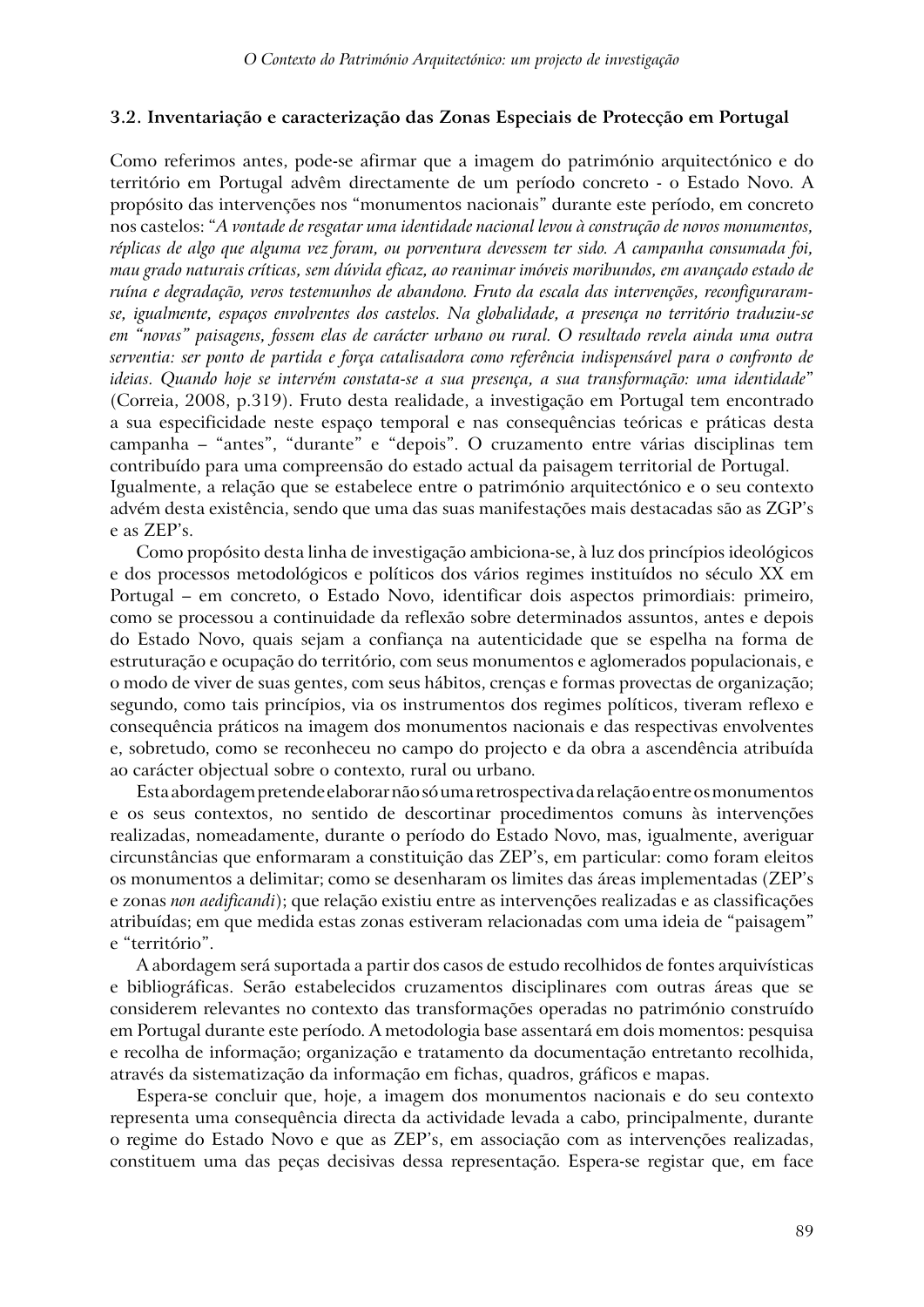#### **3.2. Inventariação e caracterização das Zonas Especiais de Protecção em Portugal**

Como referimos antes, pode-se afirmar que a imagem do património arquitectónico e do território em Portugal advêm directamente de um período concreto - o Estado Novo. A propósito das intervenções nos "monumentos nacionais" durante este período, em concreto nos castelos: "*A vontade de resgatar uma identidade nacional levou à construção de novos monumentos, réplicas de algo que alguma vez foram, ou porventura devessem ter sido. A campanha consumada foi, mau grado naturais críticas, sem dúvida eficaz, ao reanimar imóveis moribundos, em avançado estado de ruína e degradação, veros testemunhos de abandono. Fruto da escala das intervenções, reconfiguraramse, igualmente, espaços envolventes dos castelos. Na globalidade, a presença no território traduziu-se em "novas" paisagens, fossem elas de carácter urbano ou rural. O resultado revela ainda uma outra serventia: ser ponto de partida e força catalisadora como referência indispensável para o confronto de ideias. Quando hoje se intervém constata-se a sua presença, a sua transformação: uma identidade*" (Correia, 2008, p.319). Fruto desta realidade, a investigação em Portugal tem encontrado a sua especificidade neste espaço temporal e nas consequências teóricas e práticas desta campanha – "antes", "durante" e "depois". O cruzamento entre várias disciplinas tem contribuído para uma compreensão do estado actual da paisagem territorial de Portugal. Igualmente, a relação que se estabelece entre o património arquitectónico e o seu contexto advém desta existência, sendo que uma das suas manifestações mais destacadas são as ZGP's e as ZEP's.

Como propósito desta linha de investigação ambiciona-se, à luz dos princípios ideológicos e dos processos metodológicos e políticos dos vários regimes instituídos no século XX em Portugal – em concreto, o Estado Novo, identificar dois aspectos primordiais: primeiro, como se processou a continuidade da reflexão sobre determinados assuntos, antes e depois do Estado Novo, quais sejam a confiança na autenticidade que se espelha na forma de estruturação e ocupação do território, com seus monumentos e aglomerados populacionais, e o modo de viver de suas gentes, com seus hábitos, crenças e formas provectas de organização; segundo, como tais princípios, via os instrumentos dos regimes políticos, tiveram reflexo e consequência práticos na imagem dos monumentos nacionais e das respectivas envolventes e, sobretudo, como se reconheceu no campo do projecto e da obra a ascendência atribuída ao carácter objectual sobre o contexto, rural ou urbano.

Esta abordagem pretende elaborar não só uma retrospectiva da relação entre os monumentos e os seus contextos, no sentido de descortinar procedimentos comuns às intervenções realizadas, nomeadamente, durante o período do Estado Novo, mas, igualmente, averiguar circunstâncias que enformaram a constituição das ZEP's, em particular: como foram eleitos os monumentos a delimitar; como se desenharam os limites das áreas implementadas (ZEP's e zonas *non aedificandi*); que relação existiu entre as intervenções realizadas e as classificações atribuídas; em que medida estas zonas estiveram relacionadas com uma ideia de "paisagem" e "território".

A abordagem será suportada a partir dos casos de estudo recolhidos de fontes arquivísticas e bibliográficas. Serão estabelecidos cruzamentos disciplinares com outras áreas que se considerem relevantes no contexto das transformações operadas no património construído em Portugal durante este período. A metodologia base assentará em dois momentos: pesquisa e recolha de informação; organização e tratamento da documentação entretanto recolhida, através da sistematização da informação em fichas, quadros, gráficos e mapas.

Espera-se concluir que, hoje, a imagem dos monumentos nacionais e do seu contexto representa uma consequência directa da actividade levada a cabo, principalmente, durante o regime do Estado Novo e que as ZEP's, em associação com as intervenções realizadas, constituem uma das peças decisivas dessa representação. Espera-se registar que, em face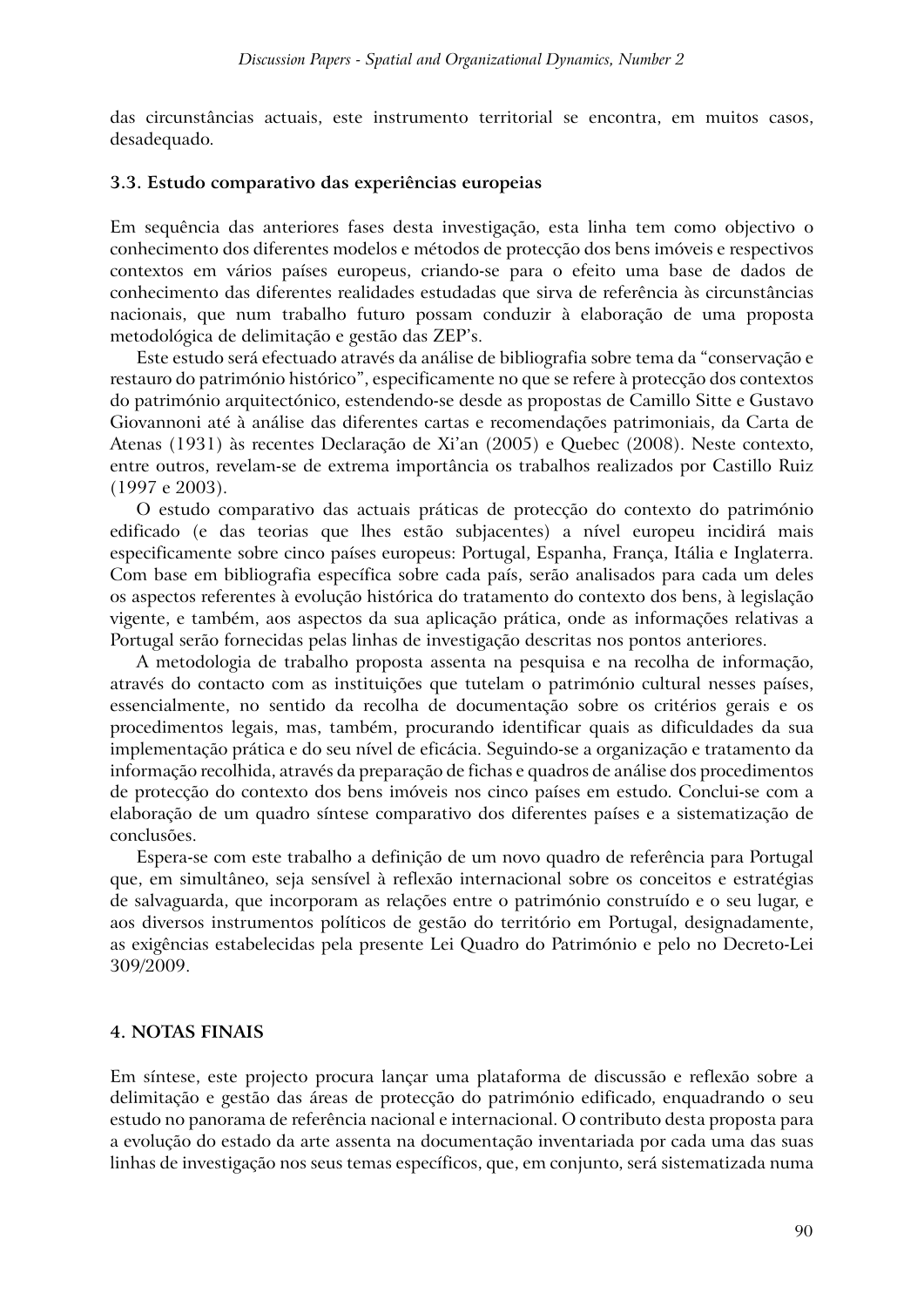das circunstâncias actuais, este instrumento territorial se encontra, em muitos casos, desadequado.

#### **3.3. Estudo comparativo das experiências europeias**

Em sequência das anteriores fases desta investigação, esta linha tem como objectivo o conhecimento dos diferentes modelos e métodos de protecção dos bens imóveis e respectivos contextos em vários países europeus, criando-se para o efeito uma base de dados de conhecimento das diferentes realidades estudadas que sirva de referência às circunstâncias nacionais, que num trabalho futuro possam conduzir à elaboração de uma proposta metodológica de delimitação e gestão das ZEP's.

Este estudo será efectuado através da análise de bibliografia sobre tema da "conservação e restauro do património histórico", especificamente no que se refere à protecção dos contextos do património arquitectónico, estendendo-se desde as propostas de Camillo Sitte e Gustavo Giovannoni até à análise das diferentes cartas e recomendações patrimoniais, da Carta de Atenas (1931) às recentes Declaração de Xi'an (2005) e Quebec (2008). Neste contexto, entre outros, revelam-se de extrema importância os trabalhos realizados por Castillo Ruiz (1997 e 2003).

O estudo comparativo das actuais práticas de protecção do contexto do património edificado (e das teorias que lhes estão subjacentes) a nível europeu incidirá mais especificamente sobre cinco países europeus: Portugal, Espanha, França, Itália e Inglaterra. Com base em bibliografia específica sobre cada país, serão analisados para cada um deles os aspectos referentes à evolução histórica do tratamento do contexto dos bens, à legislação vigente, e também, aos aspectos da sua aplicação prática, onde as informações relativas a Portugal serão fornecidas pelas linhas de investigação descritas nos pontos anteriores.

A metodologia de trabalho proposta assenta na pesquisa e na recolha de informação, através do contacto com as instituições que tutelam o património cultural nesses países, essencialmente, no sentido da recolha de documentação sobre os critérios gerais e os procedimentos legais, mas, também, procurando identificar quais as dificuldades da sua implementação prática e do seu nível de eficácia. Seguindo-se a organização e tratamento da informação recolhida, através da preparação de fichas e quadros de análise dos procedimentos de protecção do contexto dos bens imóveis nos cinco países em estudo. Conclui-se com a elaboração de um quadro síntese comparativo dos diferentes países e a sistematização de conclusões.

Espera-se com este trabalho a definição de um novo quadro de referência para Portugal que, em simultâneo, seja sensível à reflexão internacional sobre os conceitos e estratégias de salvaguarda, que incorporam as relações entre o património construído e o seu lugar, e aos diversos instrumentos políticos de gestão do território em Portugal, designadamente, as exigências estabelecidas pela presente Lei Quadro do Património e pelo no Decreto-Lei 309/2009.

### **4. NOTAS FINAIS**

Em síntese, este projecto procura lançar uma plataforma de discussão e reflexão sobre a delimitação e gestão das áreas de protecção do património edificado, enquadrando o seu estudo no panorama de referência nacional e internacional. O contributo desta proposta para a evolução do estado da arte assenta na documentação inventariada por cada uma das suas linhas de investigação nos seus temas específicos, que, em conjunto, será sistematizada numa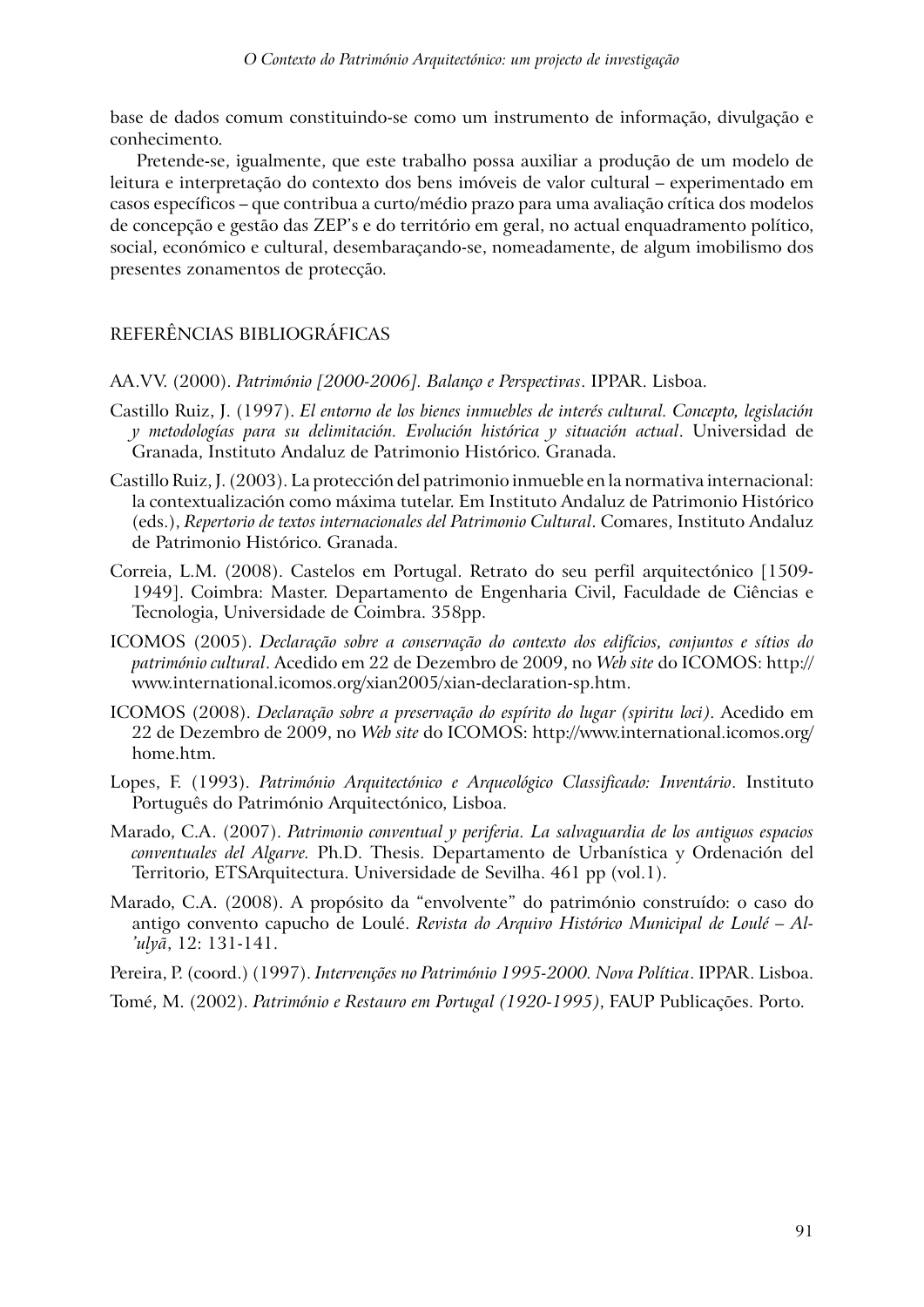base de dados comum constituindo-se como um instrumento de informação, divulgação e conhecimento.

Pretende-se, igualmente, que este trabalho possa auxiliar a produção de um modelo de leitura e interpretação do contexto dos bens imóveis de valor cultural – experimentado em casos específicos – que contribua a curto/médio prazo para uma avaliação crítica dos modelos de concepção e gestão das ZEP's e do território em geral, no actual enquadramento político, social, económico e cultural, desembaraçando-se, nomeadamente, de algum imobilismo dos presentes zonamentos de protecção.

# REFERÊNCIAS BIBLIOGRÁFICAS

AA.VV. (2000). *Património [2000-2006]. Balanço e Perspectivas*. IPPAR. Lisboa.

- Castillo Ruiz, J. (1997). *El entorno de los bienes inmuebles de interés cultural. Concepto, legislación y metodologías para su delimitación. Evolución histórica y situación actual*. Universidad de Granada, Instituto Andaluz de Patrimonio Histórico. Granada.
- Castillo Ruiz, J. (2003). La protección del patrimonio inmueble en la normativa internacional: la contextualización como máxima tutelar. Em Instituto Andaluz de Patrimonio Histórico (eds.), *Repertorio de textos internacionales del Patrimonio Cultural*. Comares, Instituto Andaluz de Patrimonio Histórico. Granada.
- Correia, L.M. (2008). Castelos em Portugal. Retrato do seu perfil arquitectónico [1509- 1949]. Coimbra: Master. Departamento de Engenharia Civil, Faculdade de Ciências e Tecnologia, Universidade de Coimbra. 358pp.
- ICOMOS (2005). *Declaração sobre a conservação do contexto dos edifícios, conjuntos e sítios do património cultural*. Acedido em 22 de Dezembro de 2009, no *Web site* do ICOMOS: http:// www.international.icomos.org/xian2005/xian-declaration-sp.htm.
- ICOMOS (2008). *Declaração sobre a preservação do espírito do lugar (spiritu loci)*. Acedido em 22 de Dezembro de 2009, no *Web site* do ICOMOS: http://www.international.icomos.org/ home.htm.
- Lopes, F. (1993). *Património Arquitectónico e Arqueológico Classificado: Inventário*. Instituto Português do Património Arquitectónico, Lisboa.
- Marado, C.A. (2007). *Patrimonio conventual y periferia. La salvaguardia de los antiguos espacios conventuales del Algarve.* Ph.D. Thesis. Departamento de Urbanística y Ordenación del Territorio, ETSArquitectura. Universidade de Sevilha. 461 pp (vol.1).
- Marado, C.A. (2008). A propósito da "envolvente" do património construído: o caso do antigo convento capucho de Loulé. *Revista do Arquivo Histórico Municipal de Loulé – Al- 'ulyã*, 12: 131-141.

Pereira, P. (coord.) (1997). *Intervenções no Património 1995-2000. Nova Política*. IPPAR. Lisboa.

Tomé, M. (2002). *Património e Restauro em Portugal (1920-1995)*, FAUP Publicações. Porto.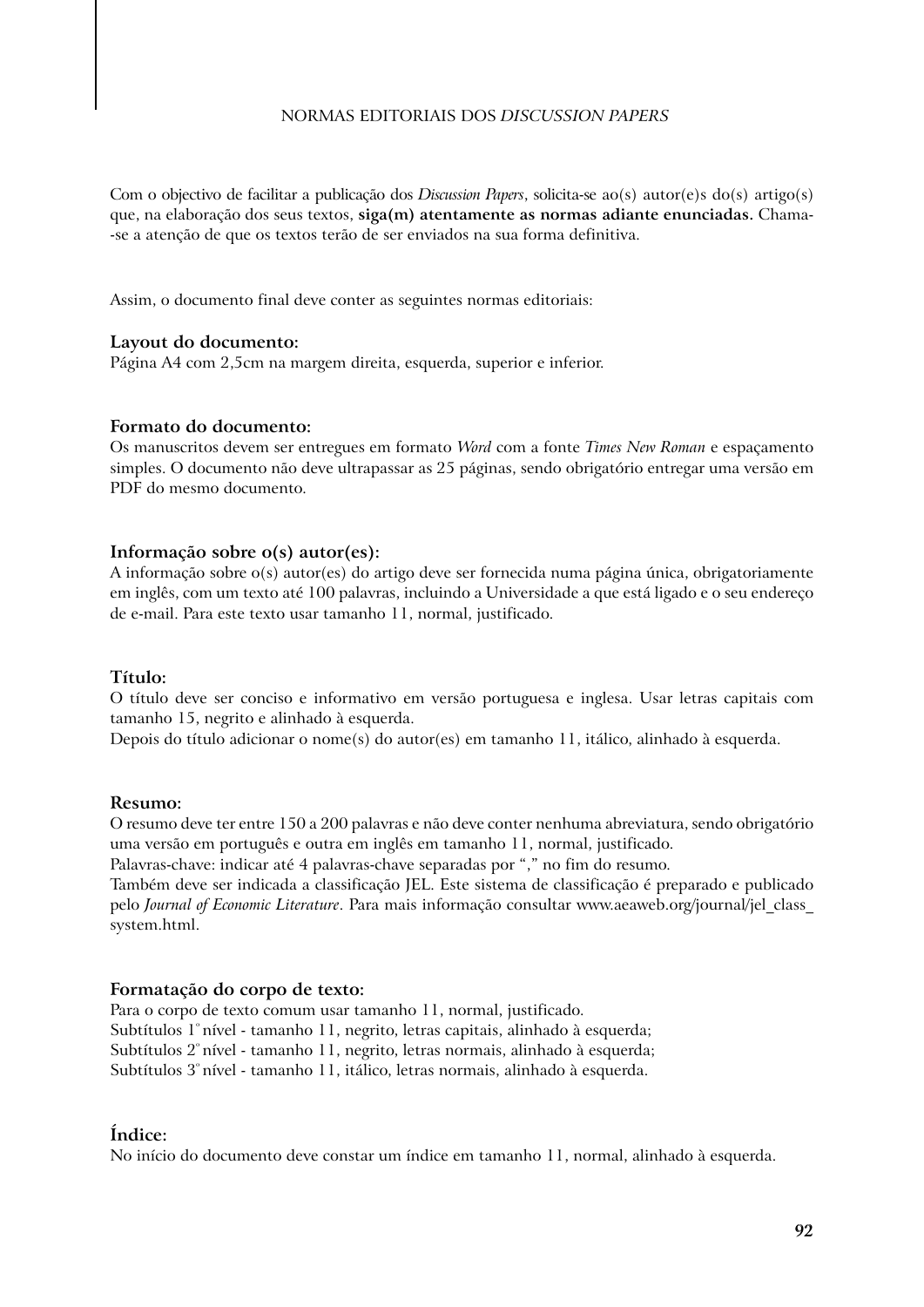#### Normas Editoriais dOS *DISCUSSION PAPERS*

Com o objectivo de facilitar a publicação dos *Discussion Papers*, solicita-se ao(s) autor(e)s do(s) artigo(s) que, na elaboração dos seus textos, **siga(m) atentamente as normas adiante enunciadas.** Chama- -se a atenção de que os textos terão de ser enviados na sua forma definitiva.

Assim, o documento final deve conter as seguintes normas editoriais:

#### **Layout do documento:**

Página A4 com 2,5cm na margem direita, esquerda, superior e inferior.

#### **Formato do documento:**

Os manuscritos devem ser entregues em formato *Word* com a fonte *Times New Roman* e espaçamento simples. O documento não deve ultrapassar as 25 páginas, sendo obrigatório entregar uma versão em PDF do mesmo documento.

#### **Informação sobre o(s) autor(es):**

A informação sobre o(s) autor(es) do artigo deve ser fornecida numa página única, obrigatoriamente em inglês, com um texto até 100 palavras, incluindo a Universidade a que está ligado e o seu endereço de e-mail. Para este texto usar tamanho 11, normal, justificado.

#### **Título:**

O título deve ser conciso e informativo em versão portuguesa e inglesa. Usar letras capitais com tamanho 15, negrito e alinhado à esquerda.

Depois do título adicionar o nome(s) do autor(es) em tamanho 11, itálico, alinhado à esquerda.

#### **Resumo:**

O resumo deve ter entre 150 a 200 palavras e não deve conter nenhuma abreviatura, sendo obrigatório uma versão em português e outra em inglês em tamanho 11, normal, justificado.

Palavras-chave: indicar até 4 palavras-chave separadas por "," no fim do resumo.

Também deve ser indicada a classificação JEL. Este sistema de classificação é preparado e publicado pelo *Journal of Economic Literature*. Para mais informação consultar www.aeaweb.org/journal/jel\_class\_ system.html.

#### **Formatação do corpo de texto:**

Para o corpo de texto comum usar tamanho 11, normal, justificado. Subtítulos 1º nível - tamanho 11, negrito, letras capitais, alinhado à esquerda; Subtítulos 2º nível - tamanho 11, negrito, letras normais, alinhado à esquerda; Subtítulos 3º nível - tamanho 11, itálico, letras normais, alinhado à esquerda.

### **Índice:**

No início do documento deve constar um índice em tamanho 11, normal, alinhado à esquerda.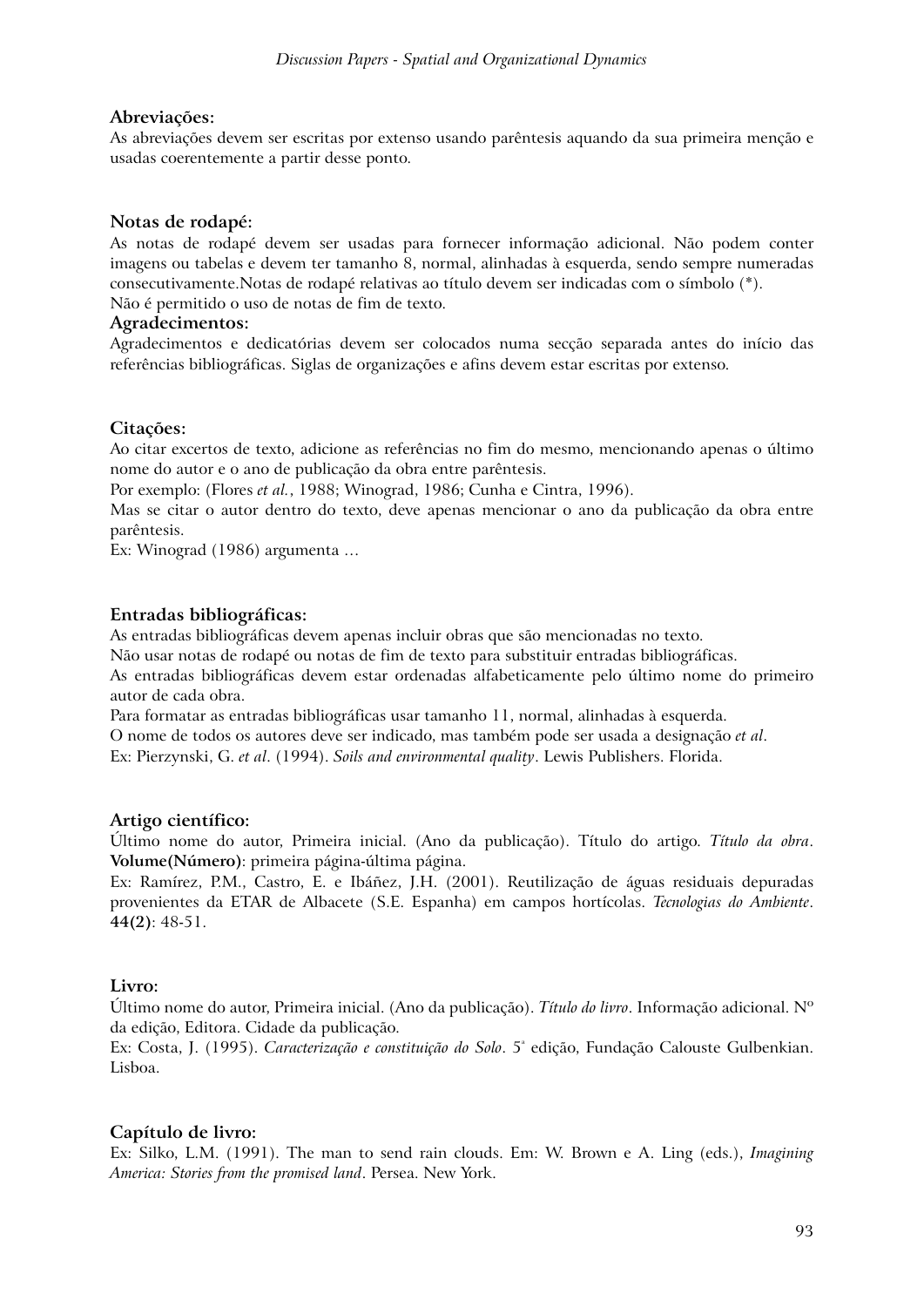#### **Abreviações:**

As abreviações devem ser escritas por extenso usando parêntesis aquando da sua primeira menção e usadas coerentemente a partir desse ponto.

### **Notas de rodapé:**

As notas de rodapé devem ser usadas para fornecer informação adicional. Não podem conter imagens ou tabelas e devem ter tamanho 8, normal, alinhadas à esquerda, sendo sempre numeradas consecutivamente.Notas de rodapé relativas ao título devem ser indicadas com o símbolo (\*). Não é permitido o uso de notas de fim de texto.

#### **Agradecimentos:**

Agradecimentos e dedicatórias devem ser colocados numa secção separada antes do início das referências bibliográficas. Siglas de organizações e afins devem estar escritas por extenso.

### **Citações:**

Ao citar excertos de texto, adicione as referências no fim do mesmo, mencionando apenas o último nome do autor e o ano de publicação da obra entre parêntesis.

Por exemplo: (Flores *et al.*, 1988; Winograd, 1986; Cunha e Cintra, 1996).

Mas se citar o autor dentro do texto, deve apenas mencionar o ano da publicação da obra entre parêntesis.

Ex: Winograd (1986) argumenta …

### **Entradas bibliográficas:**

As entradas bibliográficas devem apenas incluir obras que são mencionadas no texto.

Não usar notas de rodapé ou notas de fim de texto para substituir entradas bibliográficas.

As entradas bibliográficas devem estar ordenadas alfabeticamente pelo último nome do primeiro autor de cada obra.

Para formatar as entradas bibliográficas usar tamanho 11, normal, alinhadas à esquerda. O nome de todos os autores deve ser indicado, mas também pode ser usada a designação *et al*. Ex: Pierzynski, G. *et al*. (1994). *Soils and environmental quality*. Lewis Publishers. Florida.

### **Artigo científico:**

Último nome do autor, Primeira inicial. (Ano da publicação). Título do artigo. *Título da obra*. **Volume(Número)**: primeira página-última página.

Ex: Ramírez, P.M., Castro, E. e Ibáñez, J.H. (2001). Reutilização de águas residuais depuradas provenientes da ETAR de Albacete (S.E. Espanha) em campos hortícolas. *Tecnologias do Ambiente*. **44(2)**: 48-51.

### **Livro:**

Último nome do autor, Primeira inicial. (Ano da publicação). *Título do livro*. Informação adicional. Nº da edição, Editora. Cidade da publicação.

Ex: Costa, J. (1995). *Caracterização e constituição do Solo*. 5ª edição, Fundação Calouste Gulbenkian. Lisboa.

### **Capítulo de livro:**

Ex: Silko, L.M. (1991). The man to send rain clouds. Em: W. Brown e A. Ling (eds.), *Imagining America: Stories from the promised land*. Persea. New York.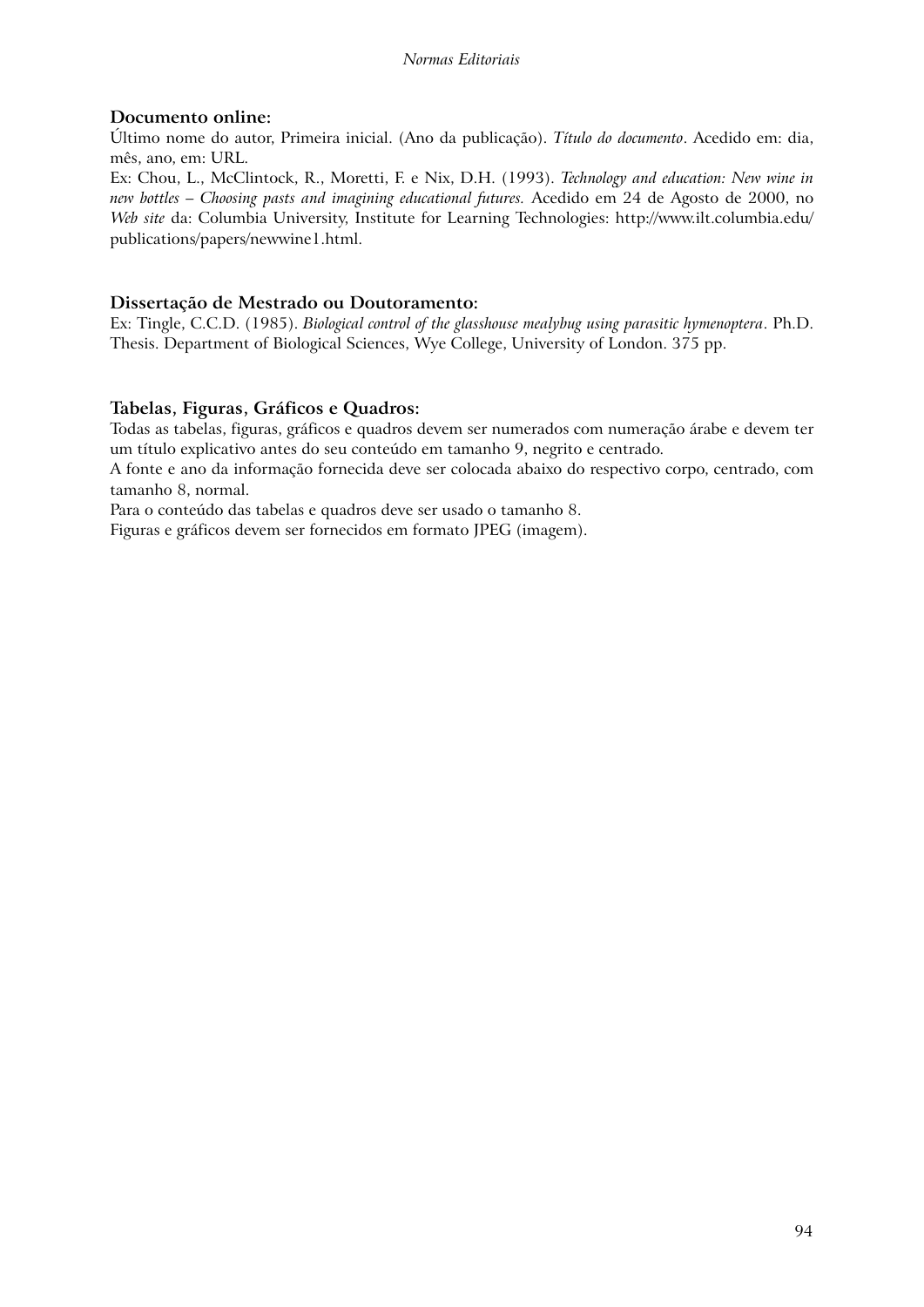### **Documento online:**

Último nome do autor, Primeira inicial. (Ano da publicação). *Título do documento*. Acedido em: dia, mês, ano, em: URL.

Ex: Chou, L., McClintock, R., Moretti, F. e Nix, D.H. (1993). *Technology and education: New wine in new bottles – Choosing pasts and imagining educational futures.* Acedido em 24 de Agosto de 2000, no *Web site* da: Columbia University, Institute for Learning Technologies: http://www.ilt.columbia.edu/ publications/papers/newwine1.html.

### **Dissertação de Mestrado ou Doutoramento:**

Ex: Tingle, C.C.D. (1985). *Biological control of the glasshouse mealybug using parasitic hymenoptera*. Ph.D. Thesis. Department of Biological Sciences, Wye College, University of London. 375 pp.

### **Tabelas, Figuras, Gráficos e Quadros:**

Todas as tabelas, figuras, gráficos e quadros devem ser numerados com numeração árabe e devem ter um título explicativo antes do seu conteúdo em tamanho 9, negrito e centrado.

A fonte e ano da informação fornecida deve ser colocada abaixo do respectivo corpo, centrado, com tamanho 8, normal.

Para o conteúdo das tabelas e quadros deve ser usado o tamanho 8.

Figuras e gráficos devem ser fornecidos em formato JPEG (imagem).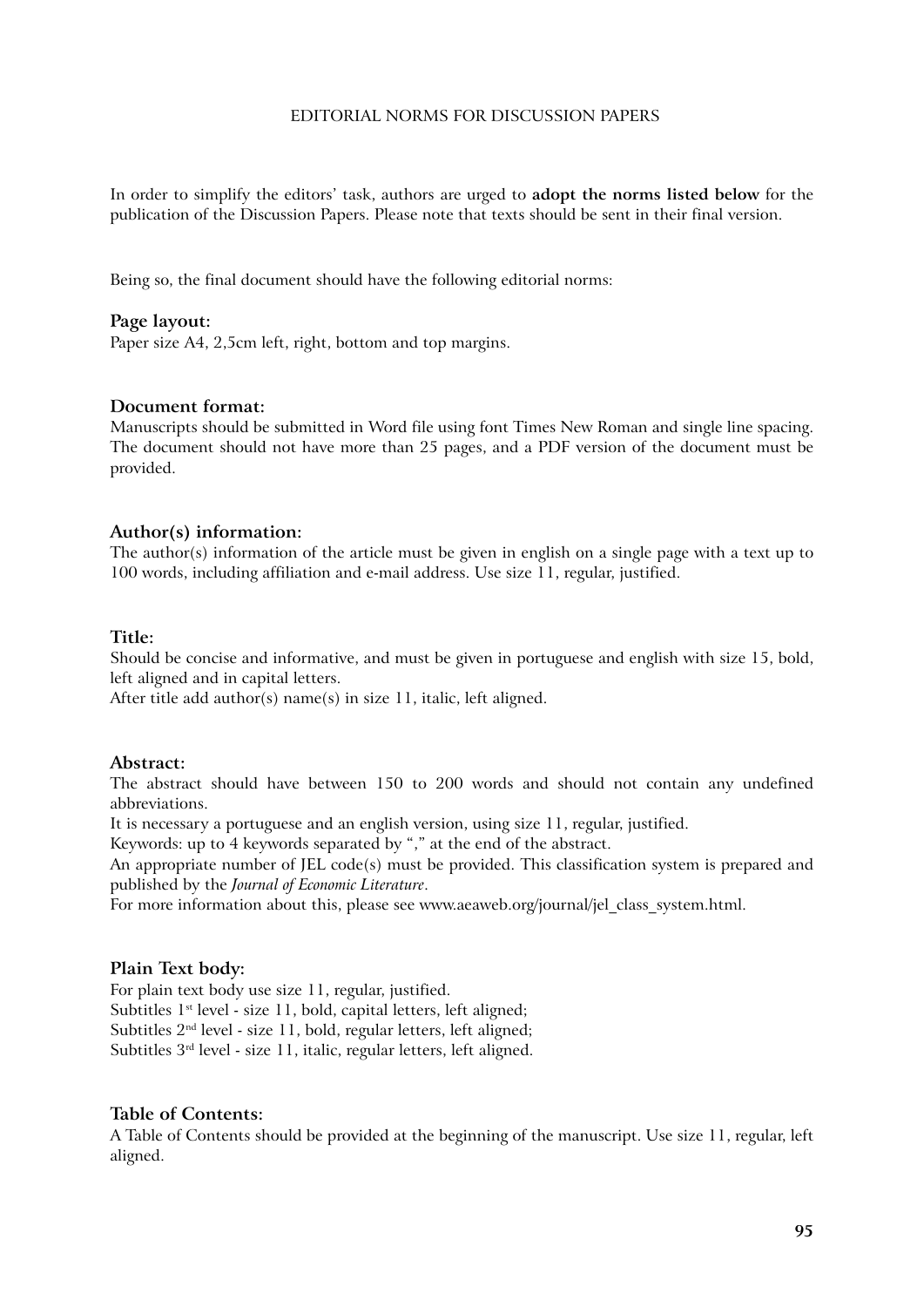#### EditoriaL NORMS FOR DISCUSSION PAPERS

In order to simplify the editors' task, authors are urged to **adopt the norms listed below** for the publication of the Discussion Papers. Please note that texts should be sent in their final version.

Being so, the final document should have the following editorial norms:

#### **Page layout:**

Paper size A4, 2,5cm left, right, bottom and top margins.

#### **Document format:**

Manuscripts should be submitted in Word file using font Times New Roman and single line spacing. The document should not have more than 25 pages, and a PDF version of the document must be provided.

#### **Author(s) information:**

The author(s) information of the article must be given in english on a single page with a text up to 100 words, including affiliation and e-mail address. Use size 11, regular, justified.

#### **Title:**

Should be concise and informative, and must be given in portuguese and english with size 15, bold, left aligned and in capital letters.

After title add author(s) name(s) in size 11, italic, left aligned.

#### **Abstract:**

The abstract should have between 150 to 200 words and should not contain any undefined abbreviations.

It is necessary a portuguese and an english version, using size 11, regular, justified.

Keywords: up to 4 keywords separated by "," at the end of the abstract.

An appropriate number of JEL code(s) must be provided. This classification system is prepared and published by the *Journal of Economic Literature*.

For more information about this, please see www.aeaweb.org/journal/jel class system.html.

#### **Plain Text body:**

For plain text body use size 11, regular, justified. Subtitles  $1^{st}$  level - size 11, bold, capital letters, left aligned; Subtitles 2nd level - size 11, bold, regular letters, left aligned; Subtitles 3rd level - size 11, italic, regular letters, left aligned.

#### **Table of Contents:**

A Table of Contents should be provided at the beginning of the manuscript. Use size 11, regular, left aligned.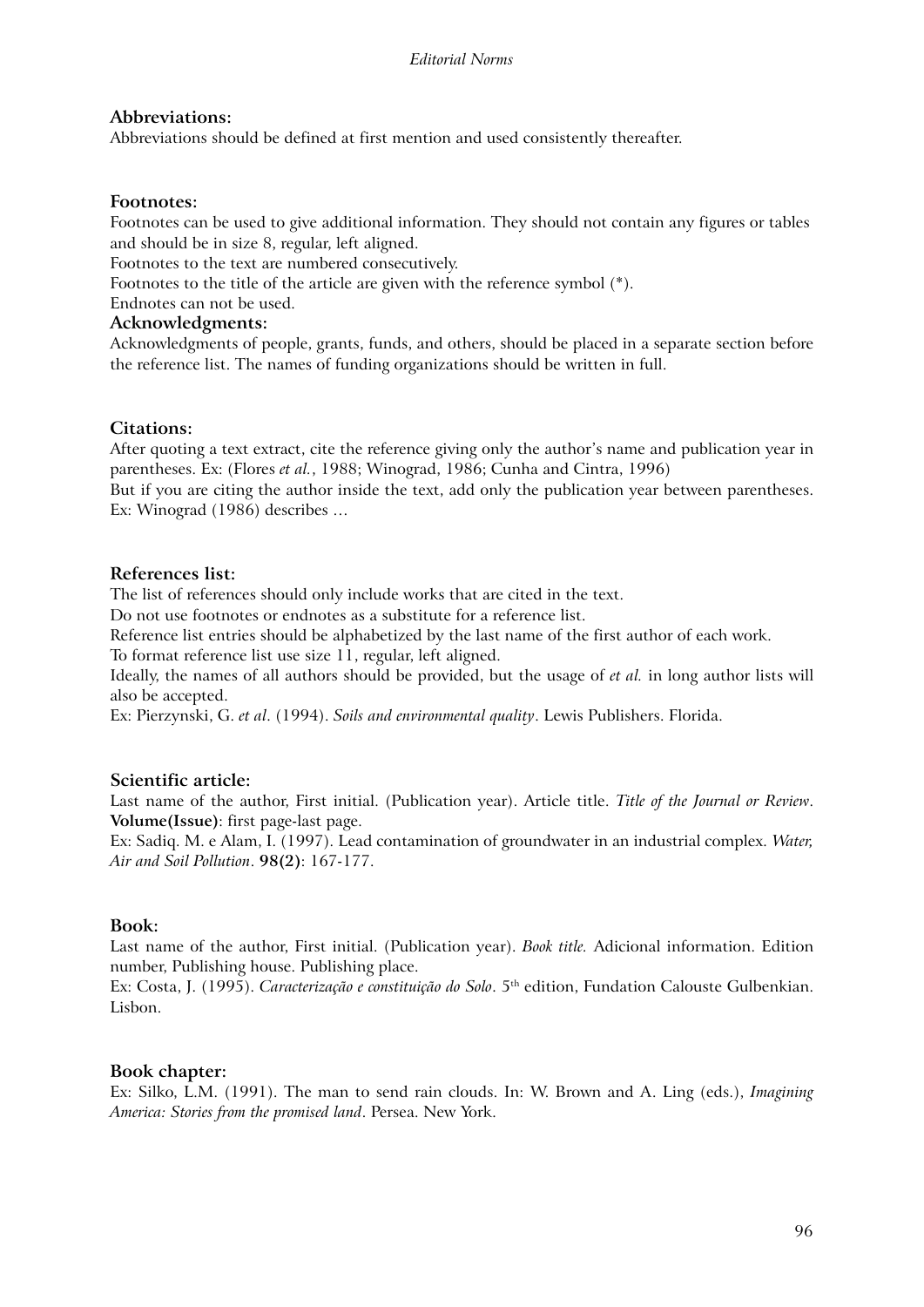#### **Abbreviations:**

Abbreviations should be defined at first mention and used consistently thereafter.

#### **Footnotes:**

Footnotes can be used to give additional information. They should not contain any figures or tables and should be in size 8, regular, left aligned.

Footnotes to the text are numbered consecutively.

Footnotes to the title of the article are given with the reference symbol (\*).

Endnotes can not be used.

#### **Acknowledgments:**

Acknowledgments of people, grants, funds, and others, should be placed in a separate section before the reference list. The names of funding organizations should be written in full.

### **Citations:**

After quoting a text extract, cite the reference giving only the author's name and publication year in parentheses. Ex: (Flores *et al.*, 1988; Winograd, 1986; Cunha and Cintra, 1996) But if you are citing the author inside the text, add only the publication year between parentheses. Ex: Winograd (1986) describes …

#### **References list:**

The list of references should only include works that are cited in the text.

Do not use footnotes or endnotes as a substitute for a reference list.

Reference list entries should be alphabetized by the last name of the first author of each work.

To format reference list use size 11, regular, left aligned.

Ideally, the names of all authors should be provided, but the usage of *et al.* in long author lists will also be accepted.

Ex: Pierzynski, G. *et al*. (1994). *Soils and environmental quality*. Lewis Publishers. Florida.

### **Scientific article:**

Last name of the author, First initial. (Publication year). Article title. *Title of the Journal or Review*. **Volume(Issue)**: first page-last page.

Ex: Sadiq. M. e Alam, I. (1997). Lead contamination of groundwater in an industrial complex. *Water, Air and Soil Pollution*. **98(2)**: 167-177.

### **Book:**

Last name of the author, First initial. (Publication year). *Book title.* Adicional information. Edition number, Publishing house. Publishing place.

Ex: Costa, J. (1995). *Caracterização e constituição do Solo*. 5th edition, Fundation Calouste Gulbenkian. Lisbon.

#### **Book chapter:**

Ex: Silko, L.M. (1991). The man to send rain clouds. In: W. Brown and A. Ling (eds.), *Imagining America: Stories from the promised land*. Persea. New York.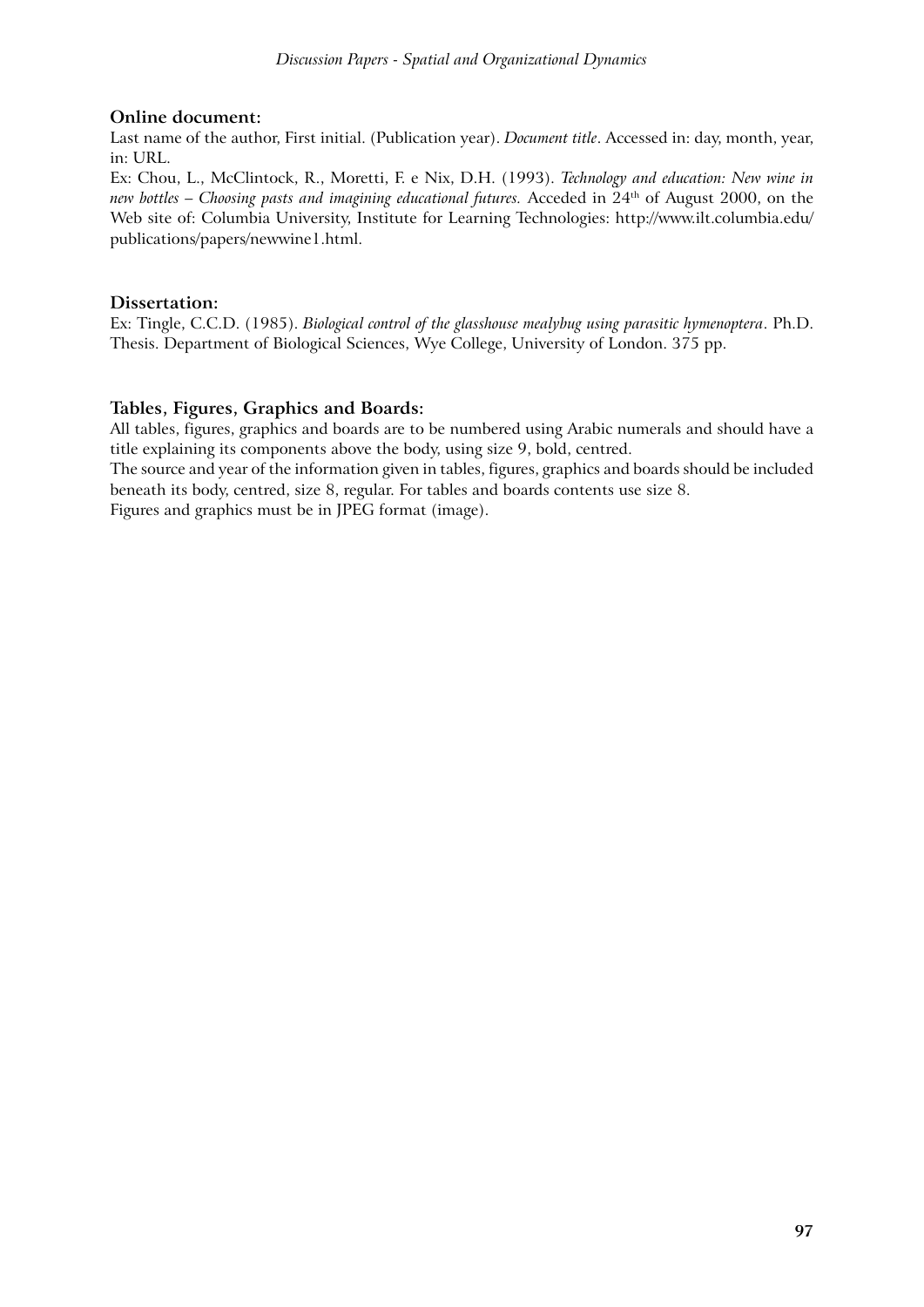### **Online document:**

Last name of the author, First initial. (Publication year). *Document title*. Accessed in: day, month, year, in: URL.

Ex: Chou, L., McClintock, R., Moretti, F. e Nix, D.H. (1993). *Technology and education: New wine in new bottles – Choosing pasts and imagining educational futures.* Acceded in 24th of August 2000, on the Web site of: Columbia University, Institute for Learning Technologies: http://www.ilt.columbia.edu/ publications/papers/newwine1.html.

### **Dissertation:**

Ex: Tingle, C.C.D. (1985). *Biological control of the glasshouse mealybug using parasitic hymenoptera*. Ph.D. Thesis. Department of Biological Sciences, Wye College, University of London. 375 pp.

### **Tables, Figures, Graphics and Boards:**

All tables, figures, graphics and boards are to be numbered using Arabic numerals and should have a title explaining its components above the body, using size 9, bold, centred.

The source and year of the information given in tables, figures, graphics and boards should be included beneath its body, centred, size 8, regular. For tables and boards contents use size 8.

Figures and graphics must be in JPEG format (image).